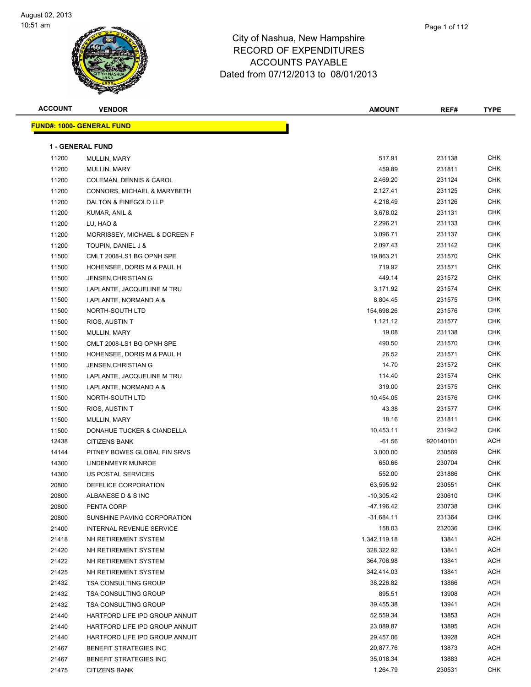

| <b>ACCOUNT</b> | <b>VENDOR</b>                           | <b>AMOUNT</b> | REF#      | <b>TYPE</b> |
|----------------|-----------------------------------------|---------------|-----------|-------------|
|                | <b>FUND#: 1000- GENERAL FUND</b>        |               |           |             |
|                | <b>1 - GENERAL FUND</b>                 |               |           |             |
| 11200          |                                         | 517.91        | 231138    | <b>CHK</b>  |
|                | MULLIN, MARY                            | 459.89        | 231811    | <b>CHK</b>  |
| 11200<br>11200 | MULLIN, MARY<br>COLEMAN, DENNIS & CAROL | 2,469.20      | 231124    | <b>CHK</b>  |
| 11200          | CONNORS, MICHAEL & MARYBETH             | 2,127.41      | 231125    | <b>CHK</b>  |
| 11200          | DALTON & FINEGOLD LLP                   | 4,218.49      | 231126    | <b>CHK</b>  |
| 11200          | KUMAR, ANIL &                           | 3,678.02      | 231131    | <b>CHK</b>  |
| 11200          | LU, HAO &                               | 2,296.21      | 231133    | <b>CHK</b>  |
| 11200          | MORRISSEY, MICHAEL & DOREEN F           | 3,096.71      | 231137    | <b>CHK</b>  |
| 11200          | TOUPIN, DANIEL J &                      | 2,097.43      | 231142    | <b>CHK</b>  |
| 11500          | CMLT 2008-LS1 BG OPNH SPE               | 19,863.21     | 231570    | <b>CHK</b>  |
| 11500          | HOHENSEE, DORIS M & PAUL H              | 719.92        | 231571    | CHK         |
| 11500          | <b>JENSEN, CHRISTIAN G</b>              | 449.14        | 231572    | <b>CHK</b>  |
| 11500          | LAPLANTE, JACQUELINE M TRU              | 3,171.92      | 231574    | <b>CHK</b>  |
| 11500          | LAPLANTE, NORMAND A &                   | 8,804.45      | 231575    | <b>CHK</b>  |
| 11500          | NORTH-SOUTH LTD                         | 154,698.26    | 231576    | <b>CHK</b>  |
| 11500          | RIOS, AUSTIN T                          | 1,121.12      | 231577    | CHK         |
| 11500          | MULLIN, MARY                            | 19.08         | 231138    | <b>CHK</b>  |
| 11500          | CMLT 2008-LS1 BG OPNH SPE               | 490.50        | 231570    | <b>CHK</b>  |
| 11500          | HOHENSEE, DORIS M & PAUL H              | 26.52         | 231571    | <b>CHK</b>  |
| 11500          | <b>JENSEN, CHRISTIAN G</b>              | 14.70         | 231572    | <b>CHK</b>  |
| 11500          | LAPLANTE, JACQUELINE M TRU              | 114.40        | 231574    | <b>CHK</b>  |
| 11500          | LAPLANTE, NORMAND A &                   | 319.00        | 231575    | <b>CHK</b>  |
| 11500          | NORTH-SOUTH LTD                         | 10,454.05     | 231576    | <b>CHK</b>  |
| 11500          | RIOS, AUSTIN T                          | 43.38         | 231577    | <b>CHK</b>  |
| 11500          | MULLIN, MARY                            | 18.16         | 231811    | <b>CHK</b>  |
| 11500          | DONAHUE TUCKER & CIANDELLA              | 10,453.11     | 231942    | <b>CHK</b>  |
| 12438          | <b>CITIZENS BANK</b>                    | $-61.56$      | 920140101 | ACH         |
| 14144          | PITNEY BOWES GLOBAL FIN SRVS            | 3,000.00      | 230569    | <b>CHK</b>  |
| 14300          | LINDENMEYR MUNROE                       | 650.66        | 230704    | <b>CHK</b>  |
| 14300          | US POSTAL SERVICES                      | 552.00        | 231886    | CHK         |
| 20800          | DEFELICE CORPORATION                    | 63,595.92     | 230551    | <b>CHK</b>  |
| 20800          | ALBANESE D & S INC                      | -10,305.42    | 230610    | <b>CHK</b>  |
| 20800          | PENTA CORP                              | -47,196.42    | 230738    | <b>CHK</b>  |
| 20800          | SUNSHINE PAVING CORPORATION             | $-31,684.11$  | 231364    | <b>CHK</b>  |
| 21400          | <b>INTERNAL REVENUE SERVICE</b>         | 158.03        | 232036    | <b>CHK</b>  |
| 21418          | NH RETIREMENT SYSTEM                    | 1,342,119.18  | 13841     | <b>ACH</b>  |
| 21420          | NH RETIREMENT SYSTEM                    | 328,322.92    | 13841     | <b>ACH</b>  |
| 21422          | NH RETIREMENT SYSTEM                    | 364,706.98    | 13841     | ACH         |
| 21425          | NH RETIREMENT SYSTEM                    | 342,414.03    | 13841     | ACH         |
| 21432          | <b>TSA CONSULTING GROUP</b>             | 38,226.82     | 13866     | ACH         |
| 21432          | TSA CONSULTING GROUP                    | 895.51        | 13908     | ACH         |
| 21432          | TSA CONSULTING GROUP                    | 39,455.38     | 13941     | <b>ACH</b>  |
| 21440          | HARTFORD LIFE IPD GROUP ANNUIT          | 52,559.34     | 13853     | <b>ACH</b>  |
| 21440          | HARTFORD LIFE IPD GROUP ANNUIT          | 23,089.87     | 13895     | ACH         |
| 21440          | HARTFORD LIFE IPD GROUP ANNUIT          | 29,457.06     | 13928     | ACH         |
| 21467          | BENEFIT STRATEGIES INC                  | 20,877.76     | 13873     | ACH         |
| 21467          | <b>BENEFIT STRATEGIES INC</b>           | 35,018.34     | 13883     | ACH         |
| 21475          | <b>CITIZENS BANK</b>                    | 1,264.79      | 230531    | <b>CHK</b>  |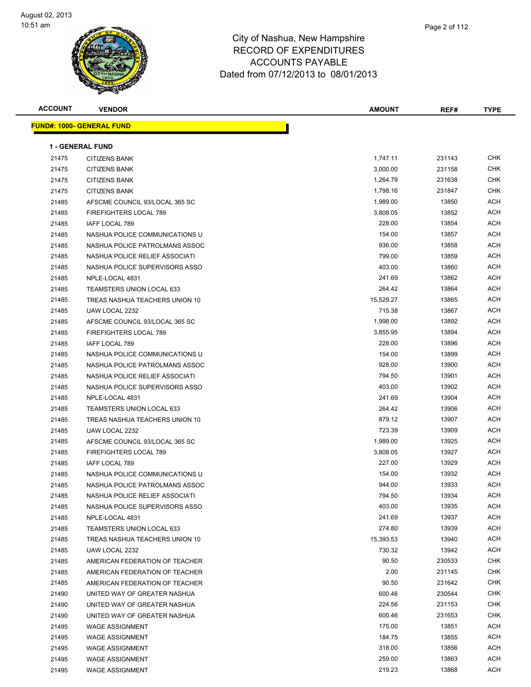

| ampshire      |  |
|---------------|--|
| <b>ITURES</b> |  |
|               |  |

Page 2 of 112

| <b>ACCOUNT</b> | <b>VENDOR</b>                    | <b>AMOUNT</b> | REF#   | <b>TYPE</b> |
|----------------|----------------------------------|---------------|--------|-------------|
|                | <b>FUND#: 1000- GENERAL FUND</b> |               |        |             |
|                |                                  |               |        |             |
|                | <b>1 - GENERAL FUND</b>          |               |        |             |
| 21475          | <b>CITIZENS BANK</b>             | 1,747.11      | 231143 | <b>CHK</b>  |
| 21475          | <b>CITIZENS BANK</b>             | 3,000.00      | 231158 | <b>CHK</b>  |
| 21475          | <b>CITIZENS BANK</b>             | 1,264.79      | 231638 | <b>CHK</b>  |
| 21475          | <b>CITIZENS BANK</b>             | 1,798.16      | 231847 | <b>CHK</b>  |
| 21485          | AFSCME COUNCIL 93/LOCAL 365 SC   | 1,989.00      | 13850  | ACH         |
| 21485          | <b>FIREFIGHTERS LOCAL 789</b>    | 3,808.05      | 13852  | ACH         |
| 21485          | <b>IAFF LOCAL 789</b>            | 228.00        | 13854  | ACH         |
| 21485          | NASHUA POLICE COMMUNICATIONS U   | 154.00        | 13857  | ACH         |
| 21485          | NASHUA POLICE PATROLMANS ASSOC   | 936.00        | 13858  | ACH         |
| 21485          | NASHUA POLICE RELIEF ASSOCIATI   | 799.00        | 13859  | <b>ACH</b>  |
| 21485          | NASHUA POLICE SUPERVISORS ASSO   | 403.00        | 13860  | <b>ACH</b>  |
| 21485          | NPLE-LOCAL 4831                  | 241.69        | 13862  | ACH         |
| 21485          | <b>TEAMSTERS UNION LOCAL 633</b> | 264.42        | 13864  | ACH         |
| 21485          | TREAS NASHUA TEACHERS UNION 10   | 15,529.27     | 13865  | ACH         |
| 21485          | UAW LOCAL 2232                   | 715.38        | 13867  | <b>ACH</b>  |
| 21485          | AFSCME COUNCIL 93/LOCAL 365 SC   | 1,998.00      | 13892  | ACH         |
| 21485          | <b>FIREFIGHTERS LOCAL 789</b>    | 3,855.95      | 13894  | ACH         |
| 21485          | IAFF LOCAL 789                   | 228.00        | 13896  | ACH         |
| 21485          | NASHUA POLICE COMMUNICATIONS U   | 154.00        | 13899  | <b>ACH</b>  |
| 21485          | NASHUA POLICE PATROLMANS ASSOC   | 928.00        | 13900  | ACH         |
| 21485          | NASHUA POLICE RELIEF ASSOCIATI   | 794.50        | 13901  | <b>ACH</b>  |
| 21485          | NASHUA POLICE SUPERVISORS ASSO   | 403.00        | 13902  | ACH         |
| 21485          | NPLE-LOCAL 4831                  | 241.69        | 13904  | ACH         |
| 21485          | TEAMSTERS UNION LOCAL 633        | 264.42        | 13906  | ACH         |
| 21485          | TREAS NASHUA TEACHERS UNION 10   | 879.12        | 13907  | ACH         |
| 21485          | UAW LOCAL 2232                   | 723.39        | 13909  | <b>ACH</b>  |
| 21485          | AFSCME COUNCIL 93/LOCAL 365 SC   | 1,989.00      | 13925  | ACH         |
| 21485          | FIREFIGHTERS LOCAL 789           | 3,808.05      | 13927  | ACH         |
| 21485          | IAFF LOCAL 789                   | 227.00        | 13929  | <b>ACH</b>  |
| 21485          | NASHUA POLICE COMMUNICATIONS U   | 154.00        | 13932  | <b>ACH</b>  |
| 21485          | NASHUA POLICE PATROLMANS ASSOC   | 944.00        | 13933  | <b>ACH</b>  |
| 21485          | NASHUA POLICE RELIEF ASSOCIATI   | 794.50        | 13934  | ACH         |
| 21485          | NASHUA POLICE SUPERVISORS ASSO   | 403.00        | 13935  | ACH         |
| 21485          | NPLE-LOCAL 4831                  | 241.69        | 13937  | ACH         |
| 21485          | <b>TEAMSTERS UNION LOCAL 633</b> | 274.80        | 13939  | <b>ACH</b>  |
| 21485          | TREAS NASHUA TEACHERS UNION 10   | 15,393.53     | 13940  | <b>ACH</b>  |
| 21485          | UAW LOCAL 2232                   | 730.32        | 13942  | ACH         |
| 21485          | AMERICAN FEDERATION OF TEACHER   | 90.50         | 230533 | CHK         |
| 21485          | AMERICAN FEDERATION OF TEACHER   | 2.00          | 231145 | <b>CHK</b>  |
| 21485          | AMERICAN FEDERATION OF TEACHER   | 90.50         | 231642 | <b>CHK</b>  |
| 21490          | UNITED WAY OF GREATER NASHUA     | 600.46        | 230544 | CHK         |
| 21490          | UNITED WAY OF GREATER NASHUA     | 224.56        | 231153 | CHK         |
| 21490          | UNITED WAY OF GREATER NASHUA     | 600.46        | 231653 | CHK         |
| 21495          | <b>WAGE ASSIGNMENT</b>           | 175.00        | 13851  | ACH         |
| 21495          | <b>WAGE ASSIGNMENT</b>           | 184.75        | 13855  | <b>ACH</b>  |
| 21495          | <b>WAGE ASSIGNMENT</b>           | 318.00        | 13856  | <b>ACH</b>  |
| 21495          | <b>WAGE ASSIGNMENT</b>           | 259.00        | 13863  | ACH         |
| 21495          | <b>WAGE ASSIGNMENT</b>           | 219.23        | 13868  | ACH         |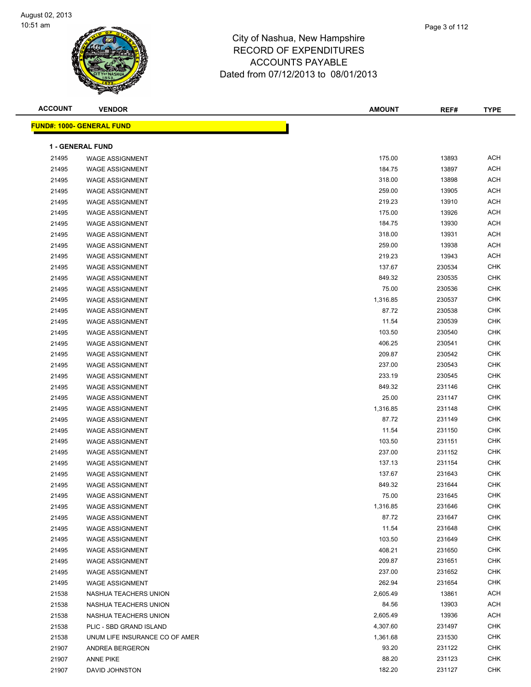| <b>ACCOUNT</b> | <b>VENDOR</b>                    | <b>AMOUNT</b> | REF#   | <b>TYPE</b> |
|----------------|----------------------------------|---------------|--------|-------------|
|                | <b>FUND#: 1000- GENERAL FUND</b> |               |        |             |
|                | <b>1 - GENERAL FUND</b>          |               |        |             |
| 21495          | <b>WAGE ASSIGNMENT</b>           | 175.00        | 13893  | <b>ACH</b>  |
| 21495          | <b>WAGE ASSIGNMENT</b>           | 184.75        | 13897  | <b>ACH</b>  |
| 21495          | <b>WAGE ASSIGNMENT</b>           | 318.00        | 13898  | <b>ACH</b>  |
| 21495          | <b>WAGE ASSIGNMENT</b>           | 259.00        | 13905  | <b>ACH</b>  |
| 21495          | <b>WAGE ASSIGNMENT</b>           | 219.23        | 13910  | <b>ACH</b>  |
| 21495          | <b>WAGE ASSIGNMENT</b>           | 175.00        | 13926  | <b>ACH</b>  |
| 21495          | <b>WAGE ASSIGNMENT</b>           | 184.75        | 13930  | <b>ACH</b>  |
| 21495          | <b>WAGE ASSIGNMENT</b>           | 318.00        | 13931  | <b>ACH</b>  |
| 21495          | <b>WAGE ASSIGNMENT</b>           | 259.00        | 13938  | <b>ACH</b>  |
| 21495          | <b>WAGE ASSIGNMENT</b>           | 219.23        | 13943  | <b>ACH</b>  |
| 21495          | <b>WAGE ASSIGNMENT</b>           | 137.67        | 230534 | <b>CHK</b>  |
| 21495          | <b>WAGE ASSIGNMENT</b>           | 849.32        | 230535 | CHK         |
| 21495          | <b>WAGE ASSIGNMENT</b>           | 75.00         | 230536 | <b>CHK</b>  |
| 21495          | <b>WAGE ASSIGNMENT</b>           | 1,316.85      | 230537 | CHK         |
| 21495          | <b>WAGE ASSIGNMENT</b>           | 87.72         | 230538 | CHK         |
| 21495          | <b>WAGE ASSIGNMENT</b>           | 11.54         | 230539 | <b>CHK</b>  |
| 21495          | <b>WAGE ASSIGNMENT</b>           | 103.50        | 230540 | <b>CHK</b>  |
| 21495          | <b>WAGE ASSIGNMENT</b>           | 406.25        | 230541 | <b>CHK</b>  |
| 21495          | <b>WAGE ASSIGNMENT</b>           | 209.87        | 230542 | <b>CHK</b>  |
| 21495          | <b>WAGE ASSIGNMENT</b>           | 237.00        | 230543 | CHK         |
| 21495          | <b>WAGE ASSIGNMENT</b>           | 233.19        | 230545 | CHK         |
| 21495          | <b>WAGE ASSIGNMENT</b>           | 849.32        | 231146 | CHK         |
| 21495          | <b>WAGE ASSIGNMENT</b>           | 25.00         | 231147 | CHK         |
| 21495          | <b>WAGE ASSIGNMENT</b>           | 1,316.85      | 231148 | <b>CHK</b>  |
| 21495          | <b>WAGE ASSIGNMENT</b>           | 87.72         | 231149 | CHK         |
| 21495          | <b>WAGE ASSIGNMENT</b>           | 11.54         | 231150 | CHK         |
| 21495          | <b>WAGE ASSIGNMENT</b>           | 103.50        | 231151 | CHK         |
| 21495          | <b>WAGE ASSIGNMENT</b>           | 237.00        | 231152 | CHK         |
| 21495          | <b>WAGE ASSIGNMENT</b>           | 137.13        | 231154 | <b>CHK</b>  |
| 21495          | <b>WAGE ASSIGNMENT</b>           | 137.67        | 231643 | <b>CHK</b>  |
| 21495          | <b>WAGE ASSIGNMENT</b>           | 849.32        | 231644 | CHK         |
| 21495          | WAGE ASSIGNMENT                  | 75.00         | 231645 | CHK         |
| 21495          | <b>WAGE ASSIGNMENT</b>           | 1,316.85      | 231646 | CHK         |
| 21495          | <b>WAGE ASSIGNMENT</b>           | 87.72         | 231647 | CHK         |
| 21495          | <b>WAGE ASSIGNMENT</b>           | 11.54         | 231648 | <b>CHK</b>  |
| 21495          | <b>WAGE ASSIGNMENT</b>           | 103.50        | 231649 | <b>CHK</b>  |
| 21495          | <b>WAGE ASSIGNMENT</b>           | 408.21        | 231650 | <b>CHK</b>  |
| 21495          | <b>WAGE ASSIGNMENT</b>           | 209.87        | 231651 | <b>CHK</b>  |
| 21495          | <b>WAGE ASSIGNMENT</b>           | 237.00        | 231652 | <b>CHK</b>  |
| 21495          | <b>WAGE ASSIGNMENT</b>           | 262.94        | 231654 | <b>CHK</b>  |
| 21538          | NASHUA TEACHERS UNION            | 2,605.49      | 13861  | ACH         |
| 21538          | NASHUA TEACHERS UNION            | 84.56         | 13903  | ACH         |
| 21538          | NASHUA TEACHERS UNION            | 2,605.49      | 13936  | ACH         |
| 21538          | PLIC - SBD GRAND ISLAND          | 4,307.60      | 231497 | <b>CHK</b>  |
| 21538          | UNUM LIFE INSURANCE CO OF AMER   | 1,361.68      | 231530 | <b>CHK</b>  |
| 21907          | ANDREA BERGERON                  | 93.20         | 231122 | <b>CHK</b>  |
| 21907          | <b>ANNE PIKE</b>                 | 88.20         | 231123 | CHK         |
| 21907          | DAVID JOHNSTON                   | 182.20        | 231127 | <b>CHK</b>  |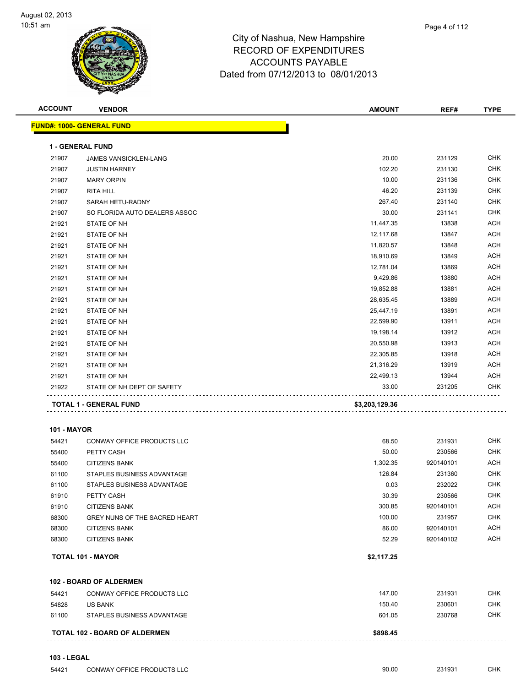

| <b>ACCOUNT</b>     | <b>VENDOR</b>                        | <b>AMOUNT</b>  | REF#      | <b>TYPE</b> |
|--------------------|--------------------------------------|----------------|-----------|-------------|
|                    | FUND#: 1000- GENERAL FUND            |                |           |             |
|                    | <b>1 - GENERAL FUND</b>              |                |           |             |
| 21907              | <b>JAMES VANSICKLEN-LANG</b>         | 20.00          | 231129    | <b>CHK</b>  |
| 21907              | <b>JUSTIN HARNEY</b>                 | 102.20         | 231130    | <b>CHK</b>  |
| 21907              | <b>MARY ORPIN</b>                    | 10.00          | 231136    | <b>CHK</b>  |
| 21907              | <b>RITA HILL</b>                     | 46.20          | 231139    | <b>CHK</b>  |
| 21907              | SARAH HETU-RADNY                     | 267.40         | 231140    | <b>CHK</b>  |
| 21907              | SO FLORIDA AUTO DEALERS ASSOC        | 30.00          | 231141    | <b>CHK</b>  |
| 21921              | STATE OF NH                          | 11,447.35      | 13838     | <b>ACH</b>  |
| 21921              | STATE OF NH                          | 12,117.68      | 13847     | <b>ACH</b>  |
| 21921              | STATE OF NH                          | 11,820.57      | 13848     | <b>ACH</b>  |
| 21921              | STATE OF NH                          | 18,910.69      | 13849     | <b>ACH</b>  |
| 21921              | STATE OF NH                          | 12,781.04      | 13869     | <b>ACH</b>  |
| 21921              | STATE OF NH                          | 9,429.86       | 13880     | <b>ACH</b>  |
| 21921              | STATE OF NH                          | 19,852.88      | 13881     | <b>ACH</b>  |
| 21921              | STATE OF NH                          | 28,635.45      | 13889     | <b>ACH</b>  |
| 21921              | STATE OF NH                          | 25,447.19      | 13891     | <b>ACH</b>  |
| 21921              | STATE OF NH                          | 22,599.90      | 13911     | ACH         |
| 21921              | STATE OF NH                          | 19,198.14      | 13912     | <b>ACH</b>  |
| 21921              | STATE OF NH                          | 20,550.98      | 13913     | <b>ACH</b>  |
| 21921              | STATE OF NH                          | 22,305.85      | 13918     | <b>ACH</b>  |
| 21921              | STATE OF NH                          | 21,316.29      | 13919     | <b>ACH</b>  |
| 21921              | STATE OF NH                          | 22,499.13      | 13944     | <b>ACH</b>  |
| 21922              | STATE OF NH DEPT OF SAFETY           | 33.00          | 231205    | <b>CHK</b>  |
|                    | <b>TOTAL 1 - GENERAL FUND</b>        | \$3,203,129.36 |           |             |
| <b>101 - MAYOR</b> |                                      |                |           |             |
| 54421              | CONWAY OFFICE PRODUCTS LLC           | 68.50          | 231931    | <b>CHK</b>  |
| 55400              | PETTY CASH                           | 50.00          | 230566    | <b>CHK</b>  |
| 55400              | <b>CITIZENS BANK</b>                 | 1,302.35       | 920140101 | <b>ACH</b>  |
| 61100              | STAPLES BUSINESS ADVANTAGE           | 126.84         | 231360    | <b>CHK</b>  |
| 61100              | STAPLES BUSINESS ADVANTAGE           | 0.03           | 232022    | <b>CHK</b>  |
| 61910              | PETTY CASH                           | 30.39          | 230566    | <b>CHK</b>  |
| 61910              | <b>CITIZENS BANK</b>                 | 300.85         | 920140101 | <b>ACH</b>  |
| 68300              | GREY NUNS OF THE SACRED HEART        | 100.00         | 231957    | <b>CHK</b>  |
| 68300              | <b>CITIZENS BANK</b>                 | 86.00          | 920140101 | <b>ACH</b>  |
| 68300              | <b>CITIZENS BANK</b>                 | 52.29          | 920140102 | ACH         |
|                    | TOTAL 101 - MAYOR                    | \$2,117.25     |           |             |
|                    | 102 - BOARD OF ALDERMEN              |                |           |             |
| 54421              | CONWAY OFFICE PRODUCTS LLC           | 147.00         | 231931    | <b>CHK</b>  |
| 54828              | <b>US BANK</b>                       | 150.40         | 230601    | <b>CHK</b>  |
| 61100              | STAPLES BUSINESS ADVANTAGE           | 601.05         | 230768    | <b>CHK</b>  |
|                    | <b>TOTAL 102 - BOARD OF ALDERMEN</b> | \$898.45       |           |             |
|                    |                                      |                |           |             |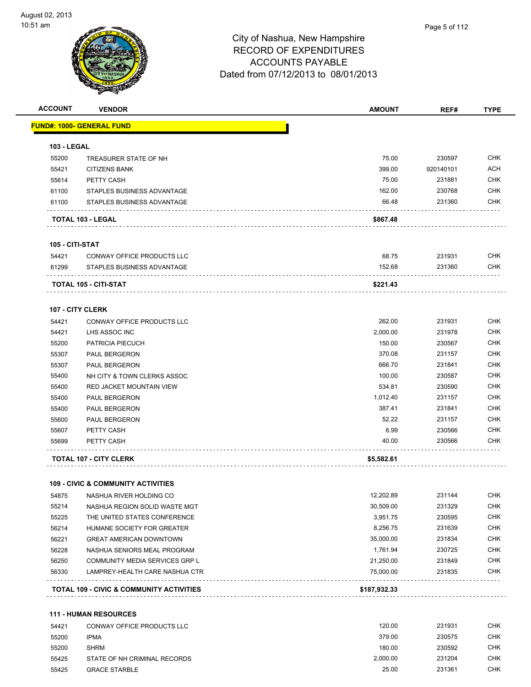

| <b>ACCOUNT</b>     | <b>VENDOR</b>                                       | <b>AMOUNT</b> | REF#      | <b>TYPE</b>              |
|--------------------|-----------------------------------------------------|---------------|-----------|--------------------------|
|                    | <u> FUND#: 1000- GENERAL FUND</u>                   |               |           |                          |
| <b>103 - LEGAL</b> |                                                     |               |           |                          |
| 55200              | TREASURER STATE OF NH                               | 75.00         | 230597    | CHK                      |
| 55421              | <b>CITIZENS BANK</b>                                | 399.00        | 920140101 | <b>ACH</b>               |
| 55614              | PETTY CASH                                          | 75.00         | 231881    | <b>CHK</b>               |
| 61100              | STAPLES BUSINESS ADVANTAGE                          | 162.00        | 230768    | <b>CHK</b>               |
| 61100              | STAPLES BUSINESS ADVANTAGE                          | 66.48         | 231360    | CHK                      |
|                    | TOTAL 103 - LEGAL                                   | \$867.48      |           |                          |
| 105 - CITI-STAT    |                                                     |               |           |                          |
| 54421              | CONWAY OFFICE PRODUCTS LLC                          | 68.75         | 231931    | <b>CHK</b>               |
| 61299              | STAPLES BUSINESS ADVANTAGE                          | 152.68        | 231360    | <b>CHK</b>               |
|                    |                                                     |               |           |                          |
|                    | TOTAL 105 - CITI-STAT                               | \$221.43      |           |                          |
| 107 - CITY CLERK   |                                                     |               |           |                          |
| 54421              | CONWAY OFFICE PRODUCTS LLC                          | 262.00        | 231931    | <b>CHK</b>               |
| 54421              | LHS ASSOC INC                                       | 2,000.00      | 231978    | <b>CHK</b>               |
| 55200              | PATRICIA PIECUCH                                    | 150.00        | 230567    | CHK                      |
| 55307              | PAUL BERGERON                                       | 370.08        | 231157    | <b>CHK</b>               |
| 55307              | <b>PAUL BERGERON</b>                                | 666.70        | 231841    | <b>CHK</b>               |
| 55400              | NH CITY & TOWN CLERKS ASSOC                         | 100.00        | 230587    | <b>CHK</b>               |
| 55400              | <b>RED JACKET MOUNTAIN VIEW</b>                     | 534.81        | 230590    | <b>CHK</b>               |
| 55400              | <b>PAUL BERGERON</b>                                | 1,012.40      | 231157    | <b>CHK</b>               |
| 55400              | <b>PAUL BERGERON</b>                                | 387.41        | 231841    | <b>CHK</b>               |
| 55600              | <b>PAUL BERGERON</b>                                | 52.22         | 231157    | <b>CHK</b>               |
| 55607              | PETTY CASH                                          | 6.99          | 230566    | <b>CHK</b>               |
| 55699              | PETTY CASH                                          | 40.00         | 230566    | CHK                      |
|                    | <b>TOTAL 107 - CITY CLERK</b>                       | \$5,582.61    |           |                          |
|                    | <b>109 - CIVIC &amp; COMMUNITY ACTIVITIES</b>       |               |           |                          |
| 54875              | NASHUA RIVER HOLDING CO                             | 12,202.89     | 231144    | <b>CHK</b>               |
| 55214              | NASHUA REGION SOLID WASTE MGT                       | 30,509.00     | 231329    | <b>CHK</b>               |
| 55225              | THE UNITED STATES CONFERENCE                        | 3,951.75      | 230595    | <b>CHK</b>               |
| 56214              | HUMANE SOCIETY FOR GREATER                          | 8,256.75      | 231639    | <b>CHK</b>               |
| 56221              | <b>GREAT AMERICAN DOWNTOWN</b>                      | 35,000.00     | 231834    | <b>CHK</b>               |
| 56228              | NASHUA SENIORS MEAL PROGRAM                         | 1,761.94      | 230725    | <b>CHK</b>               |
| 56250              | COMMUNITY MEDIA SERVICES GRP L                      | 21,250.00     | 231849    | <b>CHK</b>               |
| 56330              | LAMPREY-HEALTH CARE NASHUA CTR                      | 75,000.00     | 231835    | <b>CHK</b>               |
|                    | <b>TOTAL 109 - CIVIC &amp; COMMUNITY ACTIVITIES</b> | \$187,932.33  |           |                          |
|                    |                                                     |               |           |                          |
|                    | <b>111 - HUMAN RESOURCES</b>                        | 120.00        |           |                          |
| 54421              | CONWAY OFFICE PRODUCTS LLC                          |               | 231931    | <b>CHK</b>               |
| 55200              | <b>IPMA</b>                                         | 379.00        | 230575    | <b>CHK</b>               |
| 55200              | <b>SHRM</b>                                         | 180.00        | 230592    | <b>CHK</b><br><b>CHK</b> |
| 55425              | STATE OF NH CRIMINAL RECORDS                        | 2,000.00      | 231204    |                          |

GRACE STARBLE 25.00 231361 CHK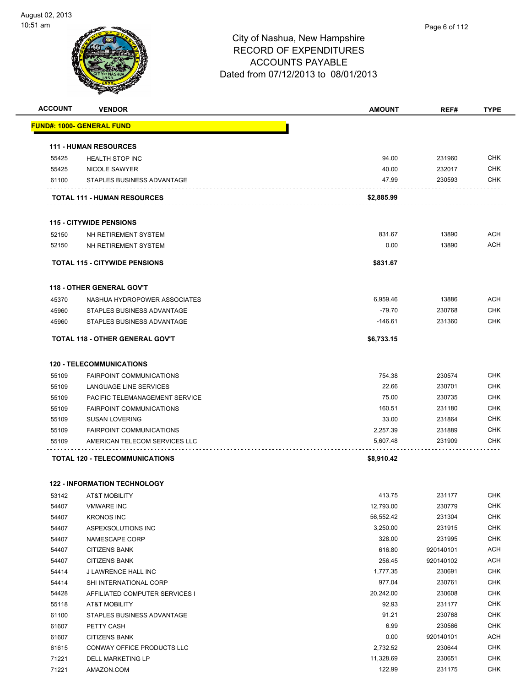

| <b>ACCOUNT</b> | <b>VENDOR</b>                         | <b>AMOUNT</b> | REF#      | <b>TYPE</b> |
|----------------|---------------------------------------|---------------|-----------|-------------|
|                | FUND#: 1000- GENERAL FUND             |               |           |             |
|                | <b>111 - HUMAN RESOURCES</b>          |               |           |             |
| 55425          | <b>HEALTH STOP INC</b>                | 94.00         | 231960    | <b>CHK</b>  |
| 55425          | NICOLE SAWYER                         | 40.00         | 232017    | <b>CHK</b>  |
| 61100          | STAPLES BUSINESS ADVANTAGE            | 47.99         | 230593    | <b>CHK</b>  |
|                | <b>TOTAL 111 - HUMAN RESOURCES</b>    | \$2,885.99    |           |             |
|                | <b>115 - CITYWIDE PENSIONS</b>        |               |           |             |
| 52150          | NH RETIREMENT SYSTEM                  | 831.67        | 13890     | <b>ACH</b>  |
| 52150          | NH RETIREMENT SYSTEM                  | 0.00          | 13890     | <b>ACH</b>  |
|                |                                       |               |           |             |
|                | <b>TOTAL 115 - CITYWIDE PENSIONS</b>  | \$831.67      |           |             |
|                | <b>118 - OTHER GENERAL GOV'T</b>      |               |           |             |
| 45370          | NASHUA HYDROPOWER ASSOCIATES          | 6,959.46      | 13886     | <b>ACH</b>  |
| 45960          | STAPLES BUSINESS ADVANTAGE            | $-79.70$      | 230768    | <b>CHK</b>  |
| 45960          | STAPLES BUSINESS ADVANTAGE            | -146.61       | 231360    | <b>CHK</b>  |
|                | TOTAL 118 - OTHER GENERAL GOV'T       | \$6,733.15    |           |             |
|                | <b>120 - TELECOMMUNICATIONS</b>       |               |           |             |
| 55109          | <b>FAIRPOINT COMMUNICATIONS</b>       | 754.38        | 230574    | <b>CHK</b>  |
| 55109          | LANGUAGE LINE SERVICES                | 22.66         | 230701    | <b>CHK</b>  |
| 55109          | PACIFIC TELEMANAGEMENT SERVICE        | 75.00         | 230735    | <b>CHK</b>  |
| 55109          | <b>FAIRPOINT COMMUNICATIONS</b>       | 160.51        | 231180    | <b>CHK</b>  |
| 55109          | <b>SUSAN LOVERING</b>                 | 33.00         | 231864    | <b>CHK</b>  |
| 55109          | <b>FAIRPOINT COMMUNICATIONS</b>       | 2,257.39      | 231889    | <b>CHK</b>  |
| 55109          | AMERICAN TELECOM SERVICES LLC         | 5,607.48      | 231909    | <b>CHK</b>  |
|                | <b>TOTAL 120 - TELECOMMUNICATIONS</b> | \$8,910.42    |           |             |
|                |                                       |               |           |             |
|                | <b>122 - INFORMATION TECHNOLOGY</b>   |               |           |             |
| 53142          | <b>AT&amp;T MOBILITY</b>              | 413.75        | 231177    | <b>CHK</b>  |
| 54407          | <b>VMWARE INC</b>                     | 12,793.00     | 230779    | CHK         |
| 54407          | <b>KRONOS INC</b>                     | 56,552.42     | 231304    | <b>CHK</b>  |
| 54407          | ASPEXSOLUTIONS INC                    | 3,250.00      | 231915    | <b>CHK</b>  |
| 54407          | NAMESCAPE CORP                        | 328.00        | 231995    | <b>CHK</b>  |
| 54407          | <b>CITIZENS BANK</b>                  | 616.80        | 920140101 | ACH         |
| 54407          | <b>CITIZENS BANK</b>                  | 256.45        | 920140102 | ACH         |
| 54414          | J LAWRENCE HALL INC                   | 1,777.35      | 230691    | <b>CHK</b>  |
| 54414          | SHI INTERNATIONAL CORP                | 977.04        | 230761    | <b>CHK</b>  |
| 54428          | AFFILIATED COMPUTER SERVICES I        | 20,242.00     | 230608    | <b>CHK</b>  |
| 55118          | AT&T MOBILITY                         | 92.93         | 231177    | <b>CHK</b>  |
| 61100          | STAPLES BUSINESS ADVANTAGE            | 91.21         | 230768    | <b>CHK</b>  |
| 61607          | PETTY CASH                            | 6.99          | 230566    | <b>CHK</b>  |
| 61607          | <b>CITIZENS BANK</b>                  | 0.00          | 920140101 | <b>ACH</b>  |
| 61615          | CONWAY OFFICE PRODUCTS LLC            | 2,732.52      | 230644    | <b>CHK</b>  |
| 71221          | <b>DELL MARKETING LP</b>              | 11,328.69     | 230651    | <b>CHK</b>  |
| 71221          | AMAZON.COM                            | 122.99        | 231175    | <b>CHK</b>  |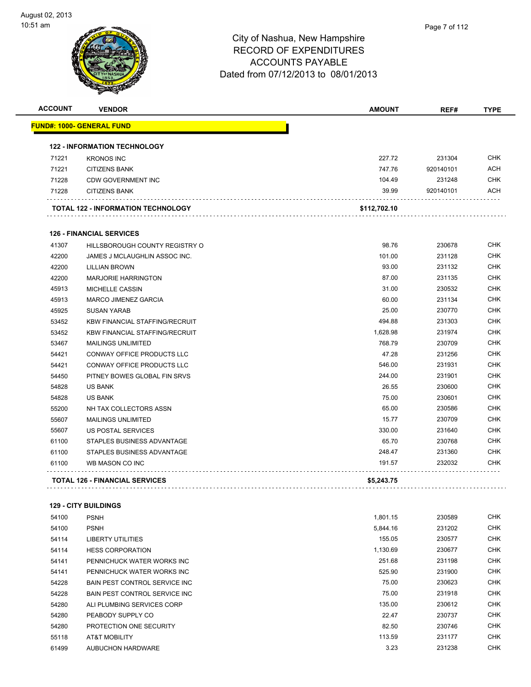

| <b>ACCOUNT</b> | <b>VENDOR</b>                         | <b>AMOUNT</b> | REF#      | <b>TYPE</b> |
|----------------|---------------------------------------|---------------|-----------|-------------|
|                | <u> FUND#: 1000- GENERAL FUND</u>     |               |           |             |
|                | <b>122 - INFORMATION TECHNOLOGY</b>   |               |           |             |
| 71221          | <b>KRONOS INC</b>                     | 227.72        | 231304    | <b>CHK</b>  |
| 71221          | <b>CITIZENS BANK</b>                  | 747.76        | 920140101 | <b>ACH</b>  |
| 71228          | <b>CDW GOVERNMENT INC</b>             | 104.49        | 231248    | <b>CHK</b>  |
| 71228          | <b>CITIZENS BANK</b>                  | 39.99         | 920140101 | <b>ACH</b>  |
|                | TOTAL 122 - INFORMATION TECHNOLOGY    | \$112,702.10  |           |             |
|                | <b>126 - FINANCIAL SERVICES</b>       |               |           |             |
| 41307          | HILLSBOROUGH COUNTY REGISTRY O        | 98.76         | 230678    | <b>CHK</b>  |
| 42200          | JAMES J MCLAUGHLIN ASSOC INC.         | 101.00        | 231128    | <b>CHK</b>  |
| 42200          | <b>LILLIAN BROWN</b>                  | 93.00         | 231132    | <b>CHK</b>  |
| 42200          | <b>MARJORIE HARRINGTON</b>            | 87.00         | 231135    | <b>CHK</b>  |
| 45913          | <b>MICHELLE CASSIN</b>                | 31.00         | 230532    | <b>CHK</b>  |
| 45913          | <b>MARCO JIMENEZ GARCIA</b>           | 60.00         | 231134    | <b>CHK</b>  |
| 45925          | <b>SUSAN YARAB</b>                    | 25.00         | 230770    | <b>CHK</b>  |
| 53452          | <b>KBW FINANCIAL STAFFING/RECRUIT</b> | 494.88        | 231303    | <b>CHK</b>  |
| 53452          | <b>KBW FINANCIAL STAFFING/RECRUIT</b> | 1,628.98      | 231974    | <b>CHK</b>  |
| 53467          | <b>MAILINGS UNLIMITED</b>             | 768.79        | 230709    | <b>CHK</b>  |
| 54421          | <b>CONWAY OFFICE PRODUCTS LLC</b>     | 47.28         | 231256    | <b>CHK</b>  |
| 54421          | <b>CONWAY OFFICE PRODUCTS LLC</b>     | 546.00        | 231931    | <b>CHK</b>  |
| 54450          | PITNEY BOWES GLOBAL FIN SRVS          | 244.00        | 231901    | <b>CHK</b>  |
| 54828          | <b>US BANK</b>                        | 26.55         | 230600    | <b>CHK</b>  |
| 54828          | <b>US BANK</b>                        | 75.00         | 230601    | <b>CHK</b>  |
| 55200          | NH TAX COLLECTORS ASSN                | 65.00         | 230586    | <b>CHK</b>  |
| 55607          | <b>MAILINGS UNLIMITED</b>             | 15.77         | 230709    | <b>CHK</b>  |
| 55607          | US POSTAL SERVICES                    | 330.00        | 231640    | <b>CHK</b>  |
| 61100          | STAPLES BUSINESS ADVANTAGE            | 65.70         | 230768    | <b>CHK</b>  |
| 61100          | STAPLES BUSINESS ADVANTAGE            | 248.47        | 231360    | <b>CHK</b>  |
| 61100          | WB MASON CO INC                       | 191.57        | 232032    | <b>CHK</b>  |
|                | <b>TOTAL 126 - FINANCIAL SERVICES</b> | \$5,243.75    |           |             |

#### **129 - CITY BUILDINGS**

| 54100 | <b>PSNH</b>                           | 1,801.15 | 230589 | <b>CHK</b> |
|-------|---------------------------------------|----------|--------|------------|
| 54100 | <b>PSNH</b>                           | 5,844.16 | 231202 | <b>CHK</b> |
| 54114 | LIBERTY UTILITIES                     | 155.05   | 230577 | <b>CHK</b> |
| 54114 | <b>HESS CORPORATION</b>               | 1,130.69 | 230677 | <b>CHK</b> |
| 54141 | PENNICHUCK WATER WORKS INC            | 251.68   | 231198 | <b>CHK</b> |
| 54141 | PENNICHUCK WATER WORKS INC            | 525.90   | 231900 | <b>CHK</b> |
| 54228 | <b>BAIN PEST CONTROL SERVICE INC.</b> | 75.00    | 230623 | <b>CHK</b> |
| 54228 | BAIN PEST CONTROL SERVICE INC.        | 75.00    | 231918 | <b>CHK</b> |
| 54280 | ALI PLUMBING SERVICES CORP            | 135.00   | 230612 | <b>CHK</b> |
| 54280 | PEABODY SUPPLY CO                     | 22.47    | 230737 | <b>CHK</b> |
| 54280 | PROTECTION ONE SECURITY               | 82.50    | 230746 | <b>CHK</b> |
| 55118 | <b>AT&amp;T MOBILITY</b>              | 113.59   | 231177 | <b>CHK</b> |
| 61499 | <b>AUBUCHON HARDWARE</b>              | 3.23     | 231238 | <b>CHK</b> |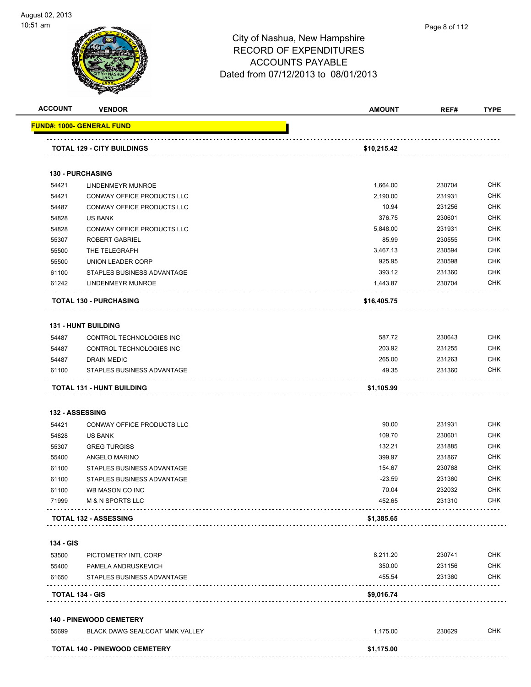

|                                                                                                                       | <b>VENDOR</b>                                           | <b>AMOUNT</b>       | REF#   | <b>TYPE</b>                                                                                                                       |
|-----------------------------------------------------------------------------------------------------------------------|---------------------------------------------------------|---------------------|--------|-----------------------------------------------------------------------------------------------------------------------------------|
|                                                                                                                       | FUND#: 1000- GENERAL FUND                               |                     |        |                                                                                                                                   |
|                                                                                                                       | <b>TOTAL 129 - CITY BUILDINGS</b>                       | \$10,215.42         |        |                                                                                                                                   |
|                                                                                                                       |                                                         |                     |        |                                                                                                                                   |
|                                                                                                                       | <b>130 - PURCHASING</b>                                 |                     |        |                                                                                                                                   |
| 54421                                                                                                                 | LINDENMEYR MUNROE                                       | 1,664.00            | 230704 | <b>CHK</b>                                                                                                                        |
| 54421                                                                                                                 | CONWAY OFFICE PRODUCTS LLC                              | 2,190.00            | 231931 | CHK                                                                                                                               |
| 54487                                                                                                                 | CONWAY OFFICE PRODUCTS LLC                              | 10.94               | 231256 | CHK                                                                                                                               |
| 54828                                                                                                                 | US BANK                                                 | 376.75              | 230601 | <b>CHK</b>                                                                                                                        |
| 54828                                                                                                                 | CONWAY OFFICE PRODUCTS LLC                              | 5,848.00            | 231931 | CHK                                                                                                                               |
| 55307                                                                                                                 | <b>ROBERT GABRIEL</b>                                   | 85.99               | 230555 | <b>CHK</b>                                                                                                                        |
| 55500                                                                                                                 | THE TELEGRAPH                                           | 3,467.13            | 230594 | <b>CHK</b>                                                                                                                        |
| 55500                                                                                                                 | UNION LEADER CORP                                       | 925.95              | 230598 | CHK                                                                                                                               |
| 61100                                                                                                                 | STAPLES BUSINESS ADVANTAGE                              | 393.12              | 231360 | <b>CHK</b>                                                                                                                        |
| 61242                                                                                                                 | <b>LINDENMEYR MUNROE</b>                                | 1,443.87            | 230704 | <b>CHK</b>                                                                                                                        |
|                                                                                                                       | <b>TOTAL 130 - PURCHASING</b>                           | \$16,405.75         |        |                                                                                                                                   |
|                                                                                                                       | <b>131 - HUNT BUILDING</b>                              |                     |        |                                                                                                                                   |
|                                                                                                                       |                                                         |                     |        | <b>CHK</b>                                                                                                                        |
| 54487                                                                                                                 | CONTROL TECHNOLOGIES INC                                | 587.72              | 230643 |                                                                                                                                   |
| 54487<br>54487                                                                                                        | CONTROL TECHNOLOGIES INC                                | 203.92              | 231255 | <b>CHK</b>                                                                                                                        |
|                                                                                                                       | <b>DRAIN MEDIC</b>                                      | 265.00              | 231263 | CHK                                                                                                                               |
|                                                                                                                       |                                                         |                     |        |                                                                                                                                   |
|                                                                                                                       | STAPLES BUSINESS ADVANTAGE<br>TOTAL 131 - HUNT BUILDING | 49.35<br>\$1,105.99 | 231360 |                                                                                                                                   |
|                                                                                                                       | 132 - ASSESSING                                         |                     |        |                                                                                                                                   |
|                                                                                                                       | CONWAY OFFICE PRODUCTS LLC                              | 90.00               | 231931 |                                                                                                                                   |
|                                                                                                                       | <b>US BANK</b>                                          | 109.70              | 230601 |                                                                                                                                   |
|                                                                                                                       | <b>GREG TURGISS</b>                                     | 132.21              | 231885 |                                                                                                                                   |
|                                                                                                                       | ANGELO MARINO                                           | 399.97              | 231867 |                                                                                                                                   |
|                                                                                                                       | STAPLES BUSINESS ADVANTAGE                              | 154.67              | 230768 |                                                                                                                                   |
|                                                                                                                       | STAPLES BUSINESS ADVANTAGE                              | $-23.59$            | 231360 |                                                                                                                                   |
|                                                                                                                       | WB MASON CO INC                                         | 70.04               | 232032 |                                                                                                                                   |
|                                                                                                                       | M & N SPORTS LLC                                        | 452.65              | 231310 |                                                                                                                                   |
|                                                                                                                       | <b>TOTAL 132 - ASSESSING</b>                            | \$1,385.65          |        |                                                                                                                                   |
|                                                                                                                       |                                                         |                     |        |                                                                                                                                   |
|                                                                                                                       | PICTOMETRY INTL CORP                                    | 8,211.20            | 230741 |                                                                                                                                   |
|                                                                                                                       | PAMELA ANDRUSKEVICH                                     | 350.00              | 231156 |                                                                                                                                   |
|                                                                                                                       | STAPLES BUSINESS ADVANTAGE                              | 455.54              | 231360 |                                                                                                                                   |
|                                                                                                                       | TOTAL 134 - GIS                                         | \$9,016.74          |        |                                                                                                                                   |
| 61100<br>54421<br>54828<br>55307<br>55400<br>61100<br>61100<br>61100<br>71999<br>134 - GIS<br>53500<br>55400<br>61650 | <b>140 - PINEWOOD CEMETERY</b>                          |                     |        |                                                                                                                                   |
| 55699                                                                                                                 | BLACK DAWG SEALCOAT MMK VALLEY<br>.                     | 1,175.00            | 230629 | CHK<br><b>CHK</b><br><b>CHK</b><br>CHK<br>CHK<br><b>CHK</b><br><b>CHK</b><br><b>CHK</b><br>CHK<br>CHK<br><b>CHK</b><br>CHK<br>CHK |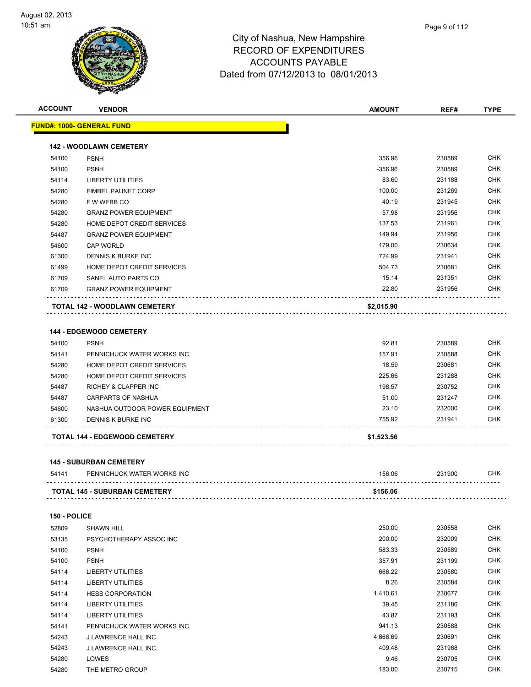

| Page 9 of 112 |  |  |
|---------------|--|--|
|               |  |  |

**ACCOUNT VENDOR AMOUNT REF# TYPE FUND#: 1000- GENERAL FUND 142 - WOODLAWN CEMETERY** PSNH 356.96 230589 CHK 54100 PSNH - 230589 CHK - 230589 CHK - 256.96 230589 230589 CHK LIBERTY UTILITIES 83.60 231188 CHK FIMBEL PAUNET CORP 100.00 231269 CHK F W WEBB CO 40.19 231945 CHK GRANZ POWER EQUIPMENT 57.98 231956 CHK HOME DEPOT CREDIT SERVICES 137.53 231961 CHK GRANZ POWER EQUIPMENT 149.94 231956 CHK CAP WORLD 179.00 230634 CHK DENNIS K BURKE INC 724.99 231941 CHK HOME DEPOT CREDIT SERVICES 504.73 230681 CHK

#### GRANZ POWER EQUIPMENT 22.80 231956 CHK  $\sim$  . . . **TOTAL 142 - WOODLAWN CEMETERY \$2,015.90**

et and the state of the state of the state of the state of the state of the state of the state of the state of the state of the state of the state of the state of the state of the state of the state of the state of the sta

#### **144 - EDGEWOOD CEMETERY**

| 54100 | <b>PSNH</b>                          | 92.81      | 230589 | <b>CHK</b> |
|-------|--------------------------------------|------------|--------|------------|
| 54141 | PENNICHUCK WATER WORKS INC           | 157.91     | 230588 | <b>CHK</b> |
| 54280 | HOME DEPOT CREDIT SERVICES           | 18.59      | 230681 | <b>CHK</b> |
| 54280 | HOME DEPOT CREDIT SERVICES           | 225.66     | 231288 | <b>CHK</b> |
| 54487 | RICHEY & CLAPPER INC                 | 198.57     | 230752 | <b>CHK</b> |
| 54487 | CARPARTS OF NASHUA                   | 51.00      | 231247 | <b>CHK</b> |
| 54600 | NASHUA OUTDOOR POWER EQUIPMENT       | 23.10      | 232000 | <b>CHK</b> |
| 61300 | DENNIS K BURKE INC                   | 755.92     | 231941 | <b>CHK</b> |
|       | <b>TOTAL 144 - EDGEWOOD CEMETERY</b> | \$1,523.56 |        |            |

#### **145 - SUBURBAN CEMETERY**

| 54141 | PENNICHUCK WATER WORKS INC           | 156.06   | 231900 | CHK |
|-------|--------------------------------------|----------|--------|-----|
|       | <b>TOTAL 145 - SUBURBAN CEMETERY</b> | \$156.06 |        |     |

#### **150 - POLICE**

| 52809 | <b>SHAWN HILL</b>          | 250.00   | 230558 | <b>CHK</b> |
|-------|----------------------------|----------|--------|------------|
| 53135 | PSYCHOTHERAPY ASSOC INC    | 200.00   | 232009 | <b>CHK</b> |
| 54100 | <b>PSNH</b>                | 583.33   | 230589 | <b>CHK</b> |
| 54100 | <b>PSNH</b>                | 357.91   | 231199 | <b>CHK</b> |
| 54114 | LIBERTY UTILITIES          | 666.22   | 230580 | <b>CHK</b> |
| 54114 | LIBERTY UTILITIES          | 8.26     | 230584 | <b>CHK</b> |
| 54114 | <b>HESS CORPORATION</b>    | 1,410.61 | 230677 | <b>CHK</b> |
| 54114 | LIBERTY UTILITIES          | 39.45    | 231186 | <b>CHK</b> |
| 54114 | LIBERTY UTILITIES          | 43.87    | 231193 | <b>CHK</b> |
| 54141 | PENNICHUCK WATER WORKS INC | 941.13   | 230588 | <b>CHK</b> |
| 54243 | J LAWRENCE HALL INC        | 4,666.69 | 230691 | <b>CHK</b> |
| 54243 | <b>J LAWRENCE HALL INC</b> | 409.48   | 231968 | <b>CHK</b> |
| 54280 | LOWES                      | 9.46     | 230705 | <b>CHK</b> |
| 54280 | THE METRO GROUP            | 183.00   | 230715 | <b>CHK</b> |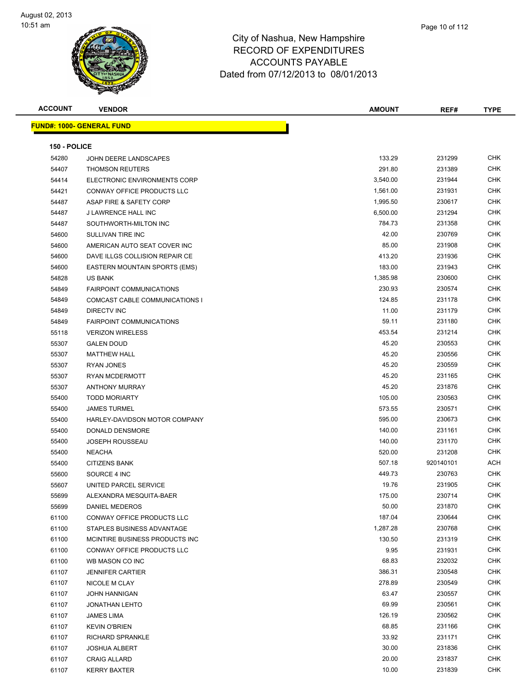

|   | Page 10 of 112 |  |
|---|----------------|--|
| ₹ |                |  |
|   |                |  |

| <b>ACCOUNT</b> | <b>VENDOR</b>                        | <b>AMOUNT</b> | REF#      | <b>TYPE</b> |
|----------------|--------------------------------------|---------------|-----------|-------------|
|                | <b>FUND#: 1000- GENERAL FUND</b>     |               |           |             |
|                |                                      |               |           |             |
| 150 - POLICE   |                                      |               |           |             |
| 54280          | JOHN DEERE LANDSCAPES                | 133.29        | 231299    | <b>CHK</b>  |
| 54407          | <b>THOMSON REUTERS</b>               | 291.80        | 231389    | <b>CHK</b>  |
| 54414          | ELECTRONIC ENVIRONMENTS CORP         | 3,540.00      | 231944    | <b>CHK</b>  |
| 54421          | CONWAY OFFICE PRODUCTS LLC           | 1,561.00      | 231931    | <b>CHK</b>  |
| 54487          | ASAP FIRE & SAFETY CORP              | 1,995.50      | 230617    | <b>CHK</b>  |
| 54487          | J LAWRENCE HALL INC                  | 6,500.00      | 231294    | <b>CHK</b>  |
| 54487          | SOUTHWORTH-MILTON INC                | 784.73        | 231358    | CHK         |
| 54600          | SULLIVAN TIRE INC                    | 42.00         | 230769    | CHK         |
| 54600          | AMERICAN AUTO SEAT COVER INC         | 85.00         | 231908    | CHK         |
| 54600          | DAVE ILLGS COLLISION REPAIR CE       | 413.20        | 231936    | CHK         |
| 54600          | <b>EASTERN MOUNTAIN SPORTS (EMS)</b> | 183.00        | 231943    | CHK         |
| 54828          | <b>US BANK</b>                       | 1,385.98      | 230600    | <b>CHK</b>  |
| 54849          | <b>FAIRPOINT COMMUNICATIONS</b>      | 230.93        | 230574    | <b>CHK</b>  |
| 54849          | COMCAST CABLE COMMUNICATIONS I       | 124.85        | 231178    | <b>CHK</b>  |
| 54849          | <b>DIRECTV INC</b>                   | 11.00         | 231179    | <b>CHK</b>  |
| 54849          | <b>FAIRPOINT COMMUNICATIONS</b>      | 59.11         | 231180    | <b>CHK</b>  |
| 55118          | <b>VERIZON WIRELESS</b>              | 453.54        | 231214    | <b>CHK</b>  |
| 55307          | <b>GALEN DOUD</b>                    | 45.20         | 230553    | <b>CHK</b>  |
| 55307          | <b>MATTHEW HALL</b>                  | 45.20         | 230556    | <b>CHK</b>  |
| 55307          | <b>RYAN JONES</b>                    | 45.20         | 230559    | CHK         |
| 55307          | <b>RYAN MCDERMOTT</b>                | 45.20         | 231165    | <b>CHK</b>  |
| 55307          | <b>ANTHONY MURRAY</b>                | 45.20         | 231876    | <b>CHK</b>  |
| 55400          | <b>TODD MORIARTY</b>                 | 105.00        | 230563    | CHK         |
| 55400          | <b>JAMES TURMEL</b>                  | 573.55        | 230571    | CHK         |
| 55400          | HARLEY-DAVIDSON MOTOR COMPANY        | 595.00        | 230673    | <b>CHK</b>  |
| 55400          | DONALD DENSMORE                      | 140.00        | 231161    | <b>CHK</b>  |
| 55400          | <b>JOSEPH ROUSSEAU</b>               | 140.00        | 231170    | <b>CHK</b>  |
| 55400          | <b>NEACHA</b>                        | 520.00        | 231208    | <b>CHK</b>  |
| 55400          | <b>CITIZENS BANK</b>                 | 507.18        | 920140101 | ACH         |
| 55600          | SOURCE 4 INC                         | 449.73        | 230763    | CHK         |
| 55607          | UNITED PARCEL SERVICE                | 19.76         | 231905    | <b>CHK</b>  |
| 55699          | ALEXANDRA MESQUITA-BAER              | 175.00        | 230714    | <b>CHK</b>  |
| 55699          | DANIEL MEDEROS                       | 50.00         | 231870    | <b>CHK</b>  |
| 61100          | CONWAY OFFICE PRODUCTS LLC           | 187.04        | 230644    | <b>CHK</b>  |
| 61100          | STAPLES BUSINESS ADVANTAGE           | 1,287.28      | 230768    | <b>CHK</b>  |
| 61100          | MCINTIRE BUSINESS PRODUCTS INC       | 130.50        | 231319    | CHK         |
| 61100          | CONWAY OFFICE PRODUCTS LLC           | 9.95          | 231931    | <b>CHK</b>  |
| 61100          | WB MASON CO INC                      | 68.83         | 232032    | <b>CHK</b>  |
| 61107          | <b>JENNIFER CARTIER</b>              | 386.31        | 230548    | <b>CHK</b>  |
| 61107          | NICOLE M CLAY                        | 278.89        | 230549    | <b>CHK</b>  |
| 61107          | <b>JOHN HANNIGAN</b>                 | 63.47         | 230557    | <b>CHK</b>  |
| 61107          | <b>JONATHAN LEHTO</b>                | 69.99         | 230561    | <b>CHK</b>  |
| 61107          | JAMES LIMA                           | 126.19        | 230562    | <b>CHK</b>  |
| 61107          | <b>KEVIN O'BRIEN</b>                 | 68.85         | 231166    | CHK         |
| 61107          | RICHARD SPRANKLE                     | 33.92         | 231171    | <b>CHK</b>  |
| 61107          | <b>JOSHUA ALBERT</b>                 | 30.00         | 231836    | CHK         |
| 61107          | <b>CRAIG ALLARD</b>                  | 20.00         | 231837    | CHK         |
| 61107          | <b>KERRY BAXTER</b>                  | 10.00         | 231839    | <b>CHK</b>  |
|                |                                      |               |           |             |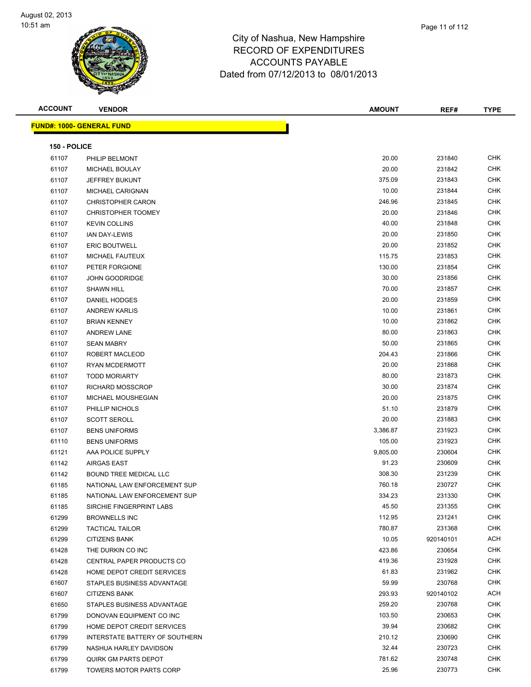| <b>ACCOUNT</b> | <b>VENDOR</b>                     | <b>AMOUNT</b> | REF#      | <b>TYPE</b> |  |  |  |  |
|----------------|-----------------------------------|---------------|-----------|-------------|--|--|--|--|
|                | <u> FUND#: 1000- GENERAL FUND</u> |               |           |             |  |  |  |  |
|                |                                   |               |           |             |  |  |  |  |
| 150 - POLICE   |                                   |               |           |             |  |  |  |  |
| 61107          | PHILIP BELMONT                    | 20.00         | 231840    | <b>CHK</b>  |  |  |  |  |
| 61107          | MICHAEL BOULAY                    | 20.00         | 231842    | <b>CHK</b>  |  |  |  |  |
| 61107          | JEFFREY BUKUNT                    | 375.09        | 231843    | <b>CHK</b>  |  |  |  |  |
| 61107          | MICHAEL CARIGNAN                  | 10.00         | 231844    | <b>CHK</b>  |  |  |  |  |
| 61107          | <b>CHRISTOPHER CARON</b>          | 246.96        | 231845    | <b>CHK</b>  |  |  |  |  |
| 61107          | <b>CHRISTOPHER TOOMEY</b>         | 20.00         | 231846    | <b>CHK</b>  |  |  |  |  |
| 61107          | <b>KEVIN COLLINS</b>              | 40.00         | 231848    | <b>CHK</b>  |  |  |  |  |
| 61107          | IAN DAY-LEWIS                     | 20.00         | 231850    | <b>CHK</b>  |  |  |  |  |
| 61107          | <b>ERIC BOUTWELL</b>              | 20.00         | 231852    | <b>CHK</b>  |  |  |  |  |
| 61107          | MICHAEL FAUTEUX                   | 115.75        | 231853    | <b>CHK</b>  |  |  |  |  |
| 61107          | PETER FORGIONE                    | 130.00        | 231854    | <b>CHK</b>  |  |  |  |  |
| 61107          | <b>JOHN GOODRIDGE</b>             | 30.00         | 231856    | <b>CHK</b>  |  |  |  |  |
| 61107          | <b>SHAWN HILL</b>                 | 70.00         | 231857    | <b>CHK</b>  |  |  |  |  |
| 61107          | DANIEL HODGES                     | 20.00         | 231859    | <b>CHK</b>  |  |  |  |  |
| 61107          | <b>ANDREW KARLIS</b>              | 10.00         | 231861    | <b>CHK</b>  |  |  |  |  |
| 61107          | <b>BRIAN KENNEY</b>               | 10.00         | 231862    | <b>CHK</b>  |  |  |  |  |
| 61107          | <b>ANDREW LANE</b>                | 80.00         | 231863    | <b>CHK</b>  |  |  |  |  |
| 61107          | <b>SEAN MABRY</b>                 | 50.00         | 231865    | <b>CHK</b>  |  |  |  |  |
| 61107          | ROBERT MACLEOD                    | 204.43        | 231866    | <b>CHK</b>  |  |  |  |  |
| 61107          | RYAN MCDERMOTT                    | 20.00         | 231868    | <b>CHK</b>  |  |  |  |  |
| 61107          | <b>TODD MORIARTY</b>              | 80.00         | 231873    | <b>CHK</b>  |  |  |  |  |
| 61107          | <b>RICHARD MOSSCROP</b>           | 30.00         | 231874    | <b>CHK</b>  |  |  |  |  |
| 61107          | MICHAEL MOUSHEGIAN                | 20.00         | 231875    | <b>CHK</b>  |  |  |  |  |
| 61107          | PHILLIP NICHOLS                   | 51.10         | 231879    | <b>CHK</b>  |  |  |  |  |
| 61107          | <b>SCOTT SEROLL</b>               | 20.00         | 231883    | <b>CHK</b>  |  |  |  |  |
| 61107          | <b>BENS UNIFORMS</b>              | 3,386.87      | 231923    | <b>CHK</b>  |  |  |  |  |
| 61110          | <b>BENS UNIFORMS</b>              | 105.00        | 231923    | <b>CHK</b>  |  |  |  |  |
| 61121          | AAA POLICE SUPPLY                 | 9,805.00      | 230604    | <b>CHK</b>  |  |  |  |  |
| 61142          | AIRGAS EAST                       | 91.23         | 230609    | <b>CHK</b>  |  |  |  |  |
| 61142          | <b>BOUND TREE MEDICAL LLC</b>     | 308.30        | 231239    | <b>CHK</b>  |  |  |  |  |
| 61185          | NATIONAL LAW ENFORCEMENT SUP      | 760.18        | 230727    | <b>CHK</b>  |  |  |  |  |
| 61185          | NATIONAL LAW ENFORCEMENT SUP      | 334.23        | 231330    | <b>CHK</b>  |  |  |  |  |
| 61185          | SIRCHIE FINGERPRINT LABS          | 45.50         | 231355    | <b>CHK</b>  |  |  |  |  |
| 61299          | <b>BROWNELLS INC</b>              | 112.95        | 231241    | <b>CHK</b>  |  |  |  |  |
| 61299          | <b>TACTICAL TAILOR</b>            | 780.87        | 231368    | <b>CHK</b>  |  |  |  |  |
| 61299          | <b>CITIZENS BANK</b>              | 10.05         | 920140101 | ACH         |  |  |  |  |
| 61428          | THE DURKIN CO INC                 | 423.86        | 230654    | <b>CHK</b>  |  |  |  |  |
| 61428          | CENTRAL PAPER PRODUCTS CO         | 419.36        | 231928    | <b>CHK</b>  |  |  |  |  |
| 61428          | HOME DEPOT CREDIT SERVICES        | 61.83         | 231962    | <b>CHK</b>  |  |  |  |  |
| 61607          | STAPLES BUSINESS ADVANTAGE        | 59.99         | 230768    | <b>CHK</b>  |  |  |  |  |
| 61607          | <b>CITIZENS BANK</b>              | 293.93        | 920140102 | ACH         |  |  |  |  |
| 61650          | STAPLES BUSINESS ADVANTAGE        | 259.20        | 230768    | <b>CHK</b>  |  |  |  |  |
| 61799          | DONOVAN EQUIPMENT CO INC          | 103.50        | 230653    | CHK         |  |  |  |  |
| 61799          | HOME DEPOT CREDIT SERVICES        | 39.94         | 230682    | <b>CHK</b>  |  |  |  |  |
| 61799          | INTERSTATE BATTERY OF SOUTHERN    | 210.12        | 230690    | CHK         |  |  |  |  |
| 61799          | NASHUA HARLEY DAVIDSON            | 32.44         | 230723    | <b>CHK</b>  |  |  |  |  |
| 61799          | QUIRK GM PARTS DEPOT              | 781.62        | 230748    | <b>CHK</b>  |  |  |  |  |
| 61799          | TOWERS MOTOR PARTS CORP           | 25.96         | 230773    | CHK         |  |  |  |  |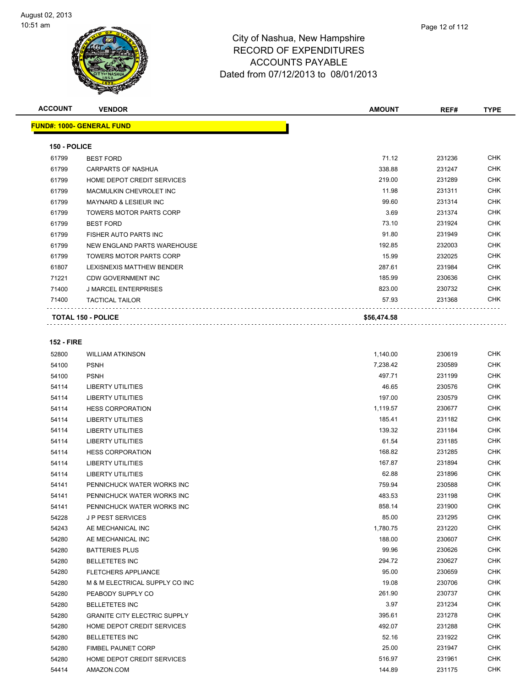

| Page 12 of 112 |  |  |
|----------------|--|--|
|                |  |  |

| <b>ACCOUNT</b> | <b>VENDOR</b>                     | <b>AMOUNT</b> | REF#   | <b>TYPE</b> |
|----------------|-----------------------------------|---------------|--------|-------------|
|                | <b>FUND#: 1000- GENERAL FUND</b>  |               |        |             |
| 150 - POLICE   |                                   |               |        |             |
| 61799          | <b>BEST FORD</b>                  | 71.12         | 231236 | <b>CHK</b>  |
| 61799          | <b>CARPARTS OF NASHUA</b>         | 338.88        | 231247 | <b>CHK</b>  |
| 61799          | HOME DEPOT CREDIT SERVICES        | 219.00        | 231289 | <b>CHK</b>  |
| 61799          | MACMULKIN CHEVROLET INC           | 11.98         | 231311 | <b>CHK</b>  |
| 61799          | <b>MAYNARD &amp; LESIEUR INC.</b> | 99.60         | 231314 | <b>CHK</b>  |
| 61799          | <b>TOWERS MOTOR PARTS CORP</b>    | 3.69          | 231374 | <b>CHK</b>  |
| 61799          | <b>BEST FORD</b>                  | 73.10         | 231924 | <b>CHK</b>  |
| 61799          | FISHER AUTO PARTS INC             | 91.80         | 231949 | <b>CHK</b>  |
| 61799          | NEW ENGLAND PARTS WAREHOUSE       | 192.85        | 232003 | <b>CHK</b>  |
| 61799          | TOWERS MOTOR PARTS CORP           | 15.99         | 232025 | <b>CHK</b>  |
| 61807          | LEXISNEXIS MATTHEW BENDER         | 287.61        | 231984 | <b>CHK</b>  |

| 71400    | TACTICAL TAILOR            | 57.93  | 231368 | <b>CHK</b> |
|----------|----------------------------|--------|--------|------------|
| 71400    | J MARCEL ENTERPRISES       | 823.00 | 230732 | <b>CHK</b> |
| 71221    | CDW GOVERNMENT INC         | 185.99 | 230636 | <b>CHK</b> |
| ,,,,,,,, | LLADITLAD IN THE TERRIDLIT | ----   | -----  | .          |

```
TOTAL 150 - POLICE $56,474.58
```
#### **152 - FIRE**

. . . . . . . . . . .

| 52800 | <b>WILLIAM ATKINSON</b>             | 1,140.00 | 230619 | <b>CHK</b> |
|-------|-------------------------------------|----------|--------|------------|
| 54100 | <b>PSNH</b>                         | 7,238.42 | 230589 | <b>CHK</b> |
| 54100 | <b>PSNH</b>                         | 497.71   | 231199 | <b>CHK</b> |
| 54114 | <b>LIBERTY UTILITIES</b>            | 46.65    | 230576 | <b>CHK</b> |
| 54114 | <b>LIBERTY UTILITIES</b>            | 197.00   | 230579 | <b>CHK</b> |
| 54114 | <b>HESS CORPORATION</b>             | 1,119.57 | 230677 | <b>CHK</b> |
| 54114 | LIBERTY UTILITIES                   | 185.41   | 231182 | <b>CHK</b> |
| 54114 | <b>LIBERTY UTILITIES</b>            | 139.32   | 231184 | <b>CHK</b> |
| 54114 | LIBERTY UTILITIES                   | 61.54    | 231185 | <b>CHK</b> |
| 54114 | <b>HESS CORPORATION</b>             | 168.82   | 231285 | <b>CHK</b> |
| 54114 | <b>LIBERTY UTILITIES</b>            | 167.87   | 231894 | <b>CHK</b> |
| 54114 | <b>LIBERTY UTILITIES</b>            | 62.88    | 231896 | <b>CHK</b> |
| 54141 | PENNICHUCK WATER WORKS INC          | 759.94   | 230588 | <b>CHK</b> |
| 54141 | PENNICHUCK WATER WORKS INC          | 483.53   | 231198 | <b>CHK</b> |
| 54141 | PENNICHUCK WATER WORKS INC          | 858.14   | 231900 | <b>CHK</b> |
| 54228 | <b>JP PEST SERVICES</b>             | 85.00    | 231295 | <b>CHK</b> |
| 54243 | AE MECHANICAL INC                   | 1,780.75 | 231220 | <b>CHK</b> |
| 54280 | AE MECHANICAL INC                   | 188.00   | 230607 | <b>CHK</b> |
| 54280 | <b>BATTERIES PLUS</b>               | 99.96    | 230626 | <b>CHK</b> |
| 54280 | <b>BELLETETES INC</b>               | 294.72   | 230627 | <b>CHK</b> |
| 54280 | <b>FLETCHERS APPLIANCE</b>          | 95.00    | 230659 | <b>CHK</b> |
| 54280 | M & M ELECTRICAL SUPPLY CO INC      | 19.08    | 230706 | <b>CHK</b> |
| 54280 | PEABODY SUPPLY CO                   | 261.90   | 230737 | <b>CHK</b> |
| 54280 | <b>BELLETETES INC</b>               | 3.97     | 231234 | <b>CHK</b> |
| 54280 | <b>GRANITE CITY ELECTRIC SUPPLY</b> | 395.61   | 231278 | <b>CHK</b> |
| 54280 | HOME DEPOT CREDIT SERVICES          | 492.07   | 231288 | <b>CHK</b> |
| 54280 | <b>BELLETETES INC</b>               | 52.16    | 231922 | <b>CHK</b> |
| 54280 | <b>FIMBEL PAUNET CORP</b>           | 25.00    | 231947 | <b>CHK</b> |
| 54280 | HOME DEPOT CREDIT SERVICES          | 516.97   | 231961 | <b>CHK</b> |
| 54414 | AMAZON.COM                          | 144.89   | 231175 | <b>CHK</b> |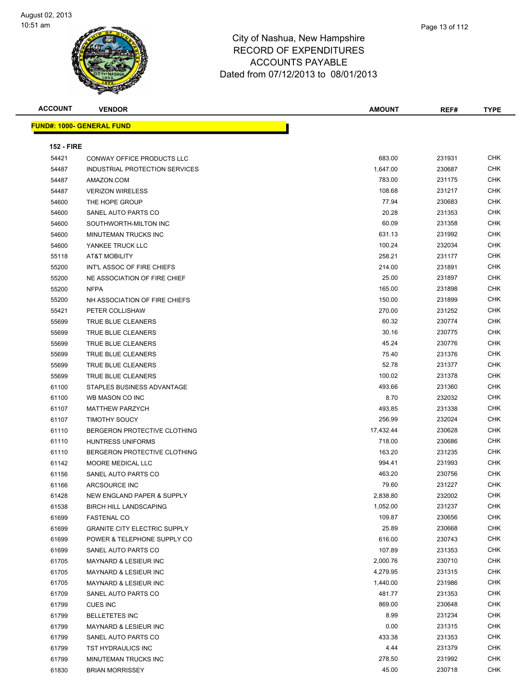

| <b>ACCOUNT</b>    | <b>VENDOR</b>                       | <b>AMOUNT</b> | REF#   | <b>TYPE</b> |
|-------------------|-------------------------------------|---------------|--------|-------------|
|                   | <u> FUND#: 1000- GENERAL FUND</u>   |               |        |             |
| <b>152 - FIRE</b> |                                     |               |        |             |
| 54421             | <b>CONWAY OFFICE PRODUCTS LLC</b>   | 683.00        | 231931 | <b>CHK</b>  |
| 54487             | INDUSTRIAL PROTECTION SERVICES      | 1,647.00      | 230687 | <b>CHK</b>  |
| 54487             | AMAZON.COM                          | 783.00        | 231175 | <b>CHK</b>  |
| 54487             | <b>VERIZON WIRELESS</b>             | 108.68        | 231217 | <b>CHK</b>  |
| 54600             | THE HOPE GROUP                      | 77.94         | 230683 | <b>CHK</b>  |
| 54600             | SANEL AUTO PARTS CO                 | 20.28         | 231353 | <b>CHK</b>  |
| 54600             | SOUTHWORTH-MILTON INC               | 60.09         | 231358 | <b>CHK</b>  |
| 54600             | MINUTEMAN TRUCKS INC                | 631.13        | 231992 | <b>CHK</b>  |
| 54600             | YANKEE TRUCK LLC                    | 100.24        | 232034 | <b>CHK</b>  |
| 55118             | AT&T MOBILITY                       | 258.21        | 231177 | <b>CHK</b>  |
| 55200             | INT'L ASSOC OF FIRE CHIEFS          | 214.00        | 231891 | <b>CHK</b>  |
| 55200             | NE ASSOCIATION OF FIRE CHIEF        | 25.00         | 231897 | <b>CHK</b>  |
| 55200             | <b>NFPA</b>                         | 165.00        | 231898 | <b>CHK</b>  |
| 55200             | NH ASSOCIATION OF FIRE CHIEFS       | 150.00        | 231899 | <b>CHK</b>  |
| 55421             | PETER COLLISHAW                     | 270.00        | 231252 | <b>CHK</b>  |
| 55699             | TRUE BLUE CLEANERS                  | 60.32         | 230774 | <b>CHK</b>  |
| 55699             | TRUE BLUE CLEANERS                  | 30.16         | 230775 | <b>CHK</b>  |
| 55699             | <b>TRUE BLUE CLEANERS</b>           | 45.24         | 230776 | <b>CHK</b>  |
| 55699             | <b>TRUE BLUE CLEANERS</b>           | 75.40         | 231376 | <b>CHK</b>  |
| 55699             | TRUE BLUE CLEANERS                  | 52.78         | 231377 | <b>CHK</b>  |
| 55699             | TRUE BLUE CLEANERS                  | 100.02        | 231378 | <b>CHK</b>  |
| 61100             | STAPLES BUSINESS ADVANTAGE          | 493.66        | 231360 | <b>CHK</b>  |
| 61100             | WB MASON CO INC                     | 8.70          | 232032 | <b>CHK</b>  |
| 61107             | <b>MATTHEW PARZYCH</b>              | 493.85        | 231338 | <b>CHK</b>  |
| 61107             | <b>TIMOTHY SOUCY</b>                | 256.99        | 232024 | <b>CHK</b>  |
| 61110             | BERGERON PROTECTIVE CLOTHING        | 17,432.44     | 230628 | <b>CHK</b>  |
| 61110             | <b>HUNTRESS UNIFORMS</b>            | 718.00        | 230686 | <b>CHK</b>  |
| 61110             | BERGERON PROTECTIVE CLOTHING        | 163.20        | 231235 | <b>CHK</b>  |
| 61142             | MOORE MEDICAL LLC                   | 994.41        | 231993 | <b>CHK</b>  |
| 61156             | SANEL AUTO PARTS CO                 | 463.20        | 230756 | <b>CHK</b>  |
| 61166             | ARCSOURCE INC                       | 79.60         | 231227 | <b>CHK</b>  |
| 61428             | NEW ENGLAND PAPER & SUPPLY          | 2,838.80      | 232002 | <b>CHK</b>  |
| 61538             | <b>BIRCH HILL LANDSCAPING</b>       | 1,052.00      | 231237 | <b>CHK</b>  |
| 61699             | <b>FASTENAL CO</b>                  | 109.87        | 230656 | <b>CHK</b>  |
| 61699             | <b>GRANITE CITY ELECTRIC SUPPLY</b> | 25.89         | 230668 | <b>CHK</b>  |
| 61699             | POWER & TELEPHONE SUPPLY CO         | 616.00        | 230743 | <b>CHK</b>  |
| 61699             | SANEL AUTO PARTS CO                 | 107.89        | 231353 | <b>CHK</b>  |
| 61705             | MAYNARD & LESIEUR INC               | 2,000.76      | 230710 | <b>CHK</b>  |
| 61705             | MAYNARD & LESIEUR INC               | 4,279.95      | 231315 | <b>CHK</b>  |

 MAYNARD & LESIEUR INC 1,440.00 231986 CHK SANEL AUTO PARTS CO 481.77 231353 CHK CUES INC 869.00 230648 CHK BELLETETES INC 8.99 231234 CHK MAYNARD & LESIEUR INC 0.00 231315 CHK SANEL AUTO PARTS CO 433.38 231353 CHK TST HYDRAULICS INC 4.44 231379 CHK MINUTEMAN TRUCKS INC 278.50 231992 CHK BRIAN MORRISSEY 45.00 230718 CHK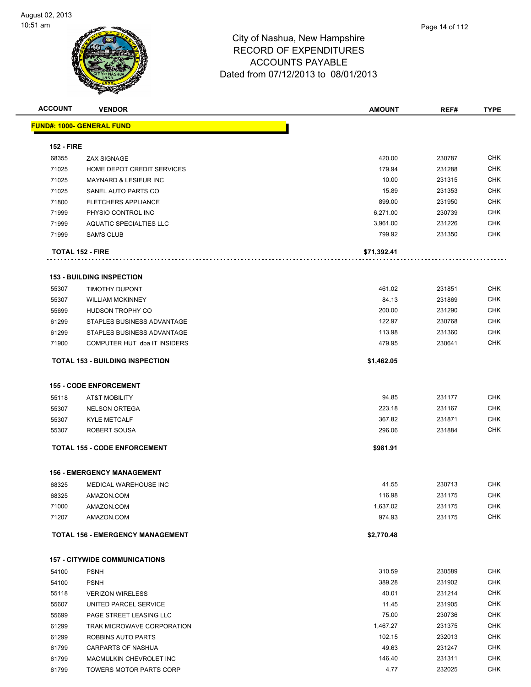

|                         |                                        | <b>AMOUNT</b> | REF#   | <b>TYPE</b> |
|-------------------------|----------------------------------------|---------------|--------|-------------|
|                         | <u> FUND#: 1000- GENERAL FUND</u>      |               |        |             |
| <b>152 - FIRE</b>       |                                        |               |        |             |
| 68355                   | <b>ZAX SIGNAGE</b>                     | 420.00        | 230787 | <b>CHK</b>  |
| 71025                   | HOME DEPOT CREDIT SERVICES             | 179.94        | 231288 | <b>CHK</b>  |
| 71025                   | <b>MAYNARD &amp; LESIEUR INC</b>       | 10.00         | 231315 | <b>CHK</b>  |
| 71025                   | SANEL AUTO PARTS CO                    | 15.89         | 231353 | <b>CHK</b>  |
| 71800                   | <b>FLETCHERS APPLIANCE</b>             | 899.00        | 231950 | <b>CHK</b>  |
| 71999                   | PHYSIO CONTROL INC                     | 6,271.00      | 230739 | <b>CHK</b>  |
| 71999                   | <b>AQUATIC SPECIALTIES LLC</b>         | 3,961.00      | 231226 | <b>CHK</b>  |
| 71999                   | SAM'S CLUB                             | 799.92        | 231350 | <b>CHK</b>  |
| <b>TOTAL 152 - FIRE</b> |                                        | \$71,392.41   |        |             |
|                         | <b>153 - BUILDING INSPECTION</b>       |               |        |             |
| 55307                   | <b>TIMOTHY DUPONT</b>                  | 461.02        | 231851 | <b>CHK</b>  |
| 55307                   | <b>WILLIAM MCKINNEY</b>                | 84.13         | 231869 | <b>CHK</b>  |
| 55699                   | HUDSON TROPHY CO                       | 200.00        | 231290 | <b>CHK</b>  |
| 61299                   | STAPLES BUSINESS ADVANTAGE             | 122.97        | 230768 | <b>CHK</b>  |
| 61299                   | STAPLES BUSINESS ADVANTAGE             | 113.98        | 231360 | <b>CHK</b>  |
| 71900                   | COMPUTER HUT dba IT INSIDERS           | 479.95        | 230641 | CHK         |
|                         | <b>TOTAL 153 - BUILDING INSPECTION</b> | \$1,462.05    |        |             |
|                         |                                        |               |        |             |
|                         | <b>155 - CODE ENFORCEMENT</b>          |               |        |             |
| 55118                   | <b>AT&amp;T MOBILITY</b>               | 94.85         | 231177 | <b>CHK</b>  |
| 55307                   | <b>NELSON ORTEGA</b>                   | 223.18        | 231167 | <b>CHK</b>  |
| 55307                   | <b>KYLE METCALF</b>                    | 367.82        | 231871 | <b>CHK</b>  |
| 55307                   | ROBERT SOUSA                           | 296.06        | 231884 | CHK         |
|                         | <b>TOTAL 155 - CODE ENFORCEMENT</b>    | \$981.91      |        |             |
|                         | <b>156 - EMERGENCY MANAGEMENT</b>      |               |        |             |
| 68325                   | MEDICAL WAREHOUSE INC                  | 41.55         | 230713 | <b>CHK</b>  |
| 68325                   | AMAZON.COM                             | 116.98        | 231175 | CHK         |
| 71000                   | AMAZON.COM                             | 1,637.02      | 231175 | <b>CHK</b>  |
| 71207                   | AMAZON.COM                             | 974.93        | 231175 | <b>CHK</b>  |
|                         | TOTAL 156 - EMERGENCY MANAGEMENT       | \$2,770.48    |        |             |
|                         | <b>157 - CITYWIDE COMMUNICATIONS</b>   |               |        |             |
| 54100                   | <b>PSNH</b>                            | 310.59        | 230589 | <b>CHK</b>  |
| 54100                   | <b>PSNH</b>                            | 389.28        | 231902 | <b>CHK</b>  |
| 55118                   | <b>VERIZON WIRELESS</b>                | 40.01         | 231214 | <b>CHK</b>  |
| 55607                   | UNITED PARCEL SERVICE                  | 11.45         | 231905 | <b>CHK</b>  |
| 55699                   | PAGE STREET LEASING LLC                | 75.00         | 230736 | <b>CHK</b>  |
| 61299                   | TRAK MICROWAVE CORPORATION             | 1,467.27      | 231375 | <b>CHK</b>  |

 ROBBINS AUTO PARTS 102.15 232013 CHK CARPARTS OF NASHUA 49.63 231247 CHK MACMULKIN CHEVROLET INC 146.40 231311 CHK et and the state of the state of the state of the state of the state of the state of the state of the state of the state of the state of the state of the state of the state of the state of the state of the state of the sta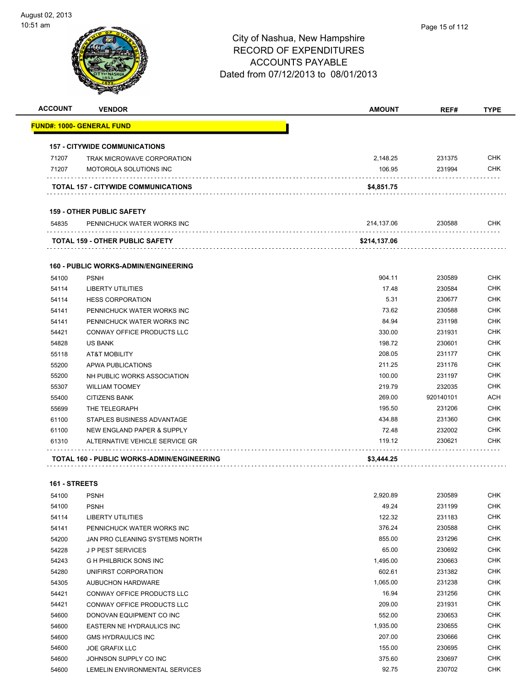| <b>ACCOUNT</b> | <b>VENDOR</b>                               | <b>AMOUNT</b> | REF#      | <b>TYPE</b> |
|----------------|---------------------------------------------|---------------|-----------|-------------|
|                | <u> FUND#: 1000- GENERAL FUND</u>           |               |           |             |
|                | <b>157 - CITYWIDE COMMUNICATIONS</b>        |               |           |             |
| 71207          | TRAK MICROWAVE CORPORATION                  | 2,148.25      | 231375    | <b>CHK</b>  |
| 71207          | MOTOROLA SOLUTIONS INC                      | 106.95        | 231994    | <b>CHK</b>  |
|                | TOTAL 157 - CITYWIDE COMMUNICATIONS         | \$4,851.75    |           |             |
|                | <b>159 - OTHER PUBLIC SAFETY</b>            |               |           |             |
| 54835          | PENNICHUCK WATER WORKS INC                  | 214.137.06    | 230588    | CHK         |
|                | TOTAL 159 - OTHER PUBLIC SAFETY             | \$214,137.06  |           |             |
|                | <b>160 - PUBLIC WORKS-ADMIN/ENGINEERING</b> |               |           |             |
| 54100          | <b>PSNH</b>                                 | 904.11        | 230589    | <b>CHK</b>  |
| 54114          | <b>LIBERTY UTILITIES</b>                    | 17.48         | 230584    | <b>CHK</b>  |
| 54114          | <b>HESS CORPORATION</b>                     | 5.31          | 230677    | <b>CHK</b>  |
| 54141          | PENNICHUCK WATER WORKS INC                  | 73.62         | 230588    | <b>CHK</b>  |
| 54141          | PENNICHUCK WATER WORKS INC                  | 84.94         | 231198    | <b>CHK</b>  |
| 54421          | CONWAY OFFICE PRODUCTS LLC                  | 330.00        | 231931    | <b>CHK</b>  |
| 54828          | <b>US BANK</b>                              | 198.72        | 230601    | <b>CHK</b>  |
| 55118          | <b>AT&amp;T MOBILITY</b>                    | 208.05        | 231177    | <b>CHK</b>  |
| 55200          | APWA PUBLICATIONS                           | 211.25        | 231176    | <b>CHK</b>  |
| 55200          | NH PUBLIC WORKS ASSOCIATION                 | 100.00        | 231197    | <b>CHK</b>  |
| 55307          | <b>WILLIAM TOOMEY</b>                       | 219.79        | 232035    | <b>CHK</b>  |
| 55400          | <b>CITIZENS BANK</b>                        | 269.00        | 920140101 | <b>ACH</b>  |
| 55699          | THE TELEGRAPH                               | 195.50        | 231206    | <b>CHK</b>  |
| 61100          | STAPLES BUSINESS ADVANTAGE                  | 434.88        | 231360    | <b>CHK</b>  |
| 61100          | NEW ENGLAND PAPER & SUPPLY                  | 72.48         | 232002    | <b>CHK</b>  |
| 61310          | ALTERNATIVE VEHICLE SERVICE GR              | 119.12        | 230621    | <b>CHK</b>  |
|                | TOTAL 160 - PUBLIC WORKS-ADMIN/ENGINEERING  | \$3,444.25    |           |             |
| 161 - STREETS  |                                             |               |           |             |
| 54100 PSNH     |                                             | 2,920.89      | 230589    | <b>CHK</b>  |
| 54100          | <b>PSNH</b>                                 | 49.24         | 231199    | <b>CHK</b>  |
| 54114          | LIBERTY UTILITIES                           | 122.32        | 231183    | <b>CHK</b>  |
| 54141          | PENNICHUCK WATER WORKS INC                  | 376.24        | 230588    | <b>CHK</b>  |
| 54200          | JAN PRO CLEANING SYSTEMS NORTH              | 855.00        | 231296    | <b>CHK</b>  |
| 54228          | <b>JP PEST SERVICES</b>                     | 65.00         | 230692    | <b>CHK</b>  |
| 54243          | G H PHILBRICK SONS INC                      | 1,495.00      | 230663    | <b>CHK</b>  |
| 54280          | UNIFIRST CORPORATION                        | 602.61        | 231382    | <b>CHK</b>  |
| 54305          | AUBUCHON HARDWARE                           | 1,065.00      | 231238    | <b>CHK</b>  |
| 54421          | CONWAY OFFICE PRODUCTS LLC                  | 16.94         | 231256    | <b>CHK</b>  |
| 54421          | CONWAY OFFICE PRODUCTS LLC                  | 209.00        | 231931    | <b>CHK</b>  |
| 54600          | DONOVAN EQUIPMENT CO INC                    | 552.00        | 230653    | <b>CHK</b>  |
| 54600          | EASTERN NE HYDRAULICS INC                   | 1,935.00      | 230655    | <b>CHK</b>  |
| 54600          | <b>GMS HYDRAULICS INC</b>                   | 207.00        | 230666    | <b>CHK</b>  |
| 54600          |                                             | 155.00        |           | <b>CHK</b>  |
|                | <b>JOE GRAFIX LLC</b>                       |               | 230695    | <b>CHK</b>  |
| 54600          | JOHNSON SUPPLY CO INC                       | 375.60        | 230697    |             |
| 54600          | LEMELIN ENVIRONMENTAL SERVICES              | 92.75         | 230702    | <b>CHK</b>  |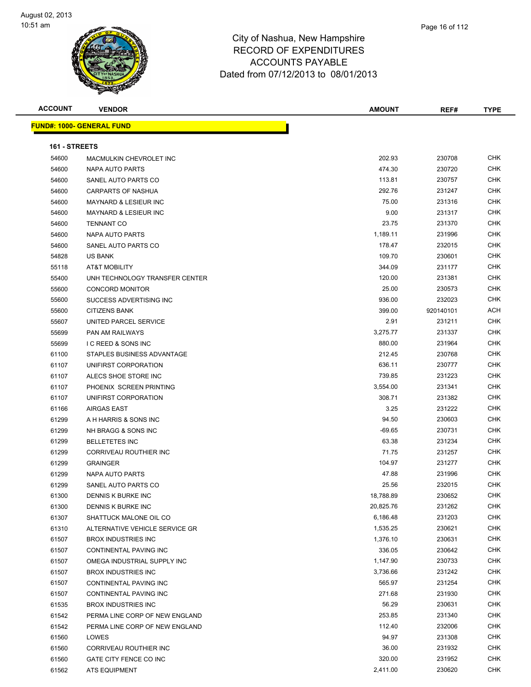

| <b>ACCOUNT</b> | <b>VENDOR</b>                    | <b>AMOUNT</b> | REF#      | <b>TYPE</b> |
|----------------|----------------------------------|---------------|-----------|-------------|
|                | <b>FUND#: 1000- GENERAL FUND</b> |               |           |             |
| 161 - STREETS  |                                  |               |           |             |
| 54600          | MACMULKIN CHEVROLET INC          | 202.93        | 230708    | <b>CHK</b>  |
| 54600          | <b>NAPA AUTO PARTS</b>           | 474.30        | 230720    | <b>CHK</b>  |
| 54600          | SANEL AUTO PARTS CO              | 113.81        | 230757    | <b>CHK</b>  |
| 54600          | <b>CARPARTS OF NASHUA</b>        | 292.76        | 231247    | <b>CHK</b>  |
| 54600          | <b>MAYNARD &amp; LESIEUR INC</b> | 75.00         | 231316    | <b>CHK</b>  |
| 54600          | <b>MAYNARD &amp; LESIEUR INC</b> | 9.00          | 231317    | <b>CHK</b>  |
| 54600          | <b>TENNANT CO</b>                | 23.75         | 231370    | <b>CHK</b>  |
| 54600          | NAPA AUTO PARTS                  | 1,189.11      | 231996    | <b>CHK</b>  |
| 54600          | SANEL AUTO PARTS CO              | 178.47        | 232015    | <b>CHK</b>  |
| 54828          | US BANK                          | 109.70        | 230601    | <b>CHK</b>  |
| 55118          | AT&T MOBILITY                    | 344.09        | 231177    | <b>CHK</b>  |
| 55400          | UNH TECHNOLOGY TRANSFER CENTER   | 120.00        | 231381    | <b>CHK</b>  |
| 55600          | <b>CONCORD MONITOR</b>           | 25.00         | 230573    | <b>CHK</b>  |
| 55600          | SUCCESS ADVERTISING INC          | 936.00        | 232023    | <b>CHK</b>  |
| 55600          | <b>CITIZENS BANK</b>             | 399.00        | 920140101 | <b>ACH</b>  |
| 55607          | UNITED PARCEL SERVICE            | 2.91          | 231211    | <b>CHK</b>  |
| 55699          | PAN AM RAILWAYS                  | 3,275.77      | 231337    | <b>CHK</b>  |
| 55699          | <b>I C REED &amp; SONS INC</b>   | 880.00        | 231964    | <b>CHK</b>  |
| 61100          | STAPLES BUSINESS ADVANTAGE       | 212.45        | 230768    | <b>CHK</b>  |
| 61107          | UNIFIRST CORPORATION             | 636.11        | 230777    | <b>CHK</b>  |
| 61107          | ALECS SHOE STORE INC             | 739.85        | 231223    | <b>CHK</b>  |
| 61107          | PHOENIX SCREEN PRINTING          | 3,554.00      | 231341    | <b>CHK</b>  |
| 61107          | UNIFIRST CORPORATION             | 308.71        | 231382    | <b>CHK</b>  |
| 61166          | <b>AIRGAS EAST</b>               | 3.25          | 231222    | <b>CHK</b>  |
| 61299          | A H HARRIS & SONS INC            | 94.50         | 230603    | <b>CHK</b>  |
| 61299          | NH BRAGG & SONS INC              | $-69.65$      | 230731    | <b>CHK</b>  |
| 61299          | <b>BELLETETES INC</b>            | 63.38         | 231234    | <b>CHK</b>  |
| 61299          | <b>CORRIVEAU ROUTHIER INC</b>    | 71.75         | 231257    | <b>CHK</b>  |
| 61299          | <b>GRAINGER</b>                  | 104.97        | 231277    | <b>CHK</b>  |
| 61299          | <b>NAPA AUTO PARTS</b>           | 47.88         | 231996    | <b>CHK</b>  |
| 61299          | SANEL AUTO PARTS CO              | 25.56         | 232015    | <b>CHK</b>  |
| 61300          | DENNIS K BURKE INC               | 18,788.89     | 230652    | <b>CHK</b>  |
| 61300          | DENNIS K BURKE INC               | 20,825.76     | 231262    | <b>CHK</b>  |
| 61307          | SHATTUCK MALONE OIL CO           | 6,186.48      | 231203    | <b>CHK</b>  |
| 61310          | ALTERNATIVE VEHICLE SERVICE GR   | 1,535.25      | 230621    | <b>CHK</b>  |
| 61507          | <b>BROX INDUSTRIES INC</b>       | 1,376.10      | 230631    | <b>CHK</b>  |
| 61507          | CONTINENTAL PAVING INC           | 336.05        | 230642    | <b>CHK</b>  |
| 61507          | OMEGA INDUSTRIAL SUPPLY INC      | 1,147.90      | 230733    | <b>CHK</b>  |
| 61507          | <b>BROX INDUSTRIES INC</b>       | 3,736.66      | 231242    | <b>CHK</b>  |
| 61507          | CONTINENTAL PAVING INC           | 565.97        | 231254    | <b>CHK</b>  |
| 61507          | <b>CONTINENTAL PAVING INC</b>    | 271.68        | 231930    | <b>CHK</b>  |
| 61535          | <b>BROX INDUSTRIES INC</b>       | 56.29         | 230631    | <b>CHK</b>  |
| 61542          | PERMA LINE CORP OF NEW ENGLAND   | 253.85        | 231340    | <b>CHK</b>  |
| 61542          | PERMA LINE CORP OF NEW ENGLAND   | 112.40        | 232006    | <b>CHK</b>  |
| 61560          | LOWES                            | 94.97         | 231308    | <b>CHK</b>  |
| 61560          | CORRIVEAU ROUTHIER INC           | 36.00         | 231932    | <b>CHK</b>  |
| 61560          | GATE CITY FENCE CO INC           | 320.00        | 231952    | <b>CHK</b>  |
| 61562          | ATS EQUIPMENT                    | 2,411.00      | 230620    | <b>CHK</b>  |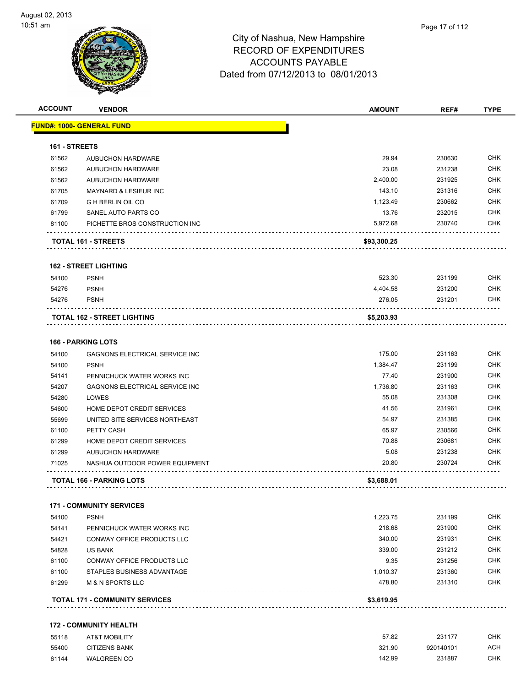| <u> FUND#: 1000- GENERAL FUND</u><br><b>AUBUCHON HARDWARE</b><br><b>AUBUCHON HARDWARE</b><br><b>AUBUCHON HARDWARE</b><br><b>MAYNARD &amp; LESIEUR INC</b><br><b>G H BERLIN OIL CO</b><br>SANEL AUTO PARTS CO<br>PICHETTE BROS CONSTRUCTION INC<br>TOTAL 161 - STREETS<br><b>162 - STREET LIGHTING</b><br><b>PSNH</b><br><b>PSNH</b><br><b>PSNH</b> | 29.94<br>23.08<br>2,400.00<br>143.10<br>1,123.49<br>13.76<br>5,972.68<br>\$93,300.25<br>523.30<br>4,404.58 | 230630<br>231238<br>231925<br>231316<br>230662<br>232015<br>230740<br>231199 | <b>CHK</b><br><b>CHK</b><br><b>CHK</b><br><b>CHK</b><br><b>CHK</b><br><b>CHK</b><br><b>CHK</b> |
|----------------------------------------------------------------------------------------------------------------------------------------------------------------------------------------------------------------------------------------------------------------------------------------------------------------------------------------------------|------------------------------------------------------------------------------------------------------------|------------------------------------------------------------------------------|------------------------------------------------------------------------------------------------|
|                                                                                                                                                                                                                                                                                                                                                    |                                                                                                            |                                                                              |                                                                                                |
|                                                                                                                                                                                                                                                                                                                                                    |                                                                                                            |                                                                              |                                                                                                |
|                                                                                                                                                                                                                                                                                                                                                    |                                                                                                            |                                                                              |                                                                                                |
|                                                                                                                                                                                                                                                                                                                                                    |                                                                                                            |                                                                              |                                                                                                |
|                                                                                                                                                                                                                                                                                                                                                    |                                                                                                            |                                                                              |                                                                                                |
|                                                                                                                                                                                                                                                                                                                                                    |                                                                                                            |                                                                              |                                                                                                |
|                                                                                                                                                                                                                                                                                                                                                    |                                                                                                            |                                                                              |                                                                                                |
|                                                                                                                                                                                                                                                                                                                                                    |                                                                                                            |                                                                              |                                                                                                |
|                                                                                                                                                                                                                                                                                                                                                    |                                                                                                            |                                                                              |                                                                                                |
|                                                                                                                                                                                                                                                                                                                                                    |                                                                                                            |                                                                              |                                                                                                |
|                                                                                                                                                                                                                                                                                                                                                    |                                                                                                            |                                                                              |                                                                                                |
|                                                                                                                                                                                                                                                                                                                                                    |                                                                                                            |                                                                              | <b>CHK</b>                                                                                     |
|                                                                                                                                                                                                                                                                                                                                                    |                                                                                                            | 231200                                                                       | <b>CHK</b>                                                                                     |
|                                                                                                                                                                                                                                                                                                                                                    | 276.05                                                                                                     | 231201                                                                       | CHK                                                                                            |
| <b>TOTAL 162 - STREET LIGHTING</b>                                                                                                                                                                                                                                                                                                                 | \$5,203.93                                                                                                 |                                                                              |                                                                                                |
|                                                                                                                                                                                                                                                                                                                                                    |                                                                                                            |                                                                              |                                                                                                |
| <b>166 - PARKING LOTS</b>                                                                                                                                                                                                                                                                                                                          |                                                                                                            |                                                                              |                                                                                                |
| <b>GAGNONS ELECTRICAL SERVICE INC</b>                                                                                                                                                                                                                                                                                                              | 175.00                                                                                                     | 231163                                                                       | <b>CHK</b>                                                                                     |
| <b>PSNH</b>                                                                                                                                                                                                                                                                                                                                        | 1,384.47                                                                                                   | 231199                                                                       | <b>CHK</b>                                                                                     |
| PENNICHUCK WATER WORKS INC                                                                                                                                                                                                                                                                                                                         | 77.40                                                                                                      | 231900                                                                       | <b>CHK</b>                                                                                     |
| GAGNONS ELECTRICAL SERVICE INC                                                                                                                                                                                                                                                                                                                     | 1,736.80                                                                                                   | 231163                                                                       | <b>CHK</b>                                                                                     |
| LOWES                                                                                                                                                                                                                                                                                                                                              | 55.08                                                                                                      | 231308                                                                       | <b>CHK</b>                                                                                     |
| HOME DEPOT CREDIT SERVICES                                                                                                                                                                                                                                                                                                                         | 41.56                                                                                                      | 231961                                                                       | <b>CHK</b>                                                                                     |
| UNITED SITE SERVICES NORTHEAST                                                                                                                                                                                                                                                                                                                     | 54.97                                                                                                      | 231385                                                                       | <b>CHK</b>                                                                                     |
| PETTY CASH                                                                                                                                                                                                                                                                                                                                         | 65.97                                                                                                      | 230566                                                                       | <b>CHK</b>                                                                                     |
| HOME DEPOT CREDIT SERVICES                                                                                                                                                                                                                                                                                                                         | 70.88                                                                                                      | 230681                                                                       | <b>CHK</b>                                                                                     |
| <b>AUBUCHON HARDWARE</b>                                                                                                                                                                                                                                                                                                                           | 5.08                                                                                                       | 231238                                                                       | <b>CHK</b>                                                                                     |
| NASHUA OUTDOOR POWER EQUIPMENT                                                                                                                                                                                                                                                                                                                     | 20.80                                                                                                      | 230724                                                                       | <b>CHK</b>                                                                                     |
| TOTAL 166 - PARKING LOTS                                                                                                                                                                                                                                                                                                                           | \$3,688.01                                                                                                 |                                                                              |                                                                                                |
| <b>171 - COMMUNITY SERVICES</b>                                                                                                                                                                                                                                                                                                                    |                                                                                                            |                                                                              |                                                                                                |
| <b>PSNH</b>                                                                                                                                                                                                                                                                                                                                        | 1,223.75                                                                                                   | 231199                                                                       | <b>CHK</b>                                                                                     |
| PENNICHUCK WATER WORKS INC                                                                                                                                                                                                                                                                                                                         | 218.68                                                                                                     | 231900                                                                       | <b>CHK</b>                                                                                     |
| <b>CONWAY OFFICE PRODUCTS LLC</b>                                                                                                                                                                                                                                                                                                                  | 340.00                                                                                                     | 231931                                                                       | <b>CHK</b>                                                                                     |
| <b>US BANK</b>                                                                                                                                                                                                                                                                                                                                     | 339.00                                                                                                     | 231212                                                                       | <b>CHK</b>                                                                                     |
| CONWAY OFFICE PRODUCTS LLC                                                                                                                                                                                                                                                                                                                         | 9.35                                                                                                       | 231256                                                                       | <b>CHK</b>                                                                                     |
| STAPLES BUSINESS ADVANTAGE                                                                                                                                                                                                                                                                                                                         | 1,010.37                                                                                                   | 231360                                                                       | <b>CHK</b>                                                                                     |
|                                                                                                                                                                                                                                                                                                                                                    | 478.80                                                                                                     | 231310                                                                       | <b>CHK</b>                                                                                     |
| <b>M &amp; N SPORTS LLC</b>                                                                                                                                                                                                                                                                                                                        |                                                                                                            |                                                                              |                                                                                                |
|                                                                                                                                                                                                                                                                                                                                                    | <b>TOTAL 171 - COMMUNITY SERVICES</b>                                                                      | \$3,619.95                                                                   |                                                                                                |

#### **172 - COMMUNITY HEALTH**

| 55118 | <b>AT&amp;T MOBILITY</b> | 57.82  | 231177    | СНК |
|-------|--------------------------|--------|-----------|-----|
| 55400 | <b>CITIZENS BANK</b>     | 321.90 | 920140101 | ACH |
| 61144 | <b>WALGREEN CO</b>       | 142.99 | 231887    | СНК |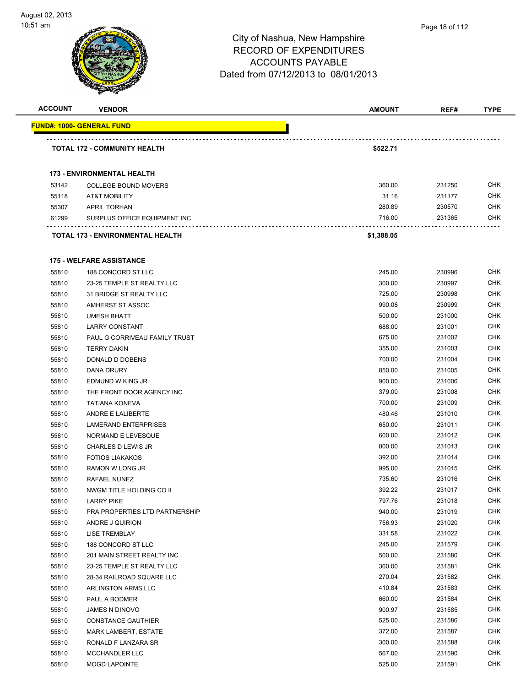

| <b>ACCOUNT</b> | <b>VENDOR</b>                                           | <b>AMOUNT</b> | REF#   | <b>TYPE</b> |
|----------------|---------------------------------------------------------|---------------|--------|-------------|
|                | <b>FUND#: 1000- GENERAL FUND</b>                        |               |        |             |
|                | TOTAL 172 - COMMUNITY HEALTH                            | \$522.71      |        |             |
|                |                                                         |               |        |             |
|                | <b>173 - ENVIRONMENTAL HEALTH</b>                       | 360.00        | 231250 | <b>CHK</b>  |
| 53142<br>55118 | <b>COLLEGE BOUND MOVERS</b><br><b>AT&amp;T MOBILITY</b> | 31.16         | 231177 | <b>CHK</b>  |
| 55307          | <b>APRIL TORHAN</b>                                     | 280.89        | 230570 | <b>CHK</b>  |
| 61299          | SURPLUS OFFICE EQUIPMENT INC                            | 716.00        | 231365 | <b>CHK</b>  |
|                | TOTAL 173 - ENVIRONMENTAL HEALTH                        | \$1,388.05    |        |             |
|                |                                                         |               |        |             |
|                | <b>175 - WELFARE ASSISTANCE</b>                         |               |        |             |
| 55810          | 188 CONCORD ST LLC                                      | 245.00        | 230996 | <b>CHK</b>  |
| 55810          | 23-25 TEMPLE ST REALTY LLC                              | 300.00        | 230997 | <b>CHK</b>  |
| 55810          | 31 BRIDGE ST REALTY LLC                                 | 725.00        | 230998 | <b>CHK</b>  |
| 55810          | AMHERST ST ASSOC                                        | 990.08        | 230999 | <b>CHK</b>  |
| 55810          | <b>UMESH BHATT</b>                                      | 500.00        | 231000 | <b>CHK</b>  |
| 55810          | <b>LARRY CONSTANT</b>                                   | 688.00        | 231001 | <b>CHK</b>  |
| 55810          | PAUL G CORRIVEAU FAMILY TRUST                           | 675.00        | 231002 | <b>CHK</b>  |
| 55810          | <b>TERRY DAKIN</b>                                      | 355.00        | 231003 | <b>CHK</b>  |
| 55810          | DONALD D DOBENS                                         | 700.00        | 231004 | <b>CHK</b>  |
| 55810          | DANA DRURY                                              | 850.00        | 231005 | <b>CHK</b>  |
| 55810          | EDMUND W KING JR                                        | 900.00        | 231006 | <b>CHK</b>  |
| 55810          | THE FRONT DOOR AGENCY INC                               | 379.00        | 231008 | <b>CHK</b>  |
| 55810          | <b>TATIANA KONEVA</b>                                   | 700.00        | 231009 | <b>CHK</b>  |
| 55810          | ANDRE E LALIBERTE                                       | 480.46        | 231010 | <b>CHK</b>  |
| 55810          | <b>LAMERAND ENTERPRISES</b>                             | 650.00        | 231011 | <b>CHK</b>  |
| 55810          | NORMAND E LEVESQUE                                      | 600.00        | 231012 | <b>CHK</b>  |
| 55810          | CHARLES D LEWIS JR                                      | 800.00        | 231013 | <b>CHK</b>  |
| 55810          | <b>FOTIOS LIAKAKOS</b>                                  | 392.00        | 231014 | <b>CHK</b>  |
| 55810          | RAMON W LONG JR                                         | 995.00        | 231015 | <b>CHK</b>  |
| 55810          | <b>RAFAEL NUNEZ</b>                                     | 735.60        | 231016 | <b>CHK</b>  |
| 55810          | NWGM TITLE HOLDING CO II                                | 392.22        | 231017 | <b>CHK</b>  |
| 55810          | <b>LARRY PIKE</b>                                       | 797.76        | 231018 | <b>CHK</b>  |
| 55810          | PRA PROPERTIES LTD PARTNERSHIP                          | 940.00        | 231019 | <b>CHK</b>  |
| 55810          | ANDRE J QUIRION                                         | 756.93        | 231020 | <b>CHK</b>  |
| 55810          | <b>LISE TREMBLAY</b>                                    | 331.58        | 231022 | <b>CHK</b>  |
| 55810          | 188 CONCORD ST LLC                                      | 245.00        | 231579 | <b>CHK</b>  |
| 55810          | 201 MAIN STREET REALTY INC                              | 500.00        | 231580 | <b>CHK</b>  |
| 55810          | 23-25 TEMPLE ST REALTY LLC                              | 360.00        | 231581 | <b>CHK</b>  |
| 55810          | 28-34 RAILROAD SQUARE LLC                               | 270.04        | 231582 | <b>CHK</b>  |
| 55810          | ARLINGTON ARMS LLC                                      | 410.84        | 231583 | <b>CHK</b>  |
| 55810          | PAUL A BODMER                                           | 660.00        | 231584 | <b>CHK</b>  |
| 55810          | <b>JAMES N DINOVO</b>                                   | 900.97        | 231585 | <b>CHK</b>  |
| 55810          | <b>CONSTANCE GAUTHIER</b>                               | 525.00        | 231586 | <b>CHK</b>  |
| 55810          | MARK LAMBERT, ESTATE                                    | 372.00        | 231587 | <b>CHK</b>  |
| 55810          | RONALD F LANZARA SR                                     | 300.00        | 231588 | <b>CHK</b>  |
| 55810          | <b>MCCHANDLER LLC</b>                                   | 567.00        | 231590 | <b>CHK</b>  |
| 55810          | <b>MOGD LAPOINTE</b>                                    | 525.00        | 231591 | <b>CHK</b>  |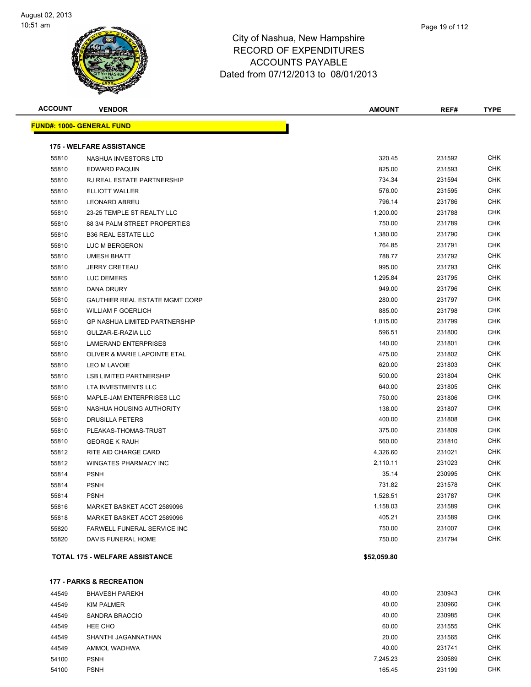

| <b>ACCOUNT</b> | <b>VENDOR</b>                           | <b>AMOUNT</b> | REF#   | <b>TYPE</b> |
|----------------|-----------------------------------------|---------------|--------|-------------|
|                | <u> FUND#: 1000- GENERAL FUND</u>       |               |        |             |
|                | <b>175 - WELFARE ASSISTANCE</b>         |               |        |             |
| 55810          | NASHUA INVESTORS LTD                    | 320.45        | 231592 | CHK         |
| 55810          | EDWARD PAQUIN                           | 825.00        | 231593 | CHK         |
| 55810          | RJ REAL ESTATE PARTNERSHIP              | 734.34        | 231594 | <b>CHK</b>  |
| 55810          | <b>ELLIOTT WALLER</b>                   | 576.00        | 231595 | <b>CHK</b>  |
| 55810          | <b>LEONARD ABREU</b>                    | 796.14        | 231786 | CHK         |
| 55810          | 23-25 TEMPLE ST REALTY LLC              | 1,200.00      | 231788 | <b>CHK</b>  |
| 55810          | 88 3/4 PALM STREET PROPERTIES           | 750.00        | 231789 | <b>CHK</b>  |
| 55810          | <b>B36 REAL ESTATE LLC</b>              | 1,380.00      | 231790 | <b>CHK</b>  |
| 55810          | LUC M BERGERON                          | 764.85        | 231791 | <b>CHK</b>  |
| 55810          | <b>UMESH BHATT</b>                      | 788.77        | 231792 | <b>CHK</b>  |
| 55810          | <b>JERRY CRETEAU</b>                    | 995.00        | 231793 | <b>CHK</b>  |
| 55810          | <b>LUC DEMERS</b>                       | 1,295.84      | 231795 | <b>CHK</b>  |
| 55810          | DANA DRURY                              | 949.00        | 231796 | <b>CHK</b>  |
| 55810          | GAUTHIER REAL ESTATE MGMT CORP          | 280.00        | 231797 | <b>CHK</b>  |
| 55810          | <b>WILLIAM F GOERLICH</b>               | 885.00        | 231798 | <b>CHK</b>  |
| 55810          | <b>GP NASHUA LIMITED PARTNERSHIP</b>    | 1,015.00      | 231799 | <b>CHK</b>  |
| 55810          | GULZAR-E-RAZIA LLC                      | 596.51        | 231800 | <b>CHK</b>  |
| 55810          | <b>LAMERAND ENTERPRISES</b>             | 140.00        | 231801 | <b>CHK</b>  |
| 55810          | <b>OLIVER &amp; MARIE LAPOINTE ETAL</b> | 475.00        | 231802 | <b>CHK</b>  |
| 55810          | LEO M LAVOIE                            | 620.00        | 231803 | <b>CHK</b>  |
| 55810          | <b>LSB LIMITED PARTNERSHIP</b>          | 500.00        | 231804 | <b>CHK</b>  |
| 55810          | LTA INVESTMENTS LLC                     | 640.00        | 231805 | <b>CHK</b>  |
| 55810          | MAPLE-JAM ENTERPRISES LLC               | 750.00        | 231806 | <b>CHK</b>  |
| 55810          | NASHUA HOUSING AUTHORITY                | 138.00        | 231807 | <b>CHK</b>  |
| 55810          | DRUSILLA PETERS                         | 400.00        | 231808 | <b>CHK</b>  |
| 55810          | PLEAKAS-THOMAS-TRUST                    | 375.00        | 231809 | <b>CHK</b>  |
| 55810          | <b>GEORGE K RAUH</b>                    | 560.00        | 231810 | <b>CHK</b>  |
| 55812          | RITE AID CHARGE CARD                    | 4,326.60      | 231021 | <b>CHK</b>  |
| 55812          | WINGATES PHARMACY INC                   | 2,110.11      | 231023 | <b>CHK</b>  |
| 55814          | <b>PSNH</b>                             | 35.14         | 230995 | <b>CHK</b>  |
| 55814          | <b>PSNH</b>                             | 731.82        | 231578 | CHK         |
| 55814          | <b>PSNH</b>                             | 1,528.51      | 231787 | <b>CHK</b>  |
| 55816          | MARKET BASKET ACCT 2589096              | 1,158.03      | 231589 | <b>CHK</b>  |
| 55818          | MARKET BASKET ACCT 2589096              | 405.21        | 231589 | <b>CHK</b>  |
| 55820          | FARWELL FUNERAL SERVICE INC             | 750.00        | 231007 | <b>CHK</b>  |
| 55820          | DAVIS FUNERAL HOME                      | 750.00        | 231794 | <b>CHK</b>  |
|                | TOTAL 175 - WELFARE ASSISTANCE          | \$52,059.80   |        |             |

**177 - PARKS & RECREATION**

| 44549 | <b>BHAVESH PAREKH</b> | 40.00    | 230943 | <b>CHK</b> |
|-------|-----------------------|----------|--------|------------|
| 44549 | <b>KIM PALMER</b>     | 40.00    | 230960 | <b>CHK</b> |
| 44549 | SANDRA BRACCIO        | 40.00    | 230985 | <b>CHK</b> |
| 44549 | HEE CHO               | 60.00    | 231555 | <b>CHK</b> |
| 44549 | SHANTHI JAGANNATHAN   | 20.00    | 231565 | <b>CHK</b> |
| 44549 | AMMOL WADHWA          | 40.00    | 231741 | <b>CHK</b> |
| 54100 | <b>PSNH</b>           | 7,245.23 | 230589 | <b>CHK</b> |
| 54100 | <b>PSNH</b>           | 165.45   | 231199 | <b>CHK</b> |
|       |                       |          |        |            |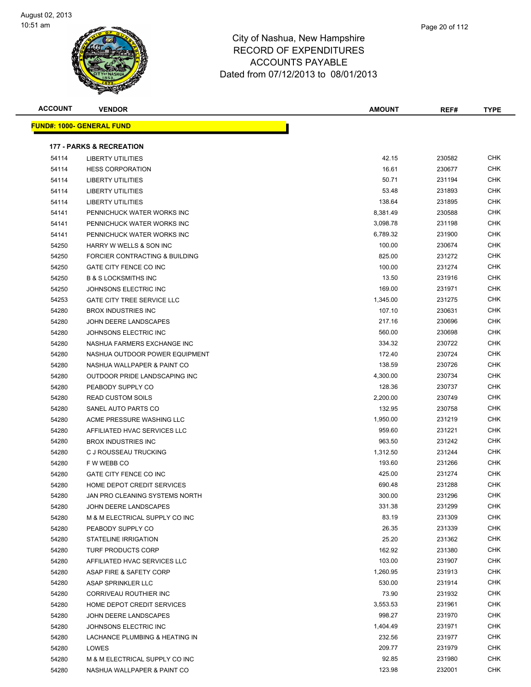

| <b>ACCOUNT</b> | <b>VENDOR</b>                       | <b>AMOUNT</b> | REF#   | <b>TYPE</b> |
|----------------|-------------------------------------|---------------|--------|-------------|
|                | <b>FUND#: 1000- GENERAL FUND</b>    |               |        |             |
|                |                                     |               |        |             |
|                | <b>177 - PARKS &amp; RECREATION</b> |               |        |             |
| 54114          | <b>LIBERTY UTILITIES</b>            | 42.15         | 230582 | <b>CHK</b>  |
| 54114          | <b>HESS CORPORATION</b>             | 16.61         | 230677 | <b>CHK</b>  |
| 54114          | <b>LIBERTY UTILITIES</b>            | 50.71         | 231194 | <b>CHK</b>  |
| 54114          | <b>LIBERTY UTILITIES</b>            | 53.48         | 231893 | CHK         |
| 54114          | <b>LIBERTY UTILITIES</b>            | 138.64        | 231895 | <b>CHK</b>  |
| 54141          | PENNICHUCK WATER WORKS INC          | 8,381.49      | 230588 | <b>CHK</b>  |
| 54141          | PENNICHUCK WATER WORKS INC          | 3,098.78      | 231198 | <b>CHK</b>  |
| 54141          | PENNICHUCK WATER WORKS INC          | 6,789.32      | 231900 | CHK         |
| 54250          | HARRY W WELLS & SON INC             | 100.00        | 230674 | CHK         |
| 54250          | FORCIER CONTRACTING & BUILDING      | 825.00        | 231272 | CHK         |
| 54250          | GATE CITY FENCE CO INC              | 100.00        | 231274 | CHK         |
| 54250          | <b>B &amp; S LOCKSMITHS INC</b>     | 13.50         | 231916 | CHK         |
| 54250          | JOHNSONS ELECTRIC INC               | 169.00        | 231971 | CHK         |
| 54253          | <b>GATE CITY TREE SERVICE LLC</b>   | 1,345.00      | 231275 | <b>CHK</b>  |
| 54280          | <b>BROX INDUSTRIES INC</b>          | 107.10        | 230631 | CHK         |
| 54280          | JOHN DEERE LANDSCAPES               | 217.16        | 230696 | CHK         |
| 54280          | JOHNSONS ELECTRIC INC               | 560.00        | 230698 | CHK         |
| 54280          | NASHUA FARMERS EXCHANGE INC         | 334.32        | 230722 | <b>CHK</b>  |
| 54280          | NASHUA OUTDOOR POWER EQUIPMENT      | 172.40        | 230724 | CHK         |
| 54280          | NASHUA WALLPAPER & PAINT CO         | 138.59        | 230726 | <b>CHK</b>  |
| 54280          | OUTDOOR PRIDE LANDSCAPING INC       | 4,300.00      | 230734 | <b>CHK</b>  |
| 54280          | PEABODY SUPPLY CO                   | 128.36        | 230737 | <b>CHK</b>  |
| 54280          | <b>READ CUSTOM SOILS</b>            | 2,200.00      | 230749 | CHK         |
| 54280          | SANEL AUTO PARTS CO                 | 132.95        | 230758 | <b>CHK</b>  |
| 54280          | ACME PRESSURE WASHING LLC           | 1,950.00      | 231219 | <b>CHK</b>  |
| 54280          | AFFILIATED HVAC SERVICES LLC        | 959.60        | 231221 | CHK         |
| 54280          | <b>BROX INDUSTRIES INC</b>          | 963.50        | 231242 | CHK         |
| 54280          | C J ROUSSEAU TRUCKING               | 1,312.50      | 231244 | CHK         |
| 54280          | F W WEBB CO                         | 193.60        | 231266 | <b>CHK</b>  |
| 54280          | GATE CITY FENCE CO INC              | 425.00        | 231274 | <b>CHK</b>  |
| 54280          | HOME DEPOT CREDIT SERVICES          | 690.48        | 231288 | CHK         |
| 54280          | JAN PRO CLEANING SYSTEMS NORTH      | 300.00        | 231296 | CHK         |
| 54280          | JOHN DEERE LANDSCAPES               | 331.38        | 231299 | <b>CHK</b>  |
| 54280          | M & M ELECTRICAL SUPPLY CO INC      | 83.19         | 231309 | CHK         |
| 54280          | PEABODY SUPPLY CO                   | 26.35         | 231339 | <b>CHK</b>  |
| 54280          | <b>STATELINE IRRIGATION</b>         | 25.20         | 231362 | <b>CHK</b>  |
| 54280          | TURF PRODUCTS CORP                  | 162.92        | 231380 | <b>CHK</b>  |
| 54280          | AFFILIATED HVAC SERVICES LLC        | 103.00        | 231907 | <b>CHK</b>  |
| 54280          | ASAP FIRE & SAFETY CORP             | 1,260.95      | 231913 | <b>CHK</b>  |
| 54280          | ASAP SPRINKLER LLC                  | 530.00        | 231914 | <b>CHK</b>  |
| 54280          | CORRIVEAU ROUTHIER INC              | 73.90         | 231932 | <b>CHK</b>  |
| 54280          | HOME DEPOT CREDIT SERVICES          | 3,553.53      | 231961 | <b>CHK</b>  |
| 54280          | JOHN DEERE LANDSCAPES               | 998.27        | 231970 | <b>CHK</b>  |
| 54280          | JOHNSONS ELECTRIC INC               | 1,404.49      | 231971 | <b>CHK</b>  |
| 54280          | LACHANCE PLUMBING & HEATING IN      | 232.56        | 231977 | CHK         |
| 54280          | LOWES                               | 209.77        | 231979 | <b>CHK</b>  |
| 54280          | M & M ELECTRICAL SUPPLY CO INC      | 92.85         | 231980 | <b>CHK</b>  |
| 54280          | NASHUA WALLPAPER & PAINT CO         | 123.98        | 232001 | <b>CHK</b>  |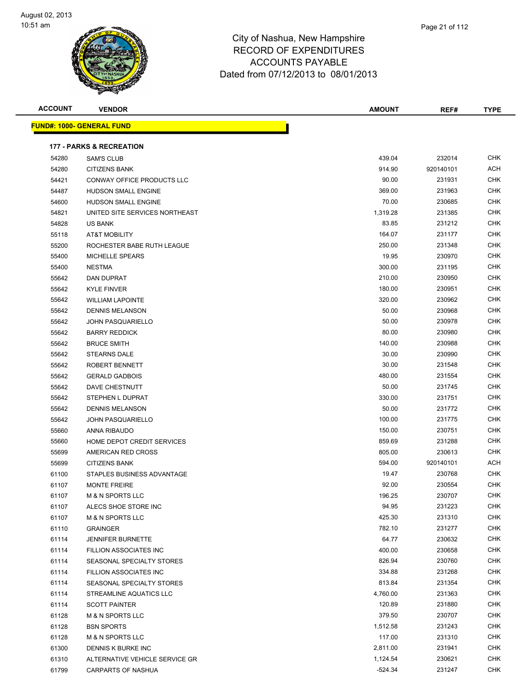

|                |                                     | AUUUUNIS PATABLE<br>Dated from 07/12/2013 to 08/01/2013 |           |             |
|----------------|-------------------------------------|---------------------------------------------------------|-----------|-------------|
| <b>ACCOUNT</b> | <b>VENDOR</b>                       | <b>AMOUNT</b>                                           | REF#      | <b>TYPE</b> |
|                | <u> IND#: 1000- GENERAL FUND</u>    |                                                         |           |             |
|                | <b>177 - PARKS &amp; RECREATION</b> |                                                         |           |             |
| 54280          | <b>SAM'S CLUB</b>                   | 439.04                                                  | 232014    | <b>CHK</b>  |
| 54280          | <b>CITIZENS BANK</b>                | 914.90                                                  | 920140101 | <b>ACH</b>  |
| 54421          | CONWAY OFFICE PRODUCTS LLC          | 90.00                                                   | 231931    | <b>CHK</b>  |
| 54487          | HUDSON SMALL ENGINE                 | 369.00                                                  | 231963    | <b>CHK</b>  |
| 54600          | <b>HUDSON SMALL ENGINE</b>          | 70.00                                                   | 230685    | <b>CHK</b>  |
| 54821          | UNITED SITE SERVICES NORTHEAST      | 1,319.28                                                | 231385    | <b>CHK</b>  |
| 54828          | <b>US BANK</b>                      | 83.85                                                   | 231212    | <b>CHK</b>  |
| 55118          | <b>AT&amp;T MOBILITY</b>            | 164.07                                                  | 231177    | <b>CHK</b>  |
| 55200          | ROCHESTER BABE RUTH LEAGUE          | 250.00                                                  | 231348    | <b>CHK</b>  |
| 55400          | <b>MICHELLE SPEARS</b>              | 19.95                                                   | 230970    | <b>CHK</b>  |
| 55400          | <b>NESTMA</b>                       | 300.00                                                  | 231195    | <b>CHK</b>  |
| 55642          | DAN DUPRAT                          | 210.00                                                  | 230950    | <b>CHK</b>  |
| 55642          | <b>KYLE FINVER</b>                  | 180.00                                                  | 230951    | <b>CHK</b>  |
| 55642          | <b>WILLIAM LAPOINTE</b>             | 320.00                                                  | 230962    | <b>CHK</b>  |
| 55642          | <b>DENNIS MELANSON</b>              | 50.00                                                   | 230968    | <b>CHK</b>  |
| 55642          | <b>JOHN PASQUARIELLO</b>            | 50.00                                                   | 230978    | <b>CHK</b>  |
| 55642          | <b>BARRY REDDICK</b>                | 80.00                                                   | 230980    | <b>CHK</b>  |
| 55642          | <b>BRUCE SMITH</b>                  | 140.00                                                  | 230988    | <b>CHK</b>  |
| 55642          | <b>STEARNS DALE</b>                 | 30.00                                                   | 230990    | <b>CHK</b>  |
| 55642          | ROBERT BENNETT                      | 30.00                                                   | 231548    | <b>CHK</b>  |
| 55642          | <b>GERALD GADBOIS</b>               | 480.00                                                  | 231554    | <b>CHK</b>  |
| 55642          | DAVE CHESTNUTT                      | 50.00                                                   | 231745    | <b>CHK</b>  |
| 55642          | STEPHEN L DUPRAT                    | 330.00                                                  | 231751    | <b>CHK</b>  |
|                |                                     |                                                         |           |             |

| <b>ACCOUNT</b> |  |
|----------------|--|
|                |  |

**FUND#: 1000- GENERAL FUND**

| 54421 | CONWAY OFFICE PRODUCTS LLC       | 90.00    | 231931    | <b>CHK</b> |
|-------|----------------------------------|----------|-----------|------------|
| 54487 | <b>HUDSON SMALL ENGINE</b>       | 369.00   | 231963    | <b>CHK</b> |
| 54600 | <b>HUDSON SMALL ENGINE</b>       | 70.00    | 230685    | <b>CHK</b> |
| 54821 | UNITED SITE SERVICES NORTHEAST   | 1,319.28 | 231385    | CHK        |
| 54828 | US BANK                          | 83.85    | 231212    | <b>CHK</b> |
| 55118 | <b>AT&amp;T MOBILITY</b>         | 164.07   | 231177    | <b>CHK</b> |
| 55200 | ROCHESTER BABE RUTH LEAGUE       | 250.00   | 231348    | <b>CHK</b> |
| 55400 | <b>MICHELLE SPEARS</b>           | 19.95    | 230970    | <b>CHK</b> |
| 55400 | <b>NESTMA</b>                    | 300.00   | 231195    | <b>CHK</b> |
| 55642 | DAN DUPRAT                       | 210.00   | 230950    | <b>CHK</b> |
| 55642 | <b>KYLE FINVER</b>               | 180.00   | 230951    | <b>CHK</b> |
| 55642 | <b>WILLIAM LAPOINTE</b>          | 320.00   | 230962    | CHK        |
| 55642 | <b>DENNIS MELANSON</b>           | 50.00    | 230968    | CHK        |
| 55642 | <b>JOHN PASQUARIELLO</b>         | 50.00    | 230978    | CHK        |
| 55642 | <b>BARRY REDDICK</b>             | 80.00    | 230980    | CHK        |
| 55642 | <b>BRUCE SMITH</b>               | 140.00   | 230988    | <b>CHK</b> |
| 55642 | <b>STEARNS DALE</b>              | 30.00    | 230990    | CHK        |
| 55642 | ROBERT BENNETT                   | 30.00    | 231548    | <b>CHK</b> |
| 55642 | <b>GERALD GADBOIS</b>            | 480.00   | 231554    | <b>CHK</b> |
| 55642 | DAVE CHESTNUTT                   | 50.00    | 231745    | <b>CHK</b> |
| 55642 | STEPHEN L DUPRAT                 | 330.00   | 231751    | CHK        |
| 55642 | <b>DENNIS MELANSON</b>           | 50.00    | 231772    | CHK        |
| 55642 | <b>JOHN PASQUARIELLO</b>         | 100.00   | 231775    | CHK        |
| 55660 | ANNA RIBAUDO                     | 150.00   | 230751    | <b>CHK</b> |
| 55660 | HOME DEPOT CREDIT SERVICES       | 859.69   | 231288    | <b>CHK</b> |
| 55699 | AMERICAN RED CROSS               | 805.00   | 230613    | <b>CHK</b> |
| 55699 | <b>CITIZENS BANK</b>             | 594.00   | 920140101 | <b>ACH</b> |
| 61100 | STAPLES BUSINESS ADVANTAGE       | 19.47    | 230768    | <b>CHK</b> |
| 61107 | <b>MONTE FREIRE</b>              | 92.00    | 230554    | <b>CHK</b> |
| 61107 | M & N SPORTS LLC                 | 196.25   | 230707    | <b>CHK</b> |
| 61107 | ALECS SHOE STORE INC             | 94.95    | 231223    | <b>CHK</b> |
| 61107 | M & N SPORTS LLC                 | 425.30   | 231310    | CHK        |
| 61110 | <b>GRAINGER</b>                  | 782.10   | 231277    | CHK        |
| 61114 | <b>JENNIFER BURNETTE</b>         | 64.77    | 230632    | CHK        |
| 61114 | FILLION ASSOCIATES INC           | 400.00   | 230658    | <b>CHK</b> |
| 61114 | <b>SEASONAL SPECIALTY STORES</b> | 826.94   | 230760    | <b>CHK</b> |
| 61114 | FILLION ASSOCIATES INC           | 334.88   | 231268    | CHK        |
| 61114 | SEASONAL SPECIALTY STORES        | 813.84   | 231354    | <b>CHK</b> |
| 61114 | STREAMLINE AQUATICS LLC          | 4,760.00 | 231363    | <b>CHK</b> |
| 61114 | <b>SCOTT PAINTER</b>             | 120.89   | 231880    | <b>CHK</b> |
| 61128 | <b>M &amp; N SPORTS LLC</b>      | 379.50   | 230707    | <b>CHK</b> |
| 61128 | <b>BSN SPORTS</b>                | 1,512.58 | 231243    | <b>CHK</b> |
| 61128 | <b>M &amp; N SPORTS LLC</b>      | 117.00   | 231310    | CHK        |
| 61300 | DENNIS K BURKE INC               | 2,811.00 | 231941    | CHK        |
| 61310 | ALTERNATIVE VEHICLE SERVICE GR   | 1,124.54 | 230621    | CHK        |
| 61799 | <b>CARPARTS OF NASHUA</b>        | -524.34  | 231247    | <b>CHK</b> |
|       |                                  |          |           |            |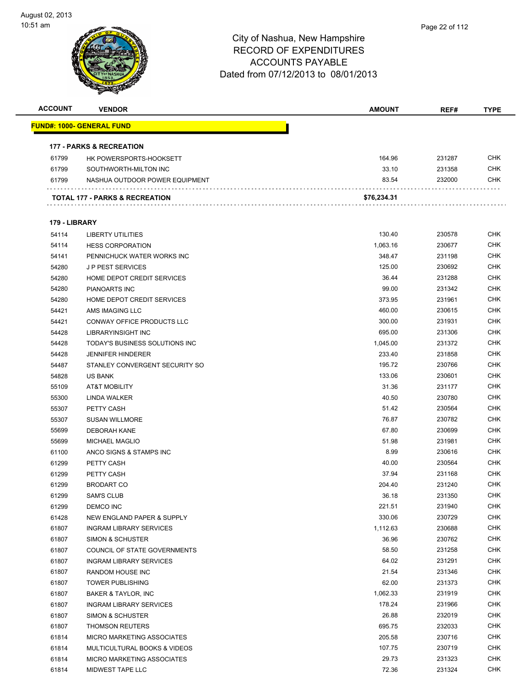

| <b>ACCOUNT</b> | <b>VENDOR</b>                       | <b>AMOUNT</b> | REF#   | <b>TYPE</b> |
|----------------|-------------------------------------|---------------|--------|-------------|
|                | <u> FUND#: 1000- GENERAL FUND</u>   |               |        |             |
|                |                                     |               |        |             |
|                | <b>177 - PARKS &amp; RECREATION</b> |               |        |             |
| 61799          | HK POWERSPORTS-HOOKSETT             | 164.96        | 231287 | <b>CHK</b>  |
| 61799          | SOUTHWORTH-MILTON INC               | 33.10         | 231358 | <b>CHK</b>  |
| 61799          | NASHUA OUTDOOR POWER EQUIPMENT      | 83.54         | 232000 | <b>CHK</b>  |
|                | TOTAL 177 - PARKS & RECREATION      | \$76,234.31   |        |             |
|                |                                     |               |        |             |
| 179 - LIBRARY  |                                     |               |        |             |
| 54114          | <b>LIBERTY UTILITIES</b>            | 130.40        | 230578 | <b>CHK</b>  |
| 54114          | <b>HESS CORPORATION</b>             | 1,063.16      | 230677 | <b>CHK</b>  |
| 54141          | PENNICHUCK WATER WORKS INC          | 348.47        | 231198 | <b>CHK</b>  |
| 54280          | <b>JP PEST SERVICES</b>             | 125.00        | 230692 | <b>CHK</b>  |
| 54280          | HOME DEPOT CREDIT SERVICES          | 36.44         | 231288 | <b>CHK</b>  |
| 54280          | <b>PIANOARTS INC</b>                | 99.00         | 231342 | <b>CHK</b>  |
| 54280          | HOME DEPOT CREDIT SERVICES          | 373.95        | 231961 | <b>CHK</b>  |
| 54421          | AMS IMAGING LLC                     | 460.00        | 230615 | <b>CHK</b>  |
| 54421          | <b>CONWAY OFFICE PRODUCTS LLC</b>   | 300.00        | 231931 | <b>CHK</b>  |
| 54428          | LIBRARYINSIGHT INC                  | 695.00        | 231306 | <b>CHK</b>  |
| 54428          | TODAY'S BUSINESS SOLUTIONS INC      | 1,045.00      | 231372 | <b>CHK</b>  |
| 54428          | <b>JENNIFER HINDERER</b>            | 233.40        | 231858 | <b>CHK</b>  |
| 54487          | STANLEY CONVERGENT SECURITY SO      | 195.72        | 230766 | <b>CHK</b>  |
| 54828          | <b>US BANK</b>                      | 133.06        | 230601 | <b>CHK</b>  |
| 55109          | <b>AT&amp;T MOBILITY</b>            | 31.36         | 231177 | <b>CHK</b>  |
| 55300          | LINDA WALKER                        | 40.50         | 230780 | <b>CHK</b>  |
| 55307          | PETTY CASH                          | 51.42         | 230564 | <b>CHK</b>  |
| 55307          | <b>SUSAN WILLMORE</b>               | 76.87         | 230782 | <b>CHK</b>  |
| 55699          | <b>DEBORAH KANE</b>                 | 67.80         | 230699 | <b>CHK</b>  |
| 55699          | <b>MICHAEL MAGLIO</b>               | 51.98         | 231981 | <b>CHK</b>  |
| 61100          | ANCO SIGNS & STAMPS INC             | 8.99          | 230616 | <b>CHK</b>  |
| 61299          | PETTY CASH                          | 40.00         | 230564 | <b>CHK</b>  |
| 61299          | PETTY CASH                          | 37.94         | 231168 | CHK         |
| 61299          | <b>BRODART CO</b>                   | 204.40        | 231240 | <b>CHK</b>  |
| 61299          | <b>SAM'S CLUB</b>                   | 36.18         | 231350 | CHK         |
| 61299          | DEMCO INC                           | 221.51        | 231940 | <b>CHK</b>  |
| 61428          | NEW ENGLAND PAPER & SUPPLY          | 330.06        | 230729 | <b>CHK</b>  |
| 61807          | <b>INGRAM LIBRARY SERVICES</b>      | 1,112.63      | 230688 | <b>CHK</b>  |
| 61807          | SIMON & SCHUSTER                    | 36.96         | 230762 | <b>CHK</b>  |
| 61807          | COUNCIL OF STATE GOVERNMENTS        | 58.50         | 231258 | <b>CHK</b>  |
| 61807          | <b>INGRAM LIBRARY SERVICES</b>      | 64.02         | 231291 | <b>CHK</b>  |
| 61807          | RANDOM HOUSE INC                    | 21.54         | 231346 | <b>CHK</b>  |
| 61807          | <b>TOWER PUBLISHING</b>             | 62.00         | 231373 | <b>CHK</b>  |
| 61807          | BAKER & TAYLOR, INC                 | 1,062.33      | 231919 | <b>CHK</b>  |
| 61807          | <b>INGRAM LIBRARY SERVICES</b>      | 178.24        | 231966 | <b>CHK</b>  |
| 61807          | <b>SIMON &amp; SCHUSTER</b>         | 26.88         | 232019 | <b>CHK</b>  |
| 61807          | <b>THOMSON REUTERS</b>              | 695.75        | 232033 | <b>CHK</b>  |
| 61814          | MICRO MARKETING ASSOCIATES          | 205.58        | 230716 | <b>CHK</b>  |
| 61814          | MULTICULTURAL BOOKS & VIDEOS        | 107.75        | 230719 | <b>CHK</b>  |
| 61814          | MICRO MARKETING ASSOCIATES          | 29.73         | 231323 | <b>CHK</b>  |
| 61814          | MIDWEST TAPE LLC                    | 72.36         | 231324 | <b>CHK</b>  |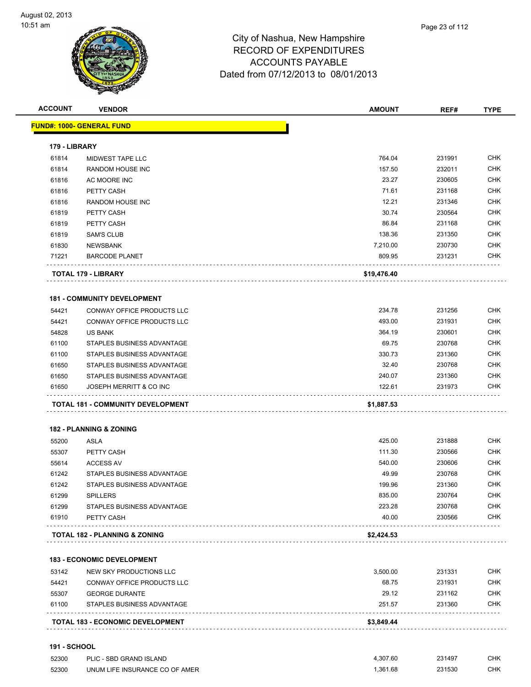

| <b>ACCOUNT</b> | <b>VENDOR</b>                            | <b>AMOUNT</b> | REF#   | <b>TYPE</b> |
|----------------|------------------------------------------|---------------|--------|-------------|
|                | <b>FUND#: 1000- GENERAL FUND</b>         |               |        |             |
| 179 - LIBRARY  |                                          |               |        |             |
| 61814          | MIDWEST TAPE LLC                         | 764.04        | 231991 | <b>CHK</b>  |
| 61814          | RANDOM HOUSE INC                         | 157.50        | 232011 | <b>CHK</b>  |
| 61816          | AC MOORE INC                             | 23.27         | 230605 | <b>CHK</b>  |
| 61816          | PETTY CASH                               | 71.61         | 231168 | <b>CHK</b>  |
| 61816          | RANDOM HOUSE INC                         | 12.21         | 231346 | <b>CHK</b>  |
| 61819          | PETTY CASH                               | 30.74         | 230564 | <b>CHK</b>  |
| 61819          | PETTY CASH                               | 86.84         | 231168 | <b>CHK</b>  |
| 61819          | <b>SAM'S CLUB</b>                        | 138.36        | 231350 | <b>CHK</b>  |
| 61830          | <b>NEWSBANK</b>                          | 7,210.00      | 230730 | <b>CHK</b>  |
| 71221          | <b>BARCODE PLANET</b>                    | 809.95        | 231231 | <b>CHK</b>  |
|                | TOTAL 179 - LIBRARY                      | \$19,476.40   |        |             |
|                | <b>181 - COMMUNITY DEVELOPMENT</b>       |               |        |             |
| 54421          | CONWAY OFFICE PRODUCTS LLC               | 234.78        | 231256 | <b>CHK</b>  |
| 54421          | CONWAY OFFICE PRODUCTS LLC               | 493.00        | 231931 | <b>CHK</b>  |
| 54828          | <b>US BANK</b>                           | 364.19        | 230601 | <b>CHK</b>  |
| 61100          | STAPLES BUSINESS ADVANTAGE               | 69.75         | 230768 | <b>CHK</b>  |
| 61100          | STAPLES BUSINESS ADVANTAGE               | 330.73        | 231360 | <b>CHK</b>  |
| 61650          | STAPLES BUSINESS ADVANTAGE               | 32.40         | 230768 | <b>CHK</b>  |
| 61650          | STAPLES BUSINESS ADVANTAGE               | 240.07        | 231360 | <b>CHK</b>  |
| 61650          | JOSEPH MERRITT & CO INC                  | 122.61        | 231973 | CHK         |
|                | <b>TOTAL 181 - COMMUNITY DEVELOPMENT</b> | \$1,887.53    |        |             |
|                | <b>182 - PLANNING &amp; ZONING</b>       |               |        |             |
| 55200          | <b>ASLA</b>                              | 425.00        | 231888 | <b>CHK</b>  |
| 55307          | PETTY CASH                               | 111.30        | 230566 | <b>CHK</b>  |
| 55614          | <b>ACCESS AV</b>                         | 540.00        | 230606 | <b>CHK</b>  |
| 61242          | STAPLES BUSINESS ADVANTAGE               | 49.99         | 230768 | <b>CHK</b>  |
| 61242          | STAPLES BUSINESS ADVANTAGE               | 199.96        | 231360 | <b>CHK</b>  |
| 61299          | <b>SPILLERS</b>                          | 835.00        | 230764 | <b>CHK</b>  |
| 61299          | STAPLES BUSINESS ADVANTAGE               | 223.28        | 230768 | <b>CHK</b>  |
| 61910          | PETTY CASH                               | 40.00         | 230566 | <b>CHK</b>  |
|                | <b>TOTAL 182 - PLANNING &amp; ZONING</b> | \$2,424.53    |        |             |
|                | <b>183 - ECONOMIC DEVELOPMENT</b>        |               |        |             |
| 53142          | NEW SKY PRODUCTIONS LLC                  | 3,500.00      | 231331 | <b>CHK</b>  |
| 54421          | CONWAY OFFICE PRODUCTS LLC               | 68.75         | 231931 | <b>CHK</b>  |
| 55307          | <b>GEORGE DURANTE</b>                    | 29.12         | 231162 | <b>CHK</b>  |
| 61100          | STAPLES BUSINESS ADVANTAGE               | 251.57        | 231360 | <b>CHK</b>  |
|                | <b>TOTAL 183 - ECONOMIC DEVELOPMENT</b>  | \$3,849.44    |        |             |

#### **191 - SCHOOL**

| 52300 | PLIC - SBD GRAND ISLAND        | 4.307.60 | 231497 | <b>CHK</b> |
|-------|--------------------------------|----------|--------|------------|
| 52300 | UNUM LIFE INSURANCE CO OF AMER | .361.68  | 231530 | СНК        |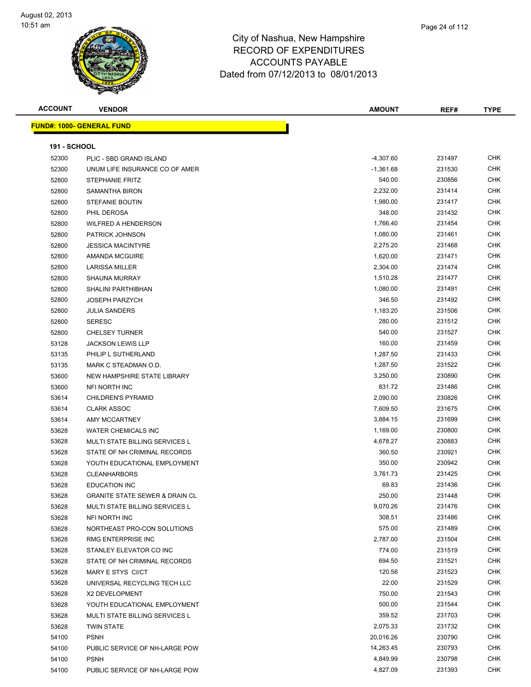

| <b>ACCOUNT</b>      | <b>VENDOR</b>                             | <b>AMOUNT</b> | REF#   | TYPE       |
|---------------------|-------------------------------------------|---------------|--------|------------|
|                     | <b>FUND#: 1000- GENERAL FUND</b>          |               |        |            |
| <b>191 - SCHOOL</b> |                                           |               |        |            |
| 52300               | PLIC - SBD GRAND ISLAND                   | $-4,307.60$   | 231497 | <b>CHK</b> |
| 52300               | UNUM LIFE INSURANCE CO OF AMER            | $-1,361.68$   | 231530 | <b>CHK</b> |
| 52800               | <b>STEPHANIE FRITZ</b>                    | 540.00        | 230856 | <b>CHK</b> |
| 52800               | <b>SAMANTHA BIRON</b>                     | 2,232.00      | 231414 | <b>CHK</b> |
| 52800               | <b>STEFANIE BOUTIN</b>                    | 1,980.00      | 231417 | <b>CHK</b> |
| 52800               | PHIL DEROSA                               | 348.00        | 231432 | <b>CHK</b> |
| 52800               | <b>WILFRED A HENDERSON</b>                | 1,766.40      | 231454 | <b>CHK</b> |
| 52800               | <b>PATRICK JOHNSON</b>                    | 1,080.00      | 231461 | <b>CHK</b> |
| 52800               | <b>JESSICA MACINTYRE</b>                  | 2,275.20      | 231468 | <b>CHK</b> |
| 52800               | <b>AMANDA MCGUIRE</b>                     | 1,620.00      | 231471 | <b>CHK</b> |
| 52800               | <b>LARISSA MILLER</b>                     | 2,304.00      | 231474 | <b>CHK</b> |
| 52800               | <b>SHAUNA MURRAY</b>                      | 1,510.28      | 231477 | <b>CHK</b> |
| 52800               | <b>SHALINI PARTHIBHAN</b>                 | 1,080.00      | 231491 | <b>CHK</b> |
| 52800               | <b>JOSEPH PARZYCH</b>                     | 346.50        | 231492 | <b>CHK</b> |
| 52800               | <b>JULIA SANDERS</b>                      | 1,183.20      | 231506 | <b>CHK</b> |
| 52800               | <b>SERESC</b>                             | 280.00        | 231512 | <b>CHK</b> |
| 52800               | <b>CHELSEY TURNER</b>                     | 540.00        | 231527 | <b>CHK</b> |
| 53128               | <b>JACKSON LEWIS LLP</b>                  | 160.00        | 231459 | <b>CHK</b> |
| 53135               | PHILIP L SUTHERLAND                       | 1,287.50      | 231433 | <b>CHK</b> |
| 53135               | MARK C STEADMAN O.D.                      | 1,287.50      | 231522 | <b>CHK</b> |
| 53600               | NEW HAMPSHIRE STATE LIBRARY               | 3,250.00      | 230890 | <b>CHK</b> |
| 53600               | NFI NORTH INC                             | 831.72        | 231486 | <b>CHK</b> |
| 53614               | <b>CHILDREN'S PYRAMID</b>                 | 2,090.00      | 230826 | <b>CHK</b> |
| 53614               | <b>CLARK ASSOC</b>                        | 7,609.50      | 231675 | <b>CHK</b> |
| 53614               | AMY MCCARTNEY                             | 3,884.15      | 231699 | <b>CHK</b> |
| 53628               | <b>WATER CHEMICALS INC</b>                | 1,169.00      | 230800 | <b>CHK</b> |
| 53628               | MULTI STATE BILLING SERVICES L            | 4,678.27      | 230883 | <b>CHK</b> |
| 53628               | STATE OF NH CRIMINAL RECORDS              | 360.50        | 230921 | <b>CHK</b> |
| 53628               | YOUTH EDUCATIONAL EMPLOYMENT              | 350.00        | 230942 | <b>CHK</b> |
| 53628               | <b>CLEANHARBORS</b>                       | 3,761.73      | 231425 | <b>CHK</b> |
| 53628               | <b>EDUCATION INC</b>                      | 69.83         | 231436 | <b>CHK</b> |
| 53628               | <b>GRANITE STATE SEWER &amp; DRAIN CL</b> | 250.00        | 231448 | <b>CHK</b> |
| 53628               | <b>MULTI STATE BILLING SERVICES L</b>     | 9,070.26      | 231476 | <b>CHK</b> |
| 53628               | NFI NORTH INC                             | 308.51        | 231486 | <b>CHK</b> |
| 53628               | NORTHEAST PRO-CON SOLUTIONS               | 575.00        | 231489 | <b>CHK</b> |
| 53628               | RMG ENTERPRISE INC                        | 2,787.00      | 231504 | <b>CHK</b> |
| 53628               | STANLEY ELEVATOR CO INC                   | 774.00        | 231519 | <b>CHK</b> |
| 53628               | STATE OF NH CRIMINAL RECORDS              | 694.50        | 231521 | <b>CHK</b> |
| 53628               | MARY E STYS CI/CT                         | 120.56        | 231523 | <b>CHK</b> |
| 53628               | UNIVERSAL RECYCLING TECH LLC              | 22.00         | 231529 | <b>CHK</b> |
| 53628               | X2 DEVELOPMENT                            | 750.00        | 231543 | <b>CHK</b> |
| 53628               | YOUTH EDUCATIONAL EMPLOYMENT              | 500.00        | 231544 | <b>CHK</b> |
| 53628               | MULTI STATE BILLING SERVICES L            | 359.52        | 231703 | <b>CHK</b> |
| 53628               | <b>TWIN STATE</b>                         | 2,075.33      | 231732 | <b>CHK</b> |
| 54100               | <b>PSNH</b>                               | 20,016.26     | 230790 | <b>CHK</b> |
| 54100               | PUBLIC SERVICE OF NH-LARGE POW            | 14,263.45     | 230793 | <b>CHK</b> |
| 54100               | <b>PSNH</b>                               | 4,849.99      | 230798 | <b>CHK</b> |
| 54100               | PUBLIC SERVICE OF NH-LARGE POW            | 4,827.09      | 231393 | <b>CHK</b> |
|                     |                                           |               |        |            |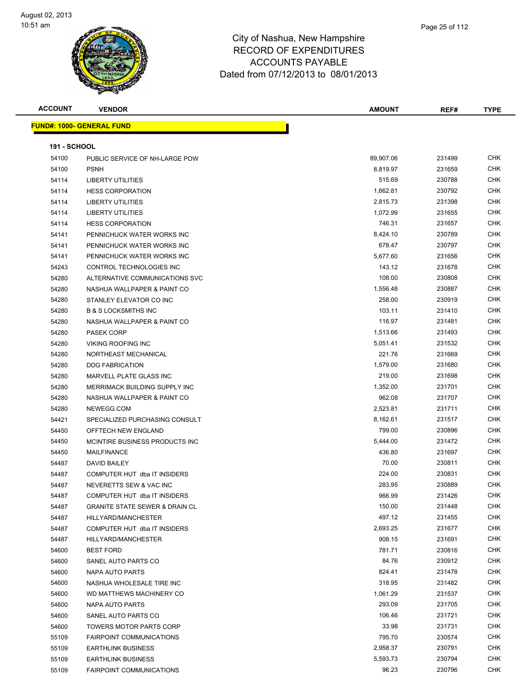

'n

**ACCOUNT VENDOR AMOUNT REF# TYPE**

**FUND#: 1000- GENERAL FUND**

| <b>191 - SCHOOL</b> |                                           |           |        |            |
|---------------------|-------------------------------------------|-----------|--------|------------|
| 54100               | PUBLIC SERVICE OF NH-LARGE POW            | 89,907.06 | 231499 | <b>CHK</b> |
| 54100               | <b>PSNH</b>                               | 8,819.97  | 231659 | <b>CHK</b> |
| 54114               | <b>LIBERTY UTILITIES</b>                  | 515.69    | 230788 | CHK        |
| 54114               | <b>HESS CORPORATION</b>                   | 1,662.81  | 230792 | <b>CHK</b> |
| 54114               | <b>LIBERTY UTILITIES</b>                  | 2,815.73  | 231398 | <b>CHK</b> |
| 54114               | LIBERTY UTILITIES                         | 1,072.99  | 231655 | <b>CHK</b> |
| 54114               | <b>HESS CORPORATION</b>                   | 746.31    | 231657 | <b>CHK</b> |
| 54141               | PENNICHUCK WATER WORKS INC                | 8,424.10  | 230789 | CHK        |
| 54141               | PENNICHUCK WATER WORKS INC                | 678.47    | 230797 | CHK        |
| 54141               | PENNICHUCK WATER WORKS INC                | 5,677.60  | 231656 | <b>CHK</b> |
| 54243               | CONTROL TECHNOLOGIES INC                  | 143.12    | 231678 | <b>CHK</b> |
| 54280               | ALTERNATIVE COMMUNICATIONS SVC            | 108.00    | 230808 | CHK        |
| 54280               | NASHUA WALLPAPER & PAINT CO               | 1,556.48  | 230887 | CHK        |
| 54280               | STANLEY ELEVATOR CO INC                   | 258.00    | 230919 | <b>CHK</b> |
| 54280               | <b>B &amp; S LOCKSMITHS INC</b>           | 103.11    | 231410 | <b>CHK</b> |
| 54280               | NASHUA WALLPAPER & PAINT CO               | 116.97    | 231481 | <b>CHK</b> |
| 54280               | <b>PASEK CORP</b>                         | 1,513.66  | 231493 | <b>CHK</b> |
| 54280               | <b>VIKING ROOFING INC</b>                 | 5,051.41  | 231532 | <b>CHK</b> |
| 54280               | NORTHEAST MECHANICAL                      | 221.76    | 231669 | <b>CHK</b> |
| 54280               | <b>DDG FABRICATION</b>                    | 1,579.00  | 231680 | <b>CHK</b> |
| 54280               | MARVELL PLATE GLASS INC                   | 219.00    | 231698 | <b>CHK</b> |
| 54280               | MERRIMACK BUILDING SUPPLY INC             | 1,352.00  | 231701 | <b>CHK</b> |
| 54280               | NASHUA WALLPAPER & PAINT CO               | 962.08    | 231707 | CHK        |
| 54280               | NEWEGG.COM                                | 2,523.81  | 231711 | <b>CHK</b> |
| 54421               | SPECIALIZED PURCHASING CONSULT            | 8,162.61  | 231517 | <b>CHK</b> |
| 54450               | OFFTECH NEW ENGLAND                       | 799.00    | 230896 | <b>CHK</b> |
| 54450               | MCINTIRE BUSINESS PRODUCTS INC            | 5,444.00  | 231472 | <b>CHK</b> |
| 54450               | <b>MAILFINANCE</b>                        | 436.80    | 231697 | <b>CHK</b> |
| 54487               | <b>DAVID BAILEY</b>                       | 70.00     | 230811 | CHK        |
| 54487               | COMPUTER HUT dba IT INSIDERS              | 224.00    | 230831 | CHK        |
| 54487               | NEVERETTS SEW & VAC INC                   | 283.95    | 230889 | <b>CHK</b> |
| 54487               | COMPUTER HUT dba IT INSIDERS              | 966.99    | 231426 | <b>CHK</b> |
| 54487               | <b>GRANITE STATE SEWER &amp; DRAIN CL</b> | 150.00    | 231448 | CHK        |
| 54487               | HILLYARD/MANCHESTER                       | 497.12    | 231455 | CHK        |
| 54487               | COMPUTER HUT dba IT INSIDERS              | 2,693.25  | 231677 | <b>CHK</b> |
| 54487               | HILLYARD/MANCHESTER                       | 908.15    | 231691 | <b>CHK</b> |
| 54600               | <b>BEST FORD</b>                          | 781.71    | 230816 | <b>CHK</b> |
| 54600               | SANEL AUTO PARTS CO                       | 84.76     | 230912 | <b>CHK</b> |
| 54600               | NAPA AUTO PARTS                           | 824.41    | 231478 | СНК        |
| 54600               | NASHUA WHOLESALE TIRE INC                 | 318.95    | 231482 | CHK        |
| 54600               | WD MATTHEWS MACHINERY CO                  | 1,061.29  | 231537 | CHK        |
| 54600               | <b>NAPA AUTO PARTS</b>                    | 293.09    | 231705 | CHK        |
| 54600               | SANEL AUTO PARTS CO                       | 106.46    | 231721 | CHK        |
| 54600               | TOWERS MOTOR PARTS CORP                   | 33.98     | 231731 | <b>CHK</b> |
| 55109               | <b>FAIRPOINT COMMUNICATIONS</b>           | 795.70    | 230574 | CHK        |
| 55109               | <b>EARTHLINK BUSINESS</b>                 | 2,958.37  | 230791 | CHK        |
| 55109               | <b>EARTHLINK BUSINESS</b>                 | 5,593.73  | 230794 | CHK        |
| 55109               | <b>FAIRPOINT COMMUNICATIONS</b>           | 96.23     | 230796 | <b>CHK</b> |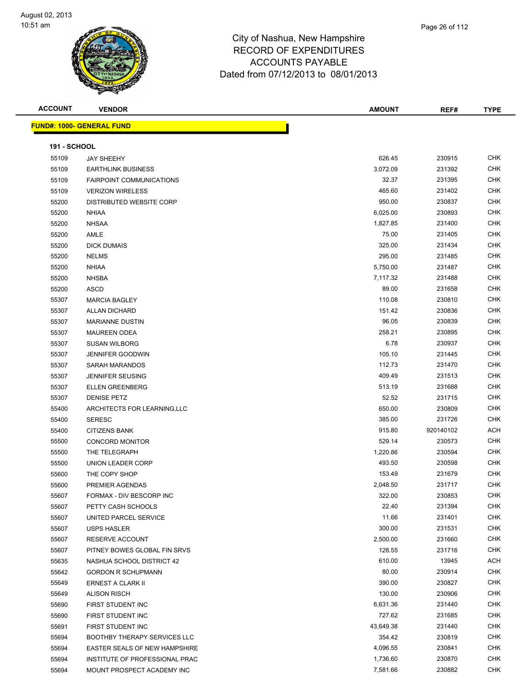

| <b>ACCOUNT</b>      | <b>VENDOR</b>                       | <b>AMOUNT</b> | REF#      | <b>TYPE</b> |
|---------------------|-------------------------------------|---------------|-----------|-------------|
|                     | <b>FUND#: 1000- GENERAL FUND</b>    |               |           |             |
|                     |                                     |               |           |             |
| <b>191 - SCHOOL</b> |                                     |               |           |             |
| 55109               | <b>JAY SHEEHY</b>                   | 626.45        | 230915    | <b>CHK</b>  |
| 55109               | <b>EARTHLINK BUSINESS</b>           | 3,072.09      | 231392    | <b>CHK</b>  |
| 55109               | <b>FAIRPOINT COMMUNICATIONS</b>     | 32.37         | 231395    | <b>CHK</b>  |
| 55109               | <b>VERIZON WIRELESS</b>             | 465.60        | 231402    | <b>CHK</b>  |
| 55200               | <b>DISTRIBUTED WEBSITE CORP</b>     | 950.00        | 230837    | <b>CHK</b>  |
| 55200               | <b>NHIAA</b>                        | 6,025.00      | 230893    | <b>CHK</b>  |
| 55200               | <b>NHSAA</b>                        | 1,827.85      | 231400    | CHK         |
| 55200               | AMLE                                | 75.00         | 231405    | <b>CHK</b>  |
| 55200               | <b>DICK DUMAIS</b>                  | 325.00        | 231434    | CHK         |
| 55200               | <b>NELMS</b>                        | 295.00        | 231485    | <b>CHK</b>  |
| 55200               | <b>NHIAA</b>                        | 5,750.00      | 231487    | <b>CHK</b>  |
| 55200               | <b>NHSBA</b>                        | 7,117.32      | 231488    | <b>CHK</b>  |
| 55200               | ASCD                                | 89.00         | 231658    | <b>CHK</b>  |
| 55307               | <b>MARCIA BAGLEY</b>                | 110.08        | 230810    | <b>CHK</b>  |
| 55307               | <b>ALLAN DICHARD</b>                | 151.42        | 230836    | <b>CHK</b>  |
| 55307               | <b>MARIANNE DUSTIN</b>              | 96.05         | 230839    | <b>CHK</b>  |
| 55307               | <b>MAUREEN ODEA</b>                 | 258.21        | 230895    | <b>CHK</b>  |
| 55307               | <b>SUSAN WILBORG</b>                | 6.78          | 230937    | <b>CHK</b>  |
| 55307               | <b>JENNIFER GOODWIN</b>             | 105.10        | 231445    | <b>CHK</b>  |
| 55307               | <b>SARAH MARANDOS</b>               | 112.73        | 231470    | <b>CHK</b>  |
| 55307               | <b>JENNIFER SEUSING</b>             | 409.49        | 231513    | <b>CHK</b>  |
| 55307               | <b>ELLEN GREENBERG</b>              | 513.19        | 231688    | <b>CHK</b>  |
| 55307               | <b>DENISE PETZ</b>                  | 52.52         | 231715    | <b>CHK</b>  |
| 55400               | ARCHITECTS FOR LEARNING, LLC        | 650.00        | 230809    | <b>CHK</b>  |
| 55400               | <b>SERESC</b>                       | 385.00        | 231726    | <b>CHK</b>  |
| 55400               | <b>CITIZENS BANK</b>                | 915.80        | 920140102 | <b>ACH</b>  |
| 55500               | <b>CONCORD MONITOR</b>              | 529.14        | 230573    | <b>CHK</b>  |
| 55500               | THE TELEGRAPH                       | 1,220.86      | 230594    | <b>CHK</b>  |
| 55500               | UNION LEADER CORP                   | 493.50        | 230598    | <b>CHK</b>  |
| 55600               | THE COPY SHOP                       | 153.49        | 231679    | <b>CHK</b>  |
| 55600               | PREMIER AGENDAS                     | 2,048.50      | 231717    | <b>CHK</b>  |
| 55607               | FORMAX - DIV BESCORP INC            | 322.00        | 230853    | <b>CHK</b>  |
| 55607               | PETTY CASH SCHOOLS                  | 22.40         | 231394    | <b>CHK</b>  |
| 55607               | UNITED PARCEL SERVICE               | 11.66         | 231401    | <b>CHK</b>  |
| 55607               | <b>USPS HASLER</b>                  | 300.00        | 231531    | <b>CHK</b>  |
| 55607               | RESERVE ACCOUNT                     | 2,500.00      | 231660    | <b>CHK</b>  |
| 55607               | PITNEY BOWES GLOBAL FIN SRVS        | 128.55        | 231716    | <b>CHK</b>  |
| 55635               | NASHUA SCHOOL DISTRICT 42           | 610.00        | 13945     | <b>ACH</b>  |
| 55642               | <b>GORDON R SCHUPMANN</b>           | 80.00         | 230914    | <b>CHK</b>  |
| 55649               | ERNEST A CLARK II                   | 390.00        | 230827    | <b>CHK</b>  |
| 55649               | <b>ALISON RISCH</b>                 | 130.00        | 230906    | <b>CHK</b>  |
| 55690               | FIRST STUDENT INC                   | 6,631.36      | 231440    | <b>CHK</b>  |
| 55690               | FIRST STUDENT INC                   | 727.62        | 231685    | <b>CHK</b>  |
| 55691               | FIRST STUDENT INC                   | 43,649.38     | 231440    | <b>CHK</b>  |
| 55694               | <b>BOOTHBY THERAPY SERVICES LLC</b> | 354.42        | 230819    | CHK         |
| 55694               | EASTER SEALS OF NEW HAMPSHIRE       | 4,096.55      | 230841    | CHK         |
| 55694               | INSTITUTE OF PROFESSIONAL PRAC      | 1,736.60      | 230870    | <b>CHK</b>  |
| 55694               | MOUNT PROSPECT ACADEMY INC          | 7,581.66      | 230882    | <b>CHK</b>  |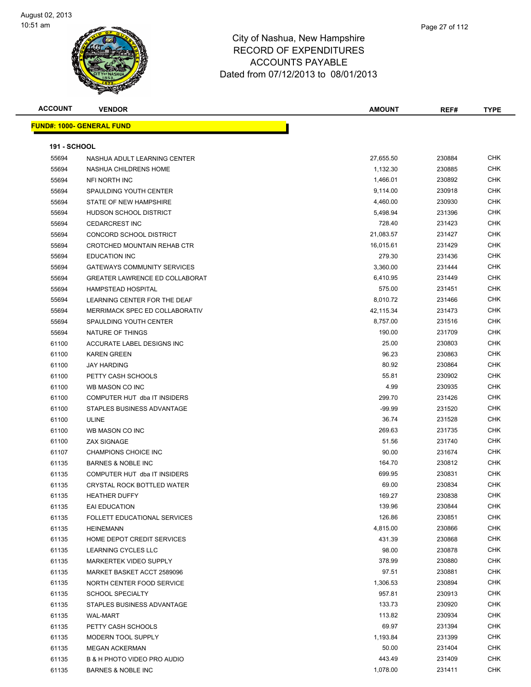

**ACCOUNT VENDOR AMOUNT REF# TYPE**

**FUND#: 1000- GENERAL FUND 191 - SCHOOL** NASHUA ADULT LEARNING CENTER 27,655.50 230884 CHK NASHUA CHILDRENS HOME 1,132.30 230885 CHK NFI NORTH INC 1,466.01 230892 CHK 55694 SPAULDING YOUTH CENTER CONTROL CONTROL CONTROL CONTROL CONTROL CONTROL CONTROL CONTROL CONTROL CONTROL CONTROL CONTROL CONTROL CONTROL CONTROL CONTROL CONTROL CONTROL CONTROL CONTROL CONTROL CONTROL CONTROL CONTROL C STATE OF NEW HAMPSHIRE 4,460.00 230930 CHK 55694 HUDSON SCHOOL DISTRICT AND SALES AND STATE STATES AND STATES AND STATES AND STATES AND STATES AND STATES CEDARCREST INC 728.40 231423 CHK CONCORD SCHOOL DISTRICT 21,083.57 231427 CHK CROTCHED MOUNTAIN REHAB CTR 16,015.61 231429 CHK EDUCATION INC 279.30 231436 CHK 55694 GATEWAYS COMMUNITY SERVICES **1999 120 SERVICES** 3,360.00 231444 CHK GREATER LAWRENCE ED COLLABORAT 6,410.95 231449 CHK HAMPSTEAD HOSPITAL 575.00 231451 CHK 55694 LEARNING CENTER FOR THE DEAF 8,010.72 231466 CHK MERRIMACK SPEC ED COLLABORATIV 42,115.34 231473 CHK 55694 SPAULDING YOUTH CENTER SALL BETWEEN A SALL BETWEEN STATES AND RESIDENCE A SALL BETWEEN STATES AND RESIDEN NATURE OF THINGS 190.00 231709 CHK ACCURATE LABEL DESIGNS INC 25.00 230803 CHK KAREN GREEN 96.23 230863 CHK JAY HARDING 80.92 230864 CHK er and the PETTY CASH SCHOOLS and the state of the state of the state of the state of the state of the state of the state of the state of the state of the state of the state of the state of the state of the state of the st WB MASON CO INC 4.99 230935 CHK COMPUTER HUT dba IT INSIDERS 299.70 231426 CHK STAPLES BUSINESS ADVANTAGE -99.99 231520 CHK ULINE 36.74 231528 CHK WB MASON CO INC 269.63 231735 CHK ZAX SIGNAGE 51.56 231740 CHK 61107 CHAMPIONS CHOICE INC **CHAMPIONS** CHOICE INC BARNES & NOBLE INC 164.70 230812 CHK COMPUTER HUT dba IT INSIDERS 699.95 230831 CHK CRYSTAL ROCK BOTTLED WATER 69.00 230834 CHK HEATHER DUFFY 169.27 230838 CHK EAI EDUCATION 139.96 230844 CHK FOLLETT EDUCATIONAL SERVICES 126.86 230851 CHK HEINEMANN 4,815.00 230866 CHK HOME DEPOT CREDIT SERVICES 431.39 230868 CHK LEARNING CYCLES LLC 98.00 230878 CHK

 MARKERTEK VIDEO SUPPLY 378.99 230880 CHK MARKET BASKET ACCT 2589096 97.51 230881 CHK er 1135 NORTH CENTER FOOD SERVICE NEXT CONSERVICE A LOCAL CHK CHK CHK 1,306.53 230894 CHK SCHOOL SPECIALTY 957.81 230913 CHK er 61135 STAPLES BUSINESS ADVANTAGE AND STAPE 133.73 230920 CHK WAL-MART 113.82 230934 CHK PETTY CASH SCHOOLS 69.97 231394 CHK 61135 MODERN TOOL SUPPLY **1.193.84** 231399 CHK MEGAN ACKERMAN 50.00 231404 CHK B & H PHOTO VIDEO PRO AUDIO 443.49 231409 CHK BARNES & NOBLE INC 1,078.00 231411 CHK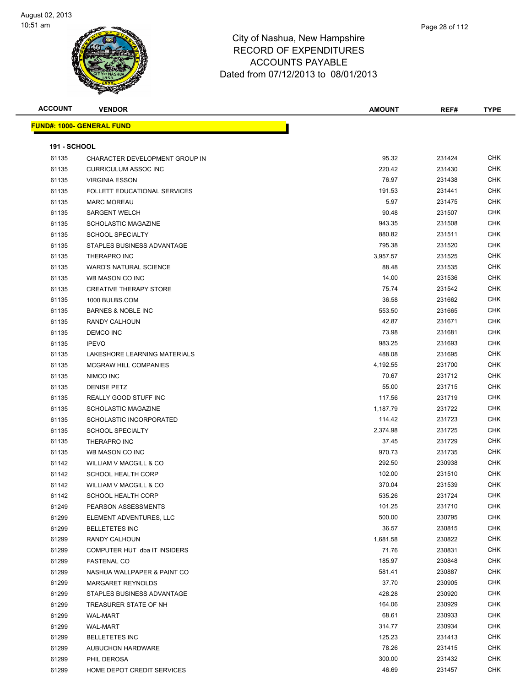

| <b>ACCOUNT</b>      | <b>VENDOR</b>                     | <b>AMOUNT</b> | REF#   | <b>TYPE</b> |
|---------------------|-----------------------------------|---------------|--------|-------------|
|                     | <u> FUND#: 1000- GENERAL FUND</u> |               |        |             |
|                     |                                   |               |        |             |
| <b>191 - SCHOOL</b> |                                   |               |        |             |
| 61135               | CHARACTER DEVELOPMENT GROUP IN    | 95.32         | 231424 | <b>CHK</b>  |
| 61135               | <b>CURRICULUM ASSOC INC</b>       | 220.42        | 231430 | <b>CHK</b>  |
| 61135               | <b>VIRGINIA ESSON</b>             | 76.97         | 231438 | <b>CHK</b>  |
| 61135               | FOLLETT EDUCATIONAL SERVICES      | 191.53        | 231441 | <b>CHK</b>  |
| 61135               | <b>MARC MOREAU</b>                | 5.97          | 231475 | <b>CHK</b>  |
| 61135               | <b>SARGENT WELCH</b>              | 90.48         | 231507 | <b>CHK</b>  |
| 61135               | <b>SCHOLASTIC MAGAZINE</b>        | 943.35        | 231508 | <b>CHK</b>  |
| 61135               | <b>SCHOOL SPECIALTY</b>           | 880.82        | 231511 | <b>CHK</b>  |
| 61135               | STAPLES BUSINESS ADVANTAGE        | 795.38        | 231520 | <b>CHK</b>  |
| 61135               | THERAPRO INC                      | 3,957.57      | 231525 | <b>CHK</b>  |
| 61135               | <b>WARD'S NATURAL SCIENCE</b>     | 88.48         | 231535 | <b>CHK</b>  |
| 61135               | WB MASON CO INC                   | 14.00         | 231536 | <b>CHK</b>  |
| 61135               | <b>CREATIVE THERAPY STORE</b>     | 75.74         | 231542 | <b>CHK</b>  |
| 61135               | 1000 BULBS.COM                    | 36.58         | 231662 | <b>CHK</b>  |
| 61135               | <b>BARNES &amp; NOBLE INC</b>     | 553.50        | 231665 | <b>CHK</b>  |
| 61135               | RANDY CALHOUN                     | 42.87         | 231671 | <b>CHK</b>  |
| 61135               | <b>DEMCO INC</b>                  | 73.98         | 231681 | <b>CHK</b>  |
| 61135               | <b>IPEVO</b>                      | 983.25        | 231693 | <b>CHK</b>  |
| 61135               | LAKESHORE LEARNING MATERIALS      | 488.08        | 231695 | <b>CHK</b>  |
| 61135               | <b>MCGRAW HILL COMPANIES</b>      | 4,192.55      | 231700 | <b>CHK</b>  |
| 61135               | NIMCO INC                         | 70.67         | 231712 | <b>CHK</b>  |
| 61135               | <b>DENISE PETZ</b>                | 55.00         | 231715 | CHK         |
| 61135               | REALLY GOOD STUFF INC             | 117.56        | 231719 | <b>CHK</b>  |
| 61135               | SCHOLASTIC MAGAZINE               | 1,187.79      | 231722 | <b>CHK</b>  |
| 61135               | SCHOLASTIC INCORPORATED           | 114.42        | 231723 | <b>CHK</b>  |
| 61135               | <b>SCHOOL SPECIALTY</b>           | 2,374.98      | 231725 | <b>CHK</b>  |
| 61135               | THERAPRO INC                      | 37.45         | 231729 | <b>CHK</b>  |
| 61135               | WB MASON CO INC                   | 970.73        | 231735 | <b>CHK</b>  |
| 61142               | <b>WILLIAM V MACGILL &amp; CO</b> | 292.50        | 230938 | <b>CHK</b>  |
| 61142               | <b>SCHOOL HEALTH CORP</b>         | 102.00        | 231510 | <b>CHK</b>  |
| 61142               | WILLIAM V MACGILL & CO            | 370.04        | 231539 | <b>CHK</b>  |
| 61142               | SCHOOL HEALTH CORP                | 535.26        | 231724 | <b>CHK</b>  |
| 61249               | PEARSON ASSESSMENTS               | 101.25        | 231710 | CHK         |
| 61299               | ELEMENT ADVENTURES, LLC           | 500.00        | 230795 | <b>CHK</b>  |
| 61299               | <b>BELLETETES INC</b>             | 36.57         | 230815 | <b>CHK</b>  |
| 61299               | RANDY CALHOUN                     | 1,681.58      | 230822 | <b>CHK</b>  |
| 61299               | COMPUTER HUT dba IT INSIDERS      | 71.76         | 230831 | <b>CHK</b>  |
| 61299               | <b>FASTENAL CO</b>                | 185.97        | 230848 | <b>CHK</b>  |
| 61299               | NASHUA WALLPAPER & PAINT CO       | 581.41        | 230887 | <b>CHK</b>  |
| 61299               | MARGARET REYNOLDS                 | 37.70         | 230905 | <b>CHK</b>  |
| 61299               | STAPLES BUSINESS ADVANTAGE        | 428.28        | 230920 | <b>CHK</b>  |
| 61299               | TREASURER STATE OF NH             | 164.06        | 230929 | <b>CHK</b>  |
| 61299               | <b>WAL-MART</b>                   | 68.61         | 230933 | <b>CHK</b>  |
| 61299               | <b>WAL-MART</b>                   | 314.77        | 230934 | <b>CHK</b>  |
| 61299               | <b>BELLETETES INC</b>             | 125.23        | 231413 | <b>CHK</b>  |
| 61299               | <b>AUBUCHON HARDWARE</b>          | 78.26         | 231415 | <b>CHK</b>  |
| 61299               | PHIL DEROSA                       | 300.00        | 231432 | <b>CHK</b>  |
| 61299               | HOME DEPOT CREDIT SERVICES        | 46.69         | 231457 | <b>CHK</b>  |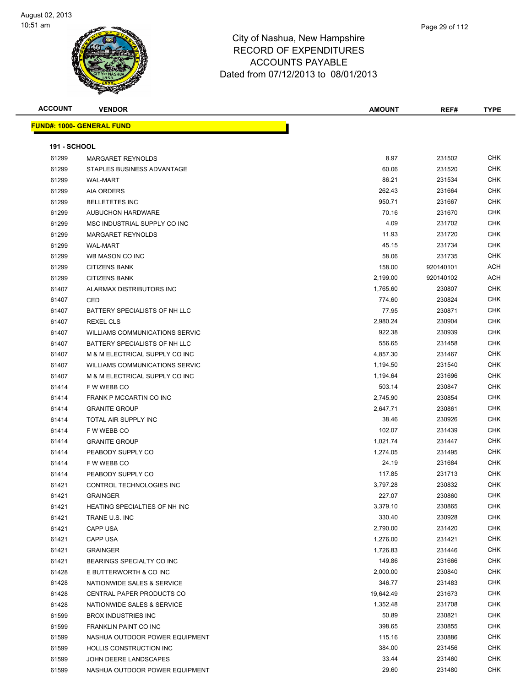

| <b>ACCOUNT</b>      | <b>VENDOR</b>                         | <b>AMOUNT</b> | REF#      | <b>TYPE</b> |
|---------------------|---------------------------------------|---------------|-----------|-------------|
|                     | <b>FUND#: 1000- GENERAL FUND</b>      |               |           |             |
|                     |                                       |               |           |             |
| <b>191 - SCHOOL</b> |                                       |               |           |             |
| 61299               | MARGARET REYNOLDS                     | 8.97          | 231502    | CHK         |
| 61299               | STAPLES BUSINESS ADVANTAGE            | 60.06         | 231520    | <b>CHK</b>  |
| 61299               | <b>WAL-MART</b>                       | 86.21         | 231534    | CHK         |
| 61299               | <b>AIA ORDERS</b>                     | 262.43        | 231664    | <b>CHK</b>  |
| 61299               | <b>BELLETETES INC</b>                 | 950.71        | 231667    | <b>CHK</b>  |
| 61299               | <b>AUBUCHON HARDWARE</b>              | 70.16         | 231670    | <b>CHK</b>  |
| 61299               | MSC INDUSTRIAL SUPPLY CO INC          | 4.09          | 231702    | <b>CHK</b>  |
| 61299               | MARGARET REYNOLDS                     | 11.93         | 231720    | <b>CHK</b>  |
| 61299               | <b>WAL-MART</b>                       | 45.15         | 231734    | <b>CHK</b>  |
| 61299               | WB MASON CO INC                       | 58.06         | 231735    | <b>CHK</b>  |
| 61299               | <b>CITIZENS BANK</b>                  | 158.00        | 920140101 | ACH         |
| 61299               | <b>CITIZENS BANK</b>                  | 2,199.00      | 920140102 | <b>ACH</b>  |
| 61407               | ALARMAX DISTRIBUTORS INC              | 1,765.60      | 230807    | <b>CHK</b>  |
| 61407               | CED                                   | 774.60        | 230824    | CHK         |
| 61407               | BATTERY SPECIALISTS OF NH LLC         | 77.95         | 230871    | CHK         |
| 61407               | <b>REXEL CLS</b>                      | 2,980.24      | 230904    | <b>CHK</b>  |
| 61407               | <b>WILLIAMS COMMUNICATIONS SERVIC</b> | 922.38        | 230939    | CHK         |
| 61407               | BATTERY SPECIALISTS OF NH LLC         | 556.65        | 231458    | <b>CHK</b>  |
| 61407               | M & M ELECTRICAL SUPPLY CO INC        | 4,857.30      | 231467    | <b>CHK</b>  |
| 61407               | <b>WILLIAMS COMMUNICATIONS SERVIC</b> | 1,194.50      | 231540    | CHK         |
| 61407               | M & M ELECTRICAL SUPPLY CO INC        | 1,194.64      | 231696    | <b>CHK</b>  |
| 61414               | F W WEBB CO                           | 503.14        | 230847    | CHK         |
| 61414               | FRANK P MCCARTIN CO INC               | 2,745.90      | 230854    | <b>CHK</b>  |
| 61414               | <b>GRANITE GROUP</b>                  | 2,647.71      | 230861    | <b>CHK</b>  |
| 61414               | TOTAL AIR SUPPLY INC                  | 38.46         | 230926    | <b>CHK</b>  |
| 61414               | F W WEBB CO                           | 102.07        | 231439    | <b>CHK</b>  |
| 61414               | <b>GRANITE GROUP</b>                  | 1,021.74      | 231447    | <b>CHK</b>  |
| 61414               | PEABODY SUPPLY CO                     | 1,274.05      | 231495    | CHK         |
| 61414               | F W WEBB CO                           | 24.19         | 231684    | <b>CHK</b>  |
| 61414               | PEABODY SUPPLY CO                     | 117.85        | 231713    | CHK         |
| 61421               | CONTROL TECHNOLOGIES INC              | 3,797.28      | 230832    | CHK         |
| 61421               | <b>GRAINGER</b>                       | 227.07        | 230860    | CHK         |
| 61421               | HEATING SPECIALTIES OF NH INC         | 3,379.10      | 230865    | CHK         |
| 61421               | TRANE U.S. INC                        | 330.40        | 230928    | CHK         |
| 61421               | <b>CAPP USA</b>                       | 2,790.00      | 231420    | <b>CHK</b>  |
| 61421               | <b>CAPP USA</b>                       | 1,276.00      | 231421    | <b>CHK</b>  |
| 61421               | <b>GRAINGER</b>                       | 1,726.83      | 231446    | <b>CHK</b>  |
| 61421               | BEARINGS SPECIALTY CO INC             | 149.86        | 231666    | <b>CHK</b>  |
| 61428               | E BUTTERWORTH & CO INC                | 2,000.00      | 230840    | CHK         |
| 61428               | NATIONWIDE SALES & SERVICE            | 346.77        | 231483    | <b>CHK</b>  |
| 61428               | CENTRAL PAPER PRODUCTS CO             | 19,642.49     | 231673    | <b>CHK</b>  |
| 61428               | NATIONWIDE SALES & SERVICE            | 1,352.48      | 231708    | <b>CHK</b>  |
| 61599               | <b>BROX INDUSTRIES INC</b>            | 50.89         | 230821    | <b>CHK</b>  |
| 61599               | FRANKLIN PAINT CO INC                 | 398.65        | 230855    | CHK         |
| 61599               | NASHUA OUTDOOR POWER EQUIPMENT        | 115.16        | 230886    | CHK         |
| 61599               | HOLLIS CONSTRUCTION INC               | 384.00        | 231456    | CHK         |
| 61599               | JOHN DEERE LANDSCAPES                 | 33.44         | 231460    | <b>CHK</b>  |
| 61599               | NASHUA OUTDOOR POWER EQUIPMENT        | 29.60         | 231480    | <b>CHK</b>  |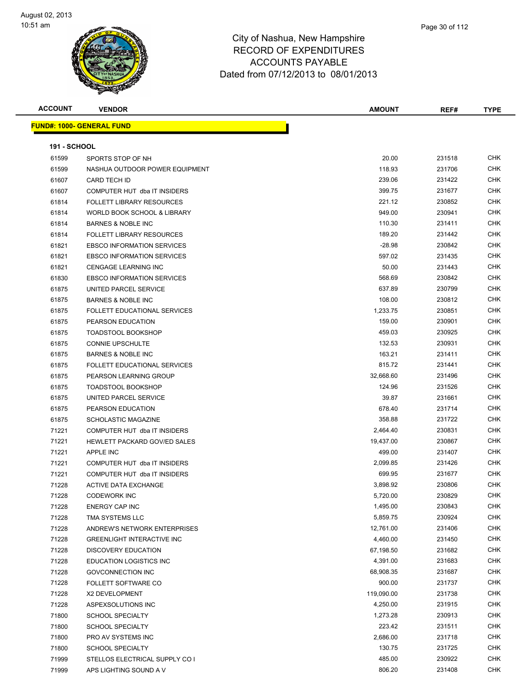

| Page 30 of 112 |  |
|----------------|--|
|                |  |
|                |  |

| <b>ACCOUNT</b>      | <b>VENDOR</b>                       | <b>AMOUNT</b> | REF#   | <b>TYPE</b> |
|---------------------|-------------------------------------|---------------|--------|-------------|
|                     | <b>FUND#: 1000- GENERAL FUND</b>    |               |        |             |
|                     |                                     |               |        |             |
| <b>191 - SCHOOL</b> |                                     |               |        |             |
| 61599               | SPORTS STOP OF NH                   | 20.00         | 231518 | <b>CHK</b>  |
| 61599               | NASHUA OUTDOOR POWER EQUIPMENT      | 118.93        | 231706 | CHK         |
| 61607               | <b>CARD TECH ID</b>                 | 239.06        | 231422 | CHK         |
| 61607               | COMPUTER HUT dba IT INSIDERS        | 399.75        | 231677 | <b>CHK</b>  |
| 61814               | <b>FOLLETT LIBRARY RESOURCES</b>    | 221.12        | 230852 | CHK         |
| 61814               | WORLD BOOK SCHOOL & LIBRARY         | 949.00        | 230941 | CHK         |
| 61814               | <b>BARNES &amp; NOBLE INC</b>       | 110.30        | 231411 | <b>CHK</b>  |
| 61814               | <b>FOLLETT LIBRARY RESOURCES</b>    | 189.20        | 231442 | CHK         |
| 61821               | <b>EBSCO INFORMATION SERVICES</b>   | $-28.98$      | 230842 | CHK         |
| 61821               | <b>EBSCO INFORMATION SERVICES</b>   | 597.02        | 231435 | CHK         |
| 61821               | <b>CENGAGE LEARNING INC</b>         | 50.00         | 231443 | CHK         |
| 61830               | <b>EBSCO INFORMATION SERVICES</b>   | 568.69        | 230842 | CHK         |
| 61875               | UNITED PARCEL SERVICE               | 637.89        | 230799 | <b>CHK</b>  |
| 61875               | <b>BARNES &amp; NOBLE INC</b>       | 108.00        | 230812 | CHK         |
| 61875               | <b>FOLLETT EDUCATIONAL SERVICES</b> | 1,233.75      | 230851 | <b>CHK</b>  |
| 61875               | PEARSON EDUCATION                   | 159.00        | 230901 | <b>CHK</b>  |
| 61875               | <b>TOADSTOOL BOOKSHOP</b>           | 459.03        | 230925 | <b>CHK</b>  |
| 61875               | <b>CONNIE UPSCHULTE</b>             | 132.53        | 230931 | <b>CHK</b>  |
| 61875               | <b>BARNES &amp; NOBLE INC</b>       | 163.21        | 231411 | CHK         |
| 61875               | <b>FOLLETT EDUCATIONAL SERVICES</b> | 815.72        | 231441 | <b>CHK</b>  |
| 61875               | PEARSON LEARNING GROUP              | 32,668.60     | 231496 | CHK         |
| 61875               | <b>TOADSTOOL BOOKSHOP</b>           | 124.96        | 231526 | <b>CHK</b>  |
| 61875               | UNITED PARCEL SERVICE               | 39.87         | 231661 | <b>CHK</b>  |
| 61875               | PEARSON EDUCATION                   | 678.40        | 231714 | CHK         |
| 61875               | SCHOLASTIC MAGAZINE                 | 358.88        | 231722 | CHK         |
| 71221               | COMPUTER HUT dba IT INSIDERS        | 2,464.40      | 230831 | <b>CHK</b>  |
| 71221               | HEWLETT PACKARD GOV/ED SALES        | 19,437.00     | 230867 | <b>CHK</b>  |
| 71221               | <b>APPLE INC</b>                    | 499.00        | 231407 | CHK         |
| 71221               | COMPUTER HUT dba IT INSIDERS        | 2,099.85      | 231426 | <b>CHK</b>  |
| 71221               | COMPUTER HUT dba IT INSIDERS        | 699.95        | 231677 | <b>CHK</b>  |
| 71228               | <b>ACTIVE DATA EXCHANGE</b>         | 3,898.92      | 230806 | <b>CHK</b>  |
| 71228               | <b>CODEWORK INC</b>                 | 5,720.00      | 230829 | <b>CHK</b>  |
| 71228               | ENERGY CAP INC                      | 1,495.00      | 230843 | <b>CHK</b>  |
| 71228               | TMA SYSTEMS LLC                     | 5,859.75      | 230924 | <b>CHK</b>  |
| 71228               | ANDREW'S NETWORK ENTERPRISES        | 12,761.00     | 231406 | <b>CHK</b>  |
| 71228               | <b>GREENLIGHT INTERACTIVE INC</b>   | 4,460.00      | 231450 | <b>CHK</b>  |
| 71228               | <b>DISCOVERY EDUCATION</b>          | 67,198.50     | 231682 | <b>CHK</b>  |
| 71228               | <b>EDUCATION LOGISTICS INC</b>      | 4,391.00      | 231683 | <b>CHK</b>  |
| 71228               | GOVCONNECTION INC                   | 68,908.35     | 231687 | <b>CHK</b>  |
| 71228               | FOLLETT SOFTWARE CO                 | 900.00        | 231737 | <b>CHK</b>  |
| 71228               | X2 DEVELOPMENT                      | 119,090.00    | 231738 | <b>CHK</b>  |
| 71228               | ASPEXSOLUTIONS INC                  | 4,250.00      | 231915 | <b>CHK</b>  |
| 71800               | <b>SCHOOL SPECIALTY</b>             | 1,273.28      | 230913 | <b>CHK</b>  |
| 71800               | <b>SCHOOL SPECIALTY</b>             | 223.42        | 231511 | <b>CHK</b>  |
| 71800               | PRO AV SYSTEMS INC                  | 2,686.00      | 231718 | <b>CHK</b>  |
| 71800               | <b>SCHOOL SPECIALTY</b>             | 130.75        | 231725 | CHK         |
| 71999               | STELLOS ELECTRICAL SUPPLY CO I      | 485.00        | 230922 | CHK         |
| 71999               | APS LIGHTING SOUND A V              | 806.20        | 231408 | CHK         |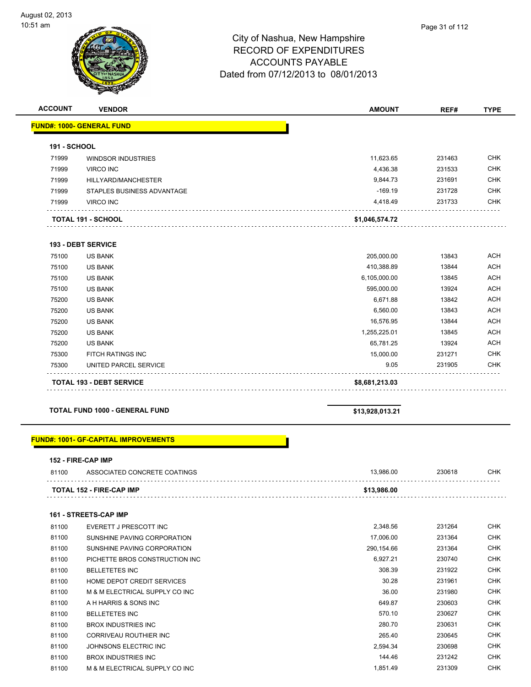

#### City of Nashua, New Hampshire RECORD OF EXPENDITURES ACCOUNTS PAYABLE Dated from 07/12/2013 to 08/01/2013

| <b>ACCOUNT</b> | <b>VENDOR</b>                    | <b>AMOUNT</b>  | REF#   | <b>TYPE</b> |
|----------------|----------------------------------|----------------|--------|-------------|
|                | <b>FUND#: 1000- GENERAL FUND</b> |                |        |             |
| 191 - SCHOOL   |                                  |                |        |             |
| 71999          | <b>WINDSOR INDUSTRIES</b>        | 11,623.65      | 231463 | <b>CHK</b>  |
| 71999          | <b>VIRCO INC</b>                 | 4,436.38       | 231533 | CHK         |
| 71999          | HILLYARD/MANCHESTER              | 9,844.73       | 231691 | <b>CHK</b>  |
| 71999          | STAPLES BUSINESS ADVANTAGE       | $-169.19$      | 231728 | <b>CHK</b>  |
| 71999          | <b>VIRCO INC</b>                 | 4,418.49       | 231733 | <b>CHK</b>  |
|                | <b>TOTAL 191 - SCHOOL</b>        | \$1,046,574.72 |        |             |
|                | <b>193 - DEBT SERVICE</b>        |                |        |             |
| 75100          | <b>US BANK</b>                   | 205,000.00     | 13843  | <b>ACH</b>  |
| 75100          | <b>US BANK</b>                   | 410,388.89     | 13844  | <b>ACH</b>  |
| 75100          | <b>US BANK</b>                   | 6,105,000.00   | 13845  | <b>ACH</b>  |
| 75100          | <b>US BANK</b>                   | 595,000.00     | 13924  | <b>ACH</b>  |
| 75200          | <b>US BANK</b>                   | 6,671.88       | 13842  | <b>ACH</b>  |
| 75200          | <b>US BANK</b>                   | 6,560.00       | 13843  | <b>ACH</b>  |
| 75200          | <b>US BANK</b>                   | 16,576.95      | 13844  | <b>ACH</b>  |
| 75200          | <b>US BANK</b>                   | 1,255,225.01   | 13845  | <b>ACH</b>  |
| 75200          | <b>US BANK</b>                   | 65,781.25      | 13924  | <b>ACH</b>  |
| 75300          | <b>FITCH RATINGS INC</b>         | 15,000.00      | 231271 | <b>CHK</b>  |
| 75300          | UNITED PARCEL SERVICE            | 9.05           | 231905 | <b>CHK</b>  |
|                | <b>TOTAL 193 - DEBT SERVICE</b>  | \$8,681,213.03 |        |             |

**TOTAL FUND 1000 - GENERAL FUND \$13,928,013.21**

#### **FUND#: 1001- GF-CAPITAL IMPROVEMENTS**

#### **152 - FIRE-CAP IMP**

| 81100 | ASSOCIATED CONCRETE COATINGS | QRG.   | <sup>2</sup> 30618 | СНК |
|-------|------------------------------|--------|--------------------|-----|
|       | TOTAL 152 - FIRE-CAP IMP     | 986.00 |                    | .   |

#### **161 - STREETS-CAP IMP**

| 81100 | EVERETT J PRESCOTT INC         | 2.348.56   | 231264 | <b>CHK</b> |
|-------|--------------------------------|------------|--------|------------|
| 81100 | SUNSHINE PAVING CORPORATION    | 17,006.00  | 231364 | <b>CHK</b> |
| 81100 | SUNSHINE PAVING CORPORATION    | 290.154.66 | 231364 | <b>CHK</b> |
| 81100 | PICHETTE BROS CONSTRUCTION INC | 6,927.21   | 230740 | <b>CHK</b> |
| 81100 | <b>BELLETETES INC</b>          | 308.39     | 231922 | <b>CHK</b> |
| 81100 | HOME DEPOT CREDIT SERVICES     | 30.28      | 231961 | <b>CHK</b> |
| 81100 | M & M ELECTRICAL SUPPLY CO INC | 36.00      | 231980 | <b>CHK</b> |
| 81100 | A H HARRIS & SONS INC          | 649.87     | 230603 | <b>CHK</b> |
| 81100 | <b>BELLETETES INC</b>          | 570.10     | 230627 | <b>CHK</b> |
| 81100 | <b>BROX INDUSTRIES INC</b>     | 280.70     | 230631 | <b>CHK</b> |
| 81100 | CORRIVEAU ROUTHIER INC         | 265.40     | 230645 | <b>CHK</b> |
| 81100 | JOHNSONS ELECTRIC INC          | 2,594.34   | 230698 | <b>CHK</b> |
| 81100 | <b>BROX INDUSTRIES INC</b>     | 144.46     | 231242 | <b>CHK</b> |
| 81100 | M & M ELECTRICAL SUPPLY CO INC | 1,851.49   | 231309 | <b>CHK</b> |
|       |                                |            |        |            |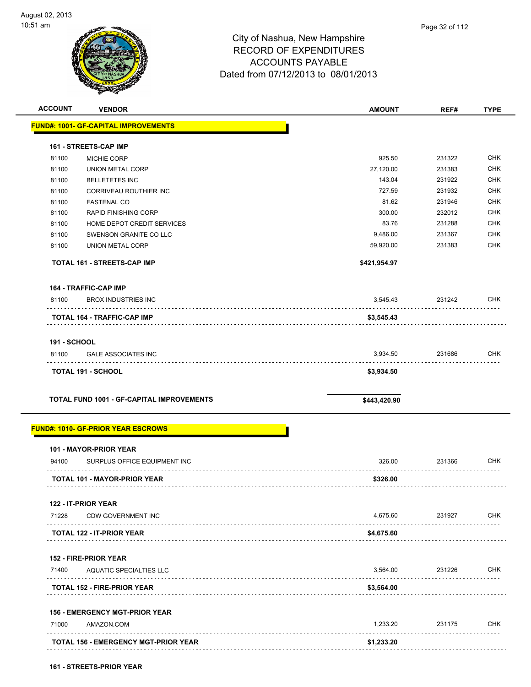| <b>ACCOUNT</b>      | <b>VENDOR</b>                                    | <b>AMOUNT</b> | REF#   | <b>TYPE</b> |
|---------------------|--------------------------------------------------|---------------|--------|-------------|
|                     | <b>FUND#: 1001- GF-CAPITAL IMPROVEMENTS</b>      |               |        |             |
|                     | <b>161 - STREETS-CAP IMP</b>                     |               |        |             |
| 81100               | MICHIE CORP                                      | 925.50        | 231322 | <b>CHK</b>  |
| 81100               | <b>UNION METAL CORP</b>                          | 27,120.00     | 231383 | <b>CHK</b>  |
| 81100               | <b>BELLETETES INC</b>                            | 143.04        | 231922 | <b>CHK</b>  |
| 81100               | <b>CORRIVEAU ROUTHIER INC</b>                    | 727.59        | 231932 | <b>CHK</b>  |
| 81100               | <b>FASTENAL CO</b>                               | 81.62         | 231946 | <b>CHK</b>  |
| 81100               | <b>RAPID FINISHING CORP</b>                      | 300.00        | 232012 | <b>CHK</b>  |
| 81100               | HOME DEPOT CREDIT SERVICES                       | 83.76         | 231288 | <b>CHK</b>  |
| 81100               | SWENSON GRANITE CO LLC                           | 9,486.00      | 231367 | <b>CHK</b>  |
| 81100               | UNION METAL CORP                                 | 59,920.00     | 231383 | CHK         |
|                     | <b>TOTAL 161 - STREETS-CAP IMP</b>               | \$421,954.97  |        |             |
|                     | <b>164 - TRAFFIC-CAP IMP</b>                     |               |        |             |
| 81100               | <b>BROX INDUSTRIES INC</b>                       | 3,545.43      | 231242 | <b>CHK</b>  |
|                     | TOTAL 164 - TRAFFIC-CAP IMP                      | \$3,545.43    |        |             |
| <b>191 - SCHOOL</b> |                                                  |               |        |             |
| 81100               | <b>GALE ASSOCIATES INC</b>                       | 3,934.50      | 231686 | <b>CHK</b>  |
|                     | <b>TOTAL 191 - SCHOOL</b>                        | \$3,934.50    |        |             |
|                     | <b>TOTAL FUND 1001 - GF-CAPITAL IMPROVEMENTS</b> | \$443,420.90  |        |             |
|                     | <b>FUND#: 1010- GF-PRIOR YEAR ESCROWS</b>        |               |        |             |
|                     | 101 - MAYOR-PRIOR YEAR                           |               |        |             |
| 94100               | SURPLUS OFFICE EQUIPMENT INC                     | 326.00        | 231366 | CHK         |
|                     | <b>TOTAL 101 - MAYOR-PRIOR YEAR</b>              | \$326.00      |        |             |
|                     | 122 - IT-PRIOR YEAR                              |               |        |             |
| 71228               | <b>CDW GOVERNMENT INC</b>                        | 4,675.60      | 231927 | <b>CHK</b>  |
|                     | <b>TOTAL 122 - IT-PRIOR YEAR</b>                 | \$4,675.60    |        |             |
|                     | <b>152 - FIRE-PRIOR YEAR</b>                     |               |        |             |
| 71400               | AQUATIC SPECIALTIES LLC                          | 3,564.00      | 231226 | <b>CHK</b>  |
|                     | TOTAL 152 - FIRE-PRIOR YEAR                      | \$3,564.00    |        |             |
|                     | <b>156 - EMERGENCY MGT-PRIOR YEAR</b>            |               |        |             |
| 71000               | AMAZON.COM                                       | 1,233.20      | 231175 | <b>CHK</b>  |
|                     | <b>TOTAL 156 - EMERGENCY MGT-PRIOR YEAR</b>      | \$1,233.20    |        |             |
|                     |                                                  |               |        |             |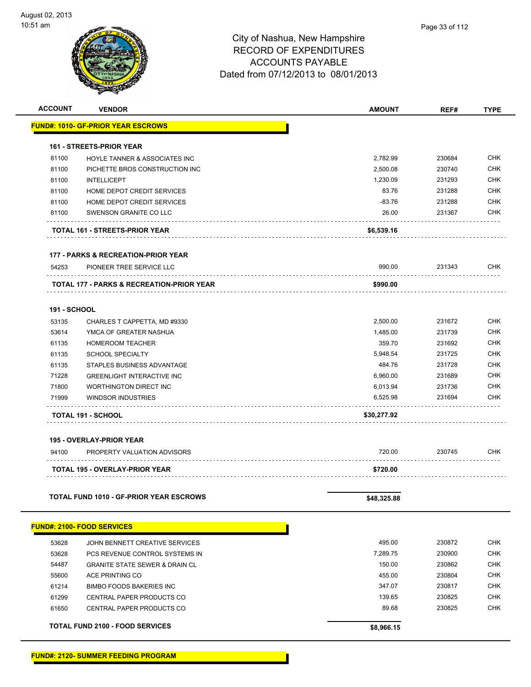| <b>ACCOUNT</b> | <b>VENDOR</b>                                  | <b>AMOUNT</b> | REF#   | <b>TYPE</b> |
|----------------|------------------------------------------------|---------------|--------|-------------|
|                | <b>FUND#: 1010- GF-PRIOR YEAR ESCROWS</b>      |               |        |             |
|                | <b>161 - STREETS-PRIOR YEAR</b>                |               |        |             |
| 81100          | HOYLE TANNER & ASSOCIATES INC                  | 2,782.99      | 230684 | <b>CHK</b>  |
| 81100          | PICHETTE BROS CONSTRUCTION INC                 | 2,500.08      | 230740 | <b>CHK</b>  |
| 81100          | <b>INTELLICEPT</b>                             | 1,230.09      | 231293 | <b>CHK</b>  |
| 81100          | HOME DEPOT CREDIT SERVICES                     | 83.76         | 231288 | <b>CHK</b>  |
| 81100          | HOME DEPOT CREDIT SERVICES                     | $-83.76$      | 231288 | <b>CHK</b>  |
| 81100          | SWENSON GRANITE CO LLC                         | 26.00         | 231367 | CHK         |
|                | TOTAL 161 - STREETS-PRIOR YEAR                 | \$6,539.16    |        |             |
|                | <b>177 - PARKS &amp; RECREATION-PRIOR YEAR</b> |               |        |             |
| 54253          | PIONEER TREE SERVICE LLC                       | 990.00        | 231343 | CHK         |
|                | TOTAL 177 - PARKS & RECREATION-PRIOR YEAR      | \$990.00      |        |             |
| 191 - SCHOOL   |                                                |               |        |             |
| 53135          | CHARLES T CAPPETTA, MD #9330                   | 2,500.00      | 231672 | <b>CHK</b>  |
| 53614          | YMCA OF GREATER NASHUA                         | 1,485.00      | 231739 | <b>CHK</b>  |
| 61135          | <b>HOMEROOM TEACHER</b>                        | 359.70        | 231692 | <b>CHK</b>  |
| 61135          | <b>SCHOOL SPECIALTY</b>                        | 5,948.54      | 231725 | <b>CHK</b>  |
| 61135          | STAPLES BUSINESS ADVANTAGE                     | 484.76        | 231728 | <b>CHK</b>  |
| 71228          | <b>GREENLIGHT INTERACTIVE INC</b>              | 6,960.00      | 231689 | <b>CHK</b>  |
| 71800          | <b>WORTHINGTON DIRECT INC</b>                  | 6,013.94      | 231736 | <b>CHK</b>  |
| 71999          | <b>WINDSOR INDUSTRIES</b>                      | 6,525.98      | 231694 | CHK         |
|                | TOTAL 191 - SCHOOL                             | \$30,277.92   |        |             |
|                | <b>195 - OVERLAY-PRIOR YEAR</b>                |               |        |             |
| 94100          | PROPERTY VALUATION ADVISORS                    | 720.00        | 230745 | CHK         |
|                | TOTAL 195 - OVERLAY-PRIOR YEAR                 | \$720.00      |        |             |
|                |                                                |               |        |             |
|                | <b>TOTAL FUND 1010 - GF-PRIOR YEAR ESCROWS</b> | \$48,325.88   |        |             |
|                | <b>FUND#: 2100- FOOD SERVICES</b>              |               |        |             |
| 53628          | JOHN BENNETT CREATIVE SERVICES                 | 495.00        | 230872 | <b>CHK</b>  |
| 53628          | PCS REVENUE CONTROL SYSTEMS IN                 | 7,289.75      | 230900 | CHK         |
| 54487          | <b>GRANITE STATE SEWER &amp; DRAIN CL</b>      | 150.00        | 230862 | CHK         |
| 55600          | ACE PRINTING CO                                | 455.00        | 230804 | CHK         |
| 61214          | <b>BIMBO FOODS BAKERIES INC</b>                | 347.07        | 230817 | <b>CHK</b>  |
| 61299          | CENTRAL PAPER PRODUCTS CO                      | 139.65        | 230825 | <b>CHK</b>  |
| 61650          | CENTRAL PAPER PRODUCTS CO                      | 89.68         | 230825 | <b>CHK</b>  |
|                | <b>TOTAL FUND 2100 - FOOD SERVICES</b>         | \$8,966.15    |        |             |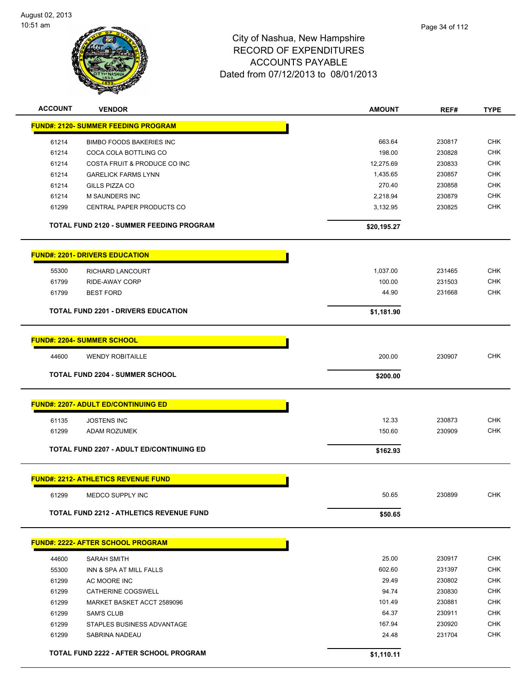

| <b>ACCOUNT</b> | <b>VENDOR</b>                                   | <b>AMOUNT</b> | REF#   | <b>TYPE</b> |
|----------------|-------------------------------------------------|---------------|--------|-------------|
|                | <b>FUND#: 2120- SUMMER FEEDING PROGRAM</b>      |               |        |             |
| 61214          | <b>BIMBO FOODS BAKERIES INC</b>                 | 663.64        | 230817 | <b>CHK</b>  |
| 61214          | COCA COLA BOTTLING CO                           | 198.00        | 230828 | <b>CHK</b>  |
| 61214          | COSTA FRUIT & PRODUCE CO INC                    | 12,275.69     | 230833 | <b>CHK</b>  |
| 61214          | <b>GARELICK FARMS LYNN</b>                      | 1,435.65      | 230857 | <b>CHK</b>  |
| 61214          | GILLS PIZZA CO                                  | 270.40        | 230858 | <b>CHK</b>  |
| 61214          | <b>M SAUNDERS INC</b>                           | 2,218.94      | 230879 | CHK         |
| 61299          | CENTRAL PAPER PRODUCTS CO                       | 3,132.95      | 230825 | CHK         |
|                | <b>TOTAL FUND 2120 - SUMMER FEEDING PROGRAM</b> | \$20,195.27   |        |             |
|                | <b>FUND#: 2201- DRIVERS EDUCATION</b>           |               |        |             |
| 55300          | RICHARD LANCOURT                                | 1,037.00      | 231465 | <b>CHK</b>  |
| 61799          | <b>RIDE-AWAY CORP</b>                           | 100.00        | 231503 | <b>CHK</b>  |
| 61799          | <b>BEST FORD</b>                                | 44.90         | 231668 | CHK         |
|                | <b>TOTAL FUND 2201 - DRIVERS EDUCATION</b>      | \$1,181.90    |        |             |
|                | <b>FUND#: 2204- SUMMER SCHOOL</b>               |               |        |             |
|                |                                                 |               |        |             |
| 44600          | <b>WENDY ROBITAILLE</b>                         | 200.00        | 230907 | <b>CHK</b>  |
|                | <b>TOTAL FUND 2204 - SUMMER SCHOOL</b>          | \$200.00      |        |             |
|                | <b>FUND#: 2207- ADULT ED/CONTINUING ED</b>      |               |        |             |
| 61135          | <b>JOSTENS INC</b>                              | 12.33         | 230873 | <b>CHK</b>  |
| 61299          | ADAM ROZUMEK                                    | 150.60        | 230909 | <b>CHK</b>  |
|                |                                                 |               |        |             |
|                | <b>TOTAL FUND 2207 - ADULT ED/CONTINUING ED</b> | \$162.93      |        |             |
|                | <b>FUND#: 2212- ATHLETICS REVENUE FUND</b>      |               |        |             |
| 61299          | MEDCO SUPPLY INC                                | 50.65         | 230899 | <b>CHK</b>  |
|                | <b>TOTAL FUND 2212 - ATHLETICS REVENUE FUND</b> | \$50.65       |        |             |
|                | <b>FUND#: 2222- AFTER SCHOOL PROGRAM</b>        |               |        |             |
| 44600          | <b>SARAH SMITH</b>                              | 25.00         | 230917 | <b>CHK</b>  |
| 55300          | INN & SPA AT MILL FALLS                         | 602.60        | 231397 | <b>CHK</b>  |
| 61299          | AC MOORE INC                                    | 29.49         | 230802 | <b>CHK</b>  |
| 61299          | CATHERINE COGSWELL                              | 94.74         | 230830 | CHK         |
| 61299          | MARKET BASKET ACCT 2589096                      | 101.49        | 230881 | CHK         |
| 61299          | <b>SAM'S CLUB</b>                               | 64.37         | 230911 | CHK         |
| 61299          | STAPLES BUSINESS ADVANTAGE                      | 167.94        | 230920 | <b>CHK</b>  |
| 61299          | SABRINA NADEAU                                  | 24.48         | 231704 | <b>CHK</b>  |
|                | TOTAL FUND 2222 - AFTER SCHOOL PROGRAM          | \$1,110.11    |        |             |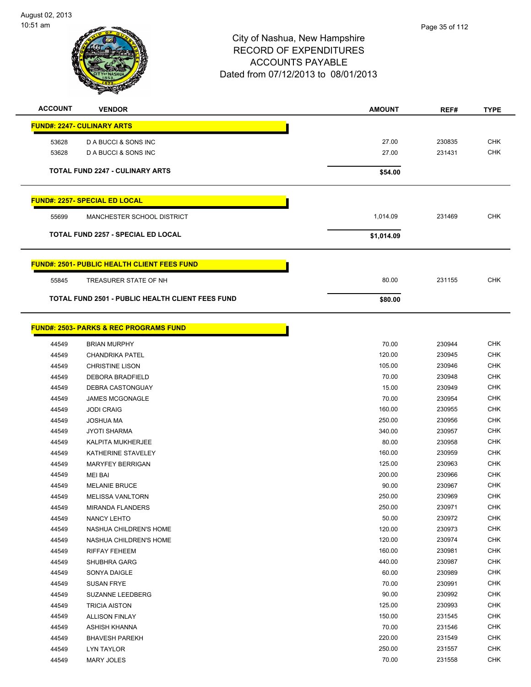

| <b>ACCOUNT</b> | <b>VENDOR</b>                                           | <b>AMOUNT</b> | REF#   | <b>TYPE</b> |
|----------------|---------------------------------------------------------|---------------|--------|-------------|
|                | <b>FUND#: 2247- CULINARY ARTS</b>                       |               |        |             |
| 53628          | D A BUCCI & SONS INC                                    | 27.00         | 230835 | <b>CHK</b>  |
| 53628          | D A BUCCI & SONS INC                                    | 27.00         | 231431 | <b>CHK</b>  |
|                | <b>TOTAL FUND 2247 - CULINARY ARTS</b>                  | \$54.00       |        |             |
|                | <b>FUND#: 2257- SPECIAL ED LOCAL</b>                    |               |        |             |
| 55699          | MANCHESTER SCHOOL DISTRICT                              | 1,014.09      | 231469 | <b>CHK</b>  |
|                | <b>TOTAL FUND 2257 - SPECIAL ED LOCAL</b>               | \$1,014.09    |        |             |
|                | <b>FUND#: 2501- PUBLIC HEALTH CLIENT FEES FUND</b>      |               |        |             |
| 55845          | TREASURER STATE OF NH                                   | 80.00         | 231155 | <b>CHK</b>  |
|                | <b>TOTAL FUND 2501 - PUBLIC HEALTH CLIENT FEES FUND</b> | \$80.00       |        |             |

|       | <b>FUND#: 2503- PARKS &amp; REC PROGRAMS FUND</b> |        |        |  |
|-------|---------------------------------------------------|--------|--------|--|
| 44549 | <b>BRIAN MURPHY</b>                               | 70.00  | 230944 |  |
| 44549 | <b>CHANDRIKA PATEL</b>                            | 120.00 | 230945 |  |
| 44549 | <b>CHRISTINE LISON</b>                            | 105.00 | 230946 |  |
| 44549 | <b>DEBORA BRADFIELD</b>                           | 70.00  | 230948 |  |
| 44549 | DEBRA CASTONGUAY                                  | 15.00  | 230949 |  |
| 44549 | <b>JAMES MCGONAGLE</b>                            | 70.00  | 230954 |  |
| 44549 | <b>JODI CRAIG</b>                                 | 160.00 | 230955 |  |
| 44549 | <b>JOSHUA MA</b>                                  | 250.00 | 230956 |  |
| 44549 | <b>JYOTI SHARMA</b>                               | 340.00 | 230957 |  |
| 44549 | <b>KALPITA MUKHERJEE</b>                          | 80.00  | 230958 |  |
| 44549 | KATHERINE STAVELEY                                | 160.00 | 230959 |  |
| 44549 | <b>MARYFEY BERRIGAN</b>                           | 125.00 | 230963 |  |
| 44549 | <b>MEI BAI</b>                                    | 200.00 | 230966 |  |
| 44549 | <b>MELANIE BRUCE</b>                              | 90.00  | 230967 |  |
| 44549 | <b>MELISSA VANLTORN</b>                           | 250.00 | 230969 |  |
| 44549 | <b>MIRANDA FLANDERS</b>                           | 250.00 | 230971 |  |
| 44549 | NANCY LEHTO                                       | 50.00  | 230972 |  |
| 44549 | NASHUA CHILDREN'S HOME                            | 120.00 | 230973 |  |
| 44549 | NASHUA CHILDREN'S HOME                            | 120.00 | 230974 |  |
| 44549 | <b>RIFFAY FEHEEM</b>                              | 160.00 | 230981 |  |
| 44549 | SHUBHRA GARG                                      | 440.00 | 230987 |  |
| 44549 | <b>SONYA DAIGLE</b>                               | 60.00  | 230989 |  |
| 44549 | <b>SUSAN FRYE</b>                                 | 70.00  | 230991 |  |
| 44549 | SUZANNE LEEDBERG                                  | 90.00  | 230992 |  |
| 44549 | <b>TRICIA AISTON</b>                              | 125.00 | 230993 |  |
| 44549 | <b>ALLISON FINLAY</b>                             | 150.00 | 231545 |  |
| 44549 | <b>ASHISH KHANNA</b>                              | 70.00  | 231546 |  |
| 44549 | <b>BHAVESH PAREKH</b>                             | 220.00 | 231549 |  |
| 44549 | <b>LYN TAYLOR</b>                                 | 250.00 | 231557 |  |
|       |                                                   |        |        |  |

MARY JOLES 70.00 231558 CHK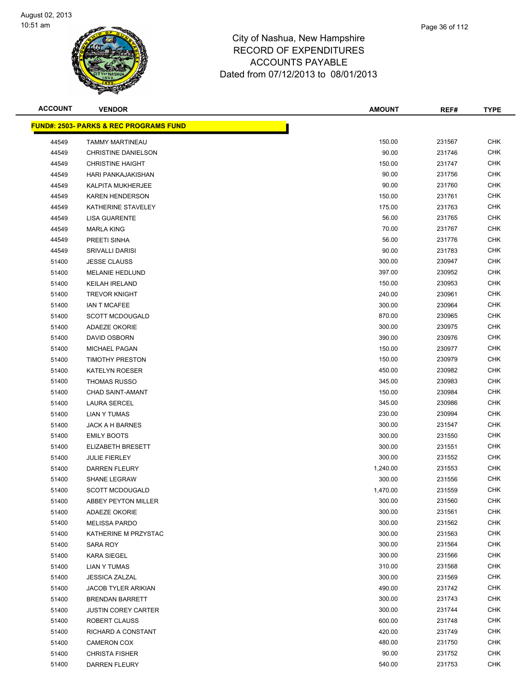

| <b>ACCOUNT</b> | <b>VENDOR</b>                                     | <b>AMOUNT</b> | REF#   | <b>TYPE</b> |
|----------------|---------------------------------------------------|---------------|--------|-------------|
|                | <b>FUND#: 2503- PARKS &amp; REC PROGRAMS FUND</b> |               |        |             |
| 44549          | <b>TAMMY MARTINEAU</b>                            | 150.00        | 231567 | <b>CHK</b>  |
| 44549          | CHRISTINE DANIELSON                               | 90.00         | 231746 | <b>CHK</b>  |
| 44549          | <b>CHRISTINE HAIGHT</b>                           | 150.00        | 231747 | <b>CHK</b>  |
| 44549          | HARI PANKAJAKISHAN                                | 90.00         | 231756 | <b>CHK</b>  |
| 44549          | KALPITA MUKHERJEE                                 | 90.00         | 231760 | <b>CHK</b>  |
| 44549          | <b>KAREN HENDERSON</b>                            | 150.00        | 231761 | <b>CHK</b>  |
| 44549          | KATHERINE STAVELEY                                | 175.00        | 231763 | <b>CHK</b>  |
| 44549          | <b>LISA GUARENTE</b>                              | 56.00         | 231765 | <b>CHK</b>  |
| 44549          | <b>MARLA KING</b>                                 | 70.00         | 231767 | <b>CHK</b>  |
| 44549          | PREETI SINHA                                      | 56.00         | 231776 | <b>CHK</b>  |
| 44549          | SRIVALLI DARISI                                   | 90.00         | 231783 | <b>CHK</b>  |
| 51400          | <b>JESSE CLAUSS</b>                               | 300.00        | 230947 | <b>CHK</b>  |
| 51400          | <b>MELANIE HEDLUND</b>                            | 397.00        | 230952 | <b>CHK</b>  |
| 51400          | <b>KEILAH IRELAND</b>                             | 150.00        | 230953 | <b>CHK</b>  |
| 51400          | <b>TREVOR KNIGHT</b>                              | 240.00        | 230961 | <b>CHK</b>  |
| 51400          | <b>IAN T MCAFEE</b>                               | 300.00        | 230964 | <b>CHK</b>  |
| 51400          | <b>SCOTT MCDOUGALD</b>                            | 870.00        | 230965 | <b>CHK</b>  |
| 51400          | <b>ADAEZE OKORIE</b>                              | 300.00        | 230975 | <b>CHK</b>  |
| 51400          | DAVID OSBORN                                      | 390.00        | 230976 | <b>CHK</b>  |
| 51400          | <b>MICHAEL PAGAN</b>                              | 150.00        | 230977 | <b>CHK</b>  |
| 51400          | <b>TIMOTHY PRESTON</b>                            | 150.00        | 230979 | <b>CHK</b>  |
| 51400          | <b>KATELYN ROESER</b>                             | 450.00        | 230982 | <b>CHK</b>  |
| 51400          | <b>THOMAS RUSSO</b>                               | 345.00        | 230983 | <b>CHK</b>  |
| 51400          | <b>CHAD SAINT-AMANT</b>                           | 150.00        | 230984 | <b>CHK</b>  |
| 51400          | <b>LAURA SERCEL</b>                               | 345.00        | 230986 | <b>CHK</b>  |
| 51400          | LIAN Y TUMAS                                      | 230.00        | 230994 | <b>CHK</b>  |
| 51400          | JACK A H BARNES                                   | 300.00        | 231547 | <b>CHK</b>  |
| 51400          | <b>EMILY BOOTS</b>                                | 300.00        | 231550 | <b>CHK</b>  |
| 51400          | ELIZABETH BRESETT                                 | 300.00        | 231551 | <b>CHK</b>  |
| 51400          | <b>JULIE FIERLEY</b>                              | 300.00        | 231552 | <b>CHK</b>  |
| 51400          | <b>DARREN FLEURY</b>                              | 1,240.00      | 231553 | <b>CHK</b>  |
| 51400          | <b>SHANE LEGRAW</b>                               | 300.00        | 231556 | <b>CHK</b>  |
| 51400          | <b>SCOTT MCDOUGALD</b>                            | 1,470.00      | 231559 | <b>CHK</b>  |
| 51400          | ABBEY PEYTON MILLER                               | 300.00        | 231560 | <b>CHK</b>  |
| 51400          | <b>ADAEZE OKORIE</b>                              | 300.00        | 231561 | CHK         |
| 51400          | <b>MELISSA PARDO</b>                              | 300.00        | 231562 | <b>CHK</b>  |
| 51400          | KATHERINE M PRZYSTAC                              | 300.00        | 231563 | <b>CHK</b>  |
| 51400          | SARA ROY                                          | 300.00        | 231564 | <b>CHK</b>  |
| 51400          | <b>KARA SIEGEL</b>                                | 300.00        | 231566 | <b>CHK</b>  |
| 51400          | <b>LIAN Y TUMAS</b>                               | 310.00        | 231568 | CHK         |
| 51400          | <b>JESSICA ZALZAL</b>                             | 300.00        | 231569 | <b>CHK</b>  |
| 51400          | <b>JACOB TYLER ARIKIAN</b>                        | 490.00        | 231742 | <b>CHK</b>  |
| 51400          | <b>BRENDAN BARRETT</b>                            | 300.00        | 231743 | <b>CHK</b>  |
| 51400          | <b>JUSTIN COREY CARTER</b>                        | 300.00        | 231744 | <b>CHK</b>  |
| 51400          | ROBERT CLAUSS                                     | 600.00        | 231748 | <b>CHK</b>  |
| 51400          | RICHARD A CONSTANT                                | 420.00        | 231749 | <b>CHK</b>  |
| 51400          | <b>CAMERON COX</b>                                | 480.00        | 231750 | <b>CHK</b>  |
| 51400          | <b>CHRISTA FISHER</b>                             | 90.00         | 231752 | <b>CHK</b>  |
| 51400          | <b>DARREN FLEURY</b>                              | 540.00        | 231753 | <b>CHK</b>  |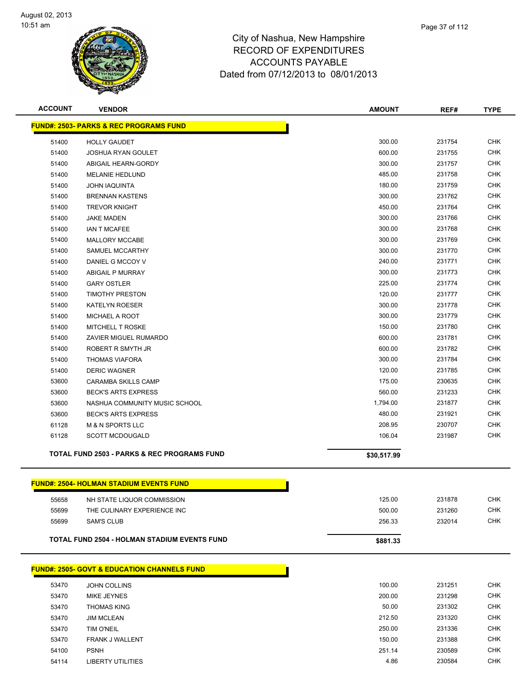

| <b>ACCOUNT</b> | <b>VENDOR</b>                                          | <b>AMOUNT</b> | REF#   | <b>TYPE</b> |
|----------------|--------------------------------------------------------|---------------|--------|-------------|
|                | <b>FUND#: 2503- PARKS &amp; REC PROGRAMS FUND</b>      |               |        |             |
| 51400          | <b>HOLLY GAUDET</b>                                    | 300.00        | 231754 | <b>CHK</b>  |
| 51400          | <b>JOSHUA RYAN GOULET</b>                              | 600.00        | 231755 | <b>CHK</b>  |
| 51400          | ABIGAIL HEARN-GORDY                                    | 300.00        | 231757 | <b>CHK</b>  |
| 51400          | <b>MELANIE HEDLUND</b>                                 | 485.00        | 231758 | <b>CHK</b>  |
| 51400          | <b>JOHN IAQUINTA</b>                                   | 180.00        | 231759 | <b>CHK</b>  |
| 51400          | <b>BRENNAN KASTENS</b>                                 | 300.00        | 231762 | <b>CHK</b>  |
| 51400          | <b>TREVOR KNIGHT</b>                                   | 450.00        | 231764 | <b>CHK</b>  |
| 51400          | <b>JAKE MADEN</b>                                      | 300.00        | 231766 | <b>CHK</b>  |
| 51400          | <b>IAN T MCAFEE</b>                                    | 300.00        | 231768 | <b>CHK</b>  |
| 51400          | MALLORY MCCABE                                         | 300.00        | 231769 | <b>CHK</b>  |
| 51400          | SAMUEL MCCARTHY                                        | 300.00        | 231770 | <b>CHK</b>  |
| 51400          | DANIEL G MCCOY V                                       | 240.00        | 231771 | <b>CHK</b>  |
| 51400          | <b>ABIGAIL P MURRAY</b>                                | 300.00        | 231773 | <b>CHK</b>  |
| 51400          | <b>GARY OSTLER</b>                                     | 225.00        | 231774 | <b>CHK</b>  |
| 51400          | <b>TIMOTHY PRESTON</b>                                 | 120.00        | 231777 | <b>CHK</b>  |
| 51400          | <b>KATELYN ROESER</b>                                  | 300.00        | 231778 | <b>CHK</b>  |
| 51400          | MICHAEL A ROOT                                         | 300.00        | 231779 | <b>CHK</b>  |
| 51400          | MITCHELL T ROSKE                                       | 150.00        | 231780 | <b>CHK</b>  |
| 51400          | ZAVIER MIGUEL RUMARDO                                  | 600.00        | 231781 | <b>CHK</b>  |
| 51400          | ROBERT R SMYTH JR                                      | 600.00        | 231782 | <b>CHK</b>  |
| 51400          | <b>THOMAS VIAFORA</b>                                  | 300.00        | 231784 | <b>CHK</b>  |
| 51400          | <b>DERIC WAGNER</b>                                    | 120.00        | 231785 | <b>CHK</b>  |
| 53600          | <b>CARAMBA SKILLS CAMP</b>                             | 175.00        | 230635 | <b>CHK</b>  |
| 53600          | <b>BECK'S ARTS EXPRESS</b>                             | 560.00        | 231233 | <b>CHK</b>  |
| 53600          | NASHUA COMMUNITY MUSIC SCHOOL                          | 1,794.00      | 231877 | <b>CHK</b>  |
| 53600          | <b>BECK'S ARTS EXPRESS</b>                             | 480.00        | 231921 | <b>CHK</b>  |
| 61128          | <b>M &amp; N SPORTS LLC</b>                            | 208.95        | 230707 | <b>CHK</b>  |
| 61128          | <b>SCOTT MCDOUGALD</b>                                 | 106.04        | 231987 | <b>CHK</b>  |
|                | <b>TOTAL FUND 2503 - PARKS &amp; REC PROGRAMS FUND</b> | \$30,517.99   |        |             |
|                |                                                        |               |        |             |
|                | <b>FUND#: 2504- HOLMAN STADIUM EVENTS FUND</b>         |               |        |             |
| 55658          | NH STATE LIQUOR COMMISSION                             | 125.00        | 231878 | <b>CHK</b>  |
| 55699          | THE CULINARY EXPERIENCE INC                            | 500.00        | 231260 | <b>CHK</b>  |
| 55699          | <b>SAM'S CLUB</b>                                      | 256.33        | 232014 | <b>CHK</b>  |
|                | <b>TOTAL FUND 2504 - HOLMAN STADIUM EVENTS FUND</b>    | \$881.33      |        |             |
|                |                                                        |               |        |             |
|                | <b>FUND#: 2505- GOVT &amp; EDUCATION CHANNELS FUND</b> |               |        |             |
| 53470          | <b>JOHN COLLINS</b>                                    | 100.00        | 231251 | <b>CHK</b>  |
| 53470          | MIKE JEYNES                                            | 200.00        | 231298 | <b>CHK</b>  |
| 53470          | <b>THOMAS KING</b>                                     | 50.00         | 231302 | <b>CHK</b>  |
| 53470          | <b>JIM MCLEAN</b>                                      | 212.50        | 231320 | <b>CHK</b>  |
| 53470          | TIM O'NEIL                                             | 250.00        | 231336 | <b>CHK</b>  |
| 53470          | FRANK J WALLENT                                        | 150.00        | 231388 | <b>CHK</b>  |
| 54100          | <b>PSNH</b>                                            | 251.14        | 230589 | <b>CHK</b>  |
| 54114          | <b>LIBERTY UTILITIES</b>                               | 4.86          | 230584 | <b>CHK</b>  |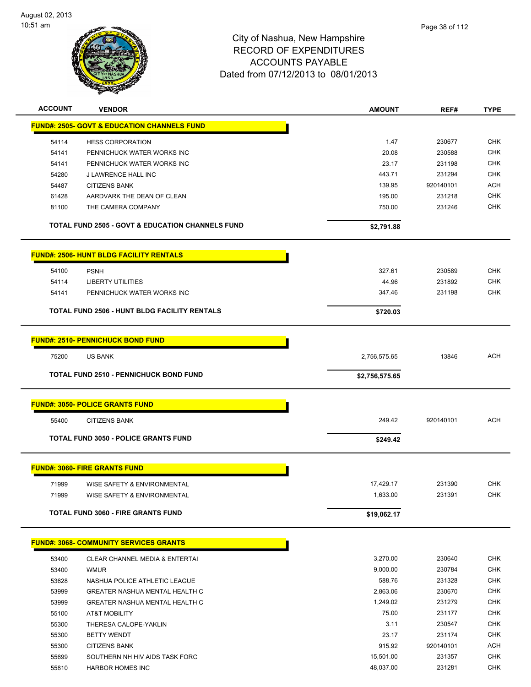

| <b>ACCOUNT</b> | <b>VENDOR</b>                                               | <b>AMOUNT</b>  | REF#      | <b>TYPE</b> |
|----------------|-------------------------------------------------------------|----------------|-----------|-------------|
|                | <b>FUND#: 2505- GOVT &amp; EDUCATION CHANNELS FUND</b>      |                |           |             |
| 54114          | <b>HESS CORPORATION</b>                                     | 1.47           | 230677    | <b>CHK</b>  |
| 54141          | PENNICHUCK WATER WORKS INC                                  | 20.08          | 230588    | <b>CHK</b>  |
| 54141          | PENNICHUCK WATER WORKS INC                                  | 23.17          | 231198    | <b>CHK</b>  |
| 54280          | J LAWRENCE HALL INC                                         | 443.71         | 231294    | <b>CHK</b>  |
| 54487          | <b>CITIZENS BANK</b>                                        | 139.95         | 920140101 | ACH         |
| 61428          | AARDVARK THE DEAN OF CLEAN                                  | 195.00         | 231218    | <b>CHK</b>  |
| 81100          | THE CAMERA COMPANY                                          | 750.00         | 231246    | <b>CHK</b>  |
|                | <b>TOTAL FUND 2505 - GOVT &amp; EDUCATION CHANNELS FUND</b> | \$2,791.88     |           |             |
|                | <b>FUND#: 2506- HUNT BLDG FACILITY RENTALS</b>              |                |           |             |
| 54100          | <b>PSNH</b>                                                 | 327.61         | 230589    | <b>CHK</b>  |
| 54114          | <b>LIBERTY UTILITIES</b>                                    | 44.96          | 231892    | <b>CHK</b>  |
| 54141          | PENNICHUCK WATER WORKS INC                                  | 347.46         | 231198    | <b>CHK</b>  |
|                | TOTAL FUND 2506 - HUNT BLDG FACILITY RENTALS                | \$720.03       |           |             |
|                | <b>FUND#: 2510- PENNICHUCK BOND FUND</b>                    |                |           |             |
| 75200          | US BANK                                                     | 2,756,575.65   | 13846     | <b>ACH</b>  |
|                | <b>TOTAL FUND 2510 - PENNICHUCK BOND FUND</b>               |                |           |             |
|                |                                                             | \$2,756,575.65 |           |             |
|                | <b>FUND#: 3050- POLICE GRANTS FUND</b>                      |                |           |             |
| 55400          | <b>CITIZENS BANK</b>                                        | 249.42         | 920140101 | ACH         |
|                | <b>TOTAL FUND 3050 - POLICE GRANTS FUND</b>                 | \$249.42       |           |             |
|                | <b>FUND#: 3060- FIRE GRANTS FUND</b>                        |                |           |             |
| 71999          | WISE SAFETY & ENVIRONMENTAL                                 | 17,429.17      | 231390    | <b>CHK</b>  |
| 71999          | WISE SAFETY & ENVIRONMENTAL                                 | 1,633.00       | 231391    | CHK         |
|                | <b>TOTAL FUND 3060 - FIRE GRANTS FUND</b>                   | \$19,062.17    |           |             |
|                | <b>FUND#: 3068- COMMUNITY SERVICES GRANTS</b>               |                |           |             |
| 53400          | CLEAR CHANNEL MEDIA & ENTERTAI                              | 3,270.00       | 230640    | <b>CHK</b>  |
| 53400          | <b>WMUR</b>                                                 | 9,000.00       | 230784    | <b>CHK</b>  |
| 53628          | NASHUA POLICE ATHLETIC LEAGUE                               | 588.76         | 231328    | <b>CHK</b>  |
| 53999          | GREATER NASHUA MENTAL HEALTH C                              | 2,863.06       | 230670    | <b>CHK</b>  |
| 53999          | GREATER NASHUA MENTAL HEALTH C                              | 1,249.02       | 231279    | <b>CHK</b>  |
| 55100          | AT&T MOBILITY                                               | 75.00          | 231177    | <b>CHK</b>  |
| 55300          | THERESA CALOPE-YAKLIN                                       | 3.11           | 230547    | <b>CHK</b>  |
| 55300          | <b>BETTY WENDT</b>                                          | 23.17          | 231174    | <b>CHK</b>  |
| 55300          | <b>CITIZENS BANK</b>                                        | 915.92         | 920140101 | ACH         |
| 55699          | SOUTHERN NH HIV AIDS TASK FORC                              | 15,501.00      | 231357    | <b>CHK</b>  |
|                | HARBOR HOMES INC                                            | 48,037.00      | 231281    | <b>CHK</b>  |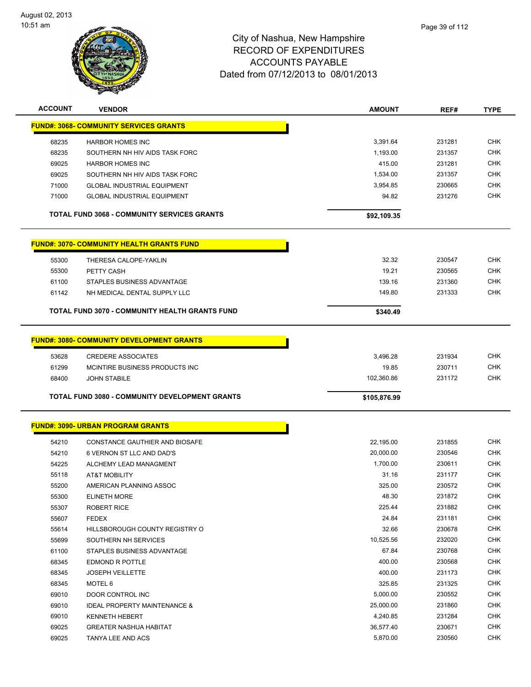

| <b>ACCOUNT</b> | <b>VENDOR</b>                                         | <b>AMOUNT</b>         | REF#             | <b>TYPE</b>              |
|----------------|-------------------------------------------------------|-----------------------|------------------|--------------------------|
|                | <b>FUND#: 3068- COMMUNITY SERVICES GRANTS</b>         |                       |                  |                          |
|                |                                                       |                       |                  |                          |
| 68235          | <b>HARBOR HOMES INC</b>                               | 3,391.64              | 231281           | <b>CHK</b>               |
| 68235          | SOUTHERN NH HIV AIDS TASK FORC                        | 1,193.00              | 231357           | <b>CHK</b>               |
| 69025          | <b>HARBOR HOMES INC</b>                               | 415.00                | 231281           | <b>CHK</b>               |
| 69025          | SOUTHERN NH HIV AIDS TASK FORC                        | 1,534.00              | 231357           | <b>CHK</b>               |
| 71000          | <b>GLOBAL INDUSTRIAL EQUIPMENT</b>                    | 3,954.85              | 230665           | <b>CHK</b>               |
| 71000          | <b>GLOBAL INDUSTRIAL EQUIPMENT</b>                    | 94.82                 | 231276           | <b>CHK</b>               |
|                | <b>TOTAL FUND 3068 - COMMUNITY SERVICES GRANTS</b>    | \$92,109.35           |                  |                          |
|                | <b>FUND#: 3070- COMMUNITY HEALTH GRANTS FUND</b>      |                       |                  |                          |
| 55300          | THERESA CALOPE-YAKLIN                                 | 32.32                 | 230547           | <b>CHK</b>               |
| 55300          | PETTY CASH                                            | 19.21                 | 230565           | <b>CHK</b>               |
| 61100          | STAPLES BUSINESS ADVANTAGE                            | 139.16                | 231360           | <b>CHK</b>               |
| 61142          | NH MEDICAL DENTAL SUPPLY LLC                          | 149.80                | 231333           | <b>CHK</b>               |
|                |                                                       |                       |                  |                          |
|                | TOTAL FUND 3070 - COMMUNITY HEALTH GRANTS FUND        | \$340.49              |                  |                          |
|                | <b>FUND#: 3080- COMMUNITY DEVELOPMENT GRANTS</b>      |                       |                  |                          |
| 53628          | <b>CREDERE ASSOCIATES</b>                             | 3,496.28              | 231934           | <b>CHK</b>               |
| 61299          | MCINTIRE BUSINESS PRODUCTS INC                        | 19.85                 | 230711           | <b>CHK</b>               |
| 68400          | <b>JOHN STABILE</b>                                   | 102,360.86            | 231172           | <b>CHK</b>               |
|                |                                                       |                       |                  |                          |
|                | <b>TOTAL FUND 3080 - COMMUNITY DEVELOPMENT GRANTS</b> | \$105,876.99          |                  |                          |
|                | <b>FUND#: 3090- URBAN PROGRAM GRANTS</b>              |                       |                  |                          |
| 54210          | CONSTANCE GAUTHIER AND BIOSAFE                        | 22,195.00             | 231855           | <b>CHK</b>               |
| 54210          | 6 VERNON ST LLC AND DAD'S                             | 20,000.00             | 230546           | <b>CHK</b>               |
| 54225          | ALCHEMY LEAD MANAGMENT                                | 1,700.00              | 230611           | <b>CHK</b>               |
| 55118          | <b>AT&amp;T MOBILITY</b>                              | 31.16                 | 231177           | CHK                      |
| 55200          | AMERICAN PLANNING ASSOC                               | 325.00                | 230572           | CHK                      |
| 55300          | <b>ELINETH MORE</b>                                   | 48.30                 | 231872           | <b>CHK</b>               |
| 55307          | <b>ROBERT RICE</b>                                    | 225.44                | 231882           | CHK                      |
| 55607          | <b>FEDEX</b>                                          | 24.84                 | 231181           | <b>CHK</b>               |
| 55614          | HILLSBOROUGH COUNTY REGISTRY O                        | 32.66                 | 230678           | <b>CHK</b>               |
| 55699          | SOUTHERN NH SERVICES                                  | 10,525.56             | 232020           | <b>CHK</b>               |
| 61100          | STAPLES BUSINESS ADVANTAGE                            | 67.84                 | 230768           | <b>CHK</b>               |
| 68345          | EDMOND R POTTLE                                       | 400.00                | 230568           | <b>CHK</b>               |
| 68345          |                                                       | 400.00                | 231173           | <b>CHK</b>               |
|                |                                                       |                       |                  |                          |
|                | <b>JOSEPH VEILLETTE</b>                               |                       |                  |                          |
| 68345          | MOTEL 6                                               | 325.85                | 231325           | <b>CHK</b>               |
| 69010          | DOOR CONTROL INC                                      | 5,000.00              | 230552           | <b>CHK</b>               |
| 69010          | <b>IDEAL PROPERTY MAINTENANCE &amp;</b>               | 25,000.00             | 231860           | CHK                      |
| 69010          | <b>KENNETH HEBERT</b>                                 | 4,240.85              | 231284           | <b>CHK</b>               |
| 69025<br>69025 | <b>GREATER NASHUA HABITAT</b><br>TANYA LEE AND ACS    | 36,577.40<br>5,870.00 | 230671<br>230560 | <b>CHK</b><br><b>CHK</b> |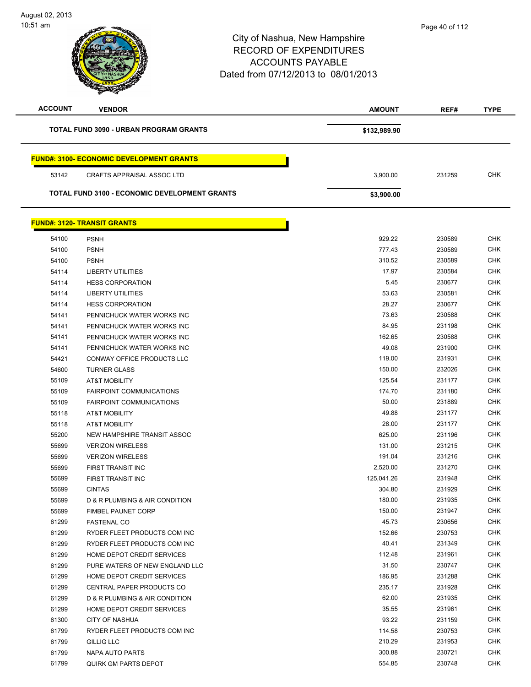# City of Nashua, New Hampshire RECORD OF EXPENDITURES ACCOUNTS PAYABLE Dated from 07/12/2013 to 08/01/2013 **ACCOUNT VENDOR AMOUNT REF# TYPE TOTAL FUND 3090 - URBAN PROGRAM GRANTS <b>EXAMPLE 2018 12:00:00 \$132,989.90 FUND#: 3100- ECONOMIC DEVELOPMENT GRANTS** CRAFTS APPRAISAL ASSOC LTD 3,900.00 231259 CHK **TOTAL FUND 3100 - ECONOMIC DEVELOPMENT GRANTS <b>\$3,900.00 FUND#: 3120- TRANSIT GRANTS** PSNH 929.22 230589 CHK PSNH 777.43 230589 CHK PSNH 310.52 230589 CHK

| <b>04 IUU</b> | гэлп                            | 929.LL     | ∠ວບວ໐ອ | ∪⊓n        |
|---------------|---------------------------------|------------|--------|------------|
| 54100         | <b>PSNH</b>                     | 777.43     | 230589 | <b>CHK</b> |
| 54100         | <b>PSNH</b>                     | 310.52     | 230589 | <b>CHK</b> |
| 54114         | <b>LIBERTY UTILITIES</b>        | 17.97      | 230584 | <b>CHK</b> |
| 54114         | <b>HESS CORPORATION</b>         | 5.45       | 230677 | <b>CHK</b> |
| 54114         | <b>LIBERTY UTILITIES</b>        | 53.63      | 230581 | <b>CHK</b> |
| 54114         | <b>HESS CORPORATION</b>         | 28.27      | 230677 | <b>CHK</b> |
| 54141         | PENNICHUCK WATER WORKS INC      | 73.63      | 230588 | <b>CHK</b> |
| 54141         | PENNICHUCK WATER WORKS INC      | 84.95      | 231198 | <b>CHK</b> |
| 54141         | PENNICHUCK WATER WORKS INC      | 162.65     | 230588 | <b>CHK</b> |
| 54141         | PENNICHUCK WATER WORKS INC      | 49.08      | 231900 | <b>CHK</b> |
| 54421         | CONWAY OFFICE PRODUCTS LLC      | 119.00     | 231931 | <b>CHK</b> |
| 54600         | <b>TURNER GLASS</b>             | 150.00     | 232026 | <b>CHK</b> |
| 55109         | AT&T MOBILITY                   | 125.54     | 231177 | <b>CHK</b> |
| 55109         | <b>FAIRPOINT COMMUNICATIONS</b> | 174.70     | 231180 | <b>CHK</b> |
| 55109         | <b>FAIRPOINT COMMUNICATIONS</b> | 50.00      | 231889 | <b>CHK</b> |
| 55118         | <b>AT&amp;T MOBILITY</b>        | 49.88      | 231177 | <b>CHK</b> |
| 55118         | AT&T MOBILITY                   | 28.00      | 231177 | <b>CHK</b> |
| 55200         | NEW HAMPSHIRE TRANSIT ASSOC     | 625.00     | 231196 | <b>CHK</b> |
| 55699         | <b>VERIZON WIRELESS</b>         | 131.00     | 231215 | <b>CHK</b> |
| 55699         | <b>VERIZON WIRELESS</b>         | 191.04     | 231216 | <b>CHK</b> |
| 55699         | FIRST TRANSIT INC               | 2,520.00   | 231270 | <b>CHK</b> |
| 55699         | FIRST TRANSIT INC               | 125,041.26 | 231948 | <b>CHK</b> |
| 55699         | <b>CINTAS</b>                   | 304.80     | 231929 | <b>CHK</b> |
| 55699         | D & R PLUMBING & AIR CONDITION  | 180.00     | 231935 | <b>CHK</b> |
| 55699         | <b>FIMBEL PAUNET CORP</b>       | 150.00     | 231947 | <b>CHK</b> |
| 61299         | <b>FASTENAL CO</b>              | 45.73      | 230656 | <b>CHK</b> |
| 61299         | RYDER FLEET PRODUCTS COM INC    | 152.66     | 230753 | <b>CHK</b> |
| 61299         | RYDER FLEET PRODUCTS COM INC    | 40.41      | 231349 | <b>CHK</b> |
| 61299         | HOME DEPOT CREDIT SERVICES      | 112.48     | 231961 | <b>CHK</b> |
| 61299         | PURE WATERS OF NEW ENGLAND LLC  | 31.50      | 230747 | <b>CHK</b> |
| 61299         | HOME DEPOT CREDIT SERVICES      | 186.95     | 231288 | <b>CHK</b> |
| 61299         | CENTRAL PAPER PRODUCTS CO       | 235.17     | 231928 | <b>CHK</b> |
| 61299         | D & R PLUMBING & AIR CONDITION  | 62.00      | 231935 | <b>CHK</b> |
| 61299         | HOME DEPOT CREDIT SERVICES      | 35.55      | 231961 | <b>CHK</b> |
| 61300         | <b>CITY OF NASHUA</b>           | 93.22      | 231159 | <b>CHK</b> |
| 61799         | RYDER FLEET PRODUCTS COM INC    | 114.58     | 230753 | <b>CHK</b> |
| 61799         | <b>GILLIG LLC</b>               | 210.29     | 231953 | <b>CHK</b> |
| 61799         | <b>NAPA AUTO PARTS</b>          | 300.88     | 230721 | <b>CHK</b> |
| 61799         | <b>QUIRK GM PARTS DEPOT</b>     | 554.85     | 230748 | <b>CHK</b> |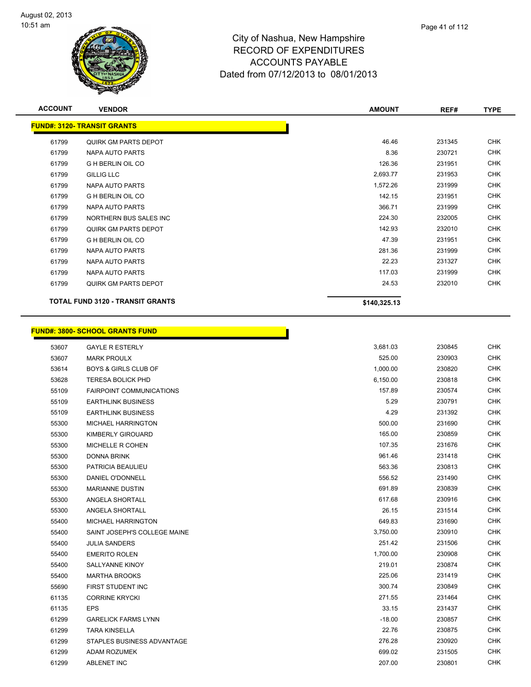

| <b>ACCOUNT</b> | <b>VENDOR</b>                      | <b>AMOUNT</b> | REF#   | <b>TYPE</b> |
|----------------|------------------------------------|---------------|--------|-------------|
|                | <b>FUND#: 3120- TRANSIT GRANTS</b> |               |        |             |
| 61799          | <b>QUIRK GM PARTS DEPOT</b>        | 46.46         | 231345 | <b>CHK</b>  |
| 61799          | NAPA AUTO PARTS                    | 8.36          | 230721 | <b>CHK</b>  |
| 61799          | <b>G H BERLIN OIL CO</b>           | 126.36        | 231951 | <b>CHK</b>  |
| 61799          | <b>GILLIG LLC</b>                  | 2,693.77      | 231953 | <b>CHK</b>  |
| 61799          | NAPA AUTO PARTS                    | 1,572.26      | 231999 | <b>CHK</b>  |
| 61799          | <b>G H BERLIN OIL CO</b>           | 142.15        | 231951 | <b>CHK</b>  |
| 61799          | NAPA AUTO PARTS                    | 366.71        | 231999 | <b>CHK</b>  |
| 61799          | NORTHERN BUS SALES INC             | 224.30        | 232005 | <b>CHK</b>  |
| 61799          | <b>QUIRK GM PARTS DEPOT</b>        | 142.93        | 232010 | <b>CHK</b>  |
| 61799          | <b>GH BERLIN OIL CO</b>            | 47.39         | 231951 | <b>CHK</b>  |
| 61799          | NAPA AUTO PARTS                    | 281.36        | 231999 | <b>CHK</b>  |
| 61799          | NAPA AUTO PARTS                    | 22.23         | 231327 | <b>CHK</b>  |
| 61799          | NAPA AUTO PARTS                    | 117.03        | 231999 | <b>CHK</b>  |
| 61799          | QUIRK GM PARTS DEPOT               | 24.53         | 232010 | <b>CHK</b>  |
|                | TOTAL FUND 3120 - TRANSIT GRANTS   | \$140,325.13  |        |             |

# **FUND#: 3800- SCHOOL GRANTS FUND**

|       | <u> JND#: 3800- SCHOOL GRANTS FUND</u> |          |          |
|-------|----------------------------------------|----------|----------|
| 53607 | <b>GAYLE R ESTERLY</b>                 |          | 3,681.03 |
| 53607 | <b>MARK PROULX</b>                     |          | 525.00   |
| 53614 | <b>BOYS &amp; GIRLS CLUB OF</b>        |          | 1,000.00 |
| 53628 | <b>TERESA BOLICK PHD</b>               |          | 6,150.00 |
| 55109 | <b>FAIRPOINT COMMUNICATIONS</b>        |          | 157.89   |
| 55109 | <b>EARTHLINK BUSINESS</b>              |          | 5.29     |
| 55109 | <b>EARTHLINK BUSINESS</b>              |          | 4.29     |
| 55300 | MICHAEL HARRINGTON                     |          | 500.00   |
| 55300 | KIMBERLY GIROUARD                      |          | 165.00   |
| 55300 | MICHELLE R COHEN                       |          | 107.35   |
| 55300 | DONNA BRINK                            |          | 961.46   |
| 55300 | PATRICIA BEAULIEU                      |          | 563.36   |
| 55300 | DANIEL O'DONNELL                       |          | 556.52   |
| 55300 | <b>MARIANNE DUSTIN</b>                 |          | 691.89   |
| 55300 | ANGELA SHORTALL                        |          | 617.68   |
| 55300 | ANGELA SHORTALL                        |          | 26.15    |
| 55400 | MICHAEL HARRINGTON                     | 649.83   |          |
| 55400 | SAINT JOSEPH'S COLLEGE MAINE           | 3,750.00 |          |
| 55400 | <b>JULIA SANDERS</b>                   | 251.42   |          |
| 55400 | <b>EMERITO ROLEN</b>                   | 1,700.00 |          |
| 55400 | SALLYANNE KINOY                        | 219.01   |          |
| 55400 | <b>MARTHA BROOKS</b>                   | 225.06   |          |
| 55690 | FIRST STUDENT INC                      | 300.74   |          |
| 61135 | <b>CORRINE KRYCKI</b>                  | 271.55   |          |
| 61135 | <b>EPS</b>                             | 33.15    |          |
| 61299 | <b>GARELICK FARMS LYNN</b>             | $-18.00$ |          |
| 61299 | <b>TARA KINSELLA</b>                   | 22.76    |          |
| 61299 | STAPLES BUSINESS ADVANTAGE             | 276.28   |          |
| 61299 | ADAM ROZUMEK                           | 699.02   |          |
| 61299 | <b>ABLENET INC</b>                     | 207.00   |          |
|       |                                        |          |          |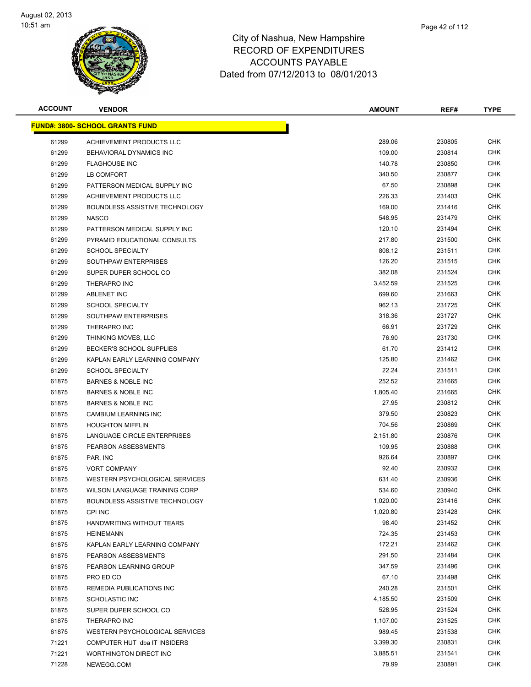

| <b>ACCOUNT</b> | <b>VENDOR</b>                           | <b>AMOUNT</b> | REF#   | <b>TYPE</b> |
|----------------|-----------------------------------------|---------------|--------|-------------|
|                | <u> FUND#: 3800- SCHOOL GRANTS FUND</u> |               |        |             |
| 61299          | ACHIEVEMENT PRODUCTS LLC                | 289.06        | 230805 | <b>CHK</b>  |
| 61299          | BEHAVIORAL DYNAMICS INC                 | 109.00        | 230814 | <b>CHK</b>  |
| 61299          | <b>FLAGHOUSE INC</b>                    | 140.78        | 230850 | CHK         |
| 61299          | LB COMFORT                              | 340.50        | 230877 | CHK         |
| 61299          | PATTERSON MEDICAL SUPPLY INC            | 67.50         | 230898 | CHK         |
| 61299          | ACHIEVEMENT PRODUCTS LLC                | 226.33        | 231403 | <b>CHK</b>  |
| 61299          | BOUNDLESS ASSISTIVE TECHNOLOGY          | 169.00        | 231416 | CHK         |
| 61299          | <b>NASCO</b>                            | 548.95        | 231479 | CHK         |
| 61299          | PATTERSON MEDICAL SUPPLY INC            | 120.10        | 231494 | CHK         |
| 61299          | PYRAMID EDUCATIONAL CONSULTS.           | 217.80        | 231500 | CHK         |
| 61299          | <b>SCHOOL SPECIALTY</b>                 | 808.12        | 231511 | CHK         |
| 61299          | SOUTHPAW ENTERPRISES                    | 126.20        | 231515 | <b>CHK</b>  |
| 61299          | SUPER DUPER SCHOOL CO                   | 382.08        | 231524 | CHK         |
| 61299          | THERAPRO INC                            | 3,452.59      | 231525 | CHK         |
| 61299          | <b>ABLENET INC</b>                      | 699.60        | 231663 | <b>CHK</b>  |
| 61299          | <b>SCHOOL SPECIALTY</b>                 | 962.13        | 231725 | CHK         |
| 61299          | SOUTHPAW ENTERPRISES                    | 318.36        | 231727 | <b>CHK</b>  |
| 61299          | THERAPRO INC                            | 66.91         | 231729 | CHK         |
| 61299          | THINKING MOVES, LLC                     | 76.90         | 231730 | CHK         |
| 61299          | BECKER'S SCHOOL SUPPLIES                | 61.70         | 231412 | CHK         |
| 61299          | KAPLAN EARLY LEARNING COMPANY           | 125.80        | 231462 | CHK         |
| 61299          | <b>SCHOOL SPECIALTY</b>                 | 22.24         | 231511 | CHK         |
| 61875          | <b>BARNES &amp; NOBLE INC</b>           | 252.52        | 231665 | CHK         |
| 61875          | <b>BARNES &amp; NOBLE INC</b>           | 1,805.40      | 231665 | CHK         |
| 61875          | <b>BARNES &amp; NOBLE INC</b>           | 27.95         | 230812 | CHK         |
| 61875          | CAMBIUM LEARNING INC                    | 379.50        | 230823 | CHK         |
| 61875          | <b>HOUGHTON MIFFLIN</b>                 | 704.56        | 230869 | CHK         |
| 61875          | LANGUAGE CIRCLE ENTERPRISES             | 2,151.80      | 230876 | <b>CHK</b>  |
| 61875          | PEARSON ASSESSMENTS                     | 109.95        | 230888 | CHK         |
| 61875          | PAR, INC                                | 926.64        | 230897 | CHK         |
| 61875          | <b>VORT COMPANY</b>                     | 92.40         | 230932 | CHK         |
| 61875          | WESTERN PSYCHOLOGICAL SERVICES          | 631.40        | 230936 | CHK         |
| 61875          | WILSON LANGUAGE TRAINING CORP           | 534.60        | 230940 | CHK         |
| 61875          | BOUNDLESS ASSISTIVE TECHNOLOGY          | 1,020.00      | 231416 | <b>CHK</b>  |
| 61875          | <b>CPI INC</b>                          | 1,020.80      | 231428 | <b>CHK</b>  |
| 61875          | HANDWRITING WITHOUT TEARS               | 98.40         | 231452 | <b>CHK</b>  |
| 61875          | <b>HEINEMANN</b>                        | 724.35        | 231453 | <b>CHK</b>  |
| 61875          | KAPLAN EARLY LEARNING COMPANY           | 172.21        | 231462 | <b>CHK</b>  |
| 61875          | PEARSON ASSESSMENTS                     | 291.50        | 231484 | <b>CHK</b>  |
| 61875          | PEARSON LEARNING GROUP                  | 347.59        | 231496 | <b>CHK</b>  |
| 61875          | PRO ED CO                               | 67.10         | 231498 | <b>CHK</b>  |
| 61875          | REMEDIA PUBLICATIONS INC                | 240.28        | 231501 | <b>CHK</b>  |
| 61875          | <b>SCHOLASTIC INC</b>                   | 4,185.50      | 231509 | <b>CHK</b>  |
| 61875          | SUPER DUPER SCHOOL CO                   | 528.95        | 231524 | CHK         |
| 61875          | THERAPRO INC                            | 1,107.00      | 231525 | <b>CHK</b>  |
| 61875          | WESTERN PSYCHOLOGICAL SERVICES          | 989.45        | 231538 | <b>CHK</b>  |
| 71221          | COMPUTER HUT dba IT INSIDERS            | 3,399.30      | 230831 | <b>CHK</b>  |
| 71221          | WORTHINGTON DIRECT INC                  | 3,885.51      | 231541 | CHK         |
| 71228          | NEWEGG.COM                              | 79.99         | 230891 | <b>CHK</b>  |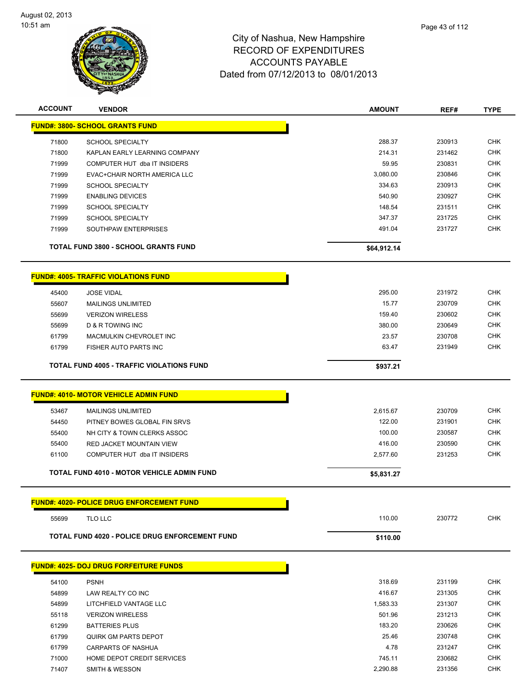

| <b>ACCOUNT</b> | <b>VENDOR</b>                                                 | <b>AMOUNT</b>      | REF#             | <b>TYPE</b>              |
|----------------|---------------------------------------------------------------|--------------------|------------------|--------------------------|
|                | <b>FUND#: 3800- SCHOOL GRANTS FUND</b>                        |                    |                  |                          |
|                |                                                               |                    |                  |                          |
| 71800          | <b>SCHOOL SPECIALTY</b>                                       | 288.37             | 230913           | <b>CHK</b>               |
| 71800          | KAPLAN EARLY LEARNING COMPANY<br>COMPUTER HUT dba IT INSIDERS | 214.31             | 231462           | <b>CHK</b><br><b>CHK</b> |
| 71999          |                                                               | 59.95              | 230831<br>230846 | <b>CHK</b>               |
| 71999<br>71999 | EVAC+CHAIR NORTH AMERICA LLC<br><b>SCHOOL SPECIALTY</b>       | 3,080.00<br>334.63 | 230913           | <b>CHK</b>               |
| 71999          | <b>ENABLING DEVICES</b>                                       | 540.90             | 230927           | <b>CHK</b>               |
| 71999          | <b>SCHOOL SPECIALTY</b>                                       | 148.54             | 231511           | <b>CHK</b>               |
| 71999          | <b>SCHOOL SPECIALTY</b>                                       | 347.37             | 231725           | <b>CHK</b>               |
| 71999          | SOUTHPAW ENTERPRISES                                          | 491.04             | 231727           | <b>CHK</b>               |
|                |                                                               |                    |                  |                          |
|                | <b>TOTAL FUND 3800 - SCHOOL GRANTS FUND</b>                   | \$64,912.14        |                  |                          |
|                | <b>FUND#: 4005- TRAFFIC VIOLATIONS FUND</b>                   |                    |                  |                          |
| 45400          | <b>JOSE VIDAL</b>                                             | 295.00             | 231972           | <b>CHK</b>               |
| 55607          | <b>MAILINGS UNLIMITED</b>                                     | 15.77              | 230709           | <b>CHK</b>               |
| 55699          | <b>VERIZON WIRELESS</b>                                       | 159.40             | 230602           | <b>CHK</b>               |
| 55699          | <b>D &amp; R TOWING INC</b>                                   | 380.00             | 230649           | <b>CHK</b>               |
| 61799          | MACMULKIN CHEVROLET INC                                       | 23.57              | 230708           | <b>CHK</b>               |
| 61799          | <b>FISHER AUTO PARTS INC</b>                                  | 63.47              | 231949           | <b>CHK</b>               |
|                | <b>TOTAL FUND 4005 - TRAFFIC VIOLATIONS FUND</b>              | \$937.21           |                  |                          |
|                |                                                               |                    |                  |                          |
|                | FUND#: 4010- MOTOR VEHICLE ADMIN FUND                         |                    |                  |                          |
| 53467          | <b>MAILINGS UNLIMITED</b>                                     | 2,615.67           | 230709           | <b>CHK</b>               |
| 54450          | PITNEY BOWES GLOBAL FIN SRVS                                  | 122.00             | 231901           | <b>CHK</b>               |
| 55400          | NH CITY & TOWN CLERKS ASSOC                                   | 100.00             | 230587           | <b>CHK</b>               |
| 55400          | RED JACKET MOUNTAIN VIEW                                      | 416.00             | 230590           | <b>CHK</b>               |
| 61100          | COMPUTER HUT dba IT INSIDERS                                  | 2,577.60           | 231253           | <b>CHK</b>               |
|                | <b>TOTAL FUND 4010 - MOTOR VEHICLE ADMIN FUND</b>             | \$5,831.27         |                  |                          |
|                |                                                               |                    |                  |                          |
|                | <b>FUND#: 4020- POLICE DRUG ENFORCEMENT FUND</b>              |                    |                  |                          |
| 55699          | TLO LLC                                                       | 110.00             | 230772           | <b>CHK</b>               |
|                | <b>TOTAL FUND 4020 - POLICE DRUG ENFORCEMENT FUND</b>         | \$110.00           |                  |                          |
|                | <b>FUND#: 4025- DOJ DRUG FORFEITURE FUNDS</b>                 |                    |                  |                          |
|                |                                                               |                    |                  |                          |
| 54100          | <b>PSNH</b>                                                   | 318.69             | 231199           | <b>CHK</b>               |
| 54899          | LAW REALTY CO INC                                             | 416.67             | 231305           | <b>CHK</b>               |
| 54899          | LITCHFIELD VANTAGE LLC                                        | 1,583.33           | 231307           | <b>CHK</b>               |
| 55118          | <b>VERIZON WIRELESS</b>                                       | 501.96             | 231213           | <b>CHK</b>               |
| 61299          | <b>BATTERIES PLUS</b>                                         | 183.20             | 230626           | <b>CHK</b>               |
| 61799          | <b>QUIRK GM PARTS DEPOT</b>                                   | 25.46              | 230748           | <b>CHK</b>               |
| 61799          | <b>CARPARTS OF NASHUA</b>                                     | 4.78               | 231247           | CHK                      |
| 71000<br>71407 | HOME DEPOT CREDIT SERVICES<br>SMITH & WESSON                  | 745.11<br>2,290.88 | 230682<br>231356 | CHK<br>CHK               |
|                |                                                               |                    |                  |                          |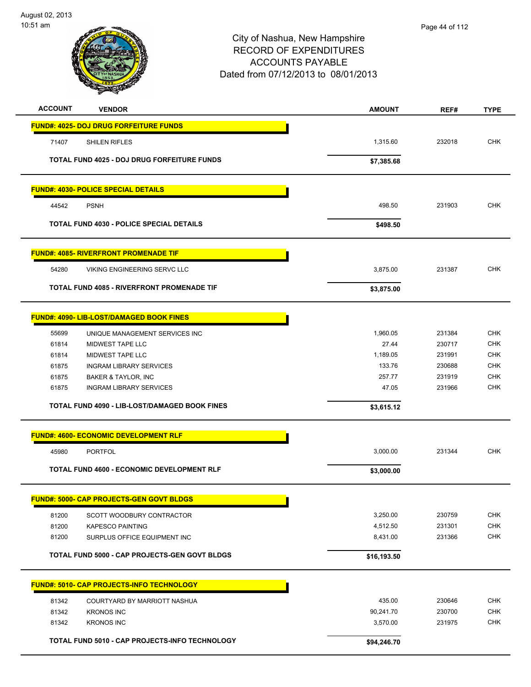

| <b>ACCOUNT</b> | <b>VENDOR</b>                                        | <b>AMOUNT</b> | REF#   | <b>TYPE</b> |
|----------------|------------------------------------------------------|---------------|--------|-------------|
|                | <b>FUND#: 4025- DOJ DRUG FORFEITURE FUNDS</b>        |               |        |             |
| 71407          | <b>SHILEN RIFLES</b>                                 | 1,315.60      | 232018 | <b>CHK</b>  |
|                | <b>TOTAL FUND 4025 - DOJ DRUG FORFEITURE FUNDS</b>   | \$7,385.68    |        |             |
|                | <b>FUND#: 4030- POLICE SPECIAL DETAILS</b>           |               |        |             |
| 44542          | <b>PSNH</b>                                          | 498.50        | 231903 | <b>CHK</b>  |
|                | <b>TOTAL FUND 4030 - POLICE SPECIAL DETAILS</b>      | \$498.50      |        |             |
|                | <b>FUND#: 4085- RIVERFRONT PROMENADE TIF</b>         |               |        |             |
| 54280          | VIKING ENGINEERING SERVC LLC                         | 3,875.00      | 231387 | <b>CHK</b>  |
|                | <b>TOTAL FUND 4085 - RIVERFRONT PROMENADE TIF</b>    | \$3,875.00    |        |             |
|                | <b>FUND#: 4090- LIB-LOST/DAMAGED BOOK FINES</b>      |               |        |             |
| 55699          | UNIQUE MANAGEMENT SERVICES INC                       | 1,960.05      | 231384 | <b>CHK</b>  |
| 61814          | <b>MIDWEST TAPE LLC</b>                              | 27.44         | 230717 | <b>CHK</b>  |
| 61814          | <b>MIDWEST TAPE LLC</b>                              | 1,189.05      | 231991 | <b>CHK</b>  |
| 61875          | <b>INGRAM LIBRARY SERVICES</b>                       | 133.76        | 230688 | <b>CHK</b>  |
| 61875          | <b>BAKER &amp; TAYLOR, INC</b>                       | 257.77        | 231919 | <b>CHK</b>  |
| 61875          | <b>INGRAM LIBRARY SERVICES</b>                       | 47.05         | 231966 | <b>CHK</b>  |
|                | TOTAL FUND 4090 - LIB-LOST/DAMAGED BOOK FINES        | \$3,615.12    |        |             |
|                | <b>FUND#: 4600- ECONOMIC DEVELOPMENT RLF</b>         |               |        |             |
| 45980          | <b>PORTFOL</b>                                       | 3,000.00      | 231344 | <b>CHK</b>  |
|                | <b>TOTAL FUND 4600 - ECONOMIC DEVELOPMENT RLF</b>    | \$3,000.00    |        |             |
|                | <b>FUND#: 5000- CAP PROJECTS-GEN GOVT BLDGS</b>      |               |        |             |
| 81200          | SCOTT WOODBURY CONTRACTOR                            | 3,250.00      | 230759 | <b>CHK</b>  |
| 81200          | <b>KAPESCO PAINTING</b>                              | 4,512.50      | 231301 | CHK         |
| 81200          | SURPLUS OFFICE EQUIPMENT INC                         | 8,431.00      | 231366 | <b>CHK</b>  |
|                | <b>TOTAL FUND 5000 - CAP PROJECTS-GEN GOVT BLDGS</b> | \$16,193.50   |        |             |
|                | <b>FUND#: 5010- CAP PROJECTS-INFO TECHNOLOGY</b>     |               |        |             |
| 81342          | COURTYARD BY MARRIOTT NASHUA                         | 435.00        | 230646 | <b>CHK</b>  |
| 81342          | <b>KRONOS INC</b>                                    | 90,241.70     | 230700 | <b>CHK</b>  |
| 81342          | <b>KRONOS INC</b>                                    | 3,570.00      | 231975 | <b>CHK</b>  |
|                | TOTAL FUND 5010 - CAP PROJECTS-INFO TECHNOLOGY       | \$94,246.70   |        |             |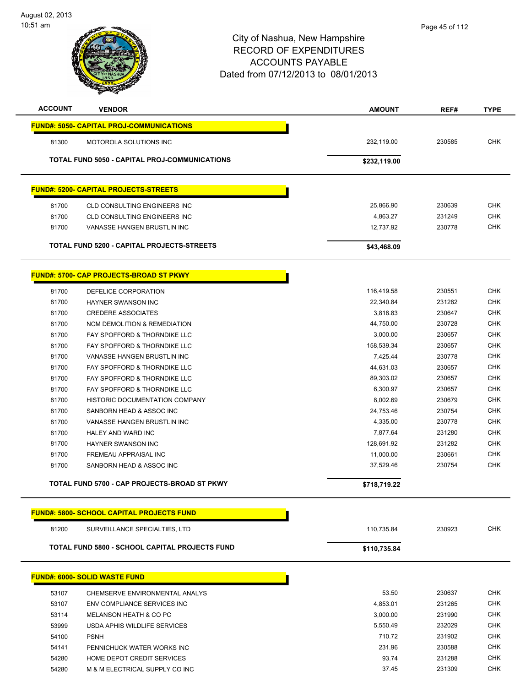|                | T<br>ॼ                                                |               |        |             |
|----------------|-------------------------------------------------------|---------------|--------|-------------|
| <b>ACCOUNT</b> | <b>VENDOR</b>                                         | <b>AMOUNT</b> | REF#   | <b>TYPE</b> |
|                | <b>FUND#: 5050- CAPITAL PROJ-COMMUNICATIONS</b>       |               |        |             |
| 81300          | <b>MOTOROLA SOLUTIONS INC</b>                         | 232,119.00    | 230585 | <b>CHK</b>  |
|                | <b>TOTAL FUND 5050 - CAPITAL PROJ-COMMUNICATIONS</b>  | \$232,119.00  |        |             |
|                | <b>FUND#: 5200- CAPITAL PROJECTS-STREETS</b>          |               |        |             |
| 81700          | <b>CLD CONSULTING ENGINEERS INC</b>                   | 25,866.90     | 230639 | <b>CHK</b>  |
| 81700          | <b>CLD CONSULTING ENGINEERS INC</b>                   | 4,863.27      | 231249 | <b>CHK</b>  |
| 81700          | VANASSE HANGEN BRUSTLIN INC                           | 12,737.92     | 230778 | <b>CHK</b>  |
|                | TOTAL FUND 5200 - CAPITAL PROJECTS-STREETS            | \$43,468.09   |        |             |
|                | <b>FUND#: 5700- CAP PROJECTS-BROAD ST PKWY</b>        |               |        |             |
| 81700          | DEFELICE CORPORATION                                  | 116,419.58    | 230551 | <b>CHK</b>  |
| 81700          | <b>HAYNER SWANSON INC</b>                             | 22,340.84     | 231282 | <b>CHK</b>  |
| 81700          | <b>CREDERE ASSOCIATES</b>                             | 3,818.83      | 230647 | <b>CHK</b>  |
| 81700          | <b>NCM DEMOLITION &amp; REMEDIATION</b>               | 44,750.00     | 230728 | <b>CHK</b>  |
| 81700          | FAY SPOFFORD & THORNDIKE LLC                          | 3,000.00      | 230657 | <b>CHK</b>  |
| 81700          | FAY SPOFFORD & THORNDIKE LLC                          | 158,539.34    | 230657 | <b>CHK</b>  |
| 81700          | VANASSE HANGEN BRUSTLIN INC                           | 7,425.44      | 230778 | <b>CHK</b>  |
| 81700          | FAY SPOFFORD & THORNDIKE LLC                          | 44,631.03     | 230657 | <b>CHK</b>  |
| 81700          | FAY SPOFFORD & THORNDIKE LLC                          | 89,303.02     | 230657 | <b>CHK</b>  |
| 81700          | FAY SPOFFORD & THORNDIKE LLC                          | 6,300.97      | 230657 | <b>CHK</b>  |
| 81700          | HISTORIC DOCUMENTATION COMPANY                        | 8,002.69      | 230679 | <b>CHK</b>  |
| 81700          | SANBORN HEAD & ASSOC INC                              | 24,753.46     | 230754 | <b>CHK</b>  |
| 81700          | VANASSE HANGEN BRUSTLIN INC                           | 4,335.00      | 230778 | <b>CHK</b>  |
| 81700          | <b>HALEY AND WARD INC</b>                             | 7,877.64      | 231280 | <b>CHK</b>  |
| 81700          | <b>HAYNER SWANSON INC</b>                             | 128,691.92    | 231282 | <b>CHK</b>  |
| 81700          | FREMEAU APPRAISAL INC                                 | 11,000.00     | 230661 | <b>CHK</b>  |
| 81700          | SANBORN HEAD & ASSOC INC                              | 37,529.46     | 230754 | <b>CHK</b>  |
|                | TOTAL FUND 5700 - CAP PROJECTS-BROAD ST PKWY          | \$718,719.22  |        |             |
|                | <b>FUND#: 5800- SCHOOL CAPITAL PROJECTS FUND</b>      |               |        |             |
| 81200          | SURVEILLANCE SPECIALTIES, LTD                         | 110,735.84    | 230923 | <b>CHK</b>  |
|                | <b>TOTAL FUND 5800 - SCHOOL CAPITAL PROJECTS FUND</b> | \$110,735.84  |        |             |
|                | <b>FUND#: 6000- SOLID WASTE FUND</b>                  |               |        |             |
| 53107          | CHEMSERVE ENVIRONMENTAL ANALYS                        | 53.50         | 230637 | <b>CHK</b>  |
|                |                                                       |               |        |             |

| 53107 | ENV COMPLIANCE SERVICES INC    | 4.853.01 | 231265 | CHK        |
|-------|--------------------------------|----------|--------|------------|
| 53114 | MELANSON HEATH & CO PC         | 3.000.00 | 231990 | CHK        |
| 53999 | USDA APHIS WILDLIFE SERVICES   | 5.550.49 | 232029 | <b>CHK</b> |
| 54100 | <b>PSNH</b>                    | 710.72   | 231902 | <b>CHK</b> |
| 54141 | PENNICHUCK WATER WORKS INC     | 231.96   | 230588 | <b>CHK</b> |
| 54280 | HOME DEPOT CREDIT SERVICES     | 93.74    | 231288 | <b>CHK</b> |
| 54280 | M & M ELECTRICAL SUPPLY CO INC | 37.45    | 231309 | <b>CHK</b> |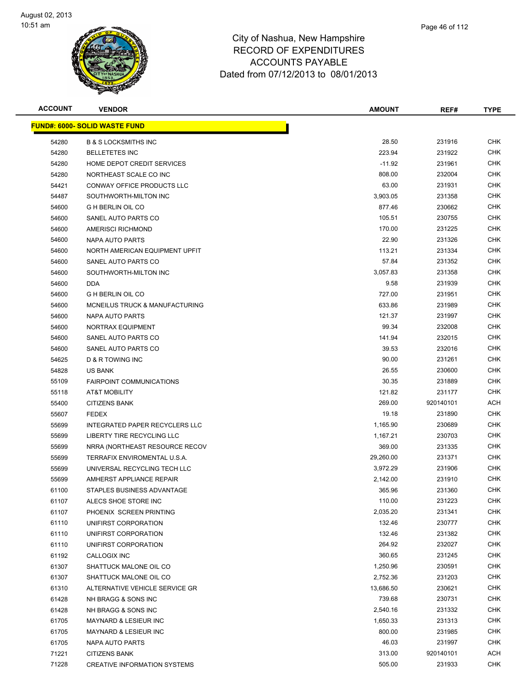

| <b>ACCOUNT</b> | <b>VENDOR</b>                                               | <b>AMOUNT</b>      | REF#             | <b>TYPE</b>              |
|----------------|-------------------------------------------------------------|--------------------|------------------|--------------------------|
|                | <b>FUND#: 6000- SOLID WASTE FUND</b>                        |                    |                  |                          |
| 54280          | <b>B &amp; S LOCKSMITHS INC</b>                             | 28.50              | 231916           | <b>CHK</b>               |
| 54280          | <b>BELLETETES INC</b>                                       | 223.94             | 231922           | <b>CHK</b>               |
| 54280          | HOME DEPOT CREDIT SERVICES                                  | $-11.92$           | 231961           | <b>CHK</b>               |
| 54280          | NORTHEAST SCALE CO INC                                      | 808.00             | 232004           | <b>CHK</b>               |
| 54421          | <b>CONWAY OFFICE PRODUCTS LLC</b>                           | 63.00              | 231931           | <b>CHK</b>               |
| 54487          | SOUTHWORTH-MILTON INC                                       | 3,903.05           | 231358           | <b>CHK</b>               |
| 54600          | <b>G H BERLIN OIL CO</b>                                    | 877.46             | 230662           | <b>CHK</b>               |
| 54600          | SANEL AUTO PARTS CO                                         | 105.51             | 230755           | <b>CHK</b>               |
| 54600          | <b>AMERISCI RICHMOND</b>                                    | 170.00             | 231225           | <b>CHK</b>               |
| 54600          | NAPA AUTO PARTS                                             | 22.90              | 231326           | <b>CHK</b>               |
| 54600          | NORTH AMERICAN EQUIPMENT UPFIT                              | 113.21             | 231334           | <b>CHK</b>               |
| 54600          | SANEL AUTO PARTS CO                                         | 57.84              | 231352           | <b>CHK</b>               |
| 54600          | SOUTHWORTH-MILTON INC                                       | 3,057.83           | 231358           | <b>CHK</b>               |
| 54600          | <b>DDA</b>                                                  | 9.58               | 231939           | <b>CHK</b>               |
| 54600          | <b>G H BERLIN OIL CO</b>                                    | 727.00             | 231951           | <b>CHK</b>               |
| 54600          | MCNEILUS TRUCK & MANUFACTURING                              | 633.86             | 231989           | <b>CHK</b>               |
| 54600          | NAPA AUTO PARTS                                             | 121.37             | 231997           | <b>CHK</b>               |
| 54600          | <b>NORTRAX EQUIPMENT</b>                                    | 99.34              | 232008           | <b>CHK</b>               |
| 54600          | SANEL AUTO PARTS CO                                         | 141.94             | 232015           | <b>CHK</b>               |
| 54600          | SANEL AUTO PARTS CO                                         | 39.53              | 232016           | <b>CHK</b>               |
| 54625          | D & R TOWING INC                                            | 90.00              | 231261           | <b>CHK</b>               |
| 54828          | <b>US BANK</b>                                              | 26.55              | 230600           | <b>CHK</b>               |
| 55109          | <b>FAIRPOINT COMMUNICATIONS</b>                             | 30.35              | 231889           | <b>CHK</b>               |
| 55118          | AT&T MOBILITY                                               | 121.82             | 231177           | <b>CHK</b>               |
| 55400          | <b>CITIZENS BANK</b>                                        | 269.00             | 920140101        | <b>ACH</b>               |
| 55607          | <b>FEDEX</b>                                                | 19.18              | 231890           | <b>CHK</b>               |
| 55699          | <b>INTEGRATED PAPER RECYCLERS LLC</b>                       | 1,165.90           | 230689           | <b>CHK</b>               |
| 55699          | LIBERTY TIRE RECYCLING LLC                                  | 1,167.21           | 230703           | <b>CHK</b>               |
| 55699          | NRRA (NORTHEAST RESOURCE RECOV                              | 369.00             | 231335           | <b>CHK</b>               |
| 55699          | TERRAFIX ENVIROMENTAL U.S.A.                                | 29,260.00          | 231371           | <b>CHK</b>               |
| 55699          | UNIVERSAL RECYCLING TECH LLC                                | 3,972.29           | 231906           | <b>CHK</b>               |
| 55699          | AMHERST APPLIANCE REPAIR                                    | 2,142.00           | 231910           | <b>CHK</b>               |
| 61100          | STAPLES BUSINESS ADVANTAGE                                  | 365.96             | 231360           | <b>CHK</b>               |
| 61107          | ALECS SHOE STORE INC                                        | 110.00             | 231223           | <b>CHK</b>               |
| 61107          | PHOENIX SCREEN PRINTING                                     | 2,035.20           | 231341           | <b>CHK</b>               |
| 61110          | UNIFIRST CORPORATION                                        | 132.46             | 230777           | <b>CHK</b>               |
| 61110          | UNIFIRST CORPORATION                                        | 132.46             | 231382           | <b>CHK</b>               |
| 61110          | UNIFIRST CORPORATION                                        | 264.92             | 232027           | <b>CHK</b>               |
| 61192          | CALLOGIX INC                                                | 360.65             | 231245           | <b>CHK</b>               |
| 61307          | SHATTUCK MALONE OIL CO                                      | 1,250.96           | 230591           | <b>CHK</b>               |
| 61307          | SHATTUCK MALONE OIL CO                                      | 2,752.36           | 231203           | <b>CHK</b>               |
| 61310          | ALTERNATIVE VEHICLE SERVICE GR                              | 13,686.50          | 230621           | <b>CHK</b>               |
| 61428          | NH BRAGG & SONS INC                                         | 739.68             | 230731           | <b>CHK</b><br><b>CHK</b> |
| 61428          | NH BRAGG & SONS INC                                         | 2,540.16           | 231332           |                          |
| 61705          | MAYNARD & LESIEUR INC                                       | 1,650.33<br>800.00 | 231313<br>231985 | <b>CHK</b><br><b>CHK</b> |
| 61705<br>61705 | <b>MAYNARD &amp; LESIEUR INC</b><br>NAPA AUTO PARTS         | 46.03              | 231997           | <b>CHK</b>               |
| 71221          |                                                             | 313.00             | 920140101        | <b>ACH</b>               |
| 71228          | <b>CITIZENS BANK</b><br><b>CREATIVE INFORMATION SYSTEMS</b> | 505.00             | 231933           | <b>CHK</b>               |
|                |                                                             |                    |                  |                          |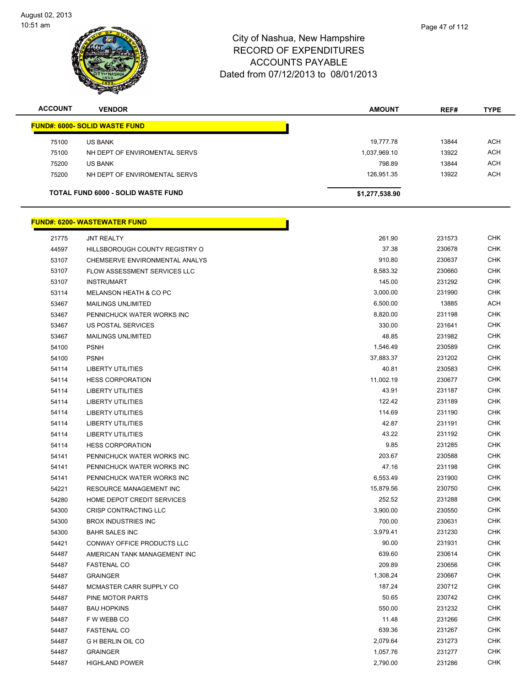

| <b>ACCOUNT</b> | <b>VENDOR</b>                             | <b>AMOUNT</b>  | REF#  | <b>TYPE</b> |
|----------------|-------------------------------------------|----------------|-------|-------------|
|                | <b>FUND#: 6000- SOLID WASTE FUND</b>      |                |       |             |
| 75100          | <b>US BANK</b>                            | 19,777.78      | 13844 | ACH         |
| 75100          | NH DEPT OF ENVIROMENTAL SERVS             | 1,037,969.10   | 13922 | <b>ACH</b>  |
| 75200          | <b>US BANK</b>                            | 798.89         | 13844 | ACH         |
| 75200          | NH DEPT OF ENVIROMENTAL SERVS             | 126.951.35     | 13922 | <b>ACH</b>  |
|                | <b>TOTAL FUND 6000 - SOLID WASTE FUND</b> | \$1,277,538.90 |       |             |

### **FUND#: 6200- WASTEWATER FUND** JNT REALTY 261.90 231573 CHK And the set of the set of the set of the set of the set of the set of the set of the set of the set of the set of the set of the set of the set of the set of the set of the set of the set of the set of the set of the set o CHEMSERVE ENVIRONMENTAL ANALYS 910.80 230637 CHK 53107 FLOW ASSESSMENT SERVICES LLC **CONTRACT SERVICES ASSESSMENT SERVICES** LLC 53107 INSTRUMART 231292 CHK MELANSON HEATH & CO PC 3,000.00 231990 CHK MAILINGS UNLIMITED 6,500.00 13885 ACH 53467 PENNICHUCK WATER WORKS INC **EXAMPLE 2018 CHK** 8,820.00 8,820.00 231198 CHK US POSTAL SERVICES 330.00 231641 CHK MAILINGS UNLIMITED 48.85 231982 CHK PSNH 1,546.49 230589 CHK PSNH 37,883.37 231202 CHK LIBERTY UTILITIES 40.81 230583 CHK HESS CORPORATION 11,002.19 230677 CHK LIBERTY UTILITIES 43.91 231187 CHK LIBERTY UTILITIES 122.42 231189 CHK LIBERTY UTILITIES 114.69 231190 CHK LIBERTY UTILITIES 42.87 231191 CHK LIBERTY UTILITIES 43.22 231192 CHK HESS CORPORATION 9.85 231285 CHK PENNICHUCK WATER WORKS INC 203.67 230588 CHK PENNICHUCK WATER WORKS INC 47.16 231198 CHK PENNICHUCK WATER WORKS INC 6,553.49 231900 CHK RESOURCE MANAGEMENT INC 15,879.56 230750 CHK HOME DEPOT CREDIT SERVICES 252.52 231288 CHK CRISP CONTRACTING LLC 3,900.00 230550 CHK BROX INDUSTRIES INC 700.00 230631 CHK BAHR SALES INC 3,979.41 231230 CHK CONWAY OFFICE PRODUCTS LLC 90.00 231931 CHK AMERICAN TANK MANAGEMENT INC 639.60 230614 CHK FASTENAL CO 209.89 230656 CHK GRAINGER 1,308.24 230667 CHK 54487 MCMASTER CARR SUPPLY CO **187.24** 230712 CHK PINE MOTOR PARTS 50.65 230742 CHK BAU HOPKINS 550.00 231232 CHK F W WEBB CO 11.48 231266 CHK FASTENAL CO 639.36 231267 CHK G H BERLIN OIL CO 2,079.64 231273 CHK

 GRAINGER 1,057.76 231277 CHK HIGHLAND POWER 2,790.00 231286 CHK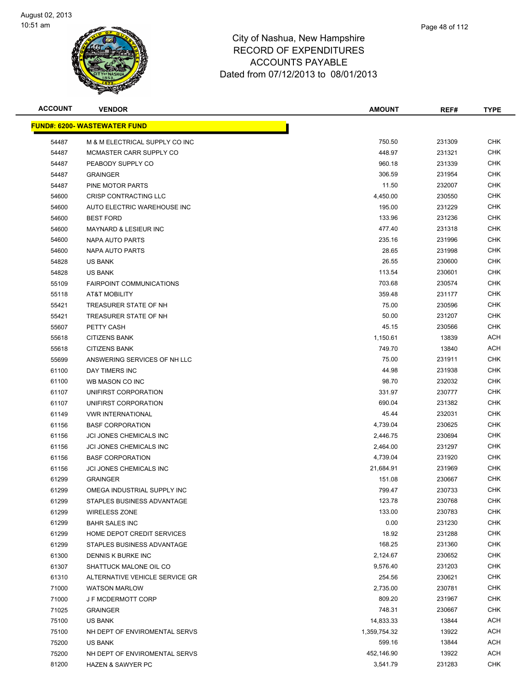

| <b>ACCOUNT</b> | <b>VENDOR</b>                        | <b>AMOUNT</b> | REF#   | <b>TYPE</b> |
|----------------|--------------------------------------|---------------|--------|-------------|
|                | <u> FUND#: 6200- WASTEWATER FUND</u> |               |        |             |
| 54487          | M & M ELECTRICAL SUPPLY CO INC       | 750.50        | 231309 | <b>CHK</b>  |
| 54487          | MCMASTER CARR SUPPLY CO              | 448.97        | 231321 | <b>CHK</b>  |
| 54487          | PEABODY SUPPLY CO                    | 960.18        | 231339 | CHK         |
| 54487          | <b>GRAINGER</b>                      | 306.59        | 231954 | <b>CHK</b>  |
| 54487          | PINE MOTOR PARTS                     | 11.50         | 232007 | <b>CHK</b>  |
| 54600          | <b>CRISP CONTRACTING LLC</b>         | 4,450.00      | 230550 | CHK         |
| 54600          | AUTO ELECTRIC WAREHOUSE INC          | 195.00        | 231229 | <b>CHK</b>  |
| 54600          | <b>BEST FORD</b>                     | 133.96        | 231236 | CHK         |
| 54600          | <b>MAYNARD &amp; LESIEUR INC</b>     | 477.40        | 231318 | <b>CHK</b>  |
| 54600          | NAPA AUTO PARTS                      | 235.16        | 231996 | <b>CHK</b>  |
| 54600          | NAPA AUTO PARTS                      | 28.65         | 231998 | <b>CHK</b>  |
| 54828          | <b>US BANK</b>                       | 26.55         | 230600 | <b>CHK</b>  |
| 54828          | <b>US BANK</b>                       | 113.54        | 230601 | <b>CHK</b>  |
| 55109          | <b>FAIRPOINT COMMUNICATIONS</b>      | 703.68        | 230574 | <b>CHK</b>  |
| 55118          | AT&T MOBILITY                        | 359.48        | 231177 | <b>CHK</b>  |
| 55421          | TREASURER STATE OF NH                | 75.00         | 230596 | <b>CHK</b>  |
| 55421          | TREASURER STATE OF NH                | 50.00         | 231207 | <b>CHK</b>  |
| 55607          | PETTY CASH                           | 45.15         | 230566 | <b>CHK</b>  |
| 55618          | <b>CITIZENS BANK</b>                 | 1,150.61      | 13839  | <b>ACH</b>  |
| 55618          | <b>CITIZENS BANK</b>                 | 749.70        | 13840  | <b>ACH</b>  |
| 55699          | ANSWERING SERVICES OF NH LLC         | 75.00         | 231911 | <b>CHK</b>  |
| 61100          | DAY TIMERS INC                       | 44.98         | 231938 | <b>CHK</b>  |
| 61100          | WB MASON CO INC                      | 98.70         | 232032 | <b>CHK</b>  |
| 61107          | UNIFIRST CORPORATION                 | 331.97        | 230777 | <b>CHK</b>  |
| 61107          | UNIFIRST CORPORATION                 | 690.04        | 231382 | CHK         |
| 61149          | <b>VWR INTERNATIONAL</b>             | 45.44         | 232031 | <b>CHK</b>  |
| 61156          | <b>BASF CORPORATION</b>              | 4,739.04      | 230625 | <b>CHK</b>  |
| 61156          | JCI JONES CHEMICALS INC              | 2,446.75      | 230694 | CHK         |
| 61156          | JCI JONES CHEMICALS INC              | 2,464.00      | 231297 | <b>CHK</b>  |
| 61156          | <b>BASF CORPORATION</b>              | 4,739.04      | 231920 | CHK         |
| 61156          | JCI JONES CHEMICALS INC              | 21,684.91     | 231969 | <b>CHK</b>  |
| 61299          | <b>GRAINGER</b>                      | 151.08        | 230667 | <b>CHK</b>  |
| 61299          | OMEGA INDUSTRIAL SUPPLY INC          | 799.47        | 230733 | <b>CHK</b>  |
| 61299          | STAPLES BUSINESS ADVANTAGE           | 123.78        | 230768 | <b>CHK</b>  |
| 61299          | <b>WIRELESS ZONE</b>                 | 133.00        | 230783 | <b>CHK</b>  |
| 61299          | <b>BAHR SALES INC</b>                | 0.00          | 231230 | <b>CHK</b>  |
| 61299          | HOME DEPOT CREDIT SERVICES           | 18.92         | 231288 | <b>CHK</b>  |
| 61299          | STAPLES BUSINESS ADVANTAGE           | 168.25        | 231360 | <b>CHK</b>  |
| 61300          | DENNIS K BURKE INC                   | 2,124.67      | 230652 | <b>CHK</b>  |
| 61307          | SHATTUCK MALONE OIL CO               | 9,576.40      | 231203 | <b>CHK</b>  |
| 61310          | ALTERNATIVE VEHICLE SERVICE GR       | 254.56        | 230621 | CHK         |
| 71000          | <b>WATSON MARLOW</b>                 | 2,735.00      | 230781 | <b>CHK</b>  |
| 71000          | J F MCDERMOTT CORP                   | 809.20        | 231967 | <b>CHK</b>  |
| 71025          | <b>GRAINGER</b>                      | 748.31        | 230667 | <b>CHK</b>  |
| 75100          | US BANK                              | 14,833.33     | 13844  | <b>ACH</b>  |
| 75100          | NH DEPT OF ENVIROMENTAL SERVS        | 1,359,754.32  | 13922  | <b>ACH</b>  |
| 75200          | <b>US BANK</b>                       | 599.16        | 13844  | <b>ACH</b>  |
| 75200          | NH DEPT OF ENVIROMENTAL SERVS        | 452,146.90    | 13922  | <b>ACH</b>  |
| 81200          | <b>HAZEN &amp; SAWYER PC</b>         | 3,541.79      | 231283 | <b>CHK</b>  |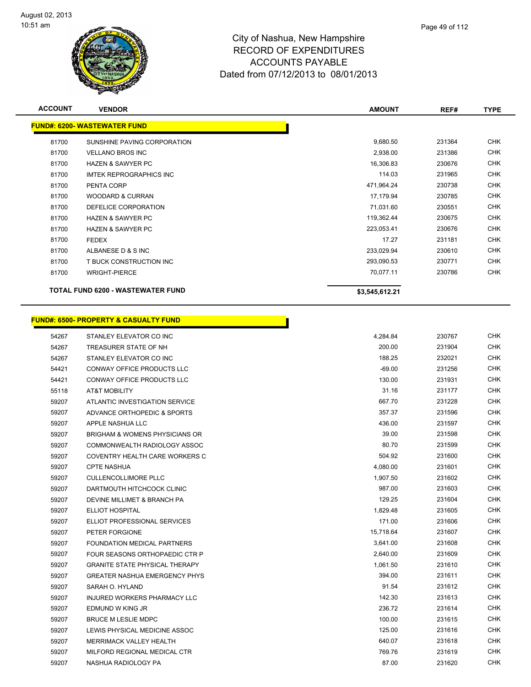

| ampshire      |  |
|---------------|--|
| $\frac{1}{2}$ |  |

Page 49 of 112

| <b>ACCOUNT</b> | <b>VENDOR</b>                                    | <b>AMOUNT</b>  | REF#   | <b>TYPE</b> |
|----------------|--------------------------------------------------|----------------|--------|-------------|
|                | <b>FUND#: 6200- WASTEWATER FUND</b>              |                |        |             |
| 81700          | SUNSHINE PAVING CORPORATION                      | 9,680.50       | 231364 | <b>CHK</b>  |
| 81700          | <b>VELLANO BROS INC</b>                          | 2,938.00       | 231386 | <b>CHK</b>  |
| 81700          | <b>HAZEN &amp; SAWYER PC</b>                     | 16,306.83      | 230676 | <b>CHK</b>  |
| 81700          | <b>IMTEK REPROGRAPHICS INC</b>                   | 114.03         | 231965 | <b>CHK</b>  |
| 81700          | PENTA CORP                                       | 471,964.24     | 230738 | <b>CHK</b>  |
| 81700          | <b>WOODARD &amp; CURRAN</b>                      | 17,179.94      | 230785 | <b>CHK</b>  |
| 81700          | DEFELICE CORPORATION                             | 71,031.60      | 230551 | <b>CHK</b>  |
| 81700          | <b>HAZEN &amp; SAWYER PC</b>                     | 119,362.44     | 230675 | <b>CHK</b>  |
| 81700          | <b>HAZEN &amp; SAWYER PC</b>                     | 223,053.41     | 230676 | <b>CHK</b>  |
| 81700          | <b>FEDEX</b>                                     | 17.27          | 231181 | <b>CHK</b>  |
| 81700          | ALBANESE D & S INC                               | 233,029.94     | 230610 | <b>CHK</b>  |
| 81700          | T BUCK CONSTRUCTION INC                          | 293,090.53     | 230771 | <b>CHK</b>  |
| 81700          | <b>WRIGHT-PIERCE</b>                             | 70,077.11      | 230786 | <b>CHK</b>  |
|                | TOTAL FUND 6200 - WASTEWATER FUND                | \$3,545,612.21 |        |             |
|                | <b>FUND#: 6500- PROPERTY &amp; CASUALTY FUND</b> |                |        |             |
| 54267          | STANLEY ELEVATOR CO INC                          | 4,284.84       | 230767 | <b>CHK</b>  |
| 54267          | TREASURER STATE OF NH                            | 200.00         | 231904 | <b>CHK</b>  |
| 54267          | STANLEY ELEVATOR CO INC                          | 188.25         | 232021 | <b>CHK</b>  |
| 54421          | CONWAY OFFICE PRODUCTS LLC                       | $-69.00$       | 231256 | <b>CHK</b>  |
| 54421          | CONWAY OFFICE PRODUCTS LLC                       | 130.00         | 231931 | <b>CHK</b>  |
| 55118          | <b>AT&amp;T MOBILITY</b>                         | 31.16          | 231177 | <b>CHK</b>  |
| 59207          | ATLANTIC INVESTIGATION SERVICE                   | 667.70         | 231228 | <b>CHK</b>  |
| 59207          | ADVANCE ORTHOPEDIC & SPORTS                      | 357.37         | 231596 | <b>CHK</b>  |
| 59207          | APPLE NASHUA LLC                                 | 436.00         | 231597 | <b>CHK</b>  |
| 59207          | <b>BRIGHAM &amp; WOMENS PHYSICIANS OR</b>        | 39.00          | 231598 | <b>CHK</b>  |
| 59207          | COMMONWEALTH RADIOLOGY ASSOC                     | 80.70          | 231599 | CHK         |
| 59207          | COVENTRY HEALTH CARE WORKERS C                   | 504.92         | 231600 | <b>CHK</b>  |
| 59207          | <b>CPTE NASHUA</b>                               | 4,080.00       | 231601 | <b>CHK</b>  |

| 59207 | COVENTRY HEALTH CARE WORKERS C        | 504.92    | 231600 | <b>CHK</b> |
|-------|---------------------------------------|-----------|--------|------------|
| 59207 | <b>CPTE NASHUA</b>                    | 4,080.00  | 231601 | <b>CHK</b> |
| 59207 | <b>CULLENCOLLIMORE PLLC</b>           | 1,907.50  | 231602 | <b>CHK</b> |
| 59207 | DARTMOUTH HITCHCOCK CLINIC            | 987.00    | 231603 | <b>CHK</b> |
| 59207 | DEVINE MILLIMET & BRANCH PA           | 129.25    | 231604 | <b>CHK</b> |
| 59207 | <b>ELLIOT HOSPITAL</b>                | 1,829.48  | 231605 | <b>CHK</b> |
| 59207 | ELLIOT PROFESSIONAL SERVICES          | 171.00    | 231606 | <b>CHK</b> |
| 59207 | PETER FORGIONE                        | 15,718.64 | 231607 | <b>CHK</b> |
| 59207 | FOUNDATION MEDICAL PARTNERS           | 3.641.00  | 231608 | <b>CHK</b> |
| 59207 | FOUR SEASONS ORTHOPAEDIC CTR P        | 2,640.00  | 231609 | <b>CHK</b> |
| 59207 | <b>GRANITE STATE PHYSICAL THERAPY</b> | 1,061.50  | 231610 | <b>CHK</b> |
| 59207 | <b>GREATER NASHUA EMERGENCY PHYS</b>  | 394.00    | 231611 | <b>CHK</b> |
| 59207 | SARAH O. HYLAND                       | 91.54     | 231612 | <b>CHK</b> |
| 59207 | <b>INJURED WORKERS PHARMACY LLC</b>   | 142.30    | 231613 | <b>CHK</b> |
| 59207 | EDMUND W KING JR                      | 236.72    | 231614 | <b>CHK</b> |
| 59207 | <b>BRUCE M LESLIE MDPC</b>            | 100.00    | 231615 | <b>CHK</b> |
| 59207 | LEWIS PHYSICAL MEDICINE ASSOC         | 125.00    | 231616 | <b>CHK</b> |
| 59207 | MERRIMACK VALLEY HEALTH               | 640.07    | 231618 | <b>CHK</b> |
| 59207 | MILFORD REGIONAL MEDICAL CTR          | 769.76    | 231619 | <b>CHK</b> |
| 59207 | NASHUA RADIOLOGY PA                   | 87.00     | 231620 | <b>CHK</b> |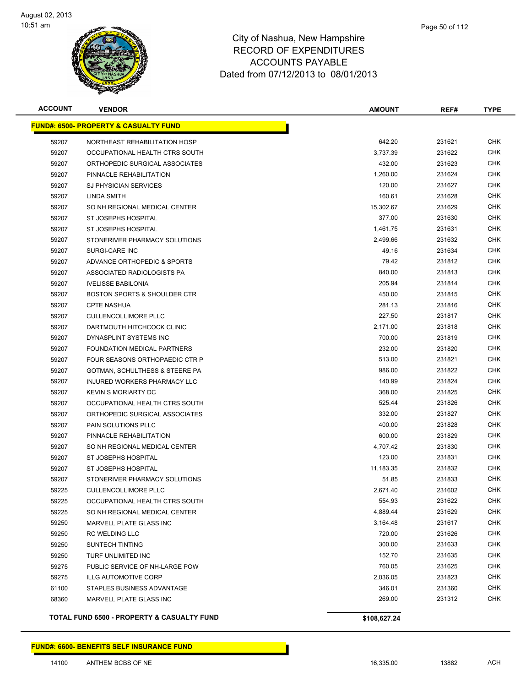

| <b>ACCOUNT</b> | <b>VENDOR</b>                                    | AMOUNT       | REF#   | <b>TYPE</b> |
|----------------|--------------------------------------------------|--------------|--------|-------------|
|                | <b>FUND#: 6500- PROPERTY &amp; CASUALTY FUND</b> |              |        |             |
| 59207          | NORTHEAST REHABILITATION HOSP                    | 642.20       | 231621 | <b>CHK</b>  |
| 59207          | OCCUPATIONAL HEALTH CTRS SOUTH                   | 3,737.39     | 231622 | CHK         |
| 59207          | ORTHOPEDIC SURGICAL ASSOCIATES                   | 432.00       | 231623 | CHK         |
| 59207          | PINNACLE REHABILITATION                          | 1,260.00     | 231624 | <b>CHK</b>  |
| 59207          | <b>SJ PHYSICIAN SERVICES</b>                     | 120.00       | 231627 | CHK         |
| 59207          | LINDA SMITH                                      | 160.61       | 231628 | CHK         |
| 59207          | SO NH REGIONAL MEDICAL CENTER                    | 15,302.67    | 231629 | CHK         |
| 59207          | ST JOSEPHS HOSPITAL                              | 377.00       | 231630 | CHK         |
| 59207          | ST JOSEPHS HOSPITAL                              | 1,461.75     | 231631 | CHK         |
| 59207          | STONERIVER PHARMACY SOLUTIONS                    | 2,499.66     | 231632 | CHK         |
| 59207          | SURGI-CARE INC                                   | 49.16        | 231634 | <b>CHK</b>  |
| 59207          | ADVANCE ORTHOPEDIC & SPORTS                      | 79.42        | 231812 | CHK         |
| 59207          | ASSOCIATED RADIOLOGISTS PA                       | 840.00       | 231813 | CHK         |
| 59207          | <b>IVELISSE BABILONIA</b>                        | 205.94       | 231814 | CHK         |
| 59207          | <b>BOSTON SPORTS &amp; SHOULDER CTR</b>          | 450.00       | 231815 | <b>CHK</b>  |
| 59207          | <b>CPTE NASHUA</b>                               | 281.13       | 231816 | CHK         |
| 59207          | <b>CULLENCOLLIMORE PLLC</b>                      | 227.50       | 231817 | <b>CHK</b>  |
| 59207          | DARTMOUTH HITCHCOCK CLINIC                       | 2,171.00     | 231818 | <b>CHK</b>  |
| 59207          | DYNASPLINT SYSTEMS INC                           | 700.00       | 231819 | CHK         |
| 59207          | FOUNDATION MEDICAL PARTNERS                      | 232.00       | 231820 | <b>CHK</b>  |
| 59207          | FOUR SEASONS ORTHOPAEDIC CTR P                   | 513.00       | 231821 | CHK         |
| 59207          | GOTMAN, SCHULTHESS & STEERE PA                   | 986.00       | 231822 | <b>CHK</b>  |
| 59207          | INJURED WORKERS PHARMACY LLC                     | 140.99       | 231824 | CHK         |
| 59207          | <b>KEVIN S MORIARTY DC</b>                       | 368.00       | 231825 | CHK         |
| 59207          | OCCUPATIONAL HEALTH CTRS SOUTH                   | 525.44       | 231826 | CHK         |
| 59207          | ORTHOPEDIC SURGICAL ASSOCIATES                   | 332.00       | 231827 | <b>CHK</b>  |
| 59207          | PAIN SOLUTIONS PLLC                              | 400.00       | 231828 | CHK         |
| 59207          | PINNACLE REHABILITATION                          | 600.00       | 231829 | CHK         |
| 59207          | SO NH REGIONAL MEDICAL CENTER                    | 4,707.42     | 231830 | CHK         |
| 59207          | ST JOSEPHS HOSPITAL                              | 123.00       | 231831 | CHK         |
| 59207          | ST JOSEPHS HOSPITAL                              | 11,183.35    | 231832 | CHK         |
| 59207          | STONERIVER PHARMACY SOLUTIONS                    | 51.85        | 231833 | <b>CHK</b>  |
| 59225          | <b>CULLENCOLLIMORE PLLC</b>                      | 2,671.40     | 231602 | CHK         |
| 59225          | OCCUPATIONAL HEALTH CTRS SOUTH                   | 554.93       | 231622 | <b>CHK</b>  |
| 59225          | SO NH REGIONAL MEDICAL CENTER                    | 4,889.44     | 231629 | <b>CHK</b>  |
| 59250          | MARVELL PLATE GLASS INC                          | 3,164.48     | 231617 | <b>CHK</b>  |
| 59250          | <b>RC WELDING LLC</b>                            | 720.00       | 231626 | <b>CHK</b>  |
| 59250          | <b>SUNTECH TINTING</b>                           | 300.00       | 231633 | <b>CHK</b>  |
| 59250          | TURF UNLIMITED INC                               | 152.70       | 231635 | <b>CHK</b>  |
| 59275          | PUBLIC SERVICE OF NH-LARGE POW                   | 760.05       | 231625 | <b>CHK</b>  |
| 59275          | <b>ILLG AUTOMOTIVE CORP</b>                      | 2,036.05     | 231823 | <b>CHK</b>  |
| 61100          | STAPLES BUSINESS ADVANTAGE                       | 346.01       | 231360 | <b>CHK</b>  |
| 68360          | MARVELL PLATE GLASS INC                          | 269.00       | 231312 | CHK         |
|                | TOTAL FUND 6500 - PROPERTY & CASUALTY FUND       | \$108,627.24 |        |             |

Т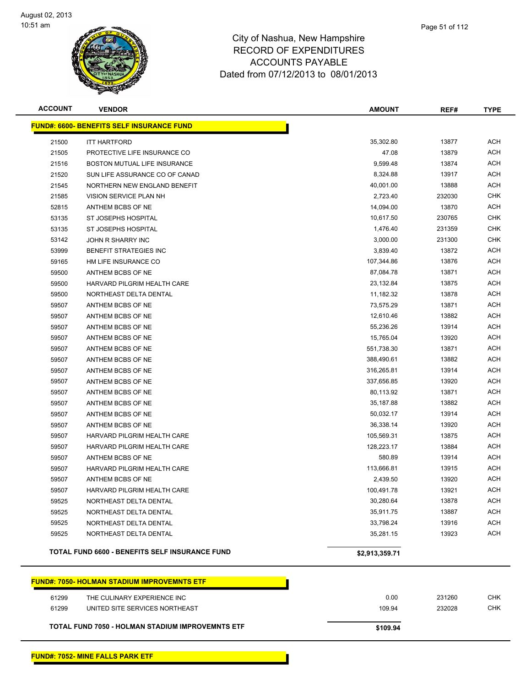

| <b>ACCOUNT</b> | <b>VENDOR</b>                                         | <b>AMOUNT</b>  | REF#           | <b>TYPE</b>              |
|----------------|-------------------------------------------------------|----------------|----------------|--------------------------|
|                | <b>FUND#: 6600- BENEFITS SELF INSURANCE FUND</b>      |                |                |                          |
| 21500          | <b>ITT HARTFORD</b>                                   | 35,302.80      | 13877          | <b>ACH</b>               |
| 21505          | PROTECTIVE LIFE INSURANCE CO                          | 47.08          | 13879          | <b>ACH</b>               |
| 21516          | BOSTON MUTUAL LIFE INSURANCE                          | 9,599.48       | 13874          | <b>ACH</b>               |
| 21520          | SUN LIFE ASSURANCE CO OF CANAD                        | 8,324.88       | 13917          | <b>ACH</b>               |
| 21545          | NORTHERN NEW ENGLAND BENEFIT                          | 40,001.00      | 13888          | <b>ACH</b>               |
| 21585          | VISION SERVICE PLAN NH                                | 2,723.40       | 232030         | <b>CHK</b>               |
| 52815          | ANTHEM BCBS OF NE                                     | 14,094.00      | 13870          | ACH                      |
| 53135          | ST JOSEPHS HOSPITAL                                   | 10,617.50      | 230765         | <b>CHK</b>               |
| 53135          | ST JOSEPHS HOSPITAL                                   | 1,476.40       | 231359         | <b>CHK</b>               |
| 53142          | JOHN R SHARRY INC                                     | 3,000.00       | 231300         | <b>CHK</b>               |
| 53999          | BENEFIT STRATEGIES INC                                | 3,839.40       | 13872          | ACH                      |
| 59165          | HM LIFE INSURANCE CO                                  | 107,344.86     | 13876          | ACH                      |
| 59500          | ANTHEM BCBS OF NE                                     | 87,084.78      | 13871          | <b>ACH</b>               |
| 59500          | HARVARD PILGRIM HEALTH CARE                           | 23,132.84      | 13875          | <b>ACH</b>               |
| 59500          | NORTHEAST DELTA DENTAL                                | 11,182.32      | 13878          | <b>ACH</b>               |
| 59507          | ANTHEM BCBS OF NE                                     | 73,575.29      | 13871          | <b>ACH</b>               |
| 59507          | ANTHEM BCBS OF NE                                     | 12,610.46      | 13882          | <b>ACH</b>               |
| 59507          | ANTHEM BCBS OF NE                                     | 55,236.26      | 13914          | <b>ACH</b>               |
| 59507          | ANTHEM BCBS OF NE                                     | 15,765.04      | 13920          | <b>ACH</b>               |
| 59507          | ANTHEM BCBS OF NE                                     | 551,738.30     | 13871          | <b>ACH</b>               |
| 59507          | ANTHEM BCBS OF NE                                     | 388,490.61     | 13882          | <b>ACH</b>               |
| 59507          | ANTHEM BCBS OF NE                                     | 316,265.81     | 13914          | <b>ACH</b>               |
| 59507          | ANTHEM BCBS OF NE                                     | 337,656.85     | 13920          | <b>ACH</b>               |
| 59507          | ANTHEM BCBS OF NE                                     | 80,113.92      | 13871          | <b>ACH</b>               |
| 59507          | ANTHEM BCBS OF NE                                     | 35,187.88      | 13882          | <b>ACH</b>               |
| 59507          | ANTHEM BCBS OF NE                                     | 50,032.17      | 13914          | <b>ACH</b>               |
| 59507          | ANTHEM BCBS OF NE                                     | 36,338.14      | 13920          | <b>ACH</b>               |
| 59507          | HARVARD PILGRIM HEALTH CARE                           | 105,569.31     | 13875          | <b>ACH</b>               |
| 59507          | HARVARD PILGRIM HEALTH CARE                           | 128,223.17     | 13884          | ACH                      |
| 59507          | ANTHEM BCBS OF NE                                     | 580.89         | 13914          | <b>ACH</b>               |
| 59507          | HARVARD PILGRIM HEALTH CARE                           | 113,666.81     | 13915          | <b>ACH</b>               |
| 59507          | ANTHEM BCBS OF NE                                     | 2,439.50       | 13920          | <b>ACH</b>               |
| 59507          | HARVARD PILGRIM HEALTH CARE                           | 100,491.78     | 13921          | <b>ACH</b>               |
| 59525          | NORTHEAST DELTA DENTAL                                | 30,280.64      | 13878          | <b>ACH</b>               |
| 59525          | NORTHEAST DELTA DENTAL                                | 35,911.75      | 13887          | <b>ACH</b>               |
| 59525<br>59525 | NORTHEAST DELTA DENTAL<br>NORTHEAST DELTA DENTAL      | 33,798.24      | 13916<br>13923 | <b>ACH</b><br><b>ACH</b> |
|                |                                                       | 35,281.15      |                |                          |
|                | <b>TOTAL FUND 6600 - BENEFITS SELF INSURANCE FUND</b> | \$2,913,359.71 |                |                          |
|                | <b>FUND#: 7050- HOLMAN STADIUM IMPROVEMNTS ETF</b>    |                |                |                          |
| 61299          | THE CULINARY EXPERIENCE INC                           | 0.00           | 231260         | <b>CHK</b>               |
| 61299          | UNITED SITE SERVICES NORTHEAST                        | 109.94         | 232028         | <b>CHK</b>               |
|                | TOTAL FUND 7050 - HOLMAN STADIUM IMPROVEMNTS ETF      | \$109.94       |                |                          |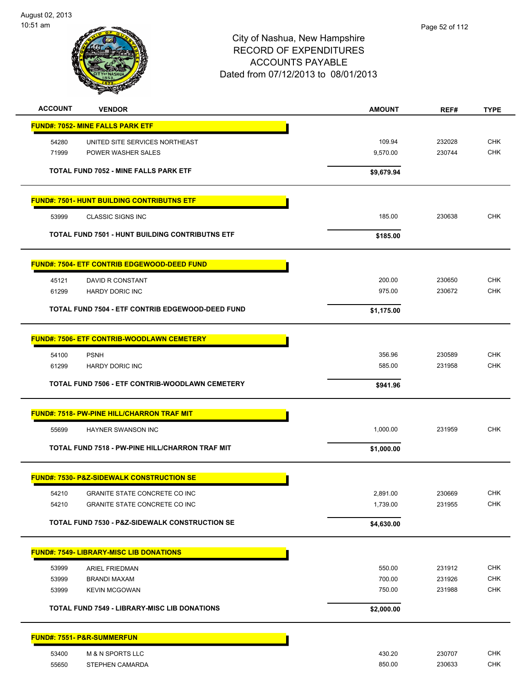

| <b>ACCOUNT</b><br><b>VENDOR</b>                           | <b>AMOUNT</b> | REF#   | <b>TYPE</b> |
|-----------------------------------------------------------|---------------|--------|-------------|
| <b>FUND#: 7052- MINE FALLS PARK ETF</b>                   |               |        |             |
| UNITED SITE SERVICES NORTHEAST<br>54280                   | 109.94        | 232028 | <b>CHK</b>  |
| 71999<br>POWER WASHER SALES                               | 9,570.00      | 230744 | <b>CHK</b>  |
| <b>TOTAL FUND 7052 - MINE FALLS PARK ETF</b>              | \$9,679.94    |        |             |
| <b>FUND#: 7501- HUNT BUILDING CONTRIBUTNS ETF</b>         |               |        |             |
| 53999<br><b>CLASSIC SIGNS INC</b>                         | 185.00        | 230638 | <b>CHK</b>  |
| <b>TOTAL FUND 7501 - HUNT BUILDING CONTRIBUTNS ETF</b>    | \$185.00      |        |             |
| <b>FUND#: 7504- ETF CONTRIB EDGEWOOD-DEED FUND</b>        |               |        |             |
| DAVID R CONSTANT<br>45121                                 | 200.00        | 230650 | <b>CHK</b>  |
| 61299<br><b>HARDY DORIC INC</b>                           | 975.00        | 230672 | <b>CHK</b>  |
| TOTAL FUND 7504 - ETF CONTRIB EDGEWOOD-DEED FUND          | \$1,175.00    |        |             |
| <b>FUND#: 7506- ETF CONTRIB-WOODLAWN CEMETERY</b>         |               |        |             |
| <b>PSNH</b><br>54100                                      | 356.96        | 230589 | <b>CHK</b>  |
| 61299<br><b>HARDY DORIC INC</b>                           | 585.00        | 231958 | <b>CHK</b>  |
| TOTAL FUND 7506 - ETF CONTRIB-WOODLAWN CEMETERY           | \$941.96      |        |             |
| <b>FUND#: 7518- PW-PINE HILL/CHARRON TRAF MIT</b>         |               |        |             |
| HAYNER SWANSON INC<br>55699                               | 1,000.00      | 231959 | <b>CHK</b>  |
| TOTAL FUND 7518 - PW-PINE HILL/CHARRON TRAF MIT           | \$1,000.00    |        |             |
| <b>FUND#: 7530- P&amp;Z-SIDEWALK CONSTRUCTION SE</b>      |               |        |             |
| 54210<br>GRANITE STATE CONCRETE CO INC                    | 2,891.00      | 230669 | CHK         |
| 54210<br>GRANITE STATE CONCRETE CO INC                    | 1,739.00      | 231955 | CHK         |
| <b>TOTAL FUND 7530 - P&amp;Z-SIDEWALK CONSTRUCTION SE</b> | \$4,630.00    |        |             |
| <b>FUND#: 7549- LIBRARY-MISC LIB DONATIONS</b>            |               |        |             |
| 53999<br><b>ARIEL FRIEDMAN</b>                            | 550.00        | 231912 | <b>CHK</b>  |
| 53999<br><b>BRANDI MAXAM</b>                              | 700.00        | 231926 | <b>CHK</b>  |
| 53999<br><b>KEVIN MCGOWAN</b>                             | 750.00        | 231988 | <b>CHK</b>  |
| <b>TOTAL FUND 7549 - LIBRARY-MISC LIB DONATIONS</b>       | \$2,000.00    |        |             |
| <b>FUND#: 7551- P&amp;R-SUMMERFUN</b>                     |               |        |             |
| 53400<br>M & N SPORTS LLC                                 | 430.20        | 230707 | <b>CHK</b>  |
| 55650<br>STEPHEN CAMARDA                                  | 850.00        | 230633 | CHK         |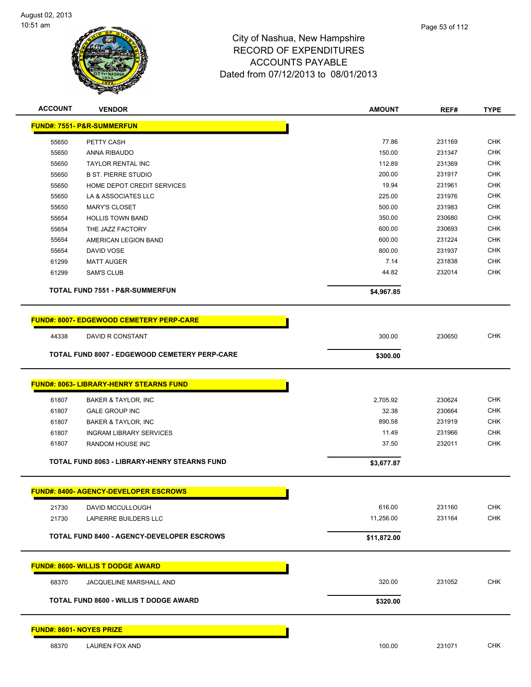

| <b>ACCOUNT</b>                  | <b>VENDOR</b>                                        | <b>AMOUNT</b>       | REF#   | <b>TYPE</b> |
|---------------------------------|------------------------------------------------------|---------------------|--------|-------------|
|                                 | <b>FUND#: 7551- P&amp;R-SUMMERFUN</b>                |                     |        |             |
| 55650                           | PETTY CASH                                           | 77.86               | 231169 | <b>CHK</b>  |
| 55650                           | ANNA RIBAUDO                                         | 150.00              | 231347 | <b>CHK</b>  |
| 55650                           | <b>TAYLOR RENTAL INC</b>                             | 112.89              | 231369 | <b>CHK</b>  |
| 55650                           | <b>B ST. PIERRE STUDIO</b>                           | 200.00              | 231917 | <b>CHK</b>  |
| 55650                           | HOME DEPOT CREDIT SERVICES                           | 19.94               | 231961 | <b>CHK</b>  |
| 55650                           | LA & ASSOCIATES LLC                                  | 225.00              | 231976 | <b>CHK</b>  |
| 55650                           | <b>MARY'S CLOSET</b>                                 | 500.00              | 231983 | <b>CHK</b>  |
| 55654                           | <b>HOLLIS TOWN BAND</b>                              | 350.00              | 230680 | <b>CHK</b>  |
| 55654                           | THE JAZZ FACTORY                                     | 600.00              | 230693 | <b>CHK</b>  |
| 55654                           | AMERICAN LEGION BAND                                 | 600.00              | 231224 | <b>CHK</b>  |
| 55654                           | DAVID VOSE                                           | 800.00              | 231937 | <b>CHK</b>  |
| 61299                           | <b>MATT AUGER</b>                                    | 7.14                | 231838 | <b>CHK</b>  |
| 61299                           | <b>SAM'S CLUB</b>                                    | 44.82               | 232014 | <b>CHK</b>  |
|                                 | <b>TOTAL FUND 7551 - P&amp;R-SUMMERFUN</b>           | \$4,967.85          |        |             |
|                                 | <b>FUND#: 8007- EDGEWOOD CEMETERY PERP-CARE</b>      |                     |        |             |
| 44338                           | DAVID R CONSTANT                                     | 300.00              | 230650 | <b>CHK</b>  |
|                                 | <b>TOTAL FUND 8007 - EDGEWOOD CEMETERY PERP-CARE</b> |                     |        |             |
|                                 |                                                      | \$300.00            |        |             |
|                                 | <b>FUND#: 8063- LIBRARY-HENRY STEARNS FUND</b>       |                     |        |             |
| 61807                           | BAKER & TAYLOR, INC                                  | 2,705.92            | 230624 | <b>CHK</b>  |
| 61807                           | <b>GALE GROUP INC</b>                                | 32.38               | 230664 | <b>CHK</b>  |
| 61807                           | BAKER & TAYLOR, INC                                  | 890.58              | 231919 | <b>CHK</b>  |
| 61807                           | <b>INGRAM LIBRARY SERVICES</b>                       | 11.49               | 231966 | <b>CHK</b>  |
| 61807                           | RANDOM HOUSE INC                                     | 37.50               | 232011 | <b>CHK</b>  |
|                                 | TOTAL FUND 8063 - LIBRARY-HENRY STEARNS FUND         | \$3,677.87          |        |             |
|                                 | <u> FUND#: 8400- AGENCY-DEVELOPER ESCROWS</u>        |                     |        |             |
|                                 |                                                      |                     | 231160 | <b>CHK</b>  |
| 21730<br>21730                  | DAVID MCCULLOUGH<br>LAPIERRE BUILDERS LLC            | 616.00<br>11,256.00 | 231164 | CHK         |
|                                 |                                                      |                     |        |             |
|                                 | <b>TOTAL FUND 8400 - AGENCY-DEVELOPER ESCROWS</b>    | \$11,872.00         |        |             |
|                                 | <b>FUND#: 8600- WILLIS T DODGE AWARD</b>             |                     |        |             |
| 68370                           | JACQUELINE MARSHALL AND                              | 320.00              | 231052 | <b>CHK</b>  |
|                                 | TOTAL FUND 8600 - WILLIS T DODGE AWARD               | \$320.00            |        |             |
|                                 |                                                      |                     |        |             |
| <b>FUND#: 8601- NOYES PRIZE</b> |                                                      |                     |        |             |
| 68370                           | LAUREN FOX AND                                       | 100.00              | 231071 | <b>CHK</b>  |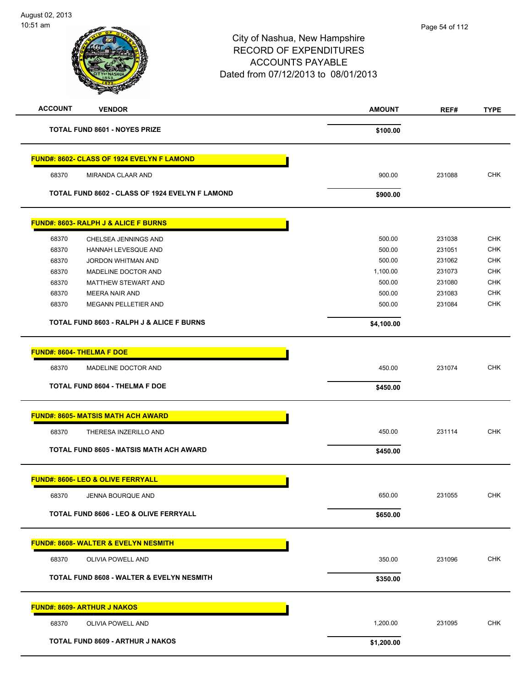| $10:51$ am                |                                                      | City of Nashua, New Hampshire<br><b>RECORD OF EXPENDITURES</b><br><b>ACCOUNTS PAYABLE</b><br>Dated from 07/12/2013 to 08/01/2013 |               |        |             |
|---------------------------|------------------------------------------------------|----------------------------------------------------------------------------------------------------------------------------------|---------------|--------|-------------|
| <b>ACCOUNT</b>            | <b>VENDOR</b>                                        |                                                                                                                                  | <b>AMOUNT</b> | REF#   | <b>TYPE</b> |
|                           | <b>TOTAL FUND 8601 - NOYES PRIZE</b>                 |                                                                                                                                  | \$100.00      |        |             |
|                           | FUND#: 8602- CLASS OF 1924 EVELYN F LAMOND           |                                                                                                                                  |               |        |             |
| 68370                     | MIRANDA CLAAR AND                                    |                                                                                                                                  | 900.00        | 231088 | <b>CHK</b>  |
|                           | TOTAL FUND 8602 - CLASS OF 1924 EVELYN F LAMOND      |                                                                                                                                  | \$900.00      |        |             |
|                           | <b>FUND#: 8603- RALPH J &amp; ALICE F BURNS</b>      |                                                                                                                                  |               |        |             |
| 68370                     | CHELSEA JENNINGS AND                                 |                                                                                                                                  | 500.00        | 231038 | <b>CHK</b>  |
| 68370                     | <b>HANNAH LEVESQUE AND</b>                           |                                                                                                                                  | 500.00        | 231051 | CHK         |
| 68370                     | JORDON WHITMAN AND                                   |                                                                                                                                  | 500.00        | 231062 | <b>CHK</b>  |
| 68370                     | MADELINE DOCTOR AND                                  |                                                                                                                                  | 1,100.00      | 231073 | CHK         |
| 68370                     | <b>MATTHEW STEWART AND</b>                           |                                                                                                                                  | 500.00        | 231080 | <b>CHK</b>  |
| 68370                     | MEERA NAIR AND                                       |                                                                                                                                  | 500.00        | 231083 | <b>CHK</b>  |
| 68370                     | MEGANN PELLETIER AND                                 |                                                                                                                                  | 500.00        | 231084 | CHK         |
|                           | <b>TOTAL FUND 8603 - RALPH J &amp; ALICE F BURNS</b> |                                                                                                                                  | \$4,100.00    |        |             |
| FUND#: 8604- THELMA F DOE |                                                      |                                                                                                                                  |               |        |             |
| 68370                     | MADELINE DOCTOR AND                                  |                                                                                                                                  | 450.00        | 231074 | <b>CHK</b>  |
|                           | <b>TOTAL FUND 8604 - THELMA F DOE</b>                |                                                                                                                                  | \$450.00      |        |             |
|                           | <b>FUND#: 8605- MATSIS MATH ACH AWARD</b>            |                                                                                                                                  |               |        |             |
| 68370                     | THERESA INZERILLO AND                                |                                                                                                                                  | 450.00        | 231114 | <b>CHK</b>  |
|                           | <b>TOTAL FUND 8605 - MATSIS MATH ACH AWARD</b>       |                                                                                                                                  | \$450.00      |        |             |
|                           | <b>FUND#: 8606- LEO &amp; OLIVE FERRYALL</b>         |                                                                                                                                  |               |        |             |
| 68370                     | JENNA BOURQUE AND                                    |                                                                                                                                  | 650.00        | 231055 | <b>CHK</b>  |
|                           | <b>TOTAL FUND 8606 - LEO &amp; OLIVE FERRYALL</b>    |                                                                                                                                  | \$650.00      |        |             |
|                           | FUND#: 8608- WALTER & EVELYN NESMITH                 |                                                                                                                                  |               |        |             |
| 68370                     | OLIVIA POWELL AND                                    |                                                                                                                                  | 350.00        | 231096 | <b>CHK</b>  |
|                           | <b>TOTAL FUND 8608 - WALTER &amp; EVELYN NESMITH</b> |                                                                                                                                  | \$350.00      |        |             |
|                           | <b>FUND#: 8609- ARTHUR J NAKOS</b>                   |                                                                                                                                  |               |        |             |
| 68370                     | OLIVIA POWELL AND                                    |                                                                                                                                  | 1,200.00      | 231095 | <b>CHK</b>  |
|                           | TOTAL FUND 8609 - ARTHUR J NAKOS                     |                                                                                                                                  | \$1,200.00    |        |             |
|                           |                                                      |                                                                                                                                  |               |        |             |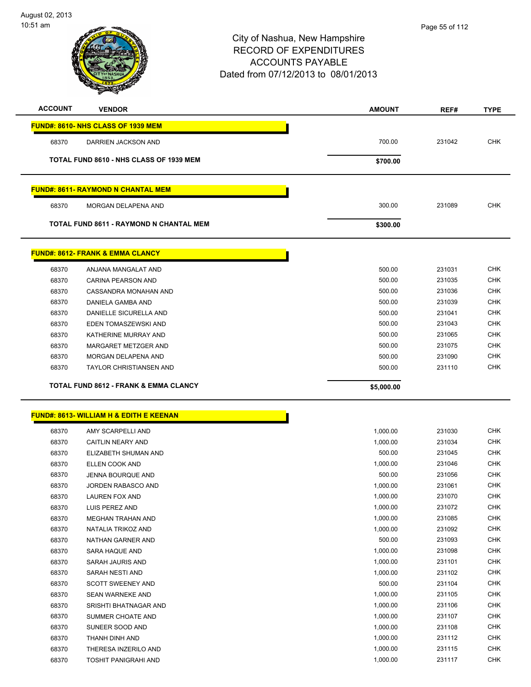

| <b>ACCOUNT</b> | <b>VENDOR</b>                                      | <b>AMOUNT</b> | REF#   | <b>TYPE</b> |
|----------------|----------------------------------------------------|---------------|--------|-------------|
|                | FUND#: 8610- NHS CLASS OF 1939 MEM                 |               |        |             |
| 68370          | DARRIEN JACKSON AND                                | 700.00        | 231042 | <b>CHK</b>  |
|                |                                                    |               |        |             |
|                | TOTAL FUND 8610 - NHS CLASS OF 1939 MEM            | \$700.00      |        |             |
|                | <b>FUND#: 8611- RAYMOND N CHANTAL MEM</b>          |               |        |             |
| 68370          | <b>MORGAN DELAPENA AND</b>                         | 300.00        | 231089 | <b>CHK</b>  |
|                | TOTAL FUND 8611 - RAYMOND N CHANTAL MEM            | \$300.00      |        |             |
|                | <b>FUND#: 8612- FRANK &amp; EMMA CLANCY</b>        |               |        |             |
| 68370          | ANJANA MANGALAT AND                                | 500.00        | 231031 | <b>CHK</b>  |
| 68370          | <b>CARINA PEARSON AND</b>                          | 500.00        | 231035 | <b>CHK</b>  |
| 68370          | CASSANDRA MONAHAN AND                              | 500.00        | 231036 | <b>CHK</b>  |
| 68370          | DANIELA GAMBA AND                                  | 500.00        | 231039 | <b>CHK</b>  |
| 68370          | <b>DANIELLE SICURELLA AND</b>                      | 500.00        | 231041 | <b>CHK</b>  |
| 68370          | EDEN TOMASZEWSKI AND                               | 500.00        | 231043 | <b>CHK</b>  |
| 68370          | KATHERINE MURRAY AND                               | 500.00        | 231065 | <b>CHK</b>  |
| 68370          | MARGARET METZGER AND                               | 500.00        | 231075 | CHK         |
| 68370          | MORGAN DELAPENA AND                                | 500.00        | 231090 | <b>CHK</b>  |
| 68370          | <b>TAYLOR CHRISTIANSEN AND</b>                     | 500.00        | 231110 | <b>CHK</b>  |
|                | TOTAL FUND 8612 - FRANK & EMMA CLANCY              | \$5,000.00    |        |             |
|                |                                                    |               |        |             |
|                | <b>FUND#: 8613- WILLIAM H &amp; EDITH E KEENAN</b> |               |        |             |
| 68370          | AMY SCARPELLI AND                                  | 1,000.00      | 231030 | <b>CHK</b>  |
| 68370          | CAITLIN NEARY AND                                  | 1,000.00      | 231034 | <b>CHK</b>  |
| 68370          | ELIZABETH SHUMAN AND                               | 500.00        | 231045 | <b>CHK</b>  |
| 68370          | <b>ELLEN COOK AND</b>                              | 1,000.00      | 231046 | CHK         |
| 68370          | <b>JENNA BOURQUE AND</b>                           | 500.00        | 231056 | <b>CHK</b>  |
| 68370          | JORDEN RABASCO AND                                 | 1,000.00      | 231061 | <b>CHK</b>  |
| 68370          | <b>LAUREN FOX AND</b>                              | 1,000.00      | 231070 | <b>CHK</b>  |
| 68370          | LUIS PEREZ AND                                     | 1,000.00      | 231072 | <b>CHK</b>  |
| 68370          | MEGHAN TRAHAN AND                                  | 1,000.00      | 231085 | <b>CHK</b>  |
| 68370          | NATALIA TRIKOZ AND                                 | 1,000.00      | 231092 | <b>CHK</b>  |
| 68370          | NATHAN GARNER AND                                  | 500.00        | 231093 | <b>CHK</b>  |
| 68370          | SARA HAQUE AND                                     | 1,000.00      | 231098 | <b>CHK</b>  |
| 68370          | SARAH JAURIS AND                                   | 1,000.00      | 231101 | <b>CHK</b>  |
| 68370          | SARAH NESTI AND                                    | 1,000.00      | 231102 | <b>CHK</b>  |
| 68370          | <b>SCOTT SWEENEY AND</b>                           | 500.00        | 231104 | <b>CHK</b>  |
| 68370          | SEAN WARNEKE AND                                   | 1,000.00      | 231105 | <b>CHK</b>  |
| 68370          | SRISHTI BHATNAGAR AND                              | 1,000.00      | 231106 | <b>CHK</b>  |
| 68370          | SUMMER CHOATE AND                                  | 1,000.00      | 231107 | <b>CHK</b>  |
| 68370          | SUNEER SOOD AND                                    | 1,000.00      | 231108 | <b>CHK</b>  |
| 68370          | THANH DINH AND                                     | 1,000.00      | 231112 | <b>CHK</b>  |
| 68370          | THERESA INZERILO AND                               | 1,000.00      | 231115 | <b>CHK</b>  |
| 68370          | TOSHIT PANIGRAHI AND                               | 1,000.00      | 231117 | <b>CHK</b>  |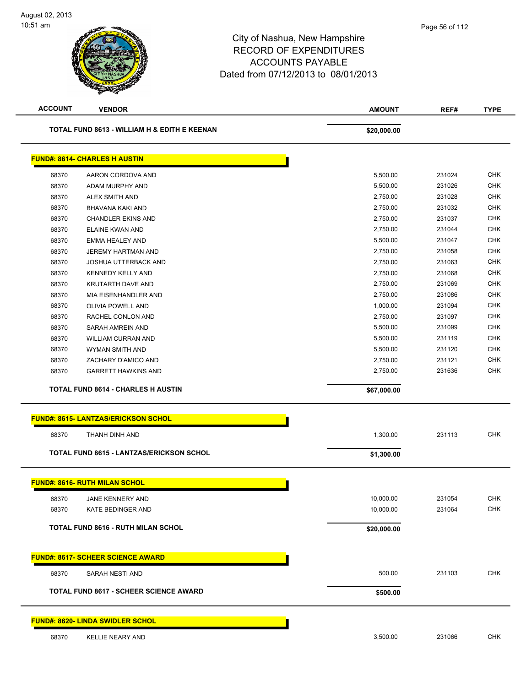| <b>ACCOUNT</b> | <b>VENDOR</b>                                   | <b>AMOUNT</b> | REF#   | <b>TYPE</b> |
|----------------|-------------------------------------------------|---------------|--------|-------------|
|                | TOTAL FUND 8613 - WILLIAM H & EDITH E KEENAN    | \$20,000.00   |        |             |
|                | <b>FUND#: 8614- CHARLES H AUSTIN</b>            |               |        |             |
| 68370          | AARON CORDOVA AND                               | 5,500.00      | 231024 | <b>CHK</b>  |
| 68370          | ADAM MURPHY AND                                 | 5,500.00      | 231026 | <b>CHK</b>  |
| 68370          | ALEX SMITH AND                                  | 2,750.00      | 231028 | <b>CHK</b>  |
| 68370          | BHAVANA KAKI AND                                | 2,750.00      | 231032 | <b>CHK</b>  |
| 68370          | <b>CHANDLER EKINS AND</b>                       | 2,750.00      | 231037 | <b>CHK</b>  |
| 68370          | ELAINE KWAN AND                                 | 2,750.00      | 231044 | <b>CHK</b>  |
| 68370          | EMMA HEALEY AND                                 | 5,500.00      | 231047 | <b>CHK</b>  |
| 68370          | JEREMY HARTMAN AND                              | 2,750.00      | 231058 | <b>CHK</b>  |
| 68370          | JOSHUA UTTERBACK AND                            | 2,750.00      | 231063 | <b>CHK</b>  |
| 68370          | KENNEDY KELLY AND                               | 2,750.00      | 231068 | <b>CHK</b>  |
| 68370          | <b>KRUTARTH DAVE AND</b>                        | 2,750.00      | 231069 | <b>CHK</b>  |
| 68370          | MIA EISENHANDLER AND                            | 2,750.00      | 231086 | <b>CHK</b>  |
| 68370          | OLIVIA POWELL AND                               | 1,000.00      | 231094 | <b>CHK</b>  |
| 68370          | RACHEL CONLON AND                               | 2,750.00      | 231097 | <b>CHK</b>  |
| 68370          | SARAH AMREIN AND                                | 5,500.00      | 231099 | <b>CHK</b>  |
| 68370          | <b>WILLIAM CURRAN AND</b>                       | 5,500.00      | 231119 | <b>CHK</b>  |
| 68370          | WYMAN SMITH AND                                 | 5,500.00      | 231120 | <b>CHK</b>  |
| 68370          | ZACHARY D'AMICO AND                             | 2,750.00      | 231121 | <b>CHK</b>  |
| 68370          | <b>GARRETT HAWKINS AND</b>                      | 2,750.00      | 231636 | <b>CHK</b>  |
|                | <b>TOTAL FUND 8614 - CHARLES H AUSTIN</b>       | \$67,000.00   |        |             |
|                | <b>FUND#: 8615- LANTZAS/ERICKSON SCHOL</b>      |               |        |             |
| 68370          | THANH DINH AND                                  | 1,300.00      | 231113 | <b>CHK</b>  |
|                | <b>TOTAL FUND 8615 - LANTZAS/ERICKSON SCHOL</b> | \$1,300.00    |        |             |
|                |                                                 |               |        |             |
|                | <b>FUND#: 8616- RUTH MILAN SCHOL</b>            |               |        |             |
| 68370          | JANE KENNERY AND                                | 10,000.00     | 231054 | <b>CHK</b>  |
| 68370          | KATE BEDINGER AND                               | 10,000.00     | 231064 | CHK         |
|                | <b>TOTAL FUND 8616 - RUTH MILAN SCHOL</b>       | \$20,000.00   |        |             |
|                | <b>FUND#: 8617- SCHEER SCIENCE AWARD</b>        |               |        |             |
| 68370          | SARAH NESTI AND                                 | 500.00        | 231103 | CHK         |
|                |                                                 |               |        |             |
|                | <b>TOTAL FUND 8617 - SCHEER SCIENCE AWARD</b>   | \$500.00      |        |             |
|                | <b>FUND#: 8620- LINDA SWIDLER SCHOL</b>         |               |        |             |
| 68370          | <b>KELLIE NEARY AND</b>                         | 3,500.00      | 231066 | <b>CHK</b>  |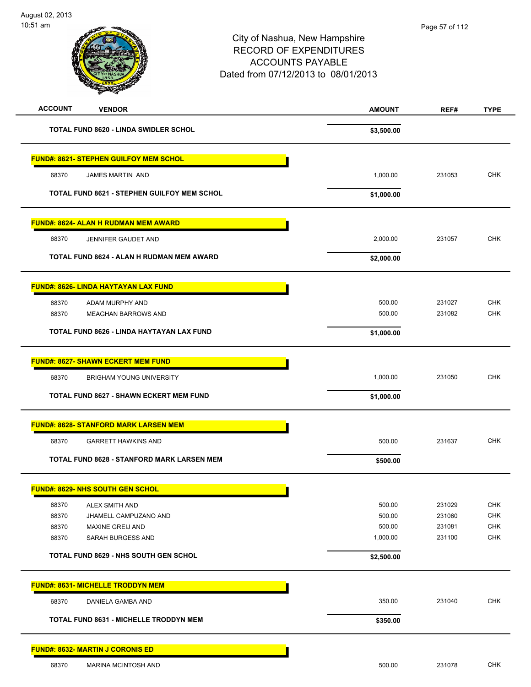# City of Nashua, New Hampshire RECORD OF EXPENDITURES ACCOUNTS PAYABLE Dated from 07/12/2013 to 08/01/2013 10:51 am **ACCOUNT VENDOR AMOUNT REF# TYPE TOTAL FUND 8620 - LINDA SWIDLER SCHOL \$3,500.00 FUND#: 8621- STEPHEN GUILFOY MEM SCHOL** 68370 JAMES MARTIN AND 1,000.00 231053 CHK **TOTAL FUND 8621 - STEPHEN GUILFOY MEM SCHOL \$1,000.00 FUND#: 8624- ALAN H RUDMAN MEM AWARD** 68370 JENNIFER GAUDET AND 2,000.00 231057 CHK **TOTAL FUND 8624 - ALAN H RUDMAN MEM AWARD \$2,000.00**

| 68370 | ADAM MURPHY AND                           | 500.00     | 231027 | <b>CHK</b> |
|-------|-------------------------------------------|------------|--------|------------|
| 68370 | MEAGHAN BARROWS AND                       | 500.00     | 231082 | <b>CHK</b> |
|       | TOTAL FUND 8626 - LINDA HAYTAYAN LAX FUND | \$1,000.00 |        |            |

| 68370<br><b>BRIGHAM YOUNG UNIVERSITY</b>          | 1.000.00   | 231050 | <b>CHK</b> |
|---------------------------------------------------|------------|--------|------------|
| <b>TOTAL FUND 8627 - SHAWN ECKERT MEM FUND</b>    | \$1,000.00 |        |            |
| <b>FUND#: 8628- STANFORD MARK LARSEN MEM</b>      |            |        |            |
| 68370<br><b>GARRETT HAWKINS AND</b>               | 500.00     | 231637 | <b>CHK</b> |
| <b>TOTAL FUND 8628 - STANFORD MARK LARSEN MEM</b> | \$500.00   |        |            |

|       | <b>FUND#: 8629- NHS SOUTH GEN SCHOL</b>      |            |        |            |
|-------|----------------------------------------------|------------|--------|------------|
| 68370 | ALEX SMITH AND                               | 500.00     | 231029 | <b>CHK</b> |
| 68370 | JHAMELL CAMPUZANO AND                        | 500.00     | 231060 | <b>CHK</b> |
| 68370 | MAXINE GREIJ AND                             | 500.00     | 231081 | <b>CHK</b> |
| 68370 | SARAH BURGESS AND                            | 1,000.00   | 231100 | <b>CHK</b> |
|       | <b>TOTAL FUND 8629 - NHS SOUTH GEN SCHOL</b> | \$2,500.00 |        |            |
|       |                                              |            |        |            |

# **FUND#: 8631- MICHELLE TRODDYN MEM** 68370 DANIELA GAMBA AND 350.00 231040 CHK TOTAL FUND 8631 - MICHELLE TRODDYN MEM<br>
\$350.00

### **FUND#: 8632- MARTIN J CORONIS ED**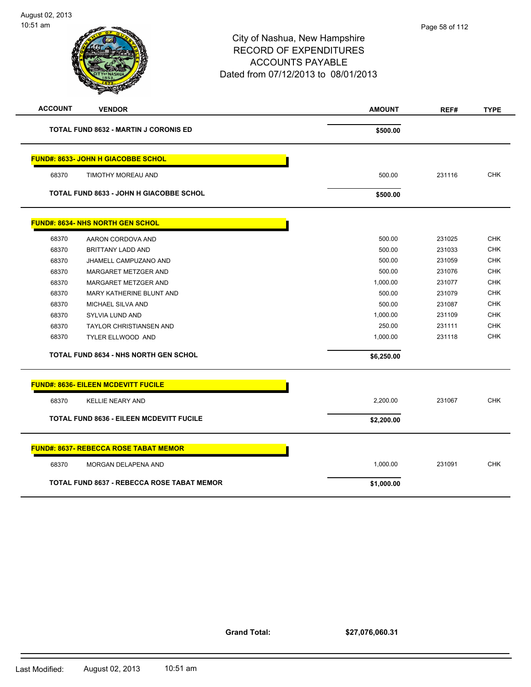e son

|                |                                                   | City of Nashua, New Hampshire<br><b>RECORD OF EXPENDITURES</b><br><b>ACCOUNTS PAYABLE</b><br>Dated from 07/12/2013 to 08/01/2013 |        |             |
|----------------|---------------------------------------------------|----------------------------------------------------------------------------------------------------------------------------------|--------|-------------|
| <b>ACCOUNT</b> | <b>VENDOR</b>                                     | <b>AMOUNT</b>                                                                                                                    | REF#   | <b>TYPE</b> |
|                | <b>TOTAL FUND 8632 - MARTIN J CORONIS ED</b>      | \$500.00                                                                                                                         |        |             |
|                | <u> FUND#: 8633- JOHN H GIACOBBE SCHOL</u>        |                                                                                                                                  |        |             |
| 68370          | TIMOTHY MOREAU AND                                | 500.00                                                                                                                           | 231116 | <b>CHK</b>  |
|                | TOTAL FUND 8633 - JOHN H GIACOBBE SCHOL           | \$500.00                                                                                                                         |        |             |
|                | <b>FUND#: 8634- NHS NORTH GEN SCHOL</b>           |                                                                                                                                  |        |             |
| 68370          | AARON CORDOVA AND                                 | 500.00                                                                                                                           | 231025 | <b>CHK</b>  |
| 68370          | BRITTANY LADD AND                                 | 500.00                                                                                                                           | 231033 | <b>CHK</b>  |
| 68370          | JHAMELL CAMPUZANO AND                             | 500.00                                                                                                                           | 231059 | <b>CHK</b>  |
| 68370          | MARGARET METZGER AND                              | 500.00                                                                                                                           | 231076 | <b>CHK</b>  |
| 68370          | MARGARET METZGER AND                              | 1,000.00                                                                                                                         | 231077 | <b>CHK</b>  |
| 68370          | MARY KATHERINE BLUNT AND                          | 500.00                                                                                                                           | 231079 | <b>CHK</b>  |
| 68370          | MICHAEL SILVA AND                                 | 500.00                                                                                                                           | 231087 | <b>CHK</b>  |
| 68370          | SYLVIA LUND AND                                   | 1,000.00                                                                                                                         | 231109 | <b>CHK</b>  |
| 68370          | <b>TAYLOR CHRISTIANSEN AND</b>                    | 250.00                                                                                                                           | 231111 | <b>CHK</b>  |
| 68370          | TYLER ELLWOOD AND                                 | 1,000.00                                                                                                                         | 231118 | <b>CHK</b>  |
|                | <b>TOTAL FUND 8634 - NHS NORTH GEN SCHOL</b>      | \$6,250.00                                                                                                                       |        |             |
|                | <b>FUND#: 8636- EILEEN MCDEVITT FUCILE</b>        |                                                                                                                                  |        |             |
| 68370          | <b>KELLIE NEARY AND</b>                           | 2,200.00                                                                                                                         | 231067 | <b>CHK</b>  |
|                | TOTAL FUND 8636 - EILEEN MCDEVITT FUCILE          | \$2,200.00                                                                                                                       |        |             |
|                | <u>FUND#: 8637- REBECCA ROSE TABAT MEMOR</u>      |                                                                                                                                  |        |             |
| 68370          | MORGAN DELAPENA AND                               | 1,000.00                                                                                                                         | 231091 | <b>CHK</b>  |
|                | <b>TOTAL FUND 8637 - REBECCA ROSE TABAT MEMOR</b> | \$1,000.00                                                                                                                       |        |             |

**Grand Total:**

**\$27,076,060.31**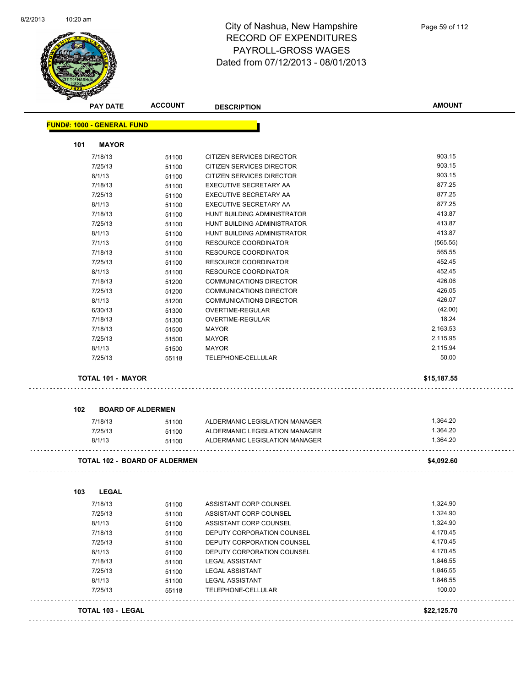

| <b>PAY DATE</b>                   | <b>ACCOUNT</b>                       | <b>DESCRIPTION</b>             | <b>AMOUNT</b> |
|-----------------------------------|--------------------------------------|--------------------------------|---------------|
| <b>FUND#: 1000 - GENERAL FUND</b> |                                      |                                |               |
| 101                               | <b>MAYOR</b>                         |                                |               |
| 7/18/13                           | 51100                                | CITIZEN SERVICES DIRECTOR      | 903.15        |
| 7/25/13                           | 51100                                | CITIZEN SERVICES DIRECTOR      | 903.15        |
| 8/1/13                            | 51100                                | CITIZEN SERVICES DIRECTOR      | 903.15        |
| 7/18/13                           | 51100                                | <b>EXECUTIVE SECRETARY AA</b>  | 877.25        |
| 7/25/13                           | 51100                                | <b>EXECUTIVE SECRETARY AA</b>  | 877.25        |
| 8/1/13                            | 51100                                | EXECUTIVE SECRETARY AA         | 877.25        |
| 7/18/13                           | 51100                                | HUNT BUILDING ADMINISTRATOR    | 413.87        |
| 7/25/13                           | 51100                                | HUNT BUILDING ADMINISTRATOR    | 413.87        |
| 8/1/13                            | 51100                                | HUNT BUILDING ADMINISTRATOR    | 413.87        |
| 7/1/13                            | 51100                                | <b>RESOURCE COORDINATOR</b>    | (565.55)      |
| 7/18/13                           | 51100                                | <b>RESOURCE COORDINATOR</b>    | 565.55        |
| 7/25/13                           | 51100                                | <b>RESOURCE COORDINATOR</b>    | 452.45        |
| 8/1/13                            | 51100                                | <b>RESOURCE COORDINATOR</b>    | 452.45        |
| 7/18/13                           | 51200                                | <b>COMMUNICATIONS DIRECTOR</b> | 426.06        |
| 7/25/13                           | 51200                                | <b>COMMUNICATIONS DIRECTOR</b> | 426.05        |
| 8/1/13                            | 51200                                | <b>COMMUNICATIONS DIRECTOR</b> | 426.07        |
| 6/30/13                           | 51300                                | OVERTIME-REGULAR               | (42.00)       |
| 7/18/13                           | 51300                                | OVERTIME-REGULAR               | 18.24         |
| 7/18/13                           | 51500                                | <b>MAYOR</b>                   | 2,163.53      |
| 7/25/13                           | 51500                                | <b>MAYOR</b>                   | 2,115.95      |
| 8/1/13                            | 51500                                | MAYOR                          | 2,115.94      |
| 7/25/13                           | 55118                                | TELEPHONE-CELLULAR             | 50.00         |
|                                   | <b>TOTAL 101 - MAYOR</b>             |                                | \$15,187.55   |
| 102                               | <b>BOARD OF ALDERMEN</b>             |                                |               |
| 7/18/13                           | 51100                                | ALDERMANIC LEGISLATION MANAGER | 1,364.20      |
| 7/25/13                           | 51100                                | ALDERMANIC LEGISLATION MANAGER | 1,364.20      |
| 8/1/13                            | 51100                                | ALDERMANIC LEGISLATION MANAGER | 1,364.20      |
|                                   | <b>TOTAL 102 - BOARD OF ALDERMEN</b> |                                | \$4,092.60    |
|                                   |                                      |                                |               |
| 103                               | <b>LEGAL</b>                         |                                |               |
| 7/18/13                           | 51100                                | ASSISTANT CORP COUNSEL         | 1,324.90      |
| 7/25/13                           | 51100                                | ASSISTANT CORP COUNSEL         | 1,324.90      |
| 8/1/13                            | 51100                                | ASSISTANT CORP COUNSEL         | 1,324.90      |
| 7/18/13                           | 51100                                | DEPUTY CORPORATION COUNSEL     | 4,170.45      |
| 7/25/13                           | 51100                                | DEPUTY CORPORATION COUNSEL     | 4,170.45      |
| 8/1/13                            | 51100                                | DEPUTY CORPORATION COUNSEL     | 4,170.45      |
| 7/18/13                           | 51100                                | <b>LEGAL ASSISTANT</b>         | 1,846.55      |
| 7/25/13                           | 51100                                | <b>LEGAL ASSISTANT</b>         | 1,846.55      |
| 8/1/13                            | 51100                                | <b>LEGAL ASSISTANT</b>         | 1,846.55      |
| 7/25/13                           | 55118                                | TELEPHONE-CELLULAR             | 100.00        |
|                                   |                                      |                                |               |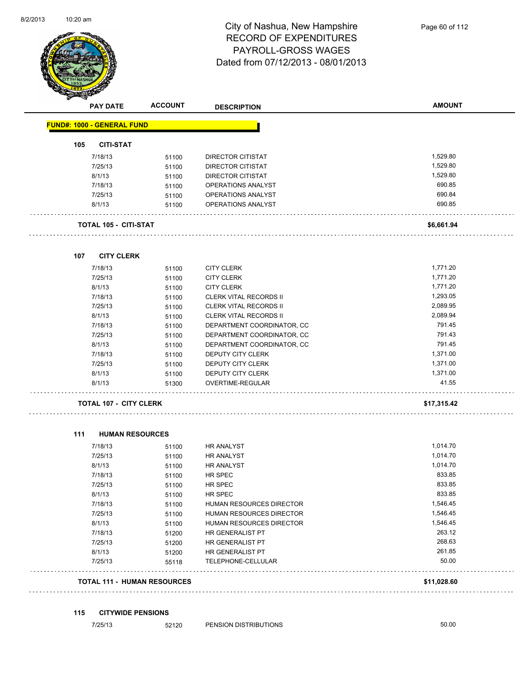

| <b>PAY DATE</b>                   | <b>ACCOUNT</b>                     | <b>DESCRIPTION</b>            | <b>AMOUNT</b> |
|-----------------------------------|------------------------------------|-------------------------------|---------------|
| <b>FUND#: 1000 - GENERAL FUND</b> |                                    |                               |               |
| 105<br><b>CITI-STAT</b>           |                                    |                               |               |
| 7/18/13                           | 51100                              | DIRECTOR CITISTAT             | 1,529.80      |
| 7/25/13                           | 51100                              | DIRECTOR CITISTAT             | 1,529.80      |
| 8/1/13                            | 51100                              | <b>DIRECTOR CITISTAT</b>      | 1,529.80      |
| 7/18/13                           | 51100                              | OPERATIONS ANALYST            | 690.85        |
| 7/25/13                           | 51100                              | OPERATIONS ANALYST            | 690.84        |
| 8/1/13                            | 51100                              | OPERATIONS ANALYST            | 690.85        |
| <b>TOTAL 105 - CITI-STAT</b>      |                                    |                               | \$6,661.94    |
| <b>CITY CLERK</b><br>107          |                                    |                               |               |
| 7/18/13                           | 51100                              | <b>CITY CLERK</b>             | 1,771.20      |
| 7/25/13                           | 51100                              | <b>CITY CLERK</b>             | 1,771.20      |
| 8/1/13                            | 51100                              | <b>CITY CLERK</b>             | 1,771.20      |
| 7/18/13                           | 51100                              | <b>CLERK VITAL RECORDS II</b> | 1,293.05      |
| 7/25/13                           | 51100                              | <b>CLERK VITAL RECORDS II</b> | 2,089.95      |
| 8/1/13                            | 51100                              | <b>CLERK VITAL RECORDS II</b> | 2,089.94      |
| 7/18/13                           | 51100                              | DEPARTMENT COORDINATOR, CC    | 791.45        |
| 7/25/13                           | 51100                              | DEPARTMENT COORDINATOR, CC    | 791.43        |
| 8/1/13                            | 51100                              | DEPARTMENT COORDINATOR, CC    | 791.45        |
| 7/18/13                           | 51100                              | DEPUTY CITY CLERK             | 1,371.00      |
| 7/25/13                           | 51100                              | DEPUTY CITY CLERK             | 1,371.00      |
| 8/1/13                            | 51100                              | DEPUTY CITY CLERK             | 1,371.00      |
| 8/1/13                            | 51300                              | OVERTIME-REGULAR              | 41.55         |
| <b>TOTAL 107 - CITY CLERK</b>     |                                    |                               | \$17,315.42   |
|                                   |                                    |                               |               |
| 111                               | <b>HUMAN RESOURCES</b>             |                               |               |
| 7/18/13                           | 51100                              | <b>HR ANALYST</b>             | 1,014.70      |
| 7/25/13                           | 51100                              | HR ANALYST                    | 1,014.70      |
| 8/1/13                            | 51100                              | HR ANALYST                    | 1,014.70      |
| 7/18/13                           | 51100                              | HR SPEC                       | 833.85        |
| 7/25/13                           | 51100                              | HR SPEC                       | 833.85        |
| 8/1/13                            | 51100                              | HR SPEC                       | 833.85        |
| 7/18/13                           | 51100                              | HUMAN RESOURCES DIRECTOR      | 1,546.45      |
| 7/25/13                           | 51100                              | HUMAN RESOURCES DIRECTOR      | 1,546.45      |
| 8/1/13                            | 51100                              | HUMAN RESOURCES DIRECTOR      | 1,546.45      |
| 7/18/13                           | 51200                              | HR GENERALIST PT              | 263.12        |
| 7/25/13                           | 51200                              | HR GENERALIST PT              | 268.63        |
| 8/1/13                            | 51200                              | HR GENERALIST PT              | 261.85        |
| 7/25/13                           | 55118                              | TELEPHONE-CELLULAR            | 50.00         |
|                                   | <b>TOTAL 111 - HUMAN RESOURCES</b> |                               | \$11,028.60   |

#### **115 CITYWIDE PENSIONS**

7/25/13 52120 PENSION DISTRIBUTIONS 50.00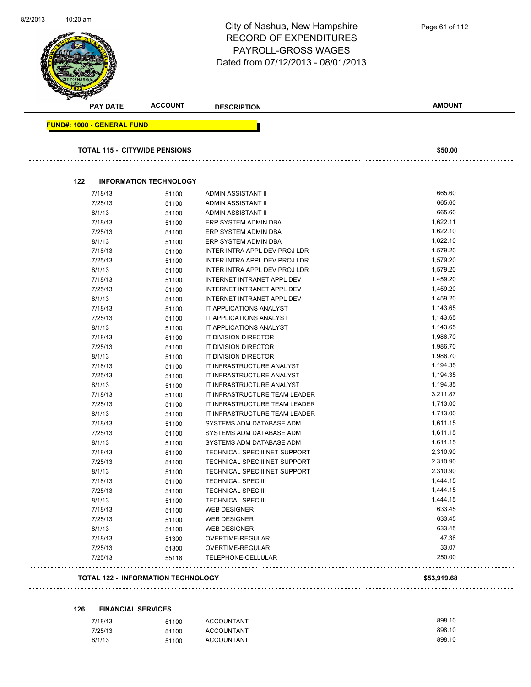| 8/2/2013 | 10:20 am                          |                                      | City of Nashua, New Hampshire<br><b>RECORD OF EXPENDITURES</b><br>PAYROLL-GROSS WAGES<br>Dated from 07/12/2013 - 08/01/2013 | Page 61 of 112 |
|----------|-----------------------------------|--------------------------------------|-----------------------------------------------------------------------------------------------------------------------------|----------------|
|          | <b>PAY DATE</b>                   | <b>ACCOUNT</b>                       | <b>DESCRIPTION</b>                                                                                                          | <b>AMOUNT</b>  |
|          | <b>FUND#: 1000 - GENERAL FUND</b> |                                      |                                                                                                                             |                |
|          |                                   |                                      |                                                                                                                             |                |
|          |                                   | <b>TOTAL 115 - CITYWIDE PENSIONS</b> |                                                                                                                             | \$50.00        |
|          | 122                               | <b>INFORMATION TECHNOLOGY</b>        |                                                                                                                             |                |
|          | 7/18/13                           | 51100                                | ADMIN ASSISTANT II                                                                                                          | 665.60         |
|          | 7/25/13                           | 51100                                | ADMIN ASSISTANT II                                                                                                          | 665.60         |
|          | 8/1/13                            | 51100                                | ADMIN ASSISTANT II                                                                                                          | 665.60         |
|          | 7/18/13                           | 51100                                | ERP SYSTEM ADMIN DBA                                                                                                        | 1,622.11       |
|          | 7/25/13                           | 51100                                | ERP SYSTEM ADMIN DBA                                                                                                        | 1,622.10       |
|          | 8/1/13                            | 51100                                | ERP SYSTEM ADMIN DBA                                                                                                        | 1,622.10       |
|          | 7/18/13                           | 51100                                | INTER INTRA APPL DEV PROJ LDR                                                                                               | 1,579.20       |
|          | 7/25/13                           | 51100                                | INTER INTRA APPL DEV PROJ LDR                                                                                               | 1,579.20       |
|          | 8/1/13                            | 51100                                | INTER INTRA APPL DEV PROJ LDR                                                                                               | 1,579.20       |
|          | 7/18/13                           | 51100                                | INTERNET INTRANET APPL DEV                                                                                                  | 1,459.20       |
|          | 7/25/13                           | 51100                                | INTERNET INTRANET APPL DEV                                                                                                  | 1,459.20       |
|          | 8/1/13                            | 51100                                | INTERNET INTRANET APPL DEV                                                                                                  | 1,459.20       |
|          | 7/18/13                           | 51100                                | IT APPLICATIONS ANALYST                                                                                                     | 1,143.65       |
|          | 7/25/13                           | 51100                                | IT APPLICATIONS ANALYST                                                                                                     | 1,143.65       |
|          | 8/1/13                            | 51100                                | IT APPLICATIONS ANALYST                                                                                                     | 1,143.65       |
|          | 7/18/13                           | 51100                                | IT DIVISION DIRECTOR                                                                                                        | 1,986.70       |
|          | 7/25/13                           | 51100                                | IT DIVISION DIRECTOR                                                                                                        | 1,986.70       |
|          | 8/1/13                            | 51100                                | IT DIVISION DIRECTOR                                                                                                        | 1,986.70       |
|          | 7/18/13                           | 51100                                | IT INFRASTRUCTURE ANALYST                                                                                                   | 1,194.35       |
|          | 7/25/13                           | 51100                                | IT INFRASTRUCTURE ANALYST                                                                                                   | 1,194.35       |
|          | 8/1/13                            | 51100                                | IT INFRASTRUCTURE ANALYST                                                                                                   | 1,194.35       |
|          | 7/18/13                           | 51100                                | IT INFRASTRUCTURE TEAM LEADER                                                                                               | 3,211.87       |
|          | 7/25/13                           | 51100                                | IT INFRASTRUCTURE TEAM LEADER                                                                                               | 1,713.00       |
|          | 8/1/13                            | 51100                                | IT INFRASTRUCTURE TEAM LEADER                                                                                               | 1,713.00       |
|          | 7/18/13                           | 51100                                | SYSTEMS ADM DATABASE ADM                                                                                                    | 1,611.15       |
|          | 7/25/13                           | 51100                                | SYSTEMS ADM DATABASE ADM                                                                                                    | 1,611.15       |
|          | 8/1/13                            | 51100                                | SYSTEMS ADM DATABASE ADM                                                                                                    | 1,611.15       |
|          | 7/18/13                           | 51100                                | TECHNICAL SPEC II NET SUPPORT                                                                                               | 2,310.90       |
|          | 7/25/13                           | 51100                                | TECHNICAL SPEC II NET SUPPORT                                                                                               | 2,310.90       |
|          | 8/1/13                            | 51100                                | TECHNICAL SPEC II NET SUPPORT                                                                                               | 2,310.90       |
|          | 7/18/13                           | 51100                                | <b>TECHNICAL SPEC III</b>                                                                                                   | 1,444.15       |
|          | 7/25/13                           | 51100                                | <b>TECHNICAL SPEC III</b>                                                                                                   | 1,444.15       |
|          | 8/1/13                            | 51100                                | <b>TECHNICAL SPEC III</b>                                                                                                   | 1,444.15       |
|          | 7/18/13                           | 51100                                | <b>WEB DESIGNER</b>                                                                                                         | 633.45         |
|          | 7/25/13                           | 51100                                | <b>WEB DESIGNER</b>                                                                                                         | 633.45         |
|          | 8/1/13                            | 51100                                | <b>WEB DESIGNER</b>                                                                                                         | 633.45         |
|          | 7/18/13                           | 51300                                | OVERTIME-REGULAR                                                                                                            | 47.38          |
|          | 7/25/13                           | 51300                                | OVERTIME-REGULAR                                                                                                            | 33.07          |
|          | 7/25/13                           | 55118                                | TELEPHONE-CELLULAR                                                                                                          | 250.00         |

### **TOTAL 122 - INFORMATION TECHNOLOGY \$53,919.68**

# **126 FINANCIAL SERVICES**

| 7/18/13 | <b>ACCOUNTANT</b><br>51100 | 898.10 |
|---------|----------------------------|--------|
| 7/25/13 | <b>ACCOUNTANT</b><br>51100 | 898.10 |
| 8/1/13  | <b>ACCOUNTANT</b><br>51100 | 898.10 |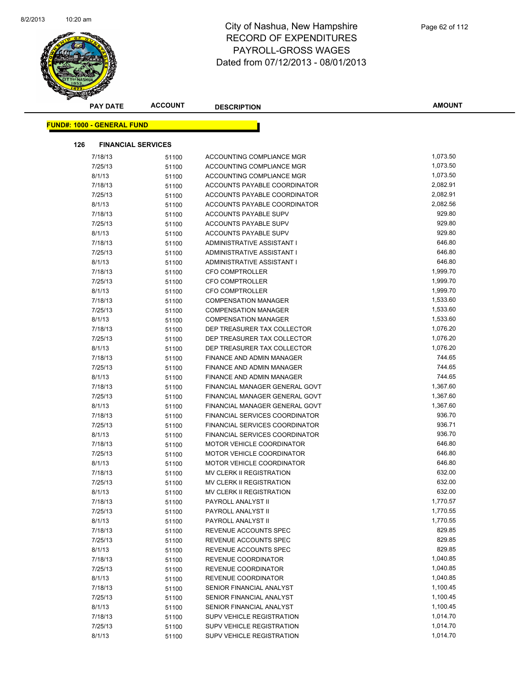

| <b>PAY DATE</b>                   | <b>ACCOUNT</b>            | <b>DESCRIPTION</b>                                    | <b>AMOUNT</b>    |
|-----------------------------------|---------------------------|-------------------------------------------------------|------------------|
| <b>FUND#: 1000 - GENERAL FUND</b> |                           |                                                       |                  |
|                                   |                           |                                                       |                  |
| 126                               | <b>FINANCIAL SERVICES</b> |                                                       |                  |
| 7/18/13                           | 51100                     | ACCOUNTING COMPLIANCE MGR                             | 1,073.50         |
| 7/25/13                           | 51100                     | ACCOUNTING COMPLIANCE MGR                             | 1,073.50         |
| 8/1/13                            | 51100                     | ACCOUNTING COMPLIANCE MGR                             | 1,073.50         |
| 7/18/13                           | 51100                     | ACCOUNTS PAYABLE COORDINATOR                          | 2,082.91         |
| 7/25/13                           | 51100                     | ACCOUNTS PAYABLE COORDINATOR                          | 2,082.91         |
| 8/1/13                            | 51100                     | ACCOUNTS PAYABLE COORDINATOR                          | 2,082.56         |
| 7/18/13                           | 51100                     | ACCOUNTS PAYABLE SUPV                                 | 929.80           |
| 7/25/13                           | 51100                     | ACCOUNTS PAYABLE SUPV                                 | 929.80           |
| 8/1/13                            | 51100                     | ACCOUNTS PAYABLE SUPV                                 | 929.80           |
| 7/18/13                           | 51100                     | ADMINISTRATIVE ASSISTANT I                            | 646.80           |
| 7/25/13                           | 51100                     | ADMINISTRATIVE ASSISTANT I                            | 646.80           |
| 8/1/13                            | 51100                     | ADMINISTRATIVE ASSISTANT I                            | 646.80           |
| 7/18/13                           | 51100                     | <b>CFO COMPTROLLER</b>                                | 1,999.70         |
| 7/25/13                           | 51100                     | <b>CFO COMPTROLLER</b>                                | 1,999.70         |
| 8/1/13                            | 51100                     | <b>CFO COMPTROLLER</b>                                | 1,999.70         |
| 7/18/13                           | 51100                     | <b>COMPENSATION MANAGER</b>                           | 1,533.60         |
| 7/25/13                           | 51100                     | <b>COMPENSATION MANAGER</b>                           | 1,533.60         |
| 8/1/13                            | 51100                     | <b>COMPENSATION MANAGER</b>                           | 1,533.60         |
| 7/18/13                           | 51100                     | DEP TREASURER TAX COLLECTOR                           | 1,076.20         |
| 7/25/13                           | 51100                     | DEP TREASURER TAX COLLECTOR                           | 1,076.20         |
| 8/1/13                            | 51100                     | DEP TREASURER TAX COLLECTOR                           | 1,076.20         |
| 7/18/13                           | 51100                     | FINANCE AND ADMIN MANAGER                             | 744.65           |
| 7/25/13                           | 51100                     | FINANCE AND ADMIN MANAGER                             | 744.65           |
| 8/1/13                            | 51100                     | FINANCE AND ADMIN MANAGER                             | 744.65           |
| 7/18/13                           | 51100                     | FINANCIAL MANAGER GENERAL GOVT                        | 1,367.60         |
| 7/25/13                           | 51100                     | FINANCIAL MANAGER GENERAL GOVT                        | 1,367.60         |
| 8/1/13                            | 51100                     | FINANCIAL MANAGER GENERAL GOVT                        | 1,367.60         |
| 7/18/13                           | 51100                     | FINANCIAL SERVICES COORDINATOR                        | 936.70           |
| 7/25/13                           | 51100                     | FINANCIAL SERVICES COORDINATOR                        | 936.71           |
| 8/1/13                            | 51100                     | FINANCIAL SERVICES COORDINATOR                        | 936.70<br>646.80 |
| 7/18/13                           | 51100                     | MOTOR VEHICLE COORDINATOR                             |                  |
| 7/25/13                           | 51100                     | MOTOR VEHICLE COORDINATOR                             | 646.80<br>646.80 |
| 8/1/13                            | 51100                     | MOTOR VEHICLE COORDINATOR<br>MV CLERK II REGISTRATION | 632.00           |
| 7/18/13<br>7/25/13                | 51100                     | MV CLERK II REGISTRATION                              | 632.00           |
| 8/1/13                            | 51100                     | MV CLERK II REGISTRATION                              | 632.00           |
| 7/18/13                           | 51100<br>51100            | PAYROLL ANALYST II                                    | 1,770.57         |
| 7/25/13                           | 51100                     | PAYROLL ANALYST II                                    | 1,770.55         |
| 8/1/13                            | 51100                     | PAYROLL ANALYST II                                    | 1,770.55         |
| 7/18/13                           | 51100                     | REVENUE ACCOUNTS SPEC                                 | 829.85           |
| 7/25/13                           | 51100                     | REVENUE ACCOUNTS SPEC                                 | 829.85           |
| 8/1/13                            | 51100                     | REVENUE ACCOUNTS SPEC                                 | 829.85           |
| 7/18/13                           | 51100                     | REVENUE COORDINATOR                                   | 1,040.85         |
| 7/25/13                           | 51100                     | REVENUE COORDINATOR                                   | 1,040.85         |
| 8/1/13                            | 51100                     | <b>REVENUE COORDINATOR</b>                            | 1,040.85         |
| 7/18/13                           | 51100                     | SENIOR FINANCIAL ANALYST                              | 1,100.45         |
| 7/25/13                           | 51100                     | SENIOR FINANCIAL ANALYST                              | 1,100.45         |
| 8/1/13                            | 51100                     | SENIOR FINANCIAL ANALYST                              | 1,100.45         |
| 7/18/13                           | 51100                     | SUPV VEHICLE REGISTRATION                             | 1,014.70         |
| 7/25/13                           | 51100                     | SUPV VEHICLE REGISTRATION                             | 1,014.70         |
| 8/1/13                            | 51100                     | SUPV VEHICLE REGISTRATION                             | 1,014.70         |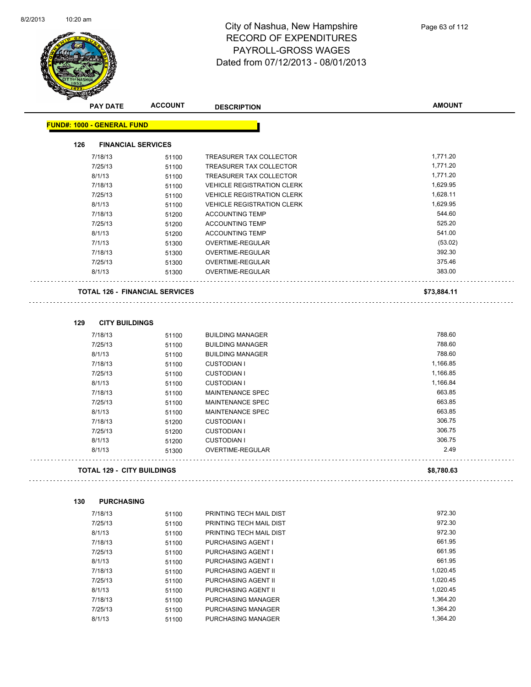$\overline{\phantom{0}}$ 



# City of Nashua, New Hampshire RECORD OF EXPENDITURES PAYROLL-GROSS WAGES Dated from 07/12/2013 - 08/01/2013

|     | <b>PAY DATE</b>                   | <b>ACCOUNT</b>                        | <b>DESCRIPTION</b>                | <b>AMOUNT</b> |
|-----|-----------------------------------|---------------------------------------|-----------------------------------|---------------|
|     | <b>FUND#: 1000 - GENERAL FUND</b> |                                       |                                   |               |
| 126 | <b>FINANCIAL SERVICES</b>         |                                       |                                   |               |
|     | 7/18/13                           |                                       | <b>TREASURER TAX COLLECTOR</b>    | 1,771.20      |
|     | 7/25/13                           | 51100<br>51100                        | TREASURER TAX COLLECTOR           | 1,771.20      |
|     | 8/1/13                            | 51100                                 | TREASURER TAX COLLECTOR           | 1,771.20      |
|     | 7/18/13                           |                                       | <b>VEHICLE REGISTRATION CLERK</b> | 1,629.95      |
|     | 7/25/13                           | 51100                                 | <b>VEHICLE REGISTRATION CLERK</b> | 1,628.11      |
|     | 8/1/13                            | 51100                                 | <b>VEHICLE REGISTRATION CLERK</b> | 1,629.95      |
|     | 7/18/13                           | 51100                                 | <b>ACCOUNTING TEMP</b>            | 544.60        |
|     | 7/25/13                           | 51200                                 | <b>ACCOUNTING TEMP</b>            | 525.20        |
|     |                                   | 51200                                 |                                   | 541.00        |
|     | 8/1/13                            | 51200                                 | <b>ACCOUNTING TEMP</b>            |               |
|     | 7/1/13                            | 51300                                 | OVERTIME-REGULAR                  | (53.02)       |
|     | 7/18/13                           | 51300                                 | OVERTIME-REGULAR                  | 392.30        |
|     | 7/25/13                           | 51300                                 | OVERTIME-REGULAR                  | 375.46        |
|     | 8/1/13                            | 51300                                 | OVERTIME-REGULAR                  | 383.00        |
|     |                                   | <b>TOTAL 126 - FINANCIAL SERVICES</b> |                                   | \$73,884.11   |
|     |                                   |                                       |                                   |               |
| 129 | <b>CITY BUILDINGS</b>             |                                       |                                   |               |
|     | 7/18/13                           | 51100                                 | <b>BUILDING MANAGER</b>           | 788.60        |
|     | 7/25/13                           | 51100                                 | <b>BUILDING MANAGER</b>           | 788.60        |
|     | 8/1/13                            | 51100                                 | <b>BUILDING MANAGER</b>           | 788.60        |
|     | 7/18/13                           | 51100                                 | <b>CUSTODIAN I</b>                | 1,166.85      |
|     | 7/25/13                           | 51100                                 | <b>CUSTODIAN I</b>                | 1,166.85      |
|     | 8/1/13                            | 51100                                 | <b>CUSTODIAN I</b>                | 1,166.84      |
|     | 7/18/13                           | 51100                                 | <b>MAINTENANCE SPEC</b>           | 663.85        |
|     | 7/25/13                           | 51100                                 | <b>MAINTENANCE SPEC</b>           | 663.85        |
|     | 8/1/13                            | 51100                                 | MAINTENANCE SPEC                  | 663.85        |
|     | 7/18/13                           | 51200                                 | <b>CUSTODIAN I</b>                | 306.75        |
|     | 7/25/13                           | 51200                                 | <b>CUSTODIAN I</b>                | 306.75        |
|     | 8/1/13                            | 51200                                 | <b>CUSTODIAN I</b>                | 306.75        |
|     | 8/1/13                            | 51300                                 | OVERTIME-REGULAR                  | 2.49          |
|     | <b>TOTAL 129 - CITY BUILDINGS</b> |                                       |                                   | \$8,780.63    |
|     |                                   |                                       |                                   |               |
| 130 | <b>PURCHASING</b>                 |                                       |                                   |               |
|     | 7/18/13                           | 51100                                 | PRINTING TECH MAIL DIST           | 972.30        |
|     | 7/25/13                           | 51100                                 | PRINTING TECH MAIL DIST           | 972.30        |
|     | 8/1/13                            | 51100                                 | PRINTING TECH MAIL DIST           | 972.30        |
|     | 7/18/13                           | 51100                                 | PURCHASING AGENT I                | 661.95        |
|     | 7/25/13                           | 51100                                 | PURCHASING AGENT I                | 661.95        |
|     | 8/1/13                            | 51100                                 | PURCHASING AGENT I                | 661.95        |
|     | 7/18/13                           | 51100                                 | PURCHASING AGENT II               | 1,020.45      |
|     | 7/25/13                           | 51100                                 | PURCHASING AGENT II               | 1,020.45      |

8/1/13 51100 PURCHASING AGENT II 1,020.45 7/18/13 51100 PURCHASING MANAGER 1,364.20 7/25/13 51100 PURCHASING MANAGER 1,364.20 8/1/13 51100 PURCHASING MANAGER 1,364.20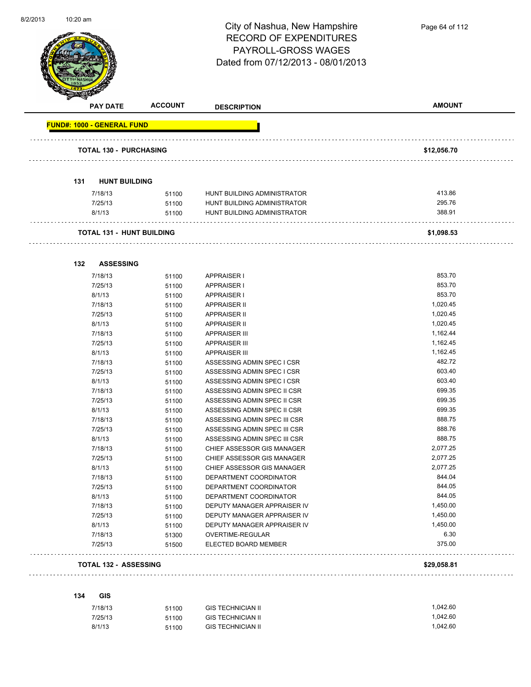

| <b>PAY DATE</b>                   | <b>ACCOUNT</b> | <b>DESCRIPTION</b>                                         | <b>AMOUNT</b>        |
|-----------------------------------|----------------|------------------------------------------------------------|----------------------|
| <b>FUND#: 1000 - GENERAL FUND</b> |                |                                                            |                      |
| TOTAL 130 - PURCHASING            |                |                                                            | \$12,056.70          |
|                                   |                |                                                            |                      |
| <b>HUNT BUILDING</b><br>131       |                |                                                            |                      |
|                                   |                |                                                            |                      |
| 7/18/13                           | 51100          | HUNT BUILDING ADMINISTRATOR                                | 413.86<br>295.76     |
| 7/25/13                           | 51100          | HUNT BUILDING ADMINISTRATOR<br>HUNT BUILDING ADMINISTRATOR | 388.91               |
| 8/1/13                            | 51100          |                                                            |                      |
| TOTAL 131 - HUNT BUILDING         |                |                                                            | \$1,098.53           |
|                                   |                |                                                            |                      |
| 132<br><b>ASSESSING</b>           |                |                                                            |                      |
| 7/18/13                           | 51100          | <b>APPRAISER I</b>                                         | 853.70               |
| 7/25/13                           | 51100          | <b>APPRAISER I</b>                                         | 853.70               |
| 8/1/13                            | 51100          | <b>APPRAISER I</b>                                         | 853.70               |
| 7/18/13                           | 51100          | <b>APPRAISER II</b>                                        | 1,020.45             |
| 7/25/13                           | 51100          | <b>APPRAISER II</b>                                        | 1,020.45<br>1,020.45 |
| 8/1/13<br>7/18/13                 | 51100          | <b>APPRAISER II</b><br><b>APPRAISER III</b>                | 1,162.44             |
| 7/25/13                           | 51100<br>51100 | <b>APPRAISER III</b>                                       | 1,162.45             |
| 8/1/13                            | 51100          | <b>APPRAISER III</b>                                       | 1,162.45             |
| 7/18/13                           | 51100          | ASSESSING ADMIN SPEC I CSR                                 | 482.72               |
| 7/25/13                           | 51100          | ASSESSING ADMIN SPEC I CSR                                 | 603.40               |
| 8/1/13                            | 51100          | ASSESSING ADMIN SPEC I CSR                                 | 603.40               |
| 7/18/13                           | 51100          | ASSESSING ADMIN SPEC II CSR                                | 699.35               |
| 7/25/13                           | 51100          | ASSESSING ADMIN SPEC II CSR                                | 699.35               |
| 8/1/13                            | 51100          | ASSESSING ADMIN SPEC II CSR                                | 699.35               |
| 7/18/13                           | 51100          | ASSESSING ADMIN SPEC III CSR                               | 888.75               |
| 7/25/13                           | 51100          | ASSESSING ADMIN SPEC III CSR                               | 888.76               |
| 8/1/13                            | 51100          | ASSESSING ADMIN SPEC III CSR                               | 888.75               |
| 7/18/13                           | 51100          | CHIEF ASSESSOR GIS MANAGER                                 | 2,077.25             |
| 7/25/13                           | 51100          | CHIEF ASSESSOR GIS MANAGER                                 | 2,077.25             |
| 8/1/13                            | 51100          | CHIEF ASSESSOR GIS MANAGER                                 | 2,077.25             |
| 7/18/13                           | 51100          | DEPARTMENT COORDINATOR                                     | 844.04               |
| 7/25/13                           | 51100          | DEPARTMENT COORDINATOR                                     | 844.05               |
| 8/1/13                            | 51100          | DEPARTMENT COORDINATOR                                     | 844.05               |
| 7/18/13                           | 51100          | DEPUTY MANAGER APPRAISER IV                                | 1,450.00             |
| 7/25/13                           | 51100          | DEPUTY MANAGER APPRAISER IV                                | 1,450.00             |
| 8/1/13                            | 51100          | DEPUTY MANAGER APPRAISER IV                                | 1,450.00             |
| 7/18/13                           | 51300          | OVERTIME-REGULAR                                           | 6.30                 |
| 7/25/13                           | 51500          | ELECTED BOARD MEMBER                                       | 375.00               |

#### **TOTAL 132 - ASSESSING \$29,058.81**

# 

# **134 GIS**

| 7/18/13 | 51100 | <b>GIS TECHNICIAN II</b> | 1.042.60 |
|---------|-------|--------------------------|----------|
| 7/25/13 | 51100 | <b>GIS TECHNICIAN II</b> | 1.042.60 |
| 8/1/13  | 51100 | <b>GIS TECHNICIAN II</b> | 1.042.60 |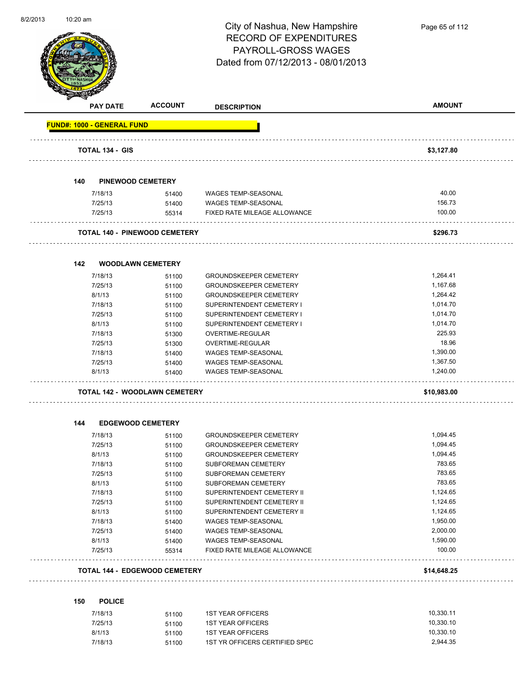

|                                   | <b>PAY DATE</b>        | <b>ACCOUNT</b>                       | <b>DESCRIPTION</b>            | <b>AMOUNT</b> |
|-----------------------------------|------------------------|--------------------------------------|-------------------------------|---------------|
| <b>FUND#: 1000 - GENERAL FUND</b> |                        |                                      |                               |               |
|                                   | <b>TOTAL 134 - GIS</b> |                                      |                               | \$3,127.80    |
|                                   |                        |                                      |                               |               |
| 140                               |                        | <b>PINEWOOD CEMETERY</b>             |                               |               |
|                                   | 7/18/13                | 51400                                | <b>WAGES TEMP-SEASONAL</b>    | 40.00         |
|                                   | 7/25/13                | 51400                                | WAGES TEMP-SEASONAL           | 156.73        |
|                                   | 7/25/13                | 55314                                | FIXED RATE MILEAGE ALLOWANCE  | 100.00        |
|                                   |                        | <b>TOTAL 140 - PINEWOOD CEMETERY</b> |                               | \$296.73      |
| 142                               |                        | <b>WOODLAWN CEMETERY</b>             |                               |               |
|                                   | 7/18/13                | 51100                                | <b>GROUNDSKEEPER CEMETERY</b> | 1,264.41      |
|                                   | 7/25/13                | 51100                                | <b>GROUNDSKEEPER CEMETERY</b> | 1,167.68      |
|                                   | 8/1/13                 | 51100                                | <b>GROUNDSKEEPER CEMETERY</b> | 1,264.42      |
|                                   | 7/18/13                | 51100                                | SUPERINTENDENT CEMETERY I     | 1,014.70      |
|                                   | 7/25/13                | 51100                                | SUPERINTENDENT CEMETERY I     | 1,014.70      |
|                                   | 8/1/13                 | 51100                                | SUPERINTENDENT CEMETERY I     | 1,014.70      |
|                                   | 7/18/13                | 51300                                | OVERTIME-REGULAR              | 225.93        |
|                                   | 7/25/13                | 51300                                | OVERTIME-REGULAR              | 18.96         |
|                                   | 7/18/13                | 51400                                | WAGES TEMP-SEASONAL           | 1,390.00      |
|                                   | 7/25/13                | 51400                                | <b>WAGES TEMP-SEASONAL</b>    | 1,367.50      |
|                                   | 8/1/13                 | 51400                                | <b>WAGES TEMP-SEASONAL</b>    | 1,240.00      |
|                                   |                        | TOTAL 142 - WOODLAWN CEMETERY        |                               | \$10,983.00   |
| 144                               |                        | <b>EDGEWOOD CEMETERY</b>             |                               |               |
|                                   | 7/18/13                | 51100                                | <b>GROUNDSKEEPER CEMETERY</b> | 1,094.45      |
|                                   | 7/25/13                | 51100                                | <b>GROUNDSKEEPER CEMETERY</b> | 1,094.45      |
|                                   | 8/1/13                 | 51100                                | <b>GROUNDSKEEPER CEMETERY</b> | 1,094.45      |
|                                   | 7/18/13                | 51100                                | SUBFOREMAN CEMETERY           | 783.65        |
|                                   | 7/25/13                | 51100                                | SUBFOREMAN CEMETERY           | 783.65        |
|                                   | 8/1/13                 | 51100                                | SUBFOREMAN CEMETERY           | 783.65        |
|                                   | 7/18/13                | 51100                                | SUPERINTENDENT CEMETERY II    | 1,124.65      |
|                                   | 7/25/13                | 51100                                | SUPERINTENDENT CEMETERY II    | 1,124.65      |
|                                   | 8/1/13                 | 51100                                | SUPERINTENDENT CEMETERY II    | 1,124.65      |
|                                   | 7/18/13                | 51400                                | WAGES TEMP-SEASONAL           | 1,950.00      |
|                                   | 7/25/13                | 51400                                | WAGES TEMP-SEASONAL           | 2,000.00      |
|                                   | 8/1/13                 | 51400                                | WAGES TEMP-SEASONAL           | 1,590.00      |
|                                   | 7/25/13                | 55314                                | FIXED RATE MILEAGE ALLOWANCE  | 100.00        |
|                                   |                        | <b>TOTAL 144 - EDGEWOOD CEMETERY</b> |                               | \$14,648.25   |
|                                   |                        |                                      |                               |               |
| 150                               | <b>POLICE</b>          |                                      |                               | 10.220.11     |

| 7/18/13 | 51100 | 1ST YEAR OFFICERS              | 10.330.11 |
|---------|-------|--------------------------------|-----------|
| 7/25/13 | 51100 | <b>1ST YEAR OFFICERS</b>       | 10.330.10 |
| 8/1/13  | 51100 | <b>1ST YEAR OFFICERS</b>       | 10.330.10 |
| 7/18/13 | 51100 | 1ST YR OFFICERS CERTIFIED SPEC | 2.944.35  |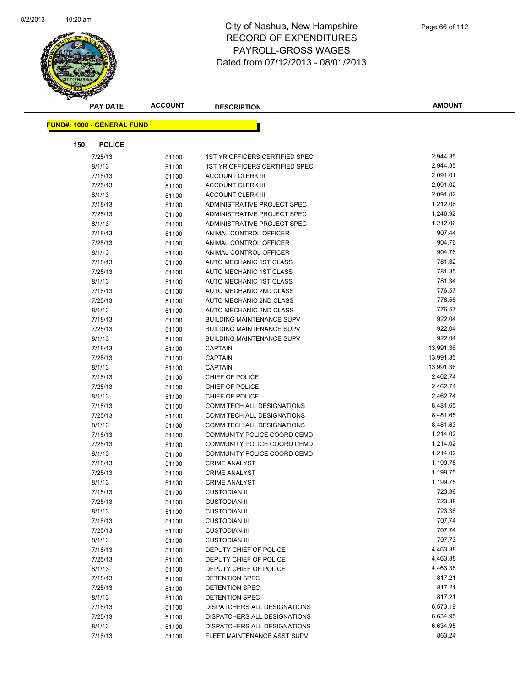

|     | <b>PAY DATE</b>                   | <b>ACCOUNT</b> | <b>DESCRIPTION</b>               | <b>AMOUNT</b> |
|-----|-----------------------------------|----------------|----------------------------------|---------------|
|     | <b>FUND#: 1000 - GENERAL FUND</b> |                |                                  |               |
|     |                                   |                |                                  |               |
| 150 | <b>POLICE</b>                     |                |                                  |               |
|     | 7/25/13                           | 51100          | 1ST YR OFFICERS CERTIFIED SPEC   | 2,944.35      |
|     | 8/1/13                            | 51100          | 1ST YR OFFICERS CERTIFIED SPEC   | 2,944.35      |
|     | 7/18/13                           | 51100          | ACCOUNT CLERK III                | 2,091.01      |
|     | 7/25/13                           | 51100          | <b>ACCOUNT CLERK III</b>         | 2,091.02      |
|     | 8/1/13                            | 51100          | <b>ACCOUNT CLERK III</b>         | 2,091.02      |
|     | 7/18/13                           | 51100          | ADMINISTRATIVE PROJECT SPEC      | 1,212.06      |
|     | 7/25/13                           | 51100          | ADMINISTRATIVE PROJECT SPEC      | 1,246.92      |
|     | 8/1/13                            | 51100          | ADMINISTRATIVE PROJECT SPEC      | 1,212.06      |
|     | 7/18/13                           | 51100          | ANIMAL CONTROL OFFICER           | 907.44        |
|     | 7/25/13                           | 51100          | ANIMAL CONTROL OFFICER           | 904.76        |
|     | 8/1/13                            | 51100          | ANIMAL CONTROL OFFICER           | 904.76        |
|     | 7/18/13                           | 51100          | AUTO MECHANIC 1ST CLASS          | 781.32        |
|     | 7/25/13                           | 51100          | AUTO MECHANIC 1ST CLASS          | 781.35        |
|     | 8/1/13                            | 51100          | AUTO MECHANIC 1ST CLASS          | 781.34        |
|     | 7/18/13                           | 51100          | AUTO MECHANIC 2ND CLASS          | 776.57        |
|     | 7/25/13                           | 51100          | AUTO MECHANIC 2ND CLASS          | 776.58        |
|     | 8/1/13                            | 51100          | AUTO MECHANIC 2ND CLASS          | 776.57        |
|     | 7/18/13                           | 51100          | <b>BUILDING MAINTENANCE SUPV</b> | 922.04        |
|     | 7/25/13                           | 51100          | <b>BUILDING MAINTENANCE SUPV</b> | 922.04        |
|     | 8/1/13                            | 51100          | <b>BUILDING MAINTENANCE SUPV</b> | 922.04        |
|     | 7/18/13                           | 51100          | <b>CAPTAIN</b>                   | 13,991.36     |
|     | 7/25/13                           | 51100          | <b>CAPTAIN</b>                   | 13,991.35     |
|     | 8/1/13                            | 51100          | CAPTAIN                          | 13,991.36     |
|     | 7/18/13                           | 51100          | CHIEF OF POLICE                  | 2,462.74      |
|     | 7/25/13                           | 51100          | CHIEF OF POLICE                  | 2,462.74      |
|     | 8/1/13                            | 51100          | CHIEF OF POLICE                  | 2,462.74      |
|     | 7/18/13                           | 51100          | COMM TECH ALL DESIGNATIONS       | 8,481.65      |
|     | 7/25/13                           | 51100          | COMM TECH ALL DESIGNATIONS       | 8,481.65      |
|     | 8/1/13                            | 51100          | COMM TECH ALL DESIGNATIONS       | 8,481.63      |
|     | 7/18/13                           | 51100          | COMMUNITY POLICE COORD CEMD      | 1,214.02      |
|     | 7/25/13                           | 51100          | COMMUNITY POLICE COORD CEMD      | 1,214.02      |
|     | 8/1/13                            | 51100          | COMMUNITY POLICE COORD CEMD      | 1,214.02      |
|     | 7/18/13                           | 51100          | <b>CRIME ANALYST</b>             | 1,199.75      |
|     | 7/25/13                           | 51100          | <b>CRIME ANALYST</b>             | 1,199.75      |
|     | 8/1/13                            | 51100          | <b>CRIME ANALYST</b>             | 1,199.75      |
|     | 7/18/13                           | 51100          | <b>CUSTODIAN II</b>              | 723.38        |
|     | 7/25/13                           | 51100          | <b>CUSTODIAN II</b>              | 723.38        |
|     | 8/1/13                            | 51100          | <b>CUSTODIAN II</b>              | 723.38        |
|     | 7/18/13                           | 51100          | <b>CUSTODIAN III</b>             | 707.74        |
|     | 7/25/13                           | 51100          | <b>CUSTODIAN III</b>             | 707.74        |
|     | 8/1/13                            | 51100          | <b>CUSTODIAN III</b>             | 707.73        |
|     | 7/18/13                           | 51100          | DEPUTY CHIEF OF POLICE           | 4,463.38      |
|     | 7/25/13                           | 51100          | DEPUTY CHIEF OF POLICE           | 4,463.38      |
|     | 8/1/13                            | 51100          | DEPUTY CHIEF OF POLICE           | 4,463.38      |
|     | 7/18/13                           | 51100          | <b>DETENTION SPEC</b>            | 817.21        |
|     | 7/25/13                           | 51100          | <b>DETENTION SPEC</b>            | 817.21        |
|     | 8/1/13                            | 51100          | <b>DETENTION SPEC</b>            | 817.21        |
|     | 7/18/13                           | 51100          | DISPATCHERS ALL DESIGNATIONS     | 6,573.19      |
|     | 7/25/13                           | 51100          | DISPATCHERS ALL DESIGNATIONS     | 6,634.95      |
|     | 8/1/13                            | 51100          | DISPATCHERS ALL DESIGNATIONS     | 6,634.95      |
|     | 7/18/13                           | 51100          | FLEET MAINTENANCE ASST SUPV      | 863.24        |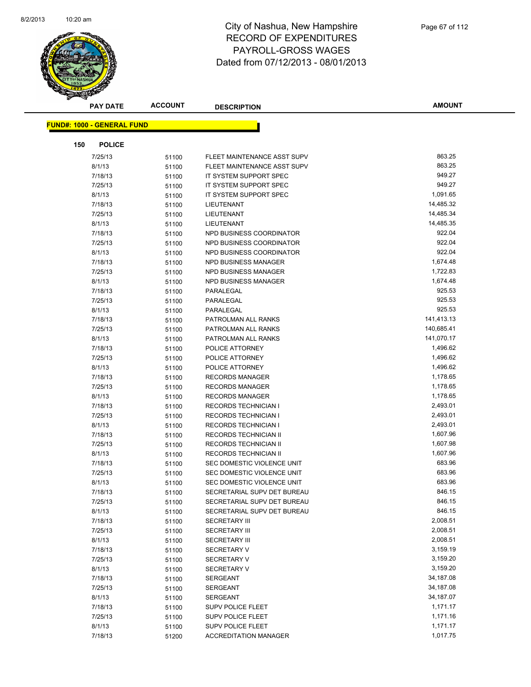

|     | <b>PAY DATE</b>                   | <b>ACCOUNT</b> | <b>DESCRIPTION</b>                                         | AMOUNT               |
|-----|-----------------------------------|----------------|------------------------------------------------------------|----------------------|
|     | <b>FUND#: 1000 - GENERAL FUND</b> |                |                                                            |                      |
|     |                                   |                |                                                            |                      |
| 150 | <b>POLICE</b>                     |                |                                                            |                      |
|     | 7/25/13                           | 51100          | FLEET MAINTENANCE ASST SUPV                                | 863.25               |
|     | 8/1/13                            | 51100          | FLEET MAINTENANCE ASST SUPV                                | 863.25               |
|     | 7/18/13                           | 51100          | IT SYSTEM SUPPORT SPEC                                     | 949.27               |
|     | 7/25/13                           | 51100          | IT SYSTEM SUPPORT SPEC                                     | 949.27               |
|     | 8/1/13                            | 51100          | IT SYSTEM SUPPORT SPEC                                     | 1,091.65             |
|     | 7/18/13                           | 51100          | LIEUTENANT                                                 | 14,485.32            |
|     | 7/25/13                           | 51100          | LIEUTENANT                                                 | 14,485.34            |
|     | 8/1/13                            | 51100          | LIEUTENANT                                                 | 14,485.35            |
|     | 7/18/13                           | 51100          | NPD BUSINESS COORDINATOR                                   | 922.04               |
|     | 7/25/13                           | 51100          | NPD BUSINESS COORDINATOR                                   | 922.04               |
|     | 8/1/13                            | 51100          | NPD BUSINESS COORDINATOR                                   | 922.04               |
|     | 7/18/13                           | 51100          | NPD BUSINESS MANAGER                                       | 1,674.48             |
|     | 7/25/13                           | 51100          | <b>NPD BUSINESS MANAGER</b>                                | 1,722.83             |
|     | 8/1/13                            | 51100          | NPD BUSINESS MANAGER                                       | 1,674.48             |
|     | 7/18/13                           | 51100          | PARALEGAL                                                  | 925.53               |
|     | 7/25/13                           | 51100          | PARALEGAL                                                  | 925.53               |
|     | 8/1/13                            | 51100          | PARALEGAL                                                  | 925.53               |
|     | 7/18/13                           | 51100          | PATROLMAN ALL RANKS                                        | 141,413.13           |
|     | 7/25/13                           | 51100          | PATROLMAN ALL RANKS                                        | 140,685.41           |
|     | 8/1/13                            | 51100          | PATROLMAN ALL RANKS                                        | 141,070.17           |
|     | 7/18/13                           | 51100          | POLICE ATTORNEY                                            | 1,496.62             |
|     | 7/25/13                           | 51100          | POLICE ATTORNEY                                            | 1,496.62             |
|     | 8/1/13                            | 51100          | POLICE ATTORNEY                                            | 1,496.62             |
|     | 7/18/13                           | 51100          | <b>RECORDS MANAGER</b>                                     | 1,178.65             |
|     | 7/25/13                           | 51100          | <b>RECORDS MANAGER</b>                                     | 1,178.65             |
|     | 8/1/13                            | 51100          | <b>RECORDS MANAGER</b>                                     | 1,178.65             |
|     | 7/18/13<br>7/25/13                | 51100          | <b>RECORDS TECHNICIAN I</b>                                | 2,493.01<br>2,493.01 |
|     | 8/1/13                            | 51100          | <b>RECORDS TECHNICIAN I</b><br><b>RECORDS TECHNICIAN I</b> | 2,493.01             |
|     | 7/18/13                           | 51100          | RECORDS TECHNICIAN II                                      | 1,607.96             |
|     | 7/25/13                           | 51100<br>51100 | RECORDS TECHNICIAN II                                      | 1,607.98             |
|     | 8/1/13                            |                | RECORDS TECHNICIAN II                                      | 1,607.96             |
|     | 7/18/13                           | 51100<br>51100 | SEC DOMESTIC VIOLENCE UNIT                                 | 683.96               |
|     | 7/25/13                           | 51100          | SEC DOMESTIC VIOLENCE UNIT                                 | 683.96               |
|     | 8/1/13                            | 51100          | SEC DOMESTIC VIOLENCE UNIT                                 | 683.96               |
|     | 7/18/13                           | 51100          | SECRETARIAL SUPV DET BUREAU                                | 846.15               |
|     | 7/25/13                           | 51100          | SECRETARIAL SUPV DET BUREAU                                | 846.15               |
|     | 8/1/13                            | 51100          | SECRETARIAL SUPV DET BUREAU                                | 846.15               |
|     | 7/18/13                           | 51100          | <b>SECRETARY III</b>                                       | 2,008.51             |
|     | 7/25/13                           | 51100          | <b>SECRETARY III</b>                                       | 2,008.51             |
|     | 8/1/13                            | 51100          | <b>SECRETARY III</b>                                       | 2,008.51             |
|     | 7/18/13                           | 51100          | <b>SECRETARY V</b>                                         | 3,159.19             |
|     | 7/25/13                           | 51100          | <b>SECRETARY V</b>                                         | 3,159.20             |
|     | 8/1/13                            | 51100          | <b>SECRETARY V</b>                                         | 3,159.20             |
|     | 7/18/13                           | 51100          | <b>SERGEANT</b>                                            | 34,187.08            |
|     | 7/25/13                           | 51100          | <b>SERGEANT</b>                                            | 34,187.08            |
|     | 8/1/13                            | 51100          | <b>SERGEANT</b>                                            | 34,187.07            |
|     | 7/18/13                           | 51100          | <b>SUPV POLICE FLEET</b>                                   | 1,171.17             |
|     | 7/25/13                           | 51100          | <b>SUPV POLICE FLEET</b>                                   | 1,171.16             |
|     | 8/1/13                            | 51100          | <b>SUPV POLICE FLEET</b>                                   | 1,171.17             |
|     | 7/18/13                           | 51200          | <b>ACCREDITATION MANAGER</b>                               | 1,017.75             |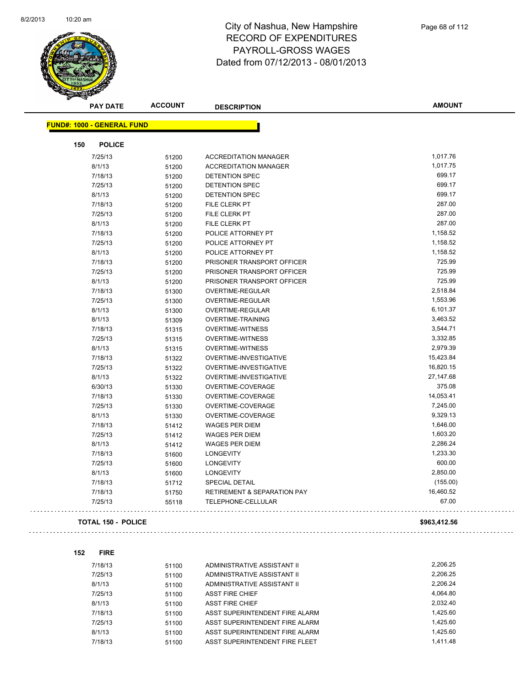$\bar{z}$  is  $\bar{z}$ 



| <b>PAY DATE</b>                   | <b>ACCOUNT</b> | <b>DESCRIPTION</b>           | <b>AMOUNT</b> |
|-----------------------------------|----------------|------------------------------|---------------|
| <b>FUND#: 1000 - GENERAL FUND</b> |                |                              |               |
| 150<br><b>POLICE</b>              |                |                              |               |
| 7/25/13                           | 51200          | <b>ACCREDITATION MANAGER</b> | 1,017.76      |
| 8/1/13                            | 51200          | <b>ACCREDITATION MANAGER</b> | 1,017.75      |
| 7/18/13                           | 51200          | <b>DETENTION SPEC</b>        | 699.17        |
| 7/25/13                           | 51200          | <b>DETENTION SPEC</b>        | 699.17        |
| 8/1/13                            | 51200          | <b>DETENTION SPEC</b>        | 699.17        |
| 7/18/13                           | 51200          | <b>FILE CLERK PT</b>         | 287.00        |
| 7/25/13                           | 51200          | FILE CLERK PT                | 287.00        |
| 8/1/13                            | 51200          | FILE CLERK PT                | 287.00        |
| 7/18/13                           | 51200          | POLICE ATTORNEY PT           | 1,158.52      |
| 7/25/13                           | 51200          | POLICE ATTORNEY PT           | 1,158.52      |
| 8/1/13                            | 51200          | POLICE ATTORNEY PT           | 1,158.52      |
| 7/18/13                           | 51200          | PRISONER TRANSPORT OFFICER   | 725.99        |
| 7/25/13                           | 51200          | PRISONER TRANSPORT OFFICER   | 725.99        |
| 8/1/13                            | 51200          | PRISONER TRANSPORT OFFICER   | 725.99        |
| 7/18/13                           | 51300          | OVERTIME-REGULAR             | 2,518.84      |
| 7/25/13                           | 51300          | <b>OVERTIME-REGULAR</b>      | 1,553.96      |
| 8/1/13                            | 51300          | OVERTIME-REGULAR             | 6,101.37      |
| 8/1/13                            | 51309          | <b>OVERTIME-TRAINING</b>     | 3,463.52      |
| 7/18/13                           | 51315          | <b>OVERTIME-WITNESS</b>      | 3,544.71      |
| 7/25/13                           | 51315          | <b>OVERTIME-WITNESS</b>      | 3,332.85      |
| 8/1/13                            | 51315          | <b>OVERTIME-WITNESS</b>      | 2,979.39      |
| 7/18/13                           | 51322          | OVERTIME-INVESTIGATIVE       | 15,423.84     |
| 7/25/13                           | 51322          | OVERTIME-INVESTIGATIVE       | 16,820.15     |
| 8/1/13                            | 51322          | OVERTIME-INVESTIGATIVE       | 27,147.68     |
| 6/30/13                           | 51330          | OVERTIME-COVERAGE            | 375.08        |
| 7/18/13                           | 51330          | OVERTIME-COVERAGE            | 14,053.41     |
| 7/25/13                           | 51330          | OVERTIME-COVERAGE            | 7,245.00      |
| 8/1/13                            | 51330          | OVERTIME-COVERAGE            | 9,329.13      |
| 7/18/13                           | 51412          | <b>WAGES PER DIEM</b>        | 1,646.00      |
| 7/25/13                           | 51412          | <b>WAGES PER DIEM</b>        | 1,603.20      |
| 8/1/13                            | 51412          | <b>WAGES PER DIEM</b>        | 2,286.24      |
| 7/18/13                           | 51600          | <b>LONGEVITY</b>             | 1,233.30      |
| 7/25/13                           | 51600          | <b>LONGEVITY</b>             | 600.00        |
| 8/1/13                            | 51600          | <b>LONGEVITY</b>             | 2,850.00      |
| 7/18/13                           | 51712          | <b>SPECIAL DETAIL</b>        | (155.00)      |
| 7/18/13                           | 51750          | RETIREMENT & SEPARATION PAY  | 16,460.52     |
| 7/25/13                           | 55118          | TELEPHONE-CELLULAR           | 67.00         |
| <b>TOTAL 150 - POLICE</b>         |                |                              | \$963,412.56  |

| 152 | <b>FIRE</b> |       |                                |          |
|-----|-------------|-------|--------------------------------|----------|
|     | 7/18/13     | 51100 | ADMINISTRATIVE ASSISTANT II    | 2.206.25 |
|     | 7/25/13     | 51100 | ADMINISTRATIVE ASSISTANT II    | 2,206.25 |
|     | 8/1/13      | 51100 | ADMINISTRATIVE ASSISTANT II    | 2.206.24 |
|     | 7/25/13     | 51100 | <b>ASST FIRE CHIEF</b>         | 4.064.80 |
|     | 8/1/13      | 51100 | <b>ASST FIRE CHIEF</b>         | 2.032.40 |
|     | 7/18/13     | 51100 | ASST SUPERINTENDENT FIRE ALARM | 1.425.60 |
|     | 7/25/13     | 51100 | ASST SUPERINTENDENT FIRE ALARM | 1.425.60 |
|     | 8/1/13      | 51100 | ASST SUPERINTENDENT FIRE ALARM | 1.425.60 |
|     | 7/18/13     | 51100 | ASST SUPERINTENDENT FIRE FLEET | 1.411.48 |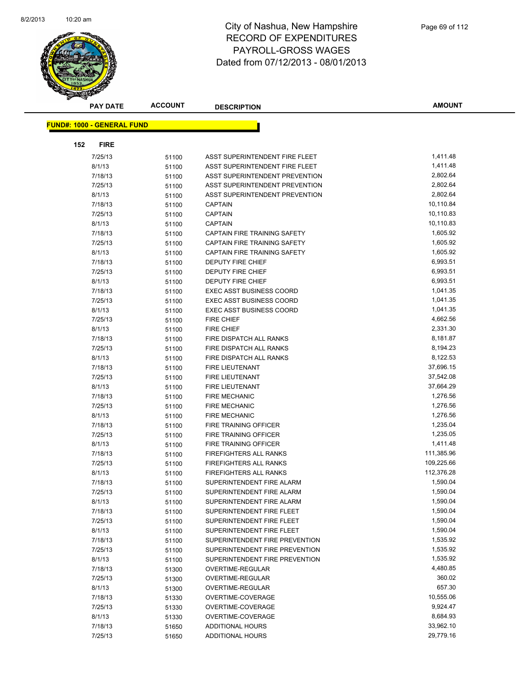

|     | <b>PAY DATE</b>                   | <b>ACCOUNT</b> | <b>DESCRIPTION</b>              | <b>AMOUNT</b> |
|-----|-----------------------------------|----------------|---------------------------------|---------------|
|     | <b>FUND#: 1000 - GENERAL FUND</b> |                |                                 |               |
|     |                                   |                |                                 |               |
| 152 | <b>FIRE</b>                       |                |                                 |               |
|     | 7/25/13                           | 51100          | ASST SUPERINTENDENT FIRE FLEET  | 1,411.48      |
|     | 8/1/13                            | 51100          | ASST SUPERINTENDENT FIRE FLEET  | 1,411.48      |
|     | 7/18/13                           | 51100          | ASST SUPERINTENDENT PREVENTION  | 2,802.64      |
|     | 7/25/13                           | 51100          | ASST SUPERINTENDENT PREVENTION  | 2,802.64      |
|     | 8/1/13                            | 51100          | ASST SUPERINTENDENT PREVENTION  | 2,802.64      |
|     | 7/18/13                           | 51100          | <b>CAPTAIN</b>                  | 10,110.84     |
|     | 7/25/13                           | 51100          | <b>CAPTAIN</b>                  | 10,110.83     |
|     | 8/1/13                            | 51100          | <b>CAPTAIN</b>                  | 10,110.83     |
|     | 7/18/13                           | 51100          | CAPTAIN FIRE TRAINING SAFETY    | 1,605.92      |
|     | 7/25/13                           | 51100          | CAPTAIN FIRE TRAINING SAFETY    | 1,605.92      |
|     | 8/1/13                            | 51100          | CAPTAIN FIRE TRAINING SAFETY    | 1,605.92      |
|     | 7/18/13                           | 51100          | DEPUTY FIRE CHIEF               | 6,993.51      |
|     | 7/25/13                           | 51100          | <b>DEPUTY FIRE CHIEF</b>        | 6,993.51      |
|     | 8/1/13                            | 51100          | <b>DEPUTY FIRE CHIEF</b>        | 6,993.51      |
|     | 7/18/13                           | 51100          | <b>EXEC ASST BUSINESS COORD</b> | 1,041.35      |
|     | 7/25/13                           | 51100          | <b>EXEC ASST BUSINESS COORD</b> | 1,041.35      |
|     | 8/1/13                            | 51100          | <b>EXEC ASST BUSINESS COORD</b> | 1,041.35      |
|     | 7/25/13                           | 51100          | <b>FIRE CHIEF</b>               | 4,662.56      |
|     | 8/1/13                            | 51100          | <b>FIRE CHIEF</b>               | 2,331.30      |
|     | 7/18/13                           | 51100          | FIRE DISPATCH ALL RANKS         | 8,181.87      |
|     | 7/25/13                           | 51100          | FIRE DISPATCH ALL RANKS         | 8,194.23      |
|     | 8/1/13                            | 51100          | FIRE DISPATCH ALL RANKS         | 8,122.53      |
|     | 7/18/13                           | 51100          | FIRE LIEUTENANT                 | 37,696.15     |
|     | 7/25/13                           | 51100          | FIRE LIEUTENANT                 | 37,542.08     |
|     | 8/1/13                            | 51100          | <b>FIRE LIEUTENANT</b>          | 37,664.29     |
|     | 7/18/13                           | 51100          | <b>FIRE MECHANIC</b>            | 1,276.56      |
|     | 7/25/13                           | 51100          | <b>FIRE MECHANIC</b>            | 1,276.56      |
|     | 8/1/13                            | 51100          | <b>FIRE MECHANIC</b>            | 1,276.56      |
|     | 7/18/13                           | 51100          | FIRE TRAINING OFFICER           | 1,235.04      |
|     | 7/25/13                           | 51100          | FIRE TRAINING OFFICER           | 1,235.05      |
|     | 8/1/13                            | 51100          | FIRE TRAINING OFFICER           | 1,411.48      |
|     | 7/18/13                           | 51100          | FIREFIGHTERS ALL RANKS          | 111,385.96    |
|     | 7/25/13                           | 51100          | FIREFIGHTERS ALL RANKS          | 109,225.66    |
|     | 8/1/13                            | 51100          | <b>FIREFIGHTERS ALL RANKS</b>   | 112,376.28    |
|     | 7/18/13                           | 51100          | SUPERINTENDENT FIRE ALARM       | 1,590.04      |
|     | 7/25/13                           | 51100          | SUPERINTENDENT FIRE ALARM       | 1,590.04      |
|     | 8/1/13                            | 51100          | SUPERINTENDENT FIRE ALARM       | 1,590.04      |
|     | 7/18/13                           | 51100          | SUPERINTENDENT FIRE FLEET       | 1,590.04      |
|     | 7/25/13                           | 51100          | SUPERINTENDENT FIRE FLEET       | 1,590.04      |
|     | 8/1/13                            | 51100          | SUPERINTENDENT FIRE FLEET       | 1,590.04      |
|     | 7/18/13                           | 51100          | SUPERINTENDENT FIRE PREVENTION  | 1,535.92      |
|     | 7/25/13                           | 51100          | SUPERINTENDENT FIRE PREVENTION  | 1,535.92      |
|     | 8/1/13                            | 51100          | SUPERINTENDENT FIRE PREVENTION  | 1,535.92      |
|     | 7/18/13                           | 51300          | <b>OVERTIME-REGULAR</b>         | 4,480.85      |
|     | 7/25/13                           | 51300          | OVERTIME-REGULAR                | 360.02        |
|     | 8/1/13                            | 51300          | OVERTIME-REGULAR                | 657.30        |
|     | 7/18/13                           | 51330          | OVERTIME-COVERAGE               | 10,555.06     |
|     | 7/25/13                           | 51330          | OVERTIME-COVERAGE               | 9,924.47      |
|     | 8/1/13                            | 51330          | OVERTIME-COVERAGE               | 8,684.93      |
|     | 7/18/13                           | 51650          | ADDITIONAL HOURS                | 33,962.10     |
|     | 7/25/13                           | 51650          | <b>ADDITIONAL HOURS</b>         | 29,779.16     |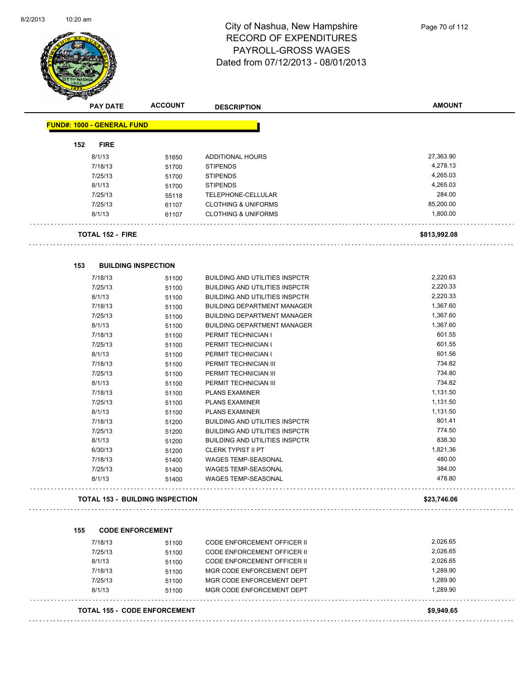$\overline{\phantom{0}}$ 



| <b>PAY DATE</b>                   | <b>ACCOUNT</b>                         | <b>DESCRIPTION</b>                    | <b>AMOUNT</b>        |
|-----------------------------------|----------------------------------------|---------------------------------------|----------------------|
| <b>FUND#: 1000 - GENERAL FUND</b> |                                        |                                       |                      |
| 152<br><b>FIRE</b>                |                                        |                                       |                      |
| 8/1/13                            | 51650                                  | ADDITIONAL HOURS                      | 27,363.90            |
| 7/18/13                           | 51700                                  | <b>STIPENDS</b>                       | 4,278.13             |
| 7/25/13                           | 51700                                  | <b>STIPENDS</b>                       | 4,265.03             |
| 8/1/13                            | 51700                                  | <b>STIPENDS</b>                       | 4,265.03             |
| 7/25/13                           | 55118                                  | TELEPHONE-CELLULAR                    | 284.00               |
| 7/25/13                           | 61107                                  | <b>CLOTHING &amp; UNIFORMS</b>        | 85,200.00            |
| 8/1/13                            | 61107                                  | <b>CLOTHING &amp; UNIFORMS</b>        | 1,800.00             |
| TOTAL 152 - FIRE                  |                                        |                                       | \$813,992.08         |
| 153                               | <b>BUILDING INSPECTION</b>             |                                       |                      |
| 7/18/13                           | 51100                                  | <b>BUILDING AND UTILITIES INSPCTR</b> | 2,220.63             |
| 7/25/13                           | 51100                                  | <b>BUILDING AND UTILITIES INSPCTR</b> | 2,220.33             |
| 8/1/13                            | 51100                                  | <b>BUILDING AND UTILITIES INSPCTR</b> | 2,220.33             |
| 7/18/13                           | 51100                                  | <b>BUILDING DEPARTMENT MANAGER</b>    | 1,367.60             |
| 7/25/13                           |                                        | <b>BUILDING DEPARTMENT MANAGER</b>    | 1,367.60             |
| 8/1/13                            | 51100<br>51100                         | <b>BUILDING DEPARTMENT MANAGER</b>    | 1,367.60             |
| 7/18/13                           | 51100                                  | PERMIT TECHNICIAN I                   | 601.55               |
| 7/25/13                           | 51100                                  | PERMIT TECHNICIAN I                   | 601.55               |
| 8/1/13                            | 51100                                  | PERMIT TECHNICIAN I                   | 601.56               |
| 7/18/13                           | 51100                                  | PERMIT TECHNICIAN III                 | 734.82               |
| 7/25/13                           | 51100                                  | PERMIT TECHNICIAN III                 | 734.80               |
| 8/1/13                            | 51100                                  | PERMIT TECHNICIAN III                 | 734.82               |
| 7/18/13                           | 51100                                  | <b>PLANS EXAMINER</b>                 | 1,131.50             |
| 7/25/13                           | 51100                                  | <b>PLANS EXAMINER</b>                 | 1,131.50             |
| 8/1/13                            | 51100                                  | <b>PLANS EXAMINER</b>                 | 1,131.50             |
| 7/18/13                           | 51200                                  | <b>BUILDING AND UTILITIES INSPCTR</b> | 801.41               |
| 7/25/13                           | 51200                                  | <b>BUILDING AND UTILITIES INSPCTR</b> | 774.50               |
| 8/1/13                            | 51200                                  | <b>BUILDING AND UTILITIES INSPCTR</b> | 838.30               |
| 6/30/13                           | 51200                                  | <b>CLERK TYPIST II PT</b>             | 1,821.36             |
| 7/18/13                           | 51400                                  | WAGES TEMP-SEASONAL                   | 480.00               |
| 7/25/13                           | 51400                                  | WAGES TEMP-SEASONAL                   | 384.00               |
| 8/1/13                            | 51400                                  | <b>WAGES TEMP-SEASONAL</b>            | 478.80               |
|                                   | <b>TOTAL 153 - BUILDING INSPECTION</b> |                                       | \$23,746.06          |
| 155                               | <b>CODE ENFORCEMENT</b>                |                                       |                      |
| 7/18/13                           |                                        | CODE ENFORCEMENT OFFICER II           | 2,026.65             |
|                                   | 51100                                  |                                       | 2,026.65             |
| 7/25/13                           | 51100                                  | CODE ENFORCEMENT OFFICER II           | 2,026.65             |
| 8/1/13                            | 51100                                  | CODE ENFORCEMENT OFFICER II           |                      |
| 7/18/13                           | 51100                                  | MGR CODE ENFORCEMENT DEPT             | 1,289.90             |
| 7/25/13                           | 51100                                  | MGR CODE ENFORCEMENT DEPT             | 1,289.90<br>1,289.90 |
| 8/1/13                            | 51100                                  | MGR CODE ENFORCEMENT DEPT             |                      |
|                                   | <b>TOTAL 155 - CODE ENFORCEMENT</b>    |                                       | \$9,949.65           |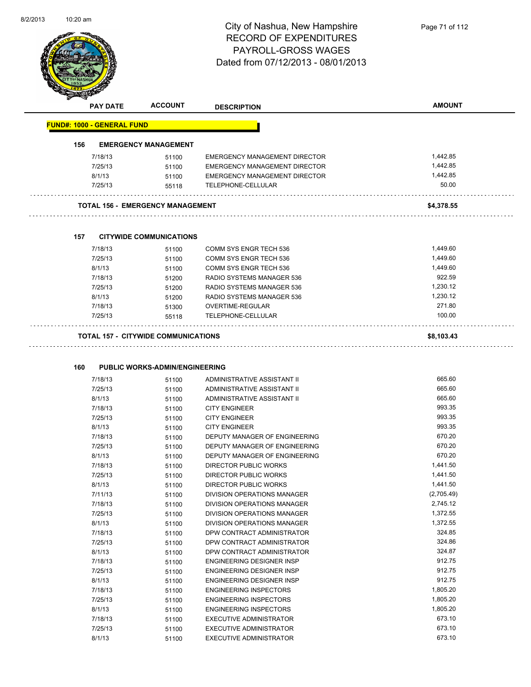l,



# City of Nashua, New Hampshire RECORD OF EXPENDITURES PAYROLL-GROSS WAGES Dated from 07/12/2013 - 08/01/2013

|                                   | <b>PAY DATE</b>    | <b>ACCOUNT</b>                             | <b>DESCRIPTION</b>                   | <b>AMOUNT</b> |
|-----------------------------------|--------------------|--------------------------------------------|--------------------------------------|---------------|
| <b>FUND#: 1000 - GENERAL FUND</b> |                    |                                            |                                      |               |
| 156                               |                    | <b>EMERGENCY MANAGEMENT</b>                |                                      |               |
|                                   |                    |                                            | <b>EMERGENCY MANAGEMENT DIRECTOR</b> | 1,442.85      |
|                                   | 7/18/13<br>7/25/13 | 51100                                      | EMERGENCY MANAGEMENT DIRECTOR        | 1,442.85      |
|                                   |                    | 51100                                      |                                      | 1,442.85      |
|                                   | 8/1/13             | 51100                                      | EMERGENCY MANAGEMENT DIRECTOR        | 50.00         |
|                                   | 7/25/13            | 55118                                      | TELEPHONE-CELLULAR<br>.              |               |
|                                   |                    | <b>TOTAL 156 - EMERGENCY MANAGEMENT</b>    |                                      | \$4,378.55    |
|                                   |                    |                                            |                                      |               |
| 157                               |                    | <b>CITYWIDE COMMUNICATIONS</b>             |                                      |               |
|                                   | 7/18/13            | 51100                                      | COMM SYS ENGR TECH 536               | 1,449.60      |
|                                   | 7/25/13            | 51100                                      | COMM SYS ENGR TECH 536               | 1,449.60      |
|                                   | 8/1/13             | 51100                                      | COMM SYS ENGR TECH 536               | 1,449.60      |
|                                   | 7/18/13            | 51200                                      | RADIO SYSTEMS MANAGER 536            | 922.59        |
|                                   | 7/25/13            | 51200                                      | RADIO SYSTEMS MANAGER 536            | 1,230.12      |
|                                   | 8/1/13             | 51200                                      | RADIO SYSTEMS MANAGER 536            | 1,230.12      |
|                                   | 7/18/13            | 51300                                      | <b>OVERTIME-REGULAR</b>              | 271.80        |
|                                   | 7/25/13            | 55118                                      | TELEPHONE-CELLULAR                   | 100.00        |
|                                   |                    | <b>TOTAL 157 - CITYWIDE COMMUNICATIONS</b> |                                      | \$8,103.43    |
|                                   |                    |                                            |                                      |               |
|                                   |                    |                                            |                                      |               |
| 160                               |                    | <b>PUBLIC WORKS-ADMIN/ENGINEERING</b>      |                                      |               |
|                                   | 7/18/13            | 51100                                      | ADMINISTRATIVE ASSISTANT II          | 665.60        |
|                                   | 7/25/13            | 51100                                      | ADMINISTRATIVE ASSISTANT II          | 665.60        |
|                                   | 8/1/13             | 51100                                      | ADMINISTRATIVE ASSISTANT II          | 665.60        |
|                                   | 7/18/13            | 51100                                      | <b>CITY ENGINEER</b>                 | 993.35        |
|                                   | 7/25/13            | 51100                                      | <b>CITY ENGINEER</b>                 | 993.35        |
|                                   | 8/1/13             | 51100                                      | <b>CITY ENGINEER</b>                 | 993.35        |
|                                   | 7/18/13            | 51100                                      | DEPUTY MANAGER OF ENGINEERING        | 670.20        |
|                                   | 7/25/13            | 51100                                      | DEPUTY MANAGER OF ENGINEERING        | 670.20        |
|                                   | 8/1/13             | 51100                                      | DEPUTY MANAGER OF ENGINEERING        | 670.20        |
|                                   | 7/18/13            | 51100                                      | DIRECTOR PUBLIC WORKS                | 1,441.50      |
|                                   | 7/25/13            | 51100                                      | DIRECTOR PUBLIC WORKS                | 1,441.50      |
|                                   | 8/1/13             | 51100                                      | DIRECTOR PUBLIC WORKS                | 1,441.50      |
|                                   | 7/11/13            | 51100                                      | DIVISION OPERATIONS MANAGER          | (2,705.49)    |
|                                   | 7/18/13            | 51100                                      | DIVISION OPERATIONS MANAGER          | 2,745.12      |
|                                   | 7/25/13            | 51100                                      | <b>DIVISION OPERATIONS MANAGER</b>   | 1,372.55      |
|                                   | 8/1/13             | 51100                                      | DIVISION OPERATIONS MANAGER          | 1,372.55      |
|                                   | 7/18/13            | 51100                                      | DPW CONTRACT ADMINISTRATOR           | 324.85        |
|                                   | 7/25/13            | 51100                                      | DPW CONTRACT ADMINISTRATOR           | 324.86        |
|                                   | 8/1/13             | 51100                                      | DPW CONTRACT ADMINISTRATOR           | 324.87        |
|                                   | 7/18/13            | 51100                                      | <b>ENGINEERING DESIGNER INSP</b>     | 912.75        |
|                                   | 7/25/13            | 51100                                      | <b>ENGINEERING DESIGNER INSP</b>     | 912.75        |
|                                   | 8/1/13             | 51100                                      | ENGINEERING DESIGNER INSP            | 912.75        |
|                                   | 7/18/13            | 51100                                      | <b>ENGINEERING INSPECTORS</b>        | 1,805.20      |
|                                   | 7/25/13            | 51100                                      | <b>ENGINEERING INSPECTORS</b>        | 1,805.20      |
|                                   | 8/1/13             | 51100                                      | <b>ENGINEERING INSPECTORS</b>        | 1,805.20      |
|                                   | 7/18/13            | 51100                                      | <b>EXECUTIVE ADMINISTRATOR</b>       | 673.10        |
|                                   | 7/25/13            | 51100                                      | EXECUTIVE ADMINISTRATOR              | 673.10        |

8/1/13 51100 EXECUTIVE ADMINISTRATOR 673.10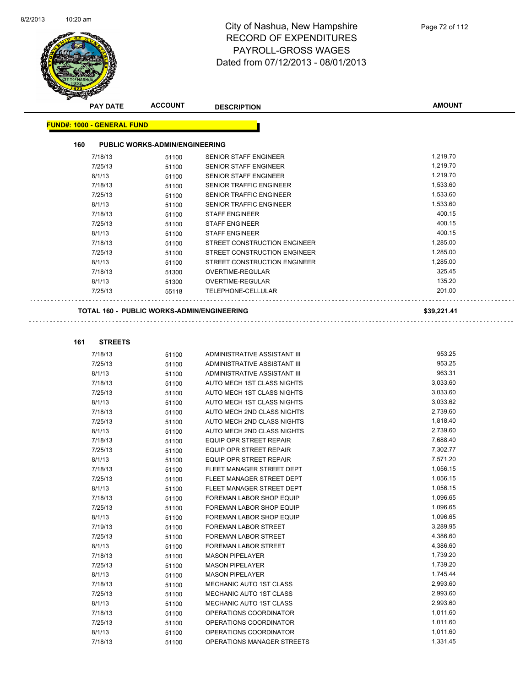

|                                   | <b>PAY DATE</b> | <b>ACCOUNT</b>                        | <b>DESCRIPTION</b>                                | <b>AMOUNT</b> |
|-----------------------------------|-----------------|---------------------------------------|---------------------------------------------------|---------------|
| <b>FUND#: 1000 - GENERAL FUND</b> |                 |                                       |                                                   |               |
| 160                               |                 | <b>PUBLIC WORKS-ADMIN/ENGINEERING</b> |                                                   |               |
| 7/18/13                           |                 | 51100                                 | <b>SENIOR STAFF ENGINEER</b>                      | 1,219.70      |
| 7/25/13                           |                 | 51100                                 | <b>SENIOR STAFF ENGINEER</b>                      | 1,219.70      |
| 8/1/13                            |                 | 51100                                 | <b>SENIOR STAFF ENGINEER</b>                      | 1,219.70      |
| 7/18/13                           |                 | 51100                                 | <b>SENIOR TRAFFIC ENGINEER</b>                    | 1,533.60      |
| 7/25/13                           |                 | 51100                                 | <b>SENIOR TRAFFIC ENGINEER</b>                    | 1,533.60      |
| 8/1/13                            |                 | 51100                                 | <b>SENIOR TRAFFIC ENGINEER</b>                    | 1,533.60      |
| 7/18/13                           |                 | 51100                                 | <b>STAFF ENGINEER</b>                             | 400.15        |
| 7/25/13                           |                 | 51100                                 | <b>STAFF ENGINEER</b>                             | 400.15        |
| 8/1/13                            |                 | 51100                                 | <b>STAFF ENGINEER</b>                             | 400.15        |
| 7/18/13                           |                 | 51100                                 | STREET CONSTRUCTION ENGINEER                      | 1,285.00      |
| 7/25/13                           |                 | 51100                                 | STREET CONSTRUCTION ENGINEER                      | 1,285.00      |
| 8/1/13                            |                 | 51100                                 | <b>STREET CONSTRUCTION ENGINEER</b>               | 1.285.00      |
| 7/18/13                           |                 | 51300                                 | <b>OVERTIME-REGULAR</b>                           | 325.45        |
| 8/1/13                            |                 | 51300                                 | <b>OVERTIME-REGULAR</b>                           | 135.20        |
| 7/25/13                           |                 | 55118                                 | <b>TELEPHONE-CELLULAR</b>                         | 201.00        |
|                                   |                 |                                       | <b>TOTAL 160 - PUBLIC WORKS-ADMIN/ENGINEERING</b> | \$39,221.41   |

| 161 | <b>STREETS</b> |
|-----|----------------|

 $\bar{z}$  ,  $\bar{z}$ 

| 7/18/13 | 51100 | ADMINISTRATIVE ASSISTANT III   | 953.25   |
|---------|-------|--------------------------------|----------|
| 7/25/13 | 51100 | ADMINISTRATIVE ASSISTANT III   | 953.25   |
| 8/1/13  | 51100 | ADMINISTRATIVE ASSISTANT III   | 963.31   |
| 7/18/13 | 51100 | AUTO MECH 1ST CLASS NIGHTS     | 3,033.60 |
| 7/25/13 | 51100 | AUTO MECH 1ST CLASS NIGHTS     | 3,033.60 |
| 8/1/13  | 51100 | AUTO MECH 1ST CLASS NIGHTS     | 3,033.62 |
| 7/18/13 | 51100 | AUTO MECH 2ND CLASS NIGHTS     | 2,739.60 |
| 7/25/13 | 51100 | AUTO MECH 2ND CLASS NIGHTS     | 1,818.40 |
| 8/1/13  | 51100 | AUTO MECH 2ND CLASS NIGHTS     | 2,739.60 |
| 7/18/13 | 51100 | <b>EQUIP OPR STREET REPAIR</b> | 7,688.40 |
| 7/25/13 | 51100 | <b>EQUIP OPR STREET REPAIR</b> | 7,302.77 |
| 8/1/13  | 51100 | <b>EQUIP OPR STREET REPAIR</b> | 7,571.20 |
| 7/18/13 | 51100 | FLEET MANAGER STREET DEPT      | 1,056.15 |
| 7/25/13 | 51100 | FLEET MANAGER STREET DEPT      | 1,056.15 |
| 8/1/13  | 51100 | FLEET MANAGER STREET DEPT      | 1,056.15 |
| 7/18/13 | 51100 | FOREMAN LABOR SHOP EQUIP       | 1,096.65 |
| 7/25/13 | 51100 | FOREMAN LABOR SHOP EQUIP       | 1,096.65 |
| 8/1/13  | 51100 | FOREMAN LABOR SHOP EQUIP       | 1,096.65 |
| 7/19/13 | 51100 | <b>FOREMAN LABOR STREET</b>    | 3,289.95 |
| 7/25/13 | 51100 | FOREMAN LABOR STREET           | 4,386.60 |
| 8/1/13  | 51100 | FOREMAN LABOR STREET           | 4,386.60 |
| 7/18/13 | 51100 | <b>MASON PIPELAYER</b>         | 1,739.20 |
| 7/25/13 | 51100 | <b>MASON PIPELAYER</b>         | 1,739.20 |
| 8/1/13  | 51100 | <b>MASON PIPELAYER</b>         | 1,745.44 |
| 7/18/13 | 51100 | MECHANIC AUTO 1ST CLASS        | 2,993.60 |
| 7/25/13 | 51100 | MECHANIC AUTO 1ST CLASS        | 2,993.60 |
| 8/1/13  | 51100 | MECHANIC AUTO 1ST CLASS        | 2,993.60 |
| 7/18/13 | 51100 | OPERATIONS COORDINATOR         | 1,011.60 |
| 7/25/13 | 51100 | OPERATIONS COORDINATOR         | 1,011.60 |
| 8/1/13  | 51100 | OPERATIONS COORDINATOR         | 1,011.60 |
| 7/18/13 | 51100 | OPERATIONS MANAGER STREETS     | 1,331.45 |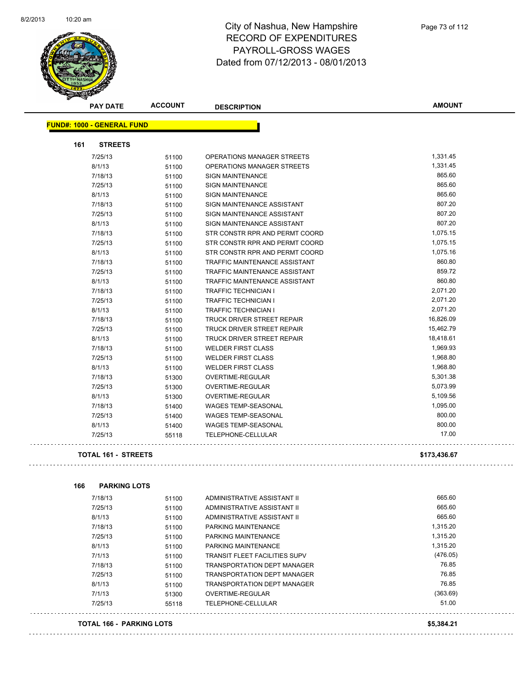$\sim$  .



## City of Nashua, New Hampshire RECORD OF EXPENDITURES PAYROLL-GROSS WAGES Dated from 07/12/2013 - 08/01/2013

|     | <b>PAY DATE</b>                   | <b>ACCOUNT</b> | <b>DESCRIPTION</b>                   | <b>AMOUNT</b> |
|-----|-----------------------------------|----------------|--------------------------------------|---------------|
|     | <b>FUND#: 1000 - GENERAL FUND</b> |                |                                      |               |
| 161 | <b>STREETS</b>                    |                |                                      |               |
|     | 7/25/13                           | 51100          | OPERATIONS MANAGER STREETS           | 1,331.45      |
|     | 8/1/13                            | 51100          | OPERATIONS MANAGER STREETS           | 1,331.45      |
|     | 7/18/13                           | 51100          | <b>SIGN MAINTENANCE</b>              | 865.60        |
|     | 7/25/13                           | 51100          | <b>SIGN MAINTENANCE</b>              | 865.60        |
|     | 8/1/13                            | 51100          | <b>SIGN MAINTENANCE</b>              | 865.60        |
|     | 7/18/13                           | 51100          | SIGN MAINTENANCE ASSISTANT           | 807.20        |
|     | 7/25/13                           | 51100          | SIGN MAINTENANCE ASSISTANT           | 807.20        |
|     | 8/1/13                            | 51100          | SIGN MAINTENANCE ASSISTANT           | 807.20        |
|     | 7/18/13                           | 51100          | STR CONSTR RPR AND PERMT COORD       | 1,075.15      |
|     | 7/25/13                           | 51100          | STR CONSTR RPR AND PERMT COORD       | 1,075.15      |
|     | 8/1/13                            | 51100          | STR CONSTR RPR AND PERMT COORD       | 1,075.16      |
|     | 7/18/13                           | 51100          | TRAFFIC MAINTENANCE ASSISTANT        | 860.80        |
|     | 7/25/13                           | 51100          | TRAFFIC MAINTENANCE ASSISTANT        | 859.72        |
|     | 8/1/13                            | 51100          | TRAFFIC MAINTENANCE ASSISTANT        | 860.80        |
|     | 7/18/13                           | 51100          | <b>TRAFFIC TECHNICIAN I</b>          | 2,071.20      |
|     | 7/25/13                           | 51100          | <b>TRAFFIC TECHNICIAN I</b>          | 2,071.20      |
|     | 8/1/13                            | 51100          | <b>TRAFFIC TECHNICIAN I</b>          | 2,071.20      |
|     | 7/18/13                           | 51100          | <b>TRUCK DRIVER STREET REPAIR</b>    | 16,826.09     |
|     | 7/25/13                           | 51100          | TRUCK DRIVER STREET REPAIR           | 15,462.79     |
|     | 8/1/13                            | 51100          | TRUCK DRIVER STREET REPAIR           | 18,418.61     |
|     | 7/18/13                           | 51100          | <b>WELDER FIRST CLASS</b>            | 1,969.93      |
|     | 7/25/13                           | 51100          | <b>WELDER FIRST CLASS</b>            | 1,968.80      |
|     | 8/1/13                            | 51100          | <b>WELDER FIRST CLASS</b>            | 1,968.80      |
|     | 7/18/13                           | 51300          | OVERTIME-REGULAR                     | 5,301.38      |
|     | 7/25/13                           | 51300          | OVERTIME-REGULAR                     | 5,073.99      |
|     | 8/1/13                            | 51300          | OVERTIME-REGULAR                     | 5,109.56      |
|     | 7/18/13                           | 51400          | WAGES TEMP-SEASONAL                  | 1,095.00      |
|     | 7/25/13                           | 51400          | WAGES TEMP-SEASONAL                  | 800.00        |
|     | 8/1/13                            | 51400          | <b>WAGES TEMP-SEASONAL</b>           | 800.00        |
|     | 7/25/13                           | 55118          | TELEPHONE-CELLULAR                   | 17.00         |
|     | <b>TOTAL 161 - STREETS</b>        |                |                                      | \$173,436.67  |
|     |                                   |                |                                      |               |
| 166 | <b>PARKING LOTS</b><br>7/18/13    |                | ADMINISTRATIVE ASSISTANT II          | 665.60        |
|     | 7/25/13                           | 51100<br>51100 | ADMINISTRATIVE ASSISTANT II          | 665.60        |
|     | 8/1/13                            | 51100          | ADMINISTRATIVE ASSISTANT II          | 665.60        |
|     | 7/18/13                           | 51100          | PARKING MAINTENANCE                  | 1,315.20      |
|     | 7/25/13                           | 51100          | PARKING MAINTENANCE                  | 1,315.20      |
|     | 8/1/13                            | 51100          | PARKING MAINTENANCE                  | 1,315.20      |
|     | 7/1/13                            | 51100          | <b>TRANSIT FLEET FACILITIES SUPV</b> | (476.05)      |
|     | 7/18/13                           | 51100          | <b>TRANSPORTATION DEPT MANAGER</b>   | 76.85         |
|     | 7/25/13                           | 51100          | <b>TRANSPORTATION DEPT MANAGER</b>   | 76.85         |
|     | 8/1/13                            | 51100          | TRANSPORTATION DEPT MANAGER          | 76.85         |
|     | 7/1/13                            | 51300          | OVERTIME-REGULAR                     | (363.69)      |
|     | 7/25/13                           | 55118          | TELEPHONE-CELLULAR                   | 51.00         |

#### **TOTAL 166 - PARKING LOTS \$5,384.21**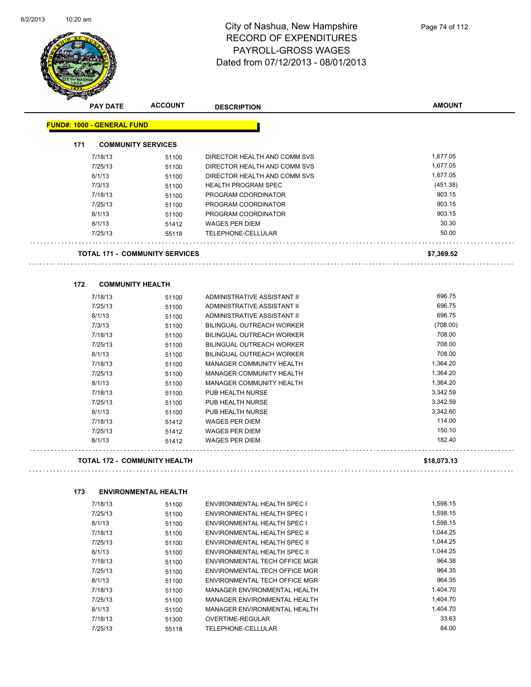

## City of Nashua, New Hampshire RECORD OF EXPENDITURES PAYROLL-GROSS WAGES Dated from 07/12/2013 - 08/01/2013

|     | <b>PAY DATE</b>                   | <b>ACCOUNT</b>                        | <b>DESCRIPTION</b>                  | <b>AMOUNT</b>  |
|-----|-----------------------------------|---------------------------------------|-------------------------------------|----------------|
|     | <b>FUND#: 1000 - GENERAL FUND</b> |                                       |                                     |                |
| 171 |                                   | <b>COMMUNITY SERVICES</b>             |                                     |                |
|     |                                   |                                       | DIRECTOR HEALTH AND COMM SVS        | 1,677.05       |
|     | 7/18/13                           | 51100                                 |                                     |                |
|     | 7/25/13                           | 51100                                 | DIRECTOR HEALTH AND COMM SVS        | 1,677.05       |
|     | 8/1/13                            | 51100                                 | DIRECTOR HEALTH AND COMM SVS        | 1,677.05       |
|     | 7/3/13                            | 51100                                 | <b>HEALTH PROGRAM SPEC</b>          | (451.38)       |
|     | 7/18/13                           | 51100                                 | PROGRAM COORDINATOR                 | 903.15         |
|     | 7/25/13                           | 51100                                 | PROGRAM COORDINATOR                 | 903.15         |
|     | 8/1/13                            | 51100                                 | PROGRAM COORDINATOR                 | 903.15         |
|     | 8/1/13                            | 51412                                 | <b>WAGES PER DIEM</b>               | 30.30<br>50.00 |
|     | 7/25/13                           | 55118                                 | TELEPHONE-CELLULAR                  |                |
|     |                                   | <b>TOTAL 171 - COMMUNITY SERVICES</b> |                                     | \$7,369.52     |
|     |                                   |                                       |                                     |                |
| 172 | 7/18/13                           | <b>COMMUNITY HEALTH</b>               | ADMINISTRATIVE ASSISTANT II         | 696.75         |
|     |                                   | 51100                                 |                                     | 696.75         |
|     | 7/25/13<br>8/1/13                 | 51100                                 | ADMINISTRATIVE ASSISTANT II         | 696.75         |
|     |                                   | 51100                                 | ADMINISTRATIVE ASSISTANT II         |                |
|     | 7/3/13                            | 51100                                 | <b>BILINGUAL OUTREACH WORKER</b>    | (708.00)       |
|     | 7/18/13                           | 51100                                 | BILINGUAL OUTREACH WORKER           | 708.00         |
|     | 7/25/13                           | 51100                                 | BILINGUAL OUTREACH WORKER           | 708.00         |
|     | 8/1/13                            | 51100                                 | <b>BILINGUAL OUTREACH WORKER</b>    | 708.00         |
|     | 7/18/13                           | 51100                                 | MANAGER COMMUNITY HEALTH            | 1,364.20       |
|     | 7/25/13                           | 51100                                 | MANAGER COMMUNITY HEALTH            | 1,364.20       |
|     | 8/1/13                            | 51100                                 | MANAGER COMMUNITY HEALTH            | 1,364.20       |
|     | 7/18/13                           | 51100                                 | PUB HEALTH NURSE                    | 3,342.59       |
|     | 7/25/13                           | 51100                                 | PUB HEALTH NURSE                    | 3,342.59       |
|     | 8/1/13                            | 51100                                 | PUB HEALTH NURSE                    | 3,342.60       |
|     | 7/18/13                           | 51412                                 | <b>WAGES PER DIEM</b>               | 114.00         |
|     | 7/25/13                           | 51412                                 | <b>WAGES PER DIEM</b>               | 150.10         |
|     | 8/1/13                            | 51412                                 | <b>WAGES PER DIEM</b>               | 182.40         |
|     |                                   | <b>TOTAL 172 - COMMUNITY HEALTH</b>   |                                     | \$18,073.13    |
| 173 |                                   | <b>ENVIRONMENTAL HEALTH</b>           |                                     |                |
|     | 7/18/13                           | 51100                                 | ENVIRONMENTAL HEALTH SPEC I         | 1,598.15       |
|     | 7/25/13                           | 51100                                 | ENVIRONMENTAL HEALTH SPEC I         | 1,598.15       |
|     | 8/1/13                            | 51100                                 | ENVIRONMENTAL HEALTH SPEC I         | 1,598.15       |
|     | 7/18/13                           | 51100                                 | <b>ENVIRONMENTAL HEALTH SPEC II</b> | 1,044.25       |
|     | 7/25/13                           | 51100                                 | ENVIRONMENTAL HEALTH SPEC II        | 1,044.25       |
|     | 8/1/13                            | 51100                                 | ENVIRONMENTAL HEALTH SPEC II        | 1,044.25       |
|     | 7/18/13                           | 51100                                 | ENVIRONMENTAL TECH OFFICE MGR       | 964.38         |
|     | 7/25/13                           | 51100                                 | ENVIRONMENTAL TECH OFFICE MGR       | 964.35         |
|     | 8/1/13                            |                                       | ENVIRONMENTAL TECH OFFICE MGR       | 964.35         |
|     | 7/18/13                           | 51100                                 | MANAGER ENVIRONMENTAL HEALTH        | 1,404.70       |
|     |                                   | 51100                                 |                                     | 1,404.70       |
|     | 7/25/13                           | 51100                                 | MANAGER ENVIRONMENTAL HEALTH        |                |

8/1/13 51100 MANAGER ENVIRONMENTAL HEALTH 1,404.70 7/18/13 51300 OVERTIME-REGULAR 33.63 7/25/13 55118 TELEPHONE-CELLULAR 84.00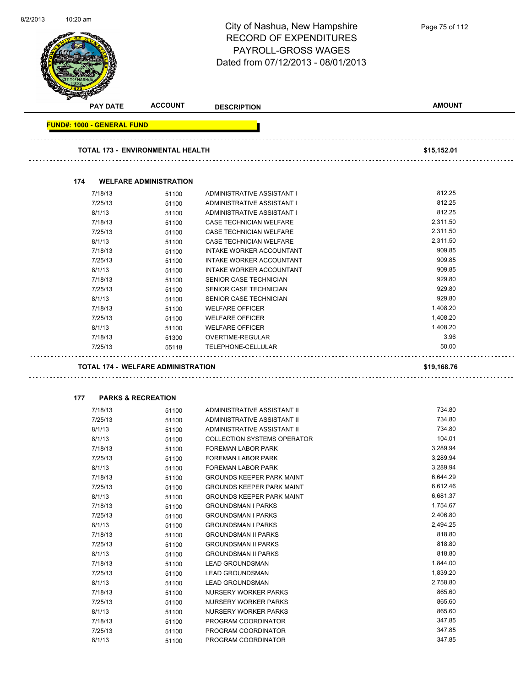| 8/2/2013 | 10:20 am |                                   |                                           | City of Nashua, New Hampshire<br><b>RECORD OF EXPENDITURES</b><br>PAYROLL-GROSS WAGES<br>Dated from 07/12/2013 - 08/01/2013 | Page 75 of 112 |
|----------|----------|-----------------------------------|-------------------------------------------|-----------------------------------------------------------------------------------------------------------------------------|----------------|
|          |          | <b>PAY DATE</b>                   | <b>ACCOUNT</b>                            | <b>DESCRIPTION</b>                                                                                                          | <b>AMOUNT</b>  |
|          |          | <b>FUND#: 1000 - GENERAL FUND</b> |                                           |                                                                                                                             |                |
|          |          |                                   | <b>TOTAL 173 - ENVIRONMENTAL HEALTH</b>   |                                                                                                                             | \$15,152.01    |
|          |          |                                   |                                           |                                                                                                                             |                |
|          | 174      |                                   | <b>WELFARE ADMINISTRATION</b>             |                                                                                                                             |                |
|          |          | 7/18/13                           | 51100                                     | ADMINISTRATIVE ASSISTANT I                                                                                                  | 812.25         |
|          |          | 7/25/13                           | 51100                                     | ADMINISTRATIVE ASSISTANT I                                                                                                  | 812.25         |
|          |          | 8/1/13                            | 51100                                     | ADMINISTRATIVE ASSISTANT I                                                                                                  | 812.25         |
|          |          | 7/18/13                           | 51100                                     | <b>CASE TECHNICIAN WELFARE</b>                                                                                              | 2,311.50       |
|          |          | 7/25/13                           | 51100                                     | CASE TECHNICIAN WELFARE                                                                                                     | 2,311.50       |
|          |          | 8/1/13                            | 51100                                     | CASE TECHNICIAN WELFARE                                                                                                     | 2,311.50       |
|          |          | 7/18/13                           | 51100                                     | INTAKE WORKER ACCOUNTANT                                                                                                    | 909.85         |
|          |          | 7/25/13                           | 51100                                     | INTAKE WORKER ACCOUNTANT                                                                                                    | 909.85         |
|          |          | 8/1/13                            | 51100                                     | INTAKE WORKER ACCOUNTANT                                                                                                    | 909.85         |
|          |          | 7/18/13                           | 51100                                     | SENIOR CASE TECHNICIAN                                                                                                      | 929.80         |
|          |          | 7/25/13                           | 51100                                     | SENIOR CASE TECHNICIAN                                                                                                      | 929.80         |
|          |          | 8/1/13                            | 51100                                     | SENIOR CASE TECHNICIAN                                                                                                      | 929.80         |
|          |          | 7/18/13                           | 51100                                     | <b>WELFARE OFFICER</b>                                                                                                      | 1,408.20       |
|          |          | 7/25/13                           | 51100                                     | <b>WELFARE OFFICER</b>                                                                                                      | 1,408.20       |
|          |          | 8/1/13                            | 51100                                     | <b>WELFARE OFFICER</b>                                                                                                      | 1,408.20       |
|          |          | 7/18/13                           | 51300                                     | OVERTIME-REGULAR                                                                                                            | 3.96           |
|          |          | 7/25/13                           | 55118                                     | TELEPHONE-CELLULAR                                                                                                          | 50.00          |
|          |          |                                   |                                           |                                                                                                                             |                |
|          |          |                                   | <b>TOTAL 174 - WELFARE ADMINISTRATION</b> |                                                                                                                             | \$19,168.76    |
|          | 177      |                                   | <b>PARKS &amp; RECREATION</b>             |                                                                                                                             |                |
|          |          | 7/18/13                           | 51100                                     | ADMINISTRATIVE ASSISTANT II                                                                                                 | 734.80         |
|          |          | 7/25/13                           | 51100                                     | ADMINISTRATIVE ASSISTANT II                                                                                                 | 734.80         |
|          |          | 8/1/13                            | 51100                                     | ADMINISTRATIVE ASSISTANT II                                                                                                 | 734.80         |
|          |          | 8/1/13                            | 51100                                     | <b>COLLECTION SYSTEMS OPERATOR</b>                                                                                          | 104.01         |
|          |          | 7/18/13                           | 51100                                     | FOREMAN LABOR PARK                                                                                                          | 3,289.94       |
|          |          | 7/25/13                           | 51100                                     | FOREMAN LABOR PARK                                                                                                          | 3,289.94       |
|          |          | 8/1/13                            | 51100                                     | FOREMAN LABOR PARK                                                                                                          | 3,289.94       |
|          |          | 7/18/13                           | 51100                                     | <b>GROUNDS KEEPER PARK MAINT</b>                                                                                            | 6,644.29       |
|          |          | 7/25/13                           | 51100                                     | <b>GROUNDS KEEPER PARK MAINT</b>                                                                                            | 6,612.46       |
|          |          | 8/1/13                            | 51100                                     | <b>GROUNDS KEEPER PARK MAINT</b>                                                                                            | 6,681.37       |
|          |          | 7/18/13                           | 51100                                     | <b>GROUNDSMAN I PARKS</b>                                                                                                   | 1,754.67       |
|          |          | 7/25/13                           | 51100                                     | <b>GROUNDSMAN I PARKS</b>                                                                                                   | 2,406.80       |
|          |          | 8/1/13                            | 51100                                     | <b>GROUNDSMAN I PARKS</b>                                                                                                   | 2,494.25       |
|          |          | 7/18/13                           | 51100                                     | <b>GROUNDSMAN II PARKS</b>                                                                                                  | 818.80         |
|          |          | 7/25/13                           | 51100                                     | <b>GROUNDSMAN II PARKS</b>                                                                                                  | 818.80         |
|          |          | 8/1/13                            | 51100                                     | <b>GROUNDSMAN II PARKS</b>                                                                                                  | 818.80         |
|          |          | 7/18/13                           | 51100                                     | <b>LEAD GROUNDSMAN</b>                                                                                                      | 1,844.00       |
|          |          | 7/25/13                           | 51100                                     | <b>LEAD GROUNDSMAN</b>                                                                                                      | 1,839.20       |
|          |          | 8/1/13                            | 51100                                     | <b>LEAD GROUNDSMAN</b>                                                                                                      | 2,758.80       |
|          |          | 7/18/13                           | 51100                                     | NURSERY WORKER PARKS                                                                                                        | 865.60         |
|          |          | 7/25/13                           | 51100                                     | NURSERY WORKER PARKS                                                                                                        | 865.60         |
|          |          | 8/1/13                            |                                           | NURSERY WORKER PARKS                                                                                                        | 865.60         |
|          |          | 7/18/13                           | 51100                                     | PROGRAM COORDINATOR                                                                                                         | 347.85         |
|          |          | 7/25/13                           | 51100<br>51100                            | PROGRAM COORDINATOR                                                                                                         | 347.85         |
|          |          |                                   |                                           |                                                                                                                             | 347.85         |
|          |          | 8/1/13                            | 51100                                     | PROGRAM COORDINATOR                                                                                                         |                |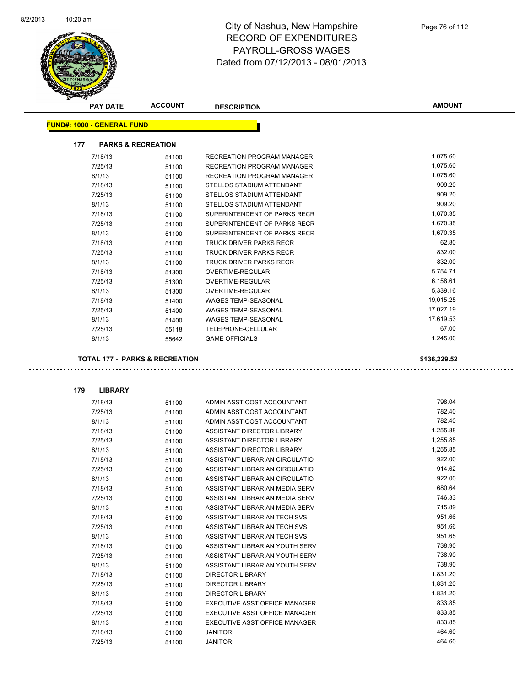

| <b>PAY DATE</b>                           | <b>ACCOUNT</b> | <b>DESCRIPTION</b>                | <b>AMOUNT</b> |
|-------------------------------------------|----------------|-----------------------------------|---------------|
| <b>FUND#: 1000 - GENERAL FUND</b>         |                |                                   |               |
| 177<br><b>PARKS &amp; RECREATION</b>      |                |                                   |               |
| 7/18/13                                   | 51100          | RECREATION PROGRAM MANAGER        | 1,075.60      |
| 7/25/13                                   | 51100          | <b>RECREATION PROGRAM MANAGER</b> | 1,075.60      |
| 8/1/13                                    | 51100          | RECREATION PROGRAM MANAGER        | 1,075.60      |
| 7/18/13                                   | 51100          | STELLOS STADIUM ATTENDANT         | 909.20        |
| 7/25/13                                   | 51100          | STELLOS STADIUM ATTENDANT         | 909.20        |
| 8/1/13                                    | 51100          | STELLOS STADIUM ATTENDANT         | 909.20        |
| 7/18/13                                   | 51100          | SUPERINTENDENT OF PARKS RECR      | 1,670.35      |
| 7/25/13                                   | 51100          | SUPERINTENDENT OF PARKS RECR      | 1,670.35      |
| 8/1/13                                    | 51100          | SUPERINTENDENT OF PARKS RECR      | 1,670.35      |
| 7/18/13                                   | 51100          | TRUCK DRIVER PARKS RECR           | 62.80         |
| 7/25/13                                   | 51100          | <b>TRUCK DRIVER PARKS RECR</b>    | 832.00        |
| 8/1/13                                    | 51100          | <b>TRUCK DRIVER PARKS RECR</b>    | 832.00        |
| 7/18/13                                   | 51300          | OVERTIME-REGULAR                  | 5,754.71      |
| 7/25/13                                   | 51300          | OVERTIME-REGULAR                  | 6,158.61      |
| 8/1/13                                    |                | OVERTIME-REGULAR                  | 5,339.16      |
| 7/18/13                                   | 51300<br>51400 | <b>WAGES TEMP-SEASONAL</b>        | 19,015.25     |
| 7/25/13                                   |                | <b>WAGES TEMP-SEASONAL</b>        | 17,027.19     |
| 8/1/13                                    | 51400<br>51400 | <b>WAGES TEMP-SEASONAL</b>        | 17,619.53     |
| 7/25/13                                   |                | TELEPHONE-CELLULAR                | 67.00         |
| 8/1/13                                    | 55118          |                                   | 1,245.00      |
|                                           | 55642          | <b>GAME OFFICIALS</b>             |               |
| <b>TOTAL 177 - PARKS &amp; RECREATION</b> |                |                                   | \$136,229.52  |
|                                           |                |                                   |               |
| 179<br><b>LIBRARY</b>                     |                |                                   |               |
| 7/18/13                                   | 51100          | ADMIN ASST COST ACCOUNTANT        | 798.04        |
| 7/25/13                                   | 51100          | ADMIN ASST COST ACCOUNTANT        | 782.40        |
| 8/1/13                                    | 51100          | ADMIN ASST COST ACCOUNTANT        | 782.40        |
| 7/18/13                                   | 51100          | ASSISTANT DIRECTOR LIBRARY        | 1,255.88      |
| 7/25/13                                   | 51100          | ASSISTANT DIRECTOR LIBRARY        | 1,255.85      |
| 8/1/13                                    | 51100          | ASSISTANT DIRECTOR LIBRARY        | 1,255.85      |
| 7/18/13                                   | 51100          | ASSISTANT LIBRARIAN CIRCULATIO    | 922.00        |
| 7/25/13                                   | 51100          | ASSISTANT LIBRARIAN CIRCULATIO    | 914.62        |
| 8/1/13                                    | 51100          | ASSISTANT LIBRARIAN CIRCULATIO    | 922.00        |
| 7/18/13                                   | 51100          | ASSISTANT LIBRARIAN MEDIA SERV    | 680.64        |
| 7/25/13                                   | 51100          | ASSISTANT LIBRARIAN MEDIA SERV    | 746.33        |
| 8/1/13                                    | 51100          | ASSISTANT LIBRARIAN MEDIA SERV    | 715.89        |
| 7/18/13                                   | 51100          | ASSISTANT LIBRARIAN TECH SVS      | 951.66        |
| 7/25/13                                   | 51100          | ASSISTANT LIBRARIAN TECH SVS      | 951.66        |
| 8/1/13                                    | 51100          | ASSISTANT LIBRARIAN TECH SVS      | 951.65        |

7/18/13 51100 ASSISTANT LIBRARIAN YOUTH SERV 738.90 7/25/13 51100 ASSISTANT LIBRARIAN YOUTH SERV 738.90 8/1/13 51100 ASSISTANT LIBRARIAN YOUTH SERV 738.90 7/18/13 51100 DIRECTOR LIBRARY 1,831.20 7/25/13 51100 DIRECTOR LIBRARY 1,831.20 8/1/13 51100 DIRECTOR LIBRARY 1,831.20

7/25/13 51100 EXECUTIVE ASST OFFICE MANAGER 833.85 8/1/13 51100 EXECUTIVE ASST OFFICE MANAGER 833.85 7/18/13 51100 JANITOR 464.60 7/25/13 51100 JANITOR 464.60

7/18/13 51100 EXECUTIVE ASST OFFICE MANAGER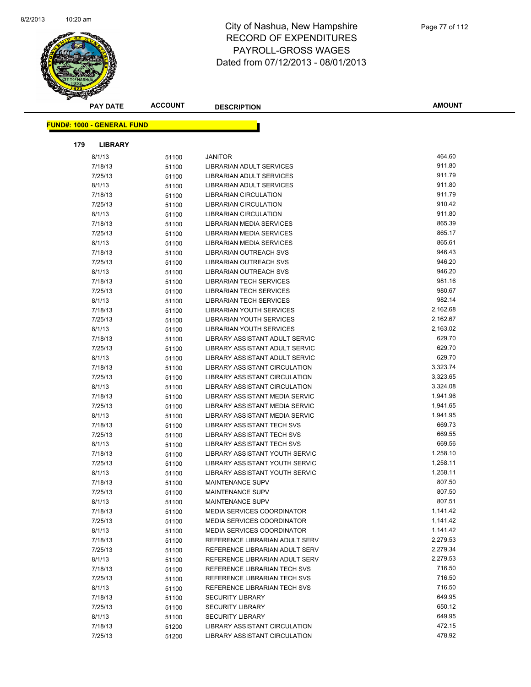

| <b>PAY DATE</b>                   |                | <b>ACCOUNT</b> | <b>DESCRIPTION</b>                                           | <b>AMOUNT</b>      |  |
|-----------------------------------|----------------|----------------|--------------------------------------------------------------|--------------------|--|
|                                   |                |                |                                                              |                    |  |
| <b>FUND#: 1000 - GENERAL FUND</b> |                |                |                                                              |                    |  |
| 179                               | <b>LIBRARY</b> |                |                                                              |                    |  |
| 8/1/13                            |                | 51100          | <b>JANITOR</b>                                               | 464.60             |  |
| 7/18/13                           |                | 51100          | LIBRARIAN ADULT SERVICES                                     | 911.80             |  |
| 7/25/13                           |                | 51100          | LIBRARIAN ADULT SERVICES                                     | 911.79             |  |
| 8/1/13                            |                | 51100          | <b>LIBRARIAN ADULT SERVICES</b>                              | 911.80             |  |
| 7/18/13                           |                | 51100          | <b>LIBRARIAN CIRCULATION</b>                                 | 911.79             |  |
| 7/25/13                           |                | 51100          | <b>LIBRARIAN CIRCULATION</b>                                 | 910.42             |  |
| 8/1/13                            |                | 51100          | <b>LIBRARIAN CIRCULATION</b>                                 | 911.80             |  |
| 7/18/13                           |                | 51100          | LIBRARIAN MEDIA SERVICES                                     | 865.39             |  |
| 7/25/13                           |                | 51100          | LIBRARIAN MEDIA SERVICES                                     | 865.17             |  |
| 8/1/13                            |                | 51100          | LIBRARIAN MEDIA SERVICES                                     | 865.61             |  |
| 7/18/13                           |                | 51100          | LIBRARIAN OUTREACH SVS                                       | 946.43             |  |
| 7/25/13                           |                | 51100          | LIBRARIAN OUTREACH SVS                                       | 946.20             |  |
| 8/1/13                            |                | 51100          | LIBRARIAN OUTREACH SVS                                       | 946.20             |  |
| 7/18/13                           |                | 51100          | <b>LIBRARIAN TECH SERVICES</b>                               | 981.16             |  |
| 7/25/13                           |                | 51100          | <b>LIBRARIAN TECH SERVICES</b>                               | 980.67             |  |
| 8/1/13                            |                | 51100          | <b>LIBRARIAN TECH SERVICES</b>                               | 982.14             |  |
| 7/18/13                           |                | 51100          | LIBRARIAN YOUTH SERVICES                                     | 2,162.68           |  |
| 7/25/13                           |                | 51100          | <b>LIBRARIAN YOUTH SERVICES</b>                              | 2,162.67           |  |
| 8/1/13                            |                | 51100          | <b>LIBRARIAN YOUTH SERVICES</b>                              | 2,163.02           |  |
| 7/18/13                           |                | 51100          | LIBRARY ASSISTANT ADULT SERVIC                               | 629.70             |  |
| 7/25/13                           |                | 51100          | LIBRARY ASSISTANT ADULT SERVIC                               | 629.70             |  |
| 8/1/13                            |                | 51100          | LIBRARY ASSISTANT ADULT SERVIC                               | 629.70             |  |
| 7/18/13                           |                | 51100          | <b>LIBRARY ASSISTANT CIRCULATION</b>                         | 3,323.74           |  |
| 7/25/13                           |                | 51100          | LIBRARY ASSISTANT CIRCULATION                                | 3,323.65           |  |
| 8/1/13                            |                | 51100          | LIBRARY ASSISTANT CIRCULATION                                | 3,324.08           |  |
| 7/18/13                           |                | 51100          | LIBRARY ASSISTANT MEDIA SERVIC                               | 1,941.96           |  |
| 7/25/13                           |                | 51100          | LIBRARY ASSISTANT MEDIA SERVIC                               | 1,941.65           |  |
| 8/1/13                            |                | 51100          | LIBRARY ASSISTANT MEDIA SERVIC                               | 1,941.95           |  |
| 7/18/13                           |                | 51100          | <b>LIBRARY ASSISTANT TECH SVS</b>                            | 669.73             |  |
| 7/25/13                           |                | 51100          | <b>LIBRARY ASSISTANT TECH SVS</b>                            | 669.55             |  |
| 8/1/13                            |                | 51100          | LIBRARY ASSISTANT TECH SVS                                   | 669.56             |  |
| 7/18/13                           |                | 51100          | LIBRARY ASSISTANT YOUTH SERVIC                               | 1,258.10           |  |
| 7/25/13                           |                | 51100          | LIBRARY ASSISTANT YOUTH SERVIC                               | 1,258.11           |  |
| 8/1/13                            |                | 51100          | LIBRARY ASSISTANT YOUTH SERVIC                               | 1,258.11           |  |
| 7/18/13                           |                | 51100          | MAINTENANCE SUPV                                             | 807.50             |  |
| 7/25/13                           |                | 51100          | MAINTENANCE SUPV                                             | 807.50             |  |
| 8/1/13                            |                | 51100          | MAINTENANCE SUPV                                             | 807.51             |  |
| 7/18/13                           |                | 51100          | <b>MEDIA SERVICES COORDINATOR</b>                            | 1,141.42           |  |
| 7/25/13                           |                | 51100          | <b>MEDIA SERVICES COORDINATOR</b>                            | 1,141.42           |  |
| 8/1/13                            |                | 51100          | <b>MEDIA SERVICES COORDINATOR</b>                            | 1,141.42           |  |
| 7/18/13                           |                | 51100          | REFERENCE LIBRARIAN ADULT SERV                               | 2,279.53           |  |
| 7/25/13                           |                | 51100          | REFERENCE LIBRARIAN ADULT SERV                               | 2,279.34           |  |
| 8/1/13                            |                | 51100          | REFERENCE LIBRARIAN ADULT SERV                               | 2,279.53<br>716.50 |  |
| 7/18/13<br>7/25/13                |                | 51100          | REFERENCE LIBRARIAN TECH SVS<br>REFERENCE LIBRARIAN TECH SVS | 716.50             |  |
| 8/1/13                            |                | 51100          | REFERENCE LIBRARIAN TECH SVS                                 | 716.50             |  |
| 7/18/13                           |                | 51100          | <b>SECURITY LIBRARY</b>                                      | 649.95             |  |
| 7/25/13                           |                | 51100          | <b>SECURITY LIBRARY</b>                                      | 650.12             |  |
| 8/1/13                            |                | 51100          | <b>SECURITY LIBRARY</b>                                      | 649.95             |  |
| 7/18/13                           |                | 51100<br>51200 | LIBRARY ASSISTANT CIRCULATION                                | 472.15             |  |
| 7/25/13                           |                | 51200          | LIBRARY ASSISTANT CIRCULATION                                | 478.92             |  |
|                                   |                |                |                                                              |                    |  |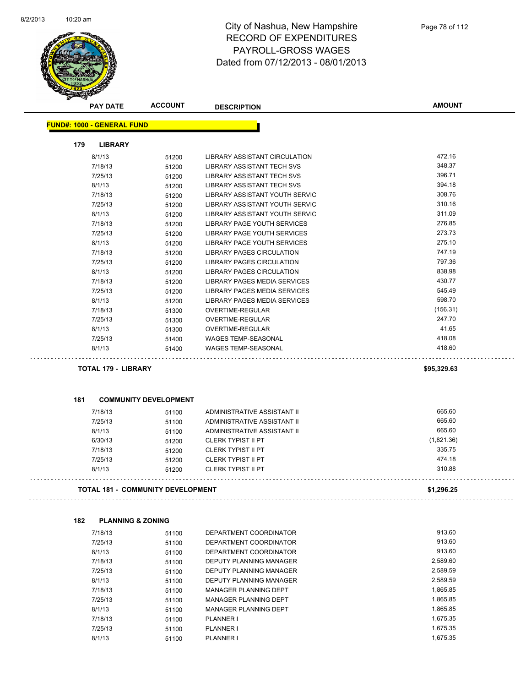

|     | <b>PAY DATE</b>                   | <b>ACCOUNT</b>                           | <b>DESCRIPTION</b>                   | <b>AMOUNT</b> |
|-----|-----------------------------------|------------------------------------------|--------------------------------------|---------------|
|     | <b>FUND#: 1000 - GENERAL FUND</b> |                                          |                                      |               |
| 179 | <b>LIBRARY</b>                    |                                          |                                      |               |
|     | 8/1/13                            | 51200                                    | <b>LIBRARY ASSISTANT CIRCULATION</b> | 472.16        |
|     | 7/18/13                           | 51200                                    | LIBRARY ASSISTANT TECH SVS           | 348.37        |
|     | 7/25/13                           | 51200                                    | <b>LIBRARY ASSISTANT TECH SVS</b>    | 396.71        |
|     | 8/1/13                            | 51200                                    | <b>LIBRARY ASSISTANT TECH SVS</b>    | 394.18        |
|     | 7/18/13                           | 51200                                    | LIBRARY ASSISTANT YOUTH SERVIC       | 308.76        |
|     | 7/25/13                           | 51200                                    | LIBRARY ASSISTANT YOUTH SERVIC       | 310.16        |
|     | 8/1/13                            | 51200                                    | LIBRARY ASSISTANT YOUTH SERVIC       | 311.09        |
|     | 7/18/13                           | 51200                                    | LIBRARY PAGE YOUTH SERVICES          | 276.85        |
|     | 7/25/13                           | 51200                                    | <b>LIBRARY PAGE YOUTH SERVICES</b>   | 273.73        |
|     | 8/1/13                            | 51200                                    | LIBRARY PAGE YOUTH SERVICES          | 275.10        |
|     | 7/18/13                           | 51200                                    | LIBRARY PAGES CIRCULATION            | 747.19        |
|     | 7/25/13                           | 51200                                    | LIBRARY PAGES CIRCULATION            | 797.36        |
|     | 8/1/13                            | 51200                                    | LIBRARY PAGES CIRCULATION            | 838.98        |
|     | 7/18/13                           | 51200                                    | <b>LIBRARY PAGES MEDIA SERVICES</b>  | 430.77        |
|     | 7/25/13                           | 51200                                    | LIBRARY PAGES MEDIA SERVICES         | 545.49        |
|     | 8/1/13                            | 51200                                    | LIBRARY PAGES MEDIA SERVICES         | 598.70        |
|     | 7/18/13                           | 51300                                    | OVERTIME-REGULAR                     | (156.31)      |
|     | 7/25/13                           | 51300                                    | OVERTIME-REGULAR                     | 247.70        |
|     | 8/1/13                            | 51300                                    | OVERTIME-REGULAR                     | 41.65         |
|     | 7/25/13                           | 51400                                    | <b>WAGES TEMP-SEASONAL</b>           | 418.08        |
|     | 8/1/13                            | 51400                                    | <b>WAGES TEMP-SEASONAL</b>           | 418.60        |
|     | <b>TOTAL 179 - LIBRARY</b>        |                                          |                                      | \$95,329.63   |
| 181 |                                   | <b>COMMUNITY DEVELOPMENT</b>             |                                      |               |
|     | 7/18/13                           | 51100                                    | ADMINISTRATIVE ASSISTANT II          | 665.60        |
|     | 7/25/13                           | 51100                                    | ADMINISTRATIVE ASSISTANT II          | 665.60        |
|     | 8/1/13                            | 51100                                    | ADMINISTRATIVE ASSISTANT II          | 665.60        |
|     | 6/30/13                           | 51200                                    | <b>CLERK TYPIST II PT</b>            | (1,821.36)    |
|     | 7/18/13                           | 51200                                    | <b>CLERK TYPIST II PT</b>            | 335.75        |
|     | 7/25/13                           | 51200                                    | <b>CLERK TYPIST II PT</b>            | 474.18        |
|     | 8/1/13                            | 51200                                    | <b>CLERK TYPIST II PT</b>            | 310.88        |
|     |                                   | <b>TOTAL 181 - COMMUNITY DEVELOPMENT</b> |                                      | \$1,296.25    |
|     |                                   |                                          |                                      |               |
| 182 | <b>PLANNING &amp; ZONING</b>      |                                          |                                      |               |
|     | 7/18/13                           | 51100                                    | DEPARTMENT COORDINATOR               | 913.60        |
|     | 7/25/13                           | 51100                                    | DEPARTMENT COORDINATOR               | 913.60        |
|     | 8/1/13                            | 51100                                    | DEPARTMENT COORDINATOR               | 913.60        |
|     | 7/18/13                           | 51100                                    | DEPUTY PLANNING MANAGER              | 2,589.60      |
|     | 7/25/13                           | 51100                                    | DEPUTY PLANNING MANAGER              | 2,589.59      |
|     | 8/1/13                            | 51100                                    | DEPUTY PLANNING MANAGER              | 2,589.59      |
|     | 7/18/13                           | 51100                                    | MANAGER PLANNING DEPT                | 1,865.85      |
|     | 7/25/13                           | 51100                                    | MANAGER PLANNING DEPT                | 1,865.85      |
|     | 8/1/13                            | 51100                                    | MANAGER PLANNING DEPT                | 1,865.85      |
|     | 7/18/13                           | 51100                                    | PLANNER I                            | 1,675.35      |

7/25/13 51100 PLANNER I 1,675.35 8/1/13 51100 PLANNER I 1,675.35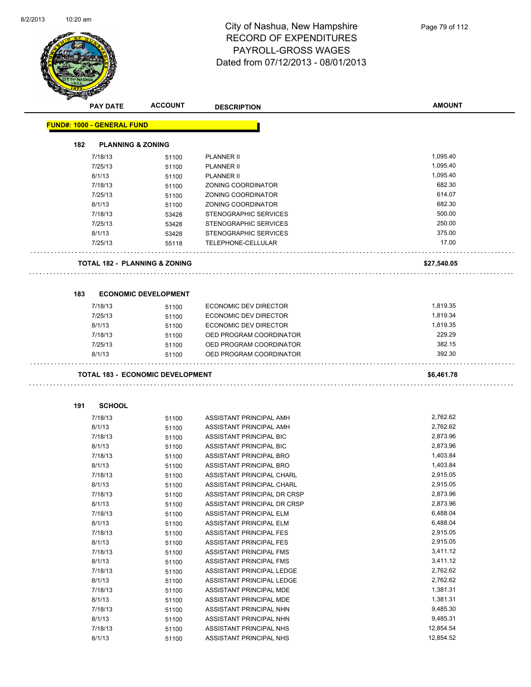

|     | <b>PAY DATE</b>                   | <b>ACCOUNT</b>                          | <b>DESCRIPTION</b>           | <b>AMOUNT</b> |
|-----|-----------------------------------|-----------------------------------------|------------------------------|---------------|
|     | <b>FUND#: 1000 - GENERAL FUND</b> |                                         |                              |               |
|     |                                   |                                         |                              |               |
| 182 | <b>PLANNING &amp; ZONING</b>      |                                         |                              |               |
|     | 7/18/13                           | 51100                                   | <b>PLANNER II</b>            | 1,095.40      |
|     | 7/25/13                           | 51100                                   | <b>PLANNER II</b>            | 1,095.40      |
|     | 8/1/13                            | 51100                                   | <b>PLANNER II</b>            | 1,095.40      |
|     | 7/18/13                           | 51100                                   | <b>ZONING COORDINATOR</b>    | 682.30        |
|     | 7/25/13                           | 51100                                   | <b>ZONING COORDINATOR</b>    | 614.07        |
|     | 8/1/13                            | 51100                                   | ZONING COORDINATOR           | 682.30        |
|     | 7/18/13                           | 53428                                   | STENOGRAPHIC SERVICES        | 500.00        |
|     | 7/25/13                           | 53428                                   | STENOGRAPHIC SERVICES        | 250.00        |
|     | 8/1/13                            | 53428                                   | STENOGRAPHIC SERVICES        | 375.00        |
|     | 7/25/13                           | 55118                                   | TELEPHONE-CELLULAR           | 17.00         |
|     |                                   | TOTAL 182 - PLANNING & ZONING           |                              | \$27,540.05   |
|     |                                   |                                         |                              |               |
| 183 |                                   | <b>ECONOMIC DEVELOPMENT</b>             |                              |               |
|     | 7/18/13                           | 51100                                   | <b>ECONOMIC DEV DIRECTOR</b> | 1,819.35      |
|     | 7/25/13                           | 51100                                   | ECONOMIC DEV DIRECTOR        | 1,819.34      |
|     | 8/1/13                            | 51100                                   | ECONOMIC DEV DIRECTOR        | 1,819.35      |
|     | 7/18/13                           | 51100                                   | OED PROGRAM COORDINATOR      | 229.29        |
|     | 7/25/13                           | 51100                                   | OED PROGRAM COORDINATOR      | 382.15        |
|     | 8/1/13                            | 51100                                   | OED PROGRAM COORDINATOR      | 392.30        |
|     |                                   | <b>TOTAL 183 - ECONOMIC DEVELOPMENT</b> |                              | \$6,461.78    |
| 191 | <b>SCHOOL</b>                     |                                         |                              |               |
|     | 7/18/13                           | 51100                                   | ASSISTANT PRINCIPAL AMH      | 2,762.62      |
|     | 8/1/13                            | 51100                                   | ASSISTANT PRINCIPAL AMH      | 2,762.62      |
|     | 7/18/13                           | 51100                                   | ASSISTANT PRINCIPAL BIC      | 2,873.96      |
|     | 8/1/13                            | 51100                                   | ASSISTANT PRINCIPAL BIC      | 2,873.96      |
|     | 7/18/13                           | 51100                                   | ASSISTANT PRINCIPAL BRO      | 1,403.84      |
|     | 8/1/13                            | 51100                                   | ASSISTANT PRINCIPAL BRO      | 1,403.84      |
|     | 7/18/13                           | 51100                                   | ASSISTANT PRINCIPAL CHARL    | 2,915.05      |
|     | 8/1/13                            | 51100                                   | ASSISTANT PRINCIPAL CHARL    | 2,915.05      |
|     | 7/18/13                           | 51100                                   | ASSISTANT PRINCIPAL DR CRSP  | 2,873.96      |
|     | 8/1/13                            | 51100                                   | ASSISTANT PRINCIPAL DR CRSP  | 2,873.96      |
|     | 7/18/13                           | 51100                                   | ASSISTANT PRINCIPAL ELM      | 6,488.04      |
|     | 8/1/13                            | 51100                                   | ASSISTANT PRINCIPAL ELM      | 6,488.04      |
|     | 7/18/13                           | 51100                                   | ASSISTANT PRINCIPAL FES      | 2,915.05      |
|     | 8/1/13                            | 51100                                   | ASSISTANT PRINCIPAL FES      | 2,915.05      |
|     | 7/18/13                           | 51100                                   | ASSISTANT PRINCIPAL FMS      | 3,411.12      |
|     | 8/1/13                            | 51100                                   | ASSISTANT PRINCIPAL FMS      | 3,411.12      |
|     | 7/18/13                           | 51100                                   | ASSISTANT PRINCIPAL LEDGE    | 2,762.62      |
|     | 8/1/13                            | 51100                                   | ASSISTANT PRINCIPAL LEDGE    | 2,762.62      |
|     | 7/18/13                           | 51100                                   | ASSISTANT PRINCIPAL MDE      | 1,381.31      |
|     | 8/1/13                            | 51100                                   | ASSISTANT PRINCIPAL MDE      | 1,381.31      |
|     | 7/18/13                           | 51100                                   | ASSISTANT PRINCIPAL NHN      | 9,485.30      |
|     | 8/1/13                            | 51100                                   | ASSISTANT PRINCIPAL NHN      | 9,485.31      |

7/18/13 51100 ASSISTANT PRINCIPAL NHS 12,854.54 8/1/13 51100 ASSISTANT PRINCIPAL NHS 65/1/13 51100 ASSISTANT PRINCIPAL NHS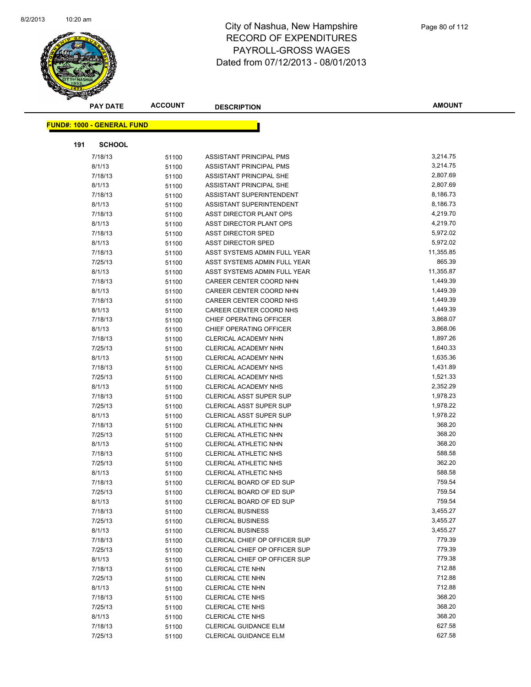

|     | <b>PAY DATE</b>                    | <b>ACCOUNT</b> | <b>DESCRIPTION</b>                   | <b>AMOUNT</b> |
|-----|------------------------------------|----------------|--------------------------------------|---------------|
|     | <u> FUND#: 1000 - GENERAL FUND</u> |                |                                      |               |
|     |                                    |                |                                      |               |
| 191 | <b>SCHOOL</b>                      |                |                                      |               |
|     | 7/18/13                            | 51100          | ASSISTANT PRINCIPAL PMS              | 3,214.75      |
|     | 8/1/13                             | 51100          | ASSISTANT PRINCIPAL PMS              | 3,214.75      |
|     | 7/18/13                            | 51100          | ASSISTANT PRINCIPAL SHE              | 2,807.69      |
|     | 8/1/13                             | 51100          | ASSISTANT PRINCIPAL SHE              | 2,807.69      |
|     | 7/18/13                            | 51100          | ASSISTANT SUPERINTENDENT             | 8,186.73      |
|     | 8/1/13                             | 51100          | ASSISTANT SUPERINTENDENT             | 8,186.73      |
|     | 7/18/13                            | 51100          | ASST DIRECTOR PLANT OPS              | 4,219.70      |
|     | 8/1/13                             | 51100          | ASST DIRECTOR PLANT OPS              | 4,219.70      |
|     | 7/18/13                            | 51100          | <b>ASST DIRECTOR SPED</b>            | 5,972.02      |
|     | 8/1/13                             | 51100          | <b>ASST DIRECTOR SPED</b>            | 5,972.02      |
|     | 7/18/13                            | 51100          | ASST SYSTEMS ADMIN FULL YEAR         | 11,355.85     |
|     | 7/25/13                            | 51100          | ASST SYSTEMS ADMIN FULL YEAR         | 865.39        |
|     | 8/1/13                             | 51100          | ASST SYSTEMS ADMIN FULL YEAR         | 11,355.87     |
|     | 7/18/13                            | 51100          | CAREER CENTER COORD NHN              | 1,449.39      |
|     | 8/1/13                             | 51100          | CAREER CENTER COORD NHN              | 1,449.39      |
|     | 7/18/13                            | 51100          | CAREER CENTER COORD NHS              | 1,449.39      |
|     | 8/1/13                             | 51100          | CAREER CENTER COORD NHS              | 1,449.39      |
|     | 7/18/13                            | 51100          | CHIEF OPERATING OFFICER              | 3,868.07      |
|     | 8/1/13                             | 51100          | CHIEF OPERATING OFFICER              | 3,868.06      |
|     | 7/18/13                            | 51100          | CLERICAL ACADEMY NHN                 | 1,897.26      |
|     | 7/25/13                            | 51100          | CLERICAL ACADEMY NHN                 | 1,640.33      |
|     | 8/1/13                             | 51100          | CLERICAL ACADEMY NHN                 | 1,635.36      |
|     | 7/18/13                            | 51100          | <b>CLERICAL ACADEMY NHS</b>          | 1,431.89      |
|     | 7/25/13                            | 51100          | <b>CLERICAL ACADEMY NHS</b>          | 1,521.33      |
|     | 8/1/13                             | 51100          | <b>CLERICAL ACADEMY NHS</b>          | 2,352.29      |
|     | 7/18/13                            | 51100          | <b>CLERICAL ASST SUPER SUP</b>       | 1,978.23      |
|     | 7/25/13                            | 51100          | <b>CLERICAL ASST SUPER SUP</b>       | 1,978.22      |
|     | 8/1/13                             | 51100          | <b>CLERICAL ASST SUPER SUP</b>       | 1,978.22      |
|     | 7/18/13                            | 51100          | CLERICAL ATHLETIC NHN                | 368.20        |
|     | 7/25/13                            | 51100          | CLERICAL ATHLETIC NHN                | 368.20        |
|     | 8/1/13                             | 51100          | CLERICAL ATHLETIC NHN                | 368.20        |
|     | 7/18/13                            | 51100          | CLERICAL ATHLETIC NHS                | 588.58        |
|     | 7/25/13                            | 51100          | <b>CLERICAL ATHLETIC NHS</b>         | 362.20        |
|     | 8/1/13                             | 51100          | <b>CLERICAL ATHLETIC NHS</b>         | 588.58        |
|     | 7/18/13                            | 51100          | CLERICAL BOARD OF ED SUP             | 759.54        |
|     | 7/25/13                            | 51100          | CLERICAL BOARD OF ED SUP             | 759.54        |
|     | 8/1/13                             | 51100          | CLERICAL BOARD OF ED SUP             | 759.54        |
|     | 7/18/13                            | 51100          | <b>CLERICAL BUSINESS</b>             | 3,455.27      |
|     | 7/25/13                            | 51100          | <b>CLERICAL BUSINESS</b>             | 3,455.27      |
|     | 8/1/13                             | 51100          | <b>CLERICAL BUSINESS</b>             | 3,455.27      |
|     | 7/18/13                            | 51100          | CLERICAL CHIEF OP OFFICER SUP        | 779.39        |
|     | 7/25/13                            | 51100          | <b>CLERICAL CHIEF OP OFFICER SUP</b> | 779.39        |
|     | 8/1/13                             | 51100          | CLERICAL CHIEF OP OFFICER SUP        | 779.38        |
|     | 7/18/13                            | 51100          | <b>CLERICAL CTE NHN</b>              | 712.88        |
|     | 7/25/13                            | 51100          | <b>CLERICAL CTE NHN</b>              | 712.88        |
|     | 8/1/13                             | 51100          | <b>CLERICAL CTE NHN</b>              | 712.88        |
|     | 7/18/13                            | 51100          | <b>CLERICAL CTE NHS</b>              | 368.20        |
|     | 7/25/13                            | 51100          | <b>CLERICAL CTE NHS</b>              | 368.20        |
|     | 8/1/13                             | 51100          | <b>CLERICAL CTE NHS</b>              | 368.20        |
|     | 7/18/13                            | 51100          | CLERICAL GUIDANCE ELM                | 627.58        |
|     | 7/25/13                            | 51100          | CLERICAL GUIDANCE ELM                | 627.58        |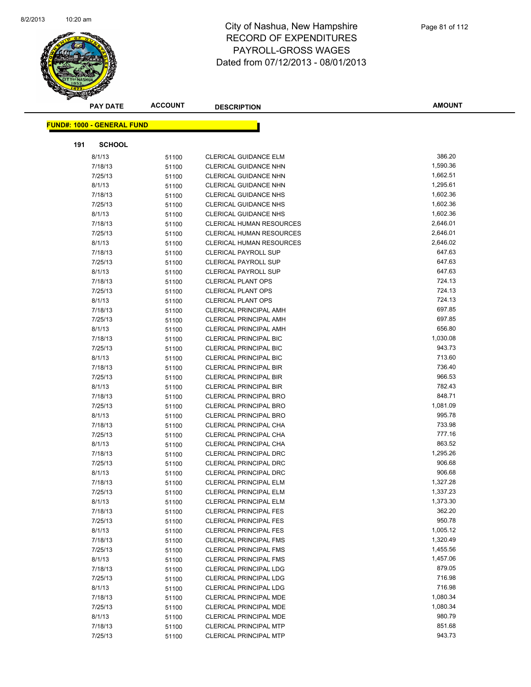

|     | <b>PAY DATE</b>                   | <b>ACCOUNT</b> | <b>DESCRIPTION</b>              | <b>AMOUNT</b> |
|-----|-----------------------------------|----------------|---------------------------------|---------------|
|     | <b>FUND#: 1000 - GENERAL FUND</b> |                |                                 |               |
|     |                                   |                |                                 |               |
| 191 | <b>SCHOOL</b>                     |                |                                 |               |
|     | 8/1/13                            | 51100          | <b>CLERICAL GUIDANCE ELM</b>    | 386.20        |
|     | 7/18/13                           | 51100          | <b>CLERICAL GUIDANCE NHN</b>    | 1,590.36      |
|     | 7/25/13                           | 51100          | <b>CLERICAL GUIDANCE NHN</b>    | 1,662.51      |
|     | 8/1/13                            | 51100          | CLERICAL GUIDANCE NHN           | 1,295.61      |
|     | 7/18/13                           | 51100          | <b>CLERICAL GUIDANCE NHS</b>    | 1,602.36      |
|     | 7/25/13                           | 51100          | <b>CLERICAL GUIDANCE NHS</b>    | 1,602.36      |
|     | 8/1/13                            | 51100          | <b>CLERICAL GUIDANCE NHS</b>    | 1,602.36      |
|     | 7/18/13                           | 51100          | <b>CLERICAL HUMAN RESOURCES</b> | 2,646.01      |
|     | 7/25/13                           | 51100          | <b>CLERICAL HUMAN RESOURCES</b> | 2,646.01      |
|     | 8/1/13                            | 51100          | <b>CLERICAL HUMAN RESOURCES</b> | 2,646.02      |
|     | 7/18/13                           | 51100          | <b>CLERICAL PAYROLL SUP</b>     | 647.63        |
|     | 7/25/13                           | 51100          | <b>CLERICAL PAYROLL SUP</b>     | 647.63        |
|     | 8/1/13                            | 51100          | <b>CLERICAL PAYROLL SUP</b>     | 647.63        |
|     | 7/18/13                           | 51100          | <b>CLERICAL PLANT OPS</b>       | 724.13        |
|     | 7/25/13                           | 51100          | <b>CLERICAL PLANT OPS</b>       | 724.13        |
|     | 8/1/13                            | 51100          | CLERICAL PLANT OPS              | 724.13        |
|     | 7/18/13                           | 51100          | <b>CLERICAL PRINCIPAL AMH</b>   | 697.85        |
|     | 7/25/13                           | 51100          | <b>CLERICAL PRINCIPAL AMH</b>   | 697.85        |
|     | 8/1/13                            | 51100          | <b>CLERICAL PRINCIPAL AMH</b>   | 656.80        |
|     | 7/18/13                           | 51100          | <b>CLERICAL PRINCIPAL BIC</b>   | 1,030.08      |
|     | 7/25/13                           | 51100          | <b>CLERICAL PRINCIPAL BIC</b>   | 943.73        |
|     | 8/1/13                            | 51100          | <b>CLERICAL PRINCIPAL BIC</b>   | 713.60        |
|     | 7/18/13                           | 51100          | <b>CLERICAL PRINCIPAL BIR</b>   | 736.40        |
|     | 7/25/13                           | 51100          | <b>CLERICAL PRINCIPAL BIR</b>   | 966.53        |
|     | 8/1/13                            | 51100          | <b>CLERICAL PRINCIPAL BIR</b>   | 782.43        |
|     | 7/18/13                           | 51100          | <b>CLERICAL PRINCIPAL BRO</b>   | 848.71        |
|     | 7/25/13                           | 51100          | <b>CLERICAL PRINCIPAL BRO</b>   | 1,081.09      |
|     | 8/1/13                            | 51100          | <b>CLERICAL PRINCIPAL BRO</b>   | 995.78        |
|     | 7/18/13                           | 51100          | CLERICAL PRINCIPAL CHA          | 733.98        |
|     | 7/25/13                           | 51100          | CLERICAL PRINCIPAL CHA          | 777.16        |
|     | 8/1/13                            | 51100          | CLERICAL PRINCIPAL CHA          | 863.52        |
|     | 7/18/13                           | 51100          | <b>CLERICAL PRINCIPAL DRC</b>   | 1,295.26      |
|     | 7/25/13                           | 51100          | <b>CLERICAL PRINCIPAL DRC</b>   | 906.68        |
|     | 8/1/13                            | 51100          | <b>CLERICAL PRINCIPAL DRC</b>   | 906.68        |
|     | 7/18/13                           | 51100          | CLERICAL PRINCIPAL ELM          | 1,327.28      |
|     | 7/25/13                           | 51100          | <b>CLERICAL PRINCIPAL ELM</b>   | 1,337.23      |
|     | 8/1/13                            | 51100          | <b>CLERICAL PRINCIPAL ELM</b>   | 1,373.30      |
|     | 7/18/13                           | 51100          | <b>CLERICAL PRINCIPAL FES</b>   | 362.20        |
|     | 7/25/13                           | 51100          | <b>CLERICAL PRINCIPAL FES</b>   | 950.78        |
|     | 8/1/13                            | 51100          | <b>CLERICAL PRINCIPAL FES</b>   | 1,005.12      |
|     | 7/18/13                           | 51100          | <b>CLERICAL PRINCIPAL FMS</b>   | 1,320.49      |
|     | 7/25/13                           | 51100          | <b>CLERICAL PRINCIPAL FMS</b>   | 1,455.56      |
|     | 8/1/13                            | 51100          | <b>CLERICAL PRINCIPAL FMS</b>   | 1,457.06      |
|     | 7/18/13                           | 51100          | <b>CLERICAL PRINCIPAL LDG</b>   | 879.05        |
|     | 7/25/13                           | 51100          | <b>CLERICAL PRINCIPAL LDG</b>   | 716.98        |
|     | 8/1/13                            | 51100          | <b>CLERICAL PRINCIPAL LDG</b>   | 716.98        |
|     | 7/18/13                           | 51100          | <b>CLERICAL PRINCIPAL MDE</b>   | 1,080.34      |
|     | 7/25/13                           | 51100          | CLERICAL PRINCIPAL MDE          | 1,080.34      |
|     | 8/1/13                            | 51100          | <b>CLERICAL PRINCIPAL MDE</b>   | 980.79        |
|     | 7/18/13                           | 51100          | <b>CLERICAL PRINCIPAL MTP</b>   | 851.68        |
|     | 7/25/13                           | 51100          | CLERICAL PRINCIPAL MTP          | 943.73        |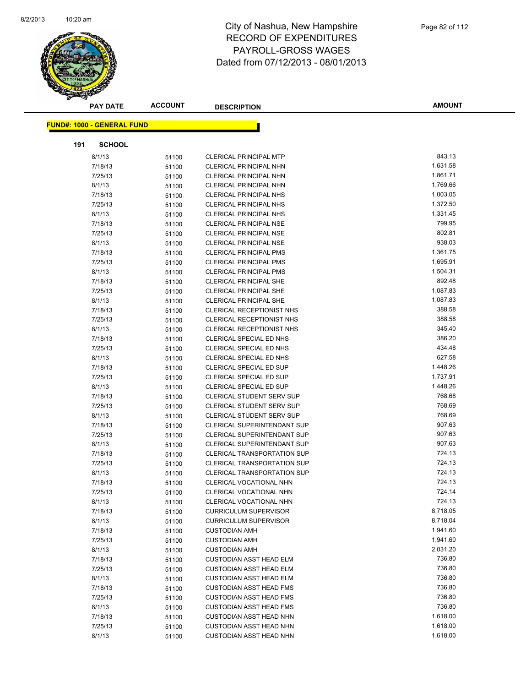

|     | <b>PAY DATE</b>                   | <b>ACCOUNT</b> | <b>DESCRIPTION</b>                 | <b>AMOUNT</b> |
|-----|-----------------------------------|----------------|------------------------------------|---------------|
|     | <b>FUND#: 1000 - GENERAL FUND</b> |                |                                    |               |
|     |                                   |                |                                    |               |
| 191 | <b>SCHOOL</b>                     |                |                                    |               |
|     | 8/1/13                            | 51100          | <b>CLERICAL PRINCIPAL MTP</b>      | 843.13        |
|     | 7/18/13                           | 51100          | CLERICAL PRINCIPAL NHN             | 1,631.58      |
|     | 7/25/13                           | 51100          | <b>CLERICAL PRINCIPAL NHN</b>      | 1,861.71      |
|     | 8/1/13                            | 51100          | CLERICAL PRINCIPAL NHN             | 1,769.66      |
|     | 7/18/13                           | 51100          | <b>CLERICAL PRINCIPAL NHS</b>      | 1,003.05      |
|     | 7/25/13                           | 51100          | <b>CLERICAL PRINCIPAL NHS</b>      | 1,372.50      |
|     | 8/1/13                            | 51100          | <b>CLERICAL PRINCIPAL NHS</b>      | 1,331.45      |
|     | 7/18/13                           | 51100          | <b>CLERICAL PRINCIPAL NSE</b>      | 799.95        |
|     | 7/25/13                           | 51100          | <b>CLERICAL PRINCIPAL NSE</b>      | 802.81        |
|     | 8/1/13                            | 51100          | <b>CLERICAL PRINCIPAL NSE</b>      | 938.03        |
|     | 7/18/13                           | 51100          | <b>CLERICAL PRINCIPAL PMS</b>      | 1,361.75      |
|     | 7/25/13                           | 51100          | <b>CLERICAL PRINCIPAL PMS</b>      | 1,695.91      |
|     | 8/1/13                            | 51100          | <b>CLERICAL PRINCIPAL PMS</b>      | 1,504.31      |
|     | 7/18/13                           | 51100          | <b>CLERICAL PRINCIPAL SHE</b>      | 892.48        |
|     | 7/25/13                           | 51100          | <b>CLERICAL PRINCIPAL SHE</b>      | 1,087.83      |
|     | 8/1/13                            | 51100          | <b>CLERICAL PRINCIPAL SHE</b>      | 1,087.83      |
|     | 7/18/13                           | 51100          | CLERICAL RECEPTIONIST NHS          | 388.58        |
|     | 7/25/13                           | 51100          | CLERICAL RECEPTIONIST NHS          | 388.58        |
|     | 8/1/13                            | 51100          | CLERICAL RECEPTIONIST NHS          | 345.40        |
|     | 7/18/13                           | 51100          | CLERICAL SPECIAL ED NHS            | 386.20        |
|     | 7/25/13                           | 51100          | CLERICAL SPECIAL ED NHS            | 434.48        |
|     | 8/1/13                            | 51100          | CLERICAL SPECIAL ED NHS            | 627.58        |
|     | 7/18/13                           | 51100          | CLERICAL SPECIAL ED SUP            | 1,448.26      |
|     | 7/25/13                           | 51100          | CLERICAL SPECIAL ED SUP            | 1,737.91      |
|     | 8/1/13                            | 51100          | CLERICAL SPECIAL ED SUP            | 1,448.26      |
|     | 7/18/13                           | 51100          | <b>CLERICAL STUDENT SERV SUP</b>   | 768.68        |
|     | 7/25/13                           | 51100          | <b>CLERICAL STUDENT SERV SUP</b>   | 768.69        |
|     | 8/1/13                            | 51100          | <b>CLERICAL STUDENT SERV SUP</b>   | 768.69        |
|     | 7/18/13                           | 51100          | <b>CLERICAL SUPERINTENDANT SUP</b> | 907.63        |
|     | 7/25/13                           | 51100          | CLERICAL SUPERINTENDANT SUP        | 907.63        |
|     | 8/1/13                            | 51100          | <b>CLERICAL SUPERINTENDANT SUP</b> | 907.63        |
|     | 7/18/13                           | 51100          | <b>CLERICAL TRANSPORTATION SUP</b> | 724.13        |
|     | 7/25/13                           | 51100          | <b>CLERICAL TRANSPORTATION SUP</b> | 724.13        |
|     | 8/1/13                            | 51100          | <b>CLERICAL TRANSPORTATION SUP</b> | 724.13        |
|     | 7/18/13                           | 51100          | CLERICAL VOCATIONAL NHN            | 724.13        |
|     | 7/25/13                           | 51100          | CLERICAL VOCATIONAL NHN            | 724.14        |
|     | 8/1/13                            | 51100          | CLERICAL VOCATIONAL NHN            | 724.13        |
|     | 7/18/13                           | 51100          | <b>CURRICULUM SUPERVISOR</b>       | 8,718.05      |
|     | 8/1/13                            | 51100          | <b>CURRICULUM SUPERVISOR</b>       | 8,718.04      |
|     | 7/18/13                           | 51100          | <b>CUSTODIAN AMH</b>               | 1,941.60      |
|     | 7/25/13                           | 51100          | <b>CUSTODIAN AMH</b>               | 1,941.60      |
|     | 8/1/13                            | 51100          | <b>CUSTODIAN AMH</b>               | 2,031.20      |
|     | 7/18/13                           | 51100          | <b>CUSTODIAN ASST HEAD ELM</b>     | 736.80        |
|     | 7/25/13                           | 51100          | <b>CUSTODIAN ASST HEAD ELM</b>     | 736.80        |
|     | 8/1/13                            | 51100          | <b>CUSTODIAN ASST HEAD ELM</b>     | 736.80        |
|     | 7/18/13                           | 51100          | <b>CUSTODIAN ASST HEAD FMS</b>     | 736.80        |
|     | 7/25/13                           | 51100          | <b>CUSTODIAN ASST HEAD FMS</b>     | 736.80        |
|     | 8/1/13                            | 51100          | <b>CUSTODIAN ASST HEAD FMS</b>     | 736.80        |
|     | 7/18/13                           | 51100          | <b>CUSTODIAN ASST HEAD NHN</b>     | 1,618.00      |
|     | 7/25/13                           | 51100          | <b>CUSTODIAN ASST HEAD NHN</b>     | 1,618.00      |
|     | 8/1/13                            | 51100          | <b>CUSTODIAN ASST HEAD NHN</b>     | 1,618.00      |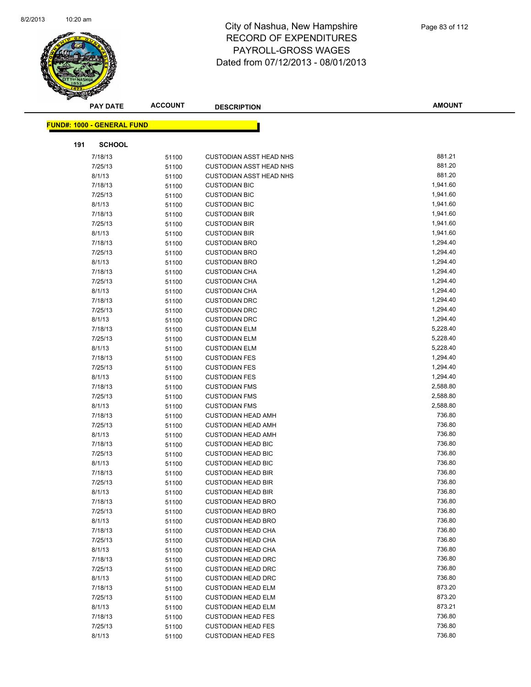

|     | <b>PAY DATE</b>                   | <b>ACCOUNT</b> | <b>DESCRIPTION</b>                           | <b>AMOUNT</b>        |
|-----|-----------------------------------|----------------|----------------------------------------------|----------------------|
|     |                                   |                |                                              |                      |
|     | <b>FUND#: 1000 - GENERAL FUND</b> |                |                                              |                      |
| 191 | <b>SCHOOL</b>                     |                |                                              |                      |
|     | 7/18/13                           | 51100          | <b>CUSTODIAN ASST HEAD NHS</b>               | 881.21               |
|     | 7/25/13                           | 51100          | <b>CUSTODIAN ASST HEAD NHS</b>               | 881.20               |
|     | 8/1/13                            | 51100          | <b>CUSTODIAN ASST HEAD NHS</b>               | 881.20               |
|     | 7/18/13                           | 51100          | <b>CUSTODIAN BIC</b>                         | 1,941.60             |
|     | 7/25/13                           | 51100          | <b>CUSTODIAN BIC</b>                         | 1,941.60             |
|     | 8/1/13                            | 51100          | <b>CUSTODIAN BIC</b>                         | 1,941.60             |
|     | 7/18/13                           | 51100          | <b>CUSTODIAN BIR</b>                         | 1,941.60             |
|     | 7/25/13                           | 51100          | <b>CUSTODIAN BIR</b>                         | 1,941.60             |
|     | 8/1/13                            | 51100          | <b>CUSTODIAN BIR</b>                         | 1,941.60             |
|     | 7/18/13                           | 51100          | <b>CUSTODIAN BRO</b>                         | 1,294.40             |
|     | 7/25/13                           | 51100          | <b>CUSTODIAN BRO</b>                         | 1,294.40             |
|     | 8/1/13                            | 51100          | <b>CUSTODIAN BRO</b>                         | 1,294.40             |
|     | 7/18/13                           | 51100          | <b>CUSTODIAN CHA</b>                         | 1,294.40             |
|     | 7/25/13                           | 51100          | <b>CUSTODIAN CHA</b>                         | 1,294.40             |
|     | 8/1/13                            | 51100          | <b>CUSTODIAN CHA</b>                         | 1,294.40             |
|     | 7/18/13                           | 51100          | <b>CUSTODIAN DRC</b>                         | 1,294.40             |
|     | 7/25/13                           | 51100          | <b>CUSTODIAN DRC</b>                         | 1,294.40             |
|     | 8/1/13                            | 51100          | <b>CUSTODIAN DRC</b>                         | 1,294.40             |
|     | 7/18/13                           | 51100          | <b>CUSTODIAN ELM</b>                         | 5,228.40             |
|     | 7/25/13                           | 51100          | <b>CUSTODIAN ELM</b>                         | 5,228.40             |
|     | 8/1/13                            | 51100          | <b>CUSTODIAN ELM</b>                         | 5,228.40             |
|     | 7/18/13                           | 51100          | <b>CUSTODIAN FES</b>                         | 1,294.40             |
|     | 7/25/13                           | 51100          | <b>CUSTODIAN FES</b>                         | 1,294.40             |
|     | 8/1/13                            | 51100          | <b>CUSTODIAN FES</b>                         | 1,294.40             |
|     | 7/18/13                           | 51100          | <b>CUSTODIAN FMS</b>                         | 2,588.80             |
|     | 7/25/13<br>8/1/13                 | 51100          | <b>CUSTODIAN FMS</b><br><b>CUSTODIAN FMS</b> | 2,588.80<br>2,588.80 |
|     | 7/18/13                           | 51100<br>51100 | <b>CUSTODIAN HEAD AMH</b>                    | 736.80               |
|     | 7/25/13                           | 51100          | <b>CUSTODIAN HEAD AMH</b>                    | 736.80               |
|     | 8/1/13                            | 51100          | <b>CUSTODIAN HEAD AMH</b>                    | 736.80               |
|     | 7/18/13                           | 51100          | <b>CUSTODIAN HEAD BIC</b>                    | 736.80               |
|     | 7/25/13                           | 51100          | <b>CUSTODIAN HEAD BIC</b>                    | 736.80               |
|     | 8/1/13                            | 51100          | <b>CUSTODIAN HEAD BIC</b>                    | 736.80               |
|     | 7/18/13                           | 51100          | <b>CUSTODIAN HEAD BIR</b>                    | 736.80               |
|     | 7/25/13                           | 51100          | <b>CUSTODIAN HEAD BIR</b>                    | 736.80               |
|     | 8/1/13                            | 51100          | <b>CUSTODIAN HEAD BIR</b>                    | 736.80               |
|     | 7/18/13                           | 51100          | <b>CUSTODIAN HEAD BRO</b>                    | 736.80               |
|     | 7/25/13                           | 51100          | <b>CUSTODIAN HEAD BRO</b>                    | 736.80               |
|     | 8/1/13                            | 51100          | <b>CUSTODIAN HEAD BRO</b>                    | 736.80               |
|     | 7/18/13                           | 51100          | <b>CUSTODIAN HEAD CHA</b>                    | 736.80               |
|     | 7/25/13                           | 51100          | <b>CUSTODIAN HEAD CHA</b>                    | 736.80               |
|     | 8/1/13                            | 51100          | <b>CUSTODIAN HEAD CHA</b>                    | 736.80               |
|     | 7/18/13                           | 51100          | <b>CUSTODIAN HEAD DRC</b>                    | 736.80               |
|     | 7/25/13                           | 51100          | <b>CUSTODIAN HEAD DRC</b>                    | 736.80               |
|     | 8/1/13                            | 51100          | <b>CUSTODIAN HEAD DRC</b>                    | 736.80               |
|     | 7/18/13                           | 51100          | <b>CUSTODIAN HEAD ELM</b>                    | 873.20               |
|     | 7/25/13                           | 51100          | <b>CUSTODIAN HEAD ELM</b>                    | 873.20               |
|     | 8/1/13                            | 51100          | <b>CUSTODIAN HEAD ELM</b>                    | 873.21               |
|     | 7/18/13                           | 51100          | <b>CUSTODIAN HEAD FES</b>                    | 736.80               |
|     | 7/25/13                           | 51100          | <b>CUSTODIAN HEAD FES</b>                    | 736.80               |
|     | 8/1/13                            | 51100          | <b>CUSTODIAN HEAD FES</b>                    | 736.80               |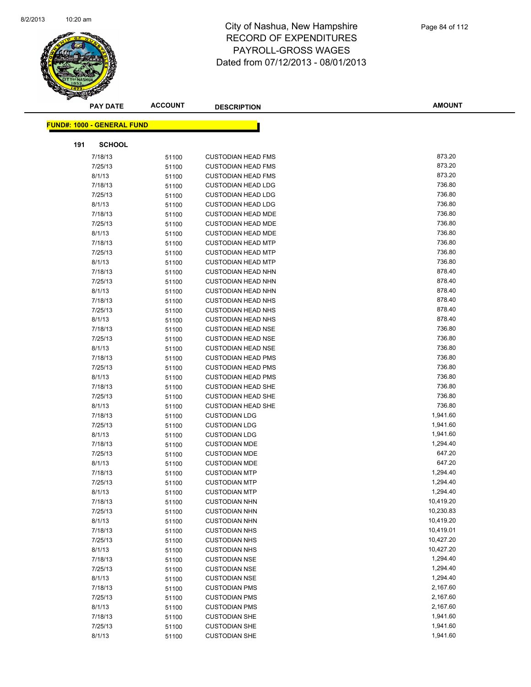

|     | <b>PAY DATE</b>                   | <b>ACCOUNT</b> | <b>DESCRIPTION</b>                           | <b>AMOUNT</b>    |
|-----|-----------------------------------|----------------|----------------------------------------------|------------------|
|     | <b>FUND#: 1000 - GENERAL FUND</b> |                |                                              |                  |
|     |                                   |                |                                              |                  |
| 191 | <b>SCHOOL</b>                     |                |                                              |                  |
|     | 7/18/13                           | 51100          | <b>CUSTODIAN HEAD FMS</b>                    | 873.20           |
|     | 7/25/13                           | 51100          | <b>CUSTODIAN HEAD FMS</b>                    | 873.20           |
|     | 8/1/13                            | 51100          | <b>CUSTODIAN HEAD FMS</b>                    | 873.20           |
|     | 7/18/13                           | 51100          | <b>CUSTODIAN HEAD LDG</b>                    | 736.80           |
|     | 7/25/13                           | 51100          | <b>CUSTODIAN HEAD LDG</b>                    | 736.80           |
|     | 8/1/13                            | 51100          | <b>CUSTODIAN HEAD LDG</b>                    | 736.80           |
|     | 7/18/13                           | 51100          | <b>CUSTODIAN HEAD MDE</b>                    | 736.80           |
|     | 7/25/13                           | 51100          | <b>CUSTODIAN HEAD MDE</b>                    | 736.80           |
|     | 8/1/13                            | 51100          | <b>CUSTODIAN HEAD MDE</b>                    | 736.80           |
|     | 7/18/13                           | 51100          | <b>CUSTODIAN HEAD MTP</b>                    | 736.80           |
|     | 7/25/13                           | 51100          | <b>CUSTODIAN HEAD MTP</b>                    | 736.80           |
|     | 8/1/13                            | 51100          | <b>CUSTODIAN HEAD MTP</b>                    | 736.80           |
|     | 7/18/13                           | 51100          | <b>CUSTODIAN HEAD NHN</b>                    | 878.40           |
|     | 7/25/13                           | 51100          | <b>CUSTODIAN HEAD NHN</b>                    | 878.40           |
|     | 8/1/13                            | 51100          | <b>CUSTODIAN HEAD NHN</b>                    | 878.40           |
|     | 7/18/13                           | 51100          | <b>CUSTODIAN HEAD NHS</b>                    | 878.40           |
|     | 7/25/13                           | 51100          | <b>CUSTODIAN HEAD NHS</b>                    | 878.40           |
|     | 8/1/13                            | 51100          | <b>CUSTODIAN HEAD NHS</b>                    | 878.40           |
|     | 7/18/13                           | 51100          | <b>CUSTODIAN HEAD NSE</b>                    | 736.80           |
|     | 7/25/13                           | 51100          | <b>CUSTODIAN HEAD NSE</b>                    | 736.80           |
|     | 8/1/13                            | 51100          | <b>CUSTODIAN HEAD NSE</b>                    | 736.80           |
|     | 7/18/13                           | 51100          | <b>CUSTODIAN HEAD PMS</b>                    | 736.80           |
|     | 7/25/13                           | 51100          | <b>CUSTODIAN HEAD PMS</b>                    | 736.80           |
|     | 8/1/13                            | 51100          | <b>CUSTODIAN HEAD PMS</b>                    | 736.80           |
|     | 7/18/13                           | 51100          | <b>CUSTODIAN HEAD SHE</b>                    | 736.80           |
|     | 7/25/13                           | 51100          | <b>CUSTODIAN HEAD SHE</b>                    | 736.80           |
|     | 8/1/13                            | 51100          | <b>CUSTODIAN HEAD SHE</b>                    | 736.80           |
|     | 7/18/13                           | 51100          | <b>CUSTODIAN LDG</b>                         | 1,941.60         |
|     | 7/25/13                           | 51100          | <b>CUSTODIAN LDG</b>                         | 1,941.60         |
|     | 8/1/13                            | 51100          | <b>CUSTODIAN LDG</b>                         | 1,941.60         |
|     | 7/18/13                           | 51100          | <b>CUSTODIAN MDE</b>                         | 1,294.40         |
|     | 7/25/13                           | 51100          | <b>CUSTODIAN MDE</b>                         | 647.20<br>647.20 |
|     | 8/1/13                            | 51100          | <b>CUSTODIAN MDE</b>                         | 1,294.40         |
|     | 7/18/13<br>7/25/13                | 51100          | <b>CUSTODIAN MTP</b><br><b>CUSTODIAN MTP</b> | 1,294.40         |
|     | 8/1/13                            | 51100          | <b>CUSTODIAN MTP</b>                         | 1,294.40         |
|     | 7/18/13                           | 51100<br>51100 | <b>CUSTODIAN NHN</b>                         | 10,419.20        |
|     | 7/25/13                           | 51100          | <b>CUSTODIAN NHN</b>                         | 10,230.83        |
|     | 8/1/13                            | 51100          | <b>CUSTODIAN NHN</b>                         | 10,419.20        |
|     | 7/18/13                           | 51100          | <b>CUSTODIAN NHS</b>                         | 10,419.01        |
|     | 7/25/13                           | 51100          | <b>CUSTODIAN NHS</b>                         | 10,427.20        |
|     | 8/1/13                            | 51100          | <b>CUSTODIAN NHS</b>                         | 10,427.20        |
|     | 7/18/13                           | 51100          | <b>CUSTODIAN NSE</b>                         | 1,294.40         |
|     | 7/25/13                           | 51100          | <b>CUSTODIAN NSE</b>                         | 1,294.40         |
|     | 8/1/13                            | 51100          | <b>CUSTODIAN NSE</b>                         | 1,294.40         |
|     | 7/18/13                           | 51100          | <b>CUSTODIAN PMS</b>                         | 2,167.60         |
|     | 7/25/13                           | 51100          | <b>CUSTODIAN PMS</b>                         | 2,167.60         |
|     | 8/1/13                            | 51100          | <b>CUSTODIAN PMS</b>                         | 2,167.60         |
|     | 7/18/13                           | 51100          | <b>CUSTODIAN SHE</b>                         | 1,941.60         |
|     | 7/25/13                           | 51100          | <b>CUSTODIAN SHE</b>                         | 1,941.60         |
|     | 8/1/13                            | 51100          | <b>CUSTODIAN SHE</b>                         | 1,941.60         |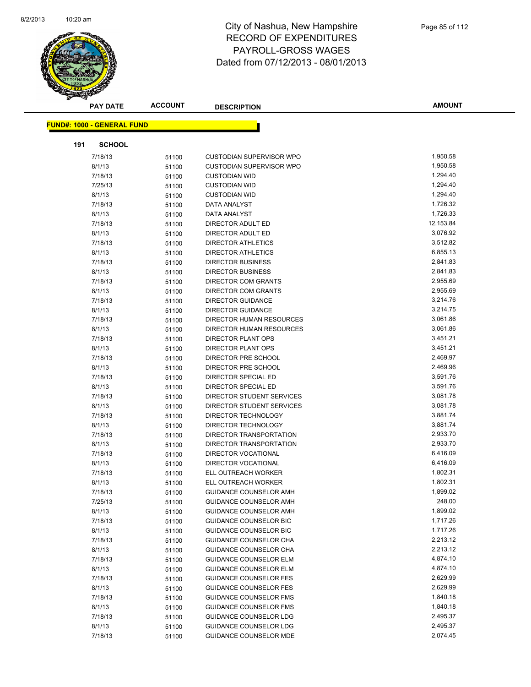

|     | <b>PAY DATE</b>                   | <b>ACCOUNT</b> | <b>DESCRIPTION</b>                                             | <b>AMOUNT</b>        |
|-----|-----------------------------------|----------------|----------------------------------------------------------------|----------------------|
|     |                                   |                |                                                                |                      |
|     | <b>FUND#: 1000 - GENERAL FUND</b> |                |                                                                |                      |
| 191 | <b>SCHOOL</b>                     |                |                                                                |                      |
|     | 7/18/13                           | 51100          | <b>CUSTODIAN SUPERVISOR WPO</b>                                | 1,950.58             |
|     | 8/1/13                            | 51100          | <b>CUSTODIAN SUPERVISOR WPO</b>                                | 1,950.58             |
|     | 7/18/13                           | 51100          | <b>CUSTODIAN WID</b>                                           | 1,294.40             |
|     | 7/25/13                           | 51100          | <b>CUSTODIAN WID</b>                                           | 1,294.40             |
|     | 8/1/13                            | 51100          | <b>CUSTODIAN WID</b>                                           | 1,294.40             |
|     | 7/18/13                           | 51100          | DATA ANALYST                                                   | 1,726.32             |
|     | 8/1/13                            | 51100          | DATA ANALYST                                                   | 1,726.33             |
|     | 7/18/13                           | 51100          | DIRECTOR ADULT ED                                              | 12,153.84            |
|     | 8/1/13                            | 51100          | DIRECTOR ADULT ED                                              | 3,076.92             |
|     | 7/18/13                           | 51100          | <b>DIRECTOR ATHLETICS</b>                                      | 3,512.82             |
|     | 8/1/13                            | 51100          | DIRECTOR ATHLETICS                                             | 6,855.13             |
|     | 7/18/13                           | 51100          | <b>DIRECTOR BUSINESS</b>                                       | 2,841.83             |
|     | 8/1/13                            | 51100          | <b>DIRECTOR BUSINESS</b>                                       | 2,841.83             |
|     | 7/18/13                           | 51100          | <b>DIRECTOR COM GRANTS</b>                                     | 2,955.69             |
|     | 8/1/13                            | 51100          | DIRECTOR COM GRANTS                                            | 2,955.69             |
|     | 7/18/13                           | 51100          | <b>DIRECTOR GUIDANCE</b>                                       | 3,214.76             |
|     | 8/1/13                            | 51100          | DIRECTOR GUIDANCE                                              | 3,214.75             |
|     | 7/18/13                           | 51100          | DIRECTOR HUMAN RESOURCES                                       | 3,061.86             |
|     | 8/1/13                            | 51100          | DIRECTOR HUMAN RESOURCES                                       | 3,061.86             |
|     | 7/18/13                           | 51100          | DIRECTOR PLANT OPS                                             | 3,451.21             |
|     | 8/1/13                            | 51100          | DIRECTOR PLANT OPS                                             | 3,451.21             |
|     | 7/18/13                           | 51100          | DIRECTOR PRE SCHOOL                                            | 2,469.97             |
|     | 8/1/13                            | 51100          | DIRECTOR PRE SCHOOL                                            | 2,469.96             |
|     | 7/18/13                           | 51100          | DIRECTOR SPECIAL ED                                            | 3,591.76             |
|     | 8/1/13                            | 51100          | DIRECTOR SPECIAL ED                                            | 3,591.76             |
|     | 7/18/13                           | 51100          | DIRECTOR STUDENT SERVICES                                      | 3,081.78             |
|     | 8/1/13                            | 51100          | DIRECTOR STUDENT SERVICES                                      | 3,081.78             |
|     | 7/18/13                           | 51100          | DIRECTOR TECHNOLOGY                                            | 3,881.74             |
|     | 8/1/13                            | 51100          | DIRECTOR TECHNOLOGY                                            | 3,881.74             |
|     | 7/18/13                           | 51100          | DIRECTOR TRANSPORTATION                                        | 2,933.70             |
|     | 8/1/13                            | 51100          | DIRECTOR TRANSPORTATION                                        | 2,933.70             |
|     | 7/18/13                           | 51100          | <b>DIRECTOR VOCATIONAL</b>                                     | 6,416.09             |
|     | 8/1/13                            | 51100          | DIRECTOR VOCATIONAL                                            | 6,416.09             |
|     | 7/18/13                           | 51100          | ELL OUTREACH WORKER                                            | 1,802.31             |
|     | 8/1/13                            | 51100          | ELL OUTREACH WORKER                                            | 1,802.31             |
|     | 7/18/13                           | 51100          | GUIDANCE COUNSELOR AMH                                         | 1,899.02             |
|     | 7/25/13                           | 51100          | <b>GUIDANCE COUNSELOR AMH</b>                                  | 248.00               |
|     | 8/1/13                            | 51100          | GUIDANCE COUNSELOR AMH                                         | 1,899.02             |
|     | 7/18/13                           | 51100          | <b>GUIDANCE COUNSELOR BIC</b>                                  | 1,717.26             |
|     | 8/1/13                            | 51100          | <b>GUIDANCE COUNSELOR BIC</b>                                  | 1,717.26             |
|     | 7/18/13                           | 51100          | GUIDANCE COUNSELOR CHA                                         | 2,213.12             |
|     | 8/1/13                            | 51100          | GUIDANCE COUNSELOR CHA                                         | 2,213.12             |
|     | 7/18/13                           | 51100          | GUIDANCE COUNSELOR ELM                                         | 4,874.10<br>4,874.10 |
|     | 8/1/13                            | 51100          | <b>GUIDANCE COUNSELOR ELM</b>                                  | 2,629.99             |
|     | 7/18/13                           | 51100          | <b>GUIDANCE COUNSELOR FES</b><br><b>GUIDANCE COUNSELOR FES</b> | 2,629.99             |
|     | 8/1/13<br>7/18/13                 | 51100          | <b>GUIDANCE COUNSELOR FMS</b>                                  | 1,840.18             |
|     | 8/1/13                            | 51100          | <b>GUIDANCE COUNSELOR FMS</b>                                  | 1,840.18             |
|     | 7/18/13                           | 51100          | GUIDANCE COUNSELOR LDG                                         | 2,495.37             |
|     | 8/1/13                            | 51100<br>51100 | GUIDANCE COUNSELOR LDG                                         | 2,495.37             |
|     | 7/18/13                           | 51100          | GUIDANCE COUNSELOR MDE                                         | 2,074.45             |
|     |                                   |                |                                                                |                      |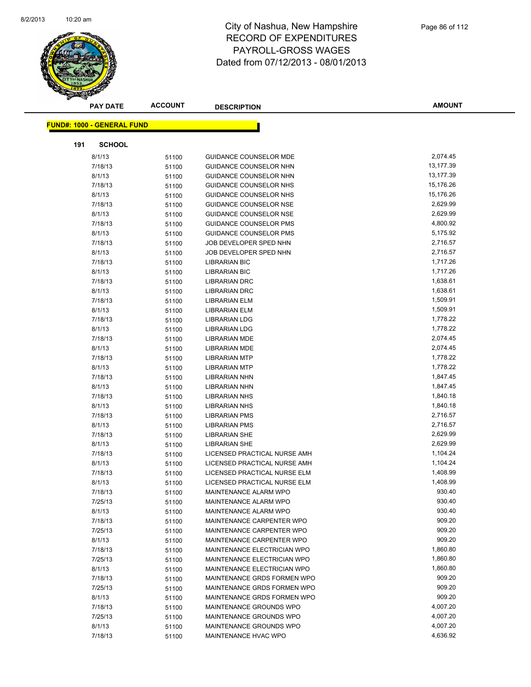

|     | <b>PAY DATE</b>                   | <b>ACCOUNT</b> | <b>DESCRIPTION</b>                                           | <b>AMOUNT</b>        |
|-----|-----------------------------------|----------------|--------------------------------------------------------------|----------------------|
|     | <b>FUND#: 1000 - GENERAL FUND</b> |                |                                                              |                      |
|     |                                   |                |                                                              |                      |
| 191 | <b>SCHOOL</b>                     |                |                                                              |                      |
|     | 8/1/13                            | 51100          | <b>GUIDANCE COUNSELOR MDE</b>                                | 2,074.45             |
|     | 7/18/13                           | 51100          | GUIDANCE COUNSELOR NHN                                       | 13,177.39            |
|     | 8/1/13                            | 51100          | GUIDANCE COUNSELOR NHN                                       | 13,177.39            |
|     | 7/18/13                           | 51100          | GUIDANCE COUNSELOR NHS                                       | 15,176.26            |
|     | 8/1/13                            | 51100          | GUIDANCE COUNSELOR NHS                                       | 15,176.26            |
|     | 7/18/13                           | 51100          | GUIDANCE COUNSELOR NSE                                       | 2,629.99             |
|     | 8/1/13                            | 51100          | <b>GUIDANCE COUNSELOR NSE</b>                                | 2,629.99             |
|     | 7/18/13                           | 51100          | GUIDANCE COUNSELOR PMS                                       | 4,800.92             |
|     | 8/1/13                            | 51100          | GUIDANCE COUNSELOR PMS                                       | 5,175.92             |
|     | 7/18/13                           | 51100          | JOB DEVELOPER SPED NHN                                       | 2,716.57             |
|     | 8/1/13                            | 51100          | JOB DEVELOPER SPED NHN                                       | 2,716.57             |
|     | 7/18/13                           | 51100          | <b>LIBRARIAN BIC</b>                                         | 1,717.26             |
|     | 8/1/13                            | 51100          | <b>LIBRARIAN BIC</b>                                         | 1,717.26             |
|     | 7/18/13                           | 51100          | <b>LIBRARIAN DRC</b>                                         | 1,638.61             |
|     | 8/1/13                            | 51100          | <b>LIBRARIAN DRC</b>                                         | 1,638.61             |
|     | 7/18/13                           | 51100          | LIBRARIAN ELM                                                | 1,509.91             |
|     | 8/1/13                            | 51100          | <b>LIBRARIAN ELM</b>                                         | 1,509.91             |
|     | 7/18/13                           | 51100          | <b>LIBRARIAN LDG</b>                                         | 1,778.22             |
|     | 8/1/13                            | 51100          | LIBRARIAN LDG                                                | 1,778.22             |
|     | 7/18/13                           | 51100          | <b>LIBRARIAN MDE</b>                                         | 2,074.45             |
|     | 8/1/13                            | 51100          | <b>LIBRARIAN MDE</b>                                         | 2,074.45             |
|     | 7/18/13                           | 51100          | <b>LIBRARIAN MTP</b>                                         | 1,778.22             |
|     | 8/1/13                            | 51100          | <b>LIBRARIAN MTP</b>                                         | 1,778.22             |
|     | 7/18/13                           | 51100          | LIBRARIAN NHN                                                | 1,847.45             |
|     | 8/1/13                            | 51100          | <b>LIBRARIAN NHN</b>                                         | 1,847.45             |
|     | 7/18/13                           | 51100          | <b>LIBRARIAN NHS</b>                                         | 1,840.18             |
|     | 8/1/13                            | 51100          | <b>LIBRARIAN NHS</b>                                         | 1,840.18             |
|     | 7/18/13                           | 51100          | <b>LIBRARIAN PMS</b>                                         | 2,716.57             |
|     | 8/1/13                            | 51100          | <b>LIBRARIAN PMS</b>                                         | 2,716.57             |
|     | 7/18/13                           | 51100          | <b>LIBRARIAN SHE</b>                                         | 2,629.99<br>2,629.99 |
|     | 8/1/13                            | 51100          | <b>LIBRARIAN SHE</b>                                         | 1,104.24             |
|     | 7/18/13                           | 51100          | LICENSED PRACTICAL NURSE AMH                                 | 1,104.24             |
|     | 8/1/13<br>7/18/13                 | 51100          | LICENSED PRACTICAL NURSE AMH<br>LICENSED PRACTICAL NURSE ELM | 1,408.99             |
|     | 8/1/13                            | 51100          | LICENSED PRACTICAL NURSE ELM                                 | 1,408.99             |
|     |                                   | 51100          |                                                              | 930.40               |
|     | 7/18/13<br>7/25/13                | 51100          | MAINTENANCE ALARM WPO<br>MAINTENANCE ALARM WPO               | 930.40               |
|     | 8/1/13                            | 51100<br>51100 | MAINTENANCE ALARM WPO                                        | 930.40               |
|     | 7/18/13                           | 51100          | MAINTENANCE CARPENTER WPO                                    | 909.20               |
|     | 7/25/13                           | 51100          | MAINTENANCE CARPENTER WPO                                    | 909.20               |
|     | 8/1/13                            | 51100          | MAINTENANCE CARPENTER WPO                                    | 909.20               |
|     | 7/18/13                           | 51100          | MAINTENANCE ELECTRICIAN WPO                                  | 1,860.80             |
|     | 7/25/13                           | 51100          | MAINTENANCE ELECTRICIAN WPO                                  | 1,860.80             |
|     | 8/1/13                            | 51100          | MAINTENANCE ELECTRICIAN WPO                                  | 1,860.80             |
|     | 7/18/13                           | 51100          | MAINTENANCE GRDS FORMEN WPO                                  | 909.20               |
|     | 7/25/13                           | 51100          | MAINTENANCE GRDS FORMEN WPO                                  | 909.20               |
|     | 8/1/13                            | 51100          | MAINTENANCE GRDS FORMEN WPO                                  | 909.20               |
|     | 7/18/13                           | 51100          | MAINTENANCE GROUNDS WPO                                      | 4,007.20             |
|     | 7/25/13                           | 51100          | MAINTENANCE GROUNDS WPO                                      | 4,007.20             |
|     | 8/1/13                            | 51100          | MAINTENANCE GROUNDS WPO                                      | 4,007.20             |
|     | 7/18/13                           | 51100          | MAINTENANCE HVAC WPO                                         | 4,636.92             |
|     |                                   |                |                                                              |                      |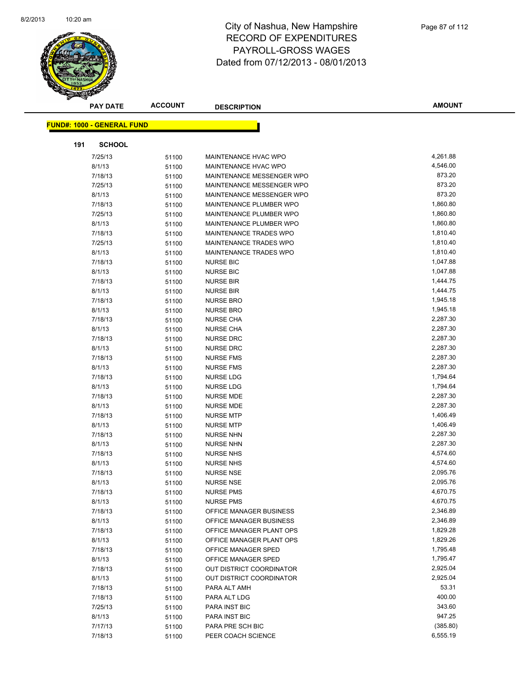

|     | <b>PAY DATE</b>                   | <b>ACCOUNT</b> | <b>DESCRIPTION</b>        | <b>AMOUNT</b> |
|-----|-----------------------------------|----------------|---------------------------|---------------|
|     | <b>FUND#: 1000 - GENERAL FUND</b> |                |                           |               |
|     |                                   |                |                           |               |
| 191 | <b>SCHOOL</b>                     |                |                           |               |
|     | 7/25/13                           | 51100          | MAINTENANCE HVAC WPO      | 4,261.88      |
|     | 8/1/13                            | 51100          | MAINTENANCE HVAC WPO      | 4,546.00      |
|     | 7/18/13                           | 51100          | MAINTENANCE MESSENGER WPO | 873.20        |
|     | 7/25/13                           | 51100          | MAINTENANCE MESSENGER WPO | 873.20        |
|     | 8/1/13                            | 51100          | MAINTENANCE MESSENGER WPO | 873.20        |
|     | 7/18/13                           | 51100          | MAINTENANCE PLUMBER WPO   | 1,860.80      |
|     | 7/25/13                           | 51100          | MAINTENANCE PLUMBER WPO   | 1,860.80      |
|     | 8/1/13                            | 51100          | MAINTENANCE PLUMBER WPO   | 1,860.80      |
|     | 7/18/13                           | 51100          | MAINTENANCE TRADES WPO    | 1,810.40      |
|     | 7/25/13                           | 51100          | MAINTENANCE TRADES WPO    | 1,810.40      |
|     | 8/1/13                            | 51100          | MAINTENANCE TRADES WPO    | 1,810.40      |
|     | 7/18/13                           | 51100          | <b>NURSE BIC</b>          | 1,047.88      |
|     | 8/1/13                            | 51100          | <b>NURSE BIC</b>          | 1,047.88      |
|     | 7/18/13                           | 51100          | <b>NURSE BIR</b>          | 1,444.75      |
|     | 8/1/13                            | 51100          | <b>NURSE BIR</b>          | 1,444.75      |
|     | 7/18/13                           | 51100          | <b>NURSE BRO</b>          | 1,945.18      |
|     | 8/1/13                            | 51100          | <b>NURSE BRO</b>          | 1,945.18      |
|     | 7/18/13                           | 51100          | <b>NURSE CHA</b>          | 2,287.30      |
|     | 8/1/13                            | 51100          | <b>NURSE CHA</b>          | 2,287.30      |
|     | 7/18/13                           | 51100          | <b>NURSE DRC</b>          | 2,287.30      |
|     | 8/1/13                            | 51100          | <b>NURSE DRC</b>          | 2,287.30      |
|     | 7/18/13                           | 51100          | <b>NURSE FMS</b>          | 2,287.30      |
|     | 8/1/13                            | 51100          | <b>NURSE FMS</b>          | 2,287.30      |
|     | 7/18/13                           | 51100          | <b>NURSE LDG</b>          | 1,794.64      |
|     | 8/1/13                            | 51100          | <b>NURSE LDG</b>          | 1,794.64      |
|     | 7/18/13                           | 51100          | <b>NURSE MDE</b>          | 2,287.30      |
|     | 8/1/13                            | 51100          | <b>NURSE MDE</b>          | 2,287.30      |
|     | 7/18/13                           | 51100          | <b>NURSE MTP</b>          | 1,406.49      |
|     | 8/1/13                            | 51100          | <b>NURSE MTP</b>          | 1,406.49      |
|     | 7/18/13                           | 51100          | <b>NURSE NHN</b>          | 2,287.30      |
|     | 8/1/13                            | 51100          | <b>NURSE NHN</b>          | 2,287.30      |
|     | 7/18/13                           | 51100          | <b>NURSE NHS</b>          | 4,574.60      |
|     | 8/1/13                            | 51100          | <b>NURSE NHS</b>          | 4,574.60      |
|     | 7/18/13                           | 51100          | <b>NURSE NSE</b>          | 2,095.76      |
|     | 8/1/13                            | 51100          | <b>NURSE NSE</b>          | 2,095.76      |
|     | 7/18/13                           | 51100          | <b>NURSE PMS</b>          | 4,670.75      |
|     | 8/1/13                            | 51100          | <b>NURSE PMS</b>          | 4,670.75      |
|     | 7/18/13                           | 51100          | OFFICE MANAGER BUSINESS   | 2,346.89      |
|     | 8/1/13                            | 51100          | OFFICE MANAGER BUSINESS   | 2,346.89      |
|     | 7/18/13                           | 51100          | OFFICE MANAGER PLANT OPS  | 1,829.28      |
|     | 8/1/13                            | 51100          | OFFICE MANAGER PLANT OPS  | 1,829.26      |
|     | 7/18/13                           | 51100          | OFFICE MANAGER SPED       | 1,795.48      |
|     | 8/1/13                            | 51100          | OFFICE MANAGER SPED       | 1,795.47      |
|     | 7/18/13                           | 51100          | OUT DISTRICT COORDINATOR  | 2,925.04      |
|     | 8/1/13                            | 51100          | OUT DISTRICT COORDINATOR  | 2,925.04      |
|     | 7/18/13                           | 51100          | PARA ALT AMH              | 53.31         |
|     | 7/18/13                           | 51100          | PARA ALT LDG              | 400.00        |
|     | 7/25/13                           | 51100          | PARA INST BIC             | 343.60        |
|     | 8/1/13                            | 51100          | PARA INST BIC             | 947.25        |
|     | 7/17/13                           | 51100          | PARA PRE SCH BIC          | (385.80)      |
|     | 7/18/13                           | 51100          | PEER COACH SCIENCE        | 6,555.19      |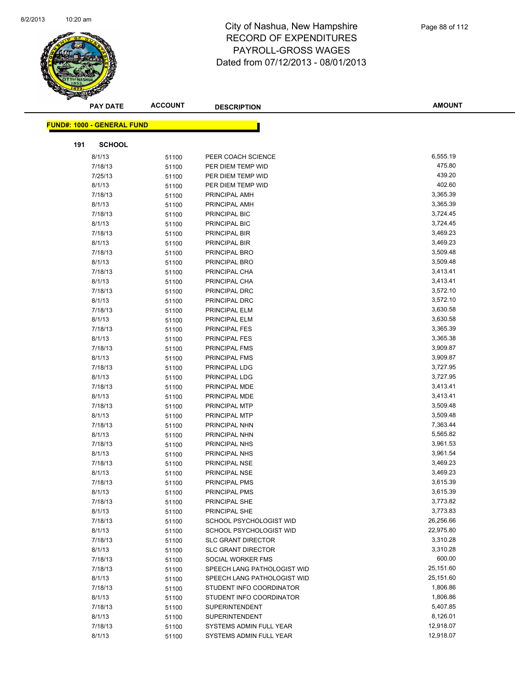

|     | <b>PAY DATE</b>                    | <b>ACCOUNT</b> | <b>DESCRIPTION</b>          | <b>AMOUNT</b> |
|-----|------------------------------------|----------------|-----------------------------|---------------|
|     | <u> FUND#: 1000 - GENERAL FUND</u> |                |                             |               |
| 191 | <b>SCHOOL</b>                      |                |                             |               |
|     | 8/1/13                             |                | PEER COACH SCIENCE          | 6,555.19      |
|     | 7/18/13                            | 51100          | PER DIEM TEMP WID           | 475.80        |
|     | 7/25/13                            | 51100<br>51100 | PER DIEM TEMP WID           | 439.20        |
|     | 8/1/13                             | 51100          | PER DIEM TEMP WID           | 402.60        |
|     | 7/18/13                            | 51100          | PRINCIPAL AMH               | 3,365.39      |
|     | 8/1/13                             | 51100          | PRINCIPAL AMH               | 3,365.39      |
|     | 7/18/13                            | 51100          | PRINCIPAL BIC               | 3,724.45      |
|     | 8/1/13                             | 51100          | PRINCIPAL BIC               | 3,724.45      |
|     | 7/18/13                            | 51100          | PRINCIPAL BIR               | 3,469.23      |
|     | 8/1/13                             | 51100          | PRINCIPAL BIR               | 3,469.23      |
|     | 7/18/13                            | 51100          | PRINCIPAL BRO               | 3,509.48      |
|     | 8/1/13                             | 51100          | PRINCIPAL BRO               | 3,509.48      |
|     | 7/18/13                            | 51100          | PRINCIPAL CHA               | 3,413.41      |
|     | 8/1/13                             | 51100          | PRINCIPAL CHA               | 3,413.41      |
|     | 7/18/13                            | 51100          | PRINCIPAL DRC               | 3,572.10      |
|     | 8/1/13                             | 51100          | PRINCIPAL DRC               | 3,572.10      |
|     | 7/18/13                            | 51100          | PRINCIPAL ELM               | 3,630.58      |
|     | 8/1/13                             | 51100          | PRINCIPAL ELM               | 3,630.58      |
|     | 7/18/13                            | 51100          | <b>PRINCIPAL FES</b>        | 3,365.39      |
|     | 8/1/13                             | 51100          | <b>PRINCIPAL FES</b>        | 3,365.38      |
|     | 7/18/13                            | 51100          | PRINCIPAL FMS               | 3,909.87      |
|     | 8/1/13                             | 51100          | PRINCIPAL FMS               | 3,909.87      |
|     | 7/18/13                            | 51100          | PRINCIPAL LDG               | 3,727.95      |
|     | 8/1/13                             | 51100          | PRINCIPAL LDG               | 3,727.95      |
|     | 7/18/13                            | 51100          | PRINCIPAL MDE               | 3,413.41      |
|     | 8/1/13                             | 51100          | PRINCIPAL MDE               | 3,413.41      |
|     | 7/18/13                            | 51100          | PRINCIPAL MTP               | 3,509.48      |
|     | 8/1/13                             | 51100          | PRINCIPAL MTP               | 3,509.48      |
|     | 7/18/13                            | 51100          | PRINCIPAL NHN               | 7,363.44      |
|     | 8/1/13                             | 51100          | PRINCIPAL NHN               | 5,565.82      |
|     | 7/18/13                            | 51100          | PRINCIPAL NHS               | 3,961.53      |
|     | 8/1/13                             | 51100          | PRINCIPAL NHS               | 3,961.54      |
|     | 7/18/13                            | 51100          | PRINCIPAL NSE               | 3,469.23      |
|     | 8/1/13                             | 51100          | <b>PRINCIPAL NSE</b>        | 3,469.23      |
|     | 7/18/13                            | 51100          | <b>PRINCIPAL PMS</b>        | 3,615.39      |
|     | 8/1/13                             | 51100          | PRINCIPAL PMS               | 3,615.39      |
|     | 7/18/13                            | 51100          | PRINCIPAL SHE               | 3,773.82      |
|     | 8/1/13                             | 51100          | PRINCIPAL SHE               | 3,773.83      |
|     | 7/18/13                            | 51100          | SCHOOL PSYCHOLOGIST WID     | 26,256.66     |
|     | 8/1/13                             | 51100          | SCHOOL PSYCHOLOGIST WID     | 22,975.80     |
|     | 7/18/13                            | 51100          | <b>SLC GRANT DIRECTOR</b>   | 3,310.28      |
|     | 8/1/13                             | 51100          | <b>SLC GRANT DIRECTOR</b>   | 3,310.28      |
|     | 7/18/13                            | 51100          | SOCIAL WORKER FMS           | 600.00        |
|     | 7/18/13                            | 51100          | SPEECH LANG PATHOLOGIST WID | 25,151.60     |
|     | 8/1/13                             | 51100          | SPEECH LANG PATHOLOGIST WID | 25,151.60     |
|     | 7/18/13                            | 51100          | STUDENT INFO COORDINATOR    | 1,806.86      |
|     | 8/1/13                             | 51100          | STUDENT INFO COORDINATOR    | 1,806.86      |
|     | 7/18/13                            | 51100          | <b>SUPERINTENDENT</b>       | 5,407.85      |
|     | 8/1/13                             | 51100          | <b>SUPERINTENDENT</b>       | 8,126.01      |
|     | 7/18/13                            | 51100          | SYSTEMS ADMIN FULL YEAR     | 12,918.07     |
|     | 8/1/13                             | 51100          | SYSTEMS ADMIN FULL YEAR     | 12,918.07     |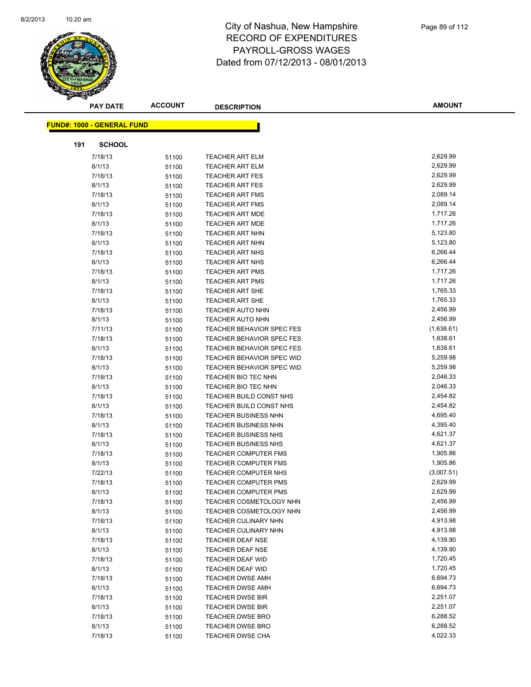

| <b>PAY DATE</b>                   | <b>ACCOUNT</b> | <b>DESCRIPTION</b>          | <b>AMOUNT</b>        |
|-----------------------------------|----------------|-----------------------------|----------------------|
| <b>FUND#: 1000 - GENERAL FUND</b> |                |                             |                      |
|                                   |                |                             |                      |
| 191<br><b>SCHOOL</b>              |                |                             |                      |
| 7/18/13                           | 51100          | <b>TEACHER ART ELM</b>      | 2,629.99             |
| 8/1/13                            | 51100          | <b>TEACHER ART ELM</b>      | 2,629.99             |
| 7/18/13                           | 51100          | <b>TEACHER ART FES</b>      | 2,629.99             |
| 8/1/13                            | 51100          | <b>TEACHER ART FES</b>      | 2,629.99             |
| 7/18/13                           | 51100          | <b>TEACHER ART FMS</b>      | 2,089.14             |
| 8/1/13                            | 51100          | <b>TEACHER ART FMS</b>      | 2,089.14             |
| 7/18/13                           | 51100          | <b>TEACHER ART MDE</b>      | 1,717.26             |
| 8/1/13                            | 51100          | <b>TEACHER ART MDE</b>      | 1,717.26             |
| 7/18/13                           | 51100          | <b>TEACHER ART NHN</b>      | 5,123.80             |
| 8/1/13                            | 51100          | <b>TEACHER ART NHN</b>      | 5,123.80             |
| 7/18/13                           | 51100          | <b>TEACHER ART NHS</b>      | 6,266.44             |
| 8/1/13                            | 51100          | <b>TEACHER ART NHS</b>      | 6,266.44             |
| 7/18/13                           | 51100          | <b>TEACHER ART PMS</b>      | 1,717.26             |
| 8/1/13                            | 51100          | <b>TEACHER ART PMS</b>      | 1,717.26             |
| 7/18/13                           | 51100          | <b>TEACHER ART SHE</b>      | 1,765.33             |
| 8/1/13                            | 51100          | <b>TEACHER ART SHE</b>      | 1,765.33             |
| 7/18/13                           | 51100          | <b>TEACHER AUTO NHN</b>     | 2,456.99             |
| 8/1/13                            | 51100          | <b>TEACHER AUTO NHN</b>     | 2,456.99             |
| 7/11/13                           | 51100          | TEACHER BEHAVIOR SPEC FES   | (1,638.61)           |
| 7/18/13                           | 51100          | TEACHER BEHAVIOR SPEC FES   | 1,638.61             |
| 8/1/13                            | 51100          | TEACHER BEHAVIOR SPEC FES   | 1,638.61             |
| 7/18/13                           | 51100          | TEACHER BEHAVIOR SPEC WID   | 5,259.98             |
| 8/1/13                            | 51100          | TEACHER BEHAVIOR SPEC WID   | 5,259.98             |
| 7/18/13                           | 51100          | TEACHER BIO TEC NHN         | 2,046.33             |
| 8/1/13                            | 51100          | TEACHER BIO TEC NHN         | 2,046.33             |
| 7/18/13                           | 51100          | TEACHER BUILD CONST NHS     | 2,454.82             |
| 8/1/13                            | 51100          | TEACHER BUILD CONST NHS     | 2,454.82             |
| 7/18/13                           | 51100          | <b>TEACHER BUSINESS NHN</b> | 4,695.40             |
| 8/1/13                            | 51100          | <b>TEACHER BUSINESS NHN</b> | 4,395.40             |
| 7/18/13                           | 51100          | <b>TEACHER BUSINESS NHS</b> | 4,621.37             |
| 8/1/13                            | 51100          | <b>TEACHER BUSINESS NHS</b> | 4,621.37             |
| 7/18/13                           | 51100          | <b>TEACHER COMPUTER FMS</b> | 1,905.86             |
| 8/1/13                            | 51100          | <b>TEACHER COMPUTER FMS</b> | 1,905.86             |
| 7/22/13                           | 51100          | TEACHER COMPUTER NHS        | (3,007.51)           |
| 7/18/13                           | 51100          | <b>TEACHER COMPUTER PMS</b> | 2,629.99             |
| 8/1/13                            | 51100          | TEACHER COMPUTER PMS        | 2,629.99             |
| 7/18/13                           | 51100          | TEACHER COSMETOLOGY NHN     | 2,456.99             |
| 8/1/13                            | 51100          | TEACHER COSMETOLOGY NHN     | 2,456.99             |
| 7/18/13                           | 51100          | <b>TEACHER CULINARY NHN</b> | 4,913.98             |
| 8/1/13                            | 51100          | TEACHER CULINARY NHN        | 4,913.98             |
| 7/18/13                           | 51100          | <b>TEACHER DEAF NSE</b>     | 4,139.90             |
| 8/1/13                            | 51100          | <b>TEACHER DEAF NSE</b>     | 4,139.90             |
| 7/18/13                           | 51100          | <b>TEACHER DEAF WID</b>     | 1,720.45             |
| 8/1/13                            | 51100          | <b>TEACHER DEAF WID</b>     | 1,720.45             |
| 7/18/13                           | 51100          | <b>TEACHER DWSE AMH</b>     | 6,694.73             |
| 8/1/13                            | 51100          | <b>TEACHER DWSE AMH</b>     | 6,694.73             |
| 7/18/13                           | 51100          | <b>TEACHER DWSE BIR</b>     | 2,251.07             |
| 8/1/13                            | 51100          | TEACHER DWSE BIR            | 2,251.07             |
| 7/18/13                           | 51100          | <b>TEACHER DWSE BRO</b>     | 6,288.52<br>6,288.52 |
| 8/1/13<br>7/18/13                 | 51100          | <b>TEACHER DWSE BRO</b>     | 4,022.33             |
|                                   | 51100          | <b>TEACHER DWSE CHA</b>     |                      |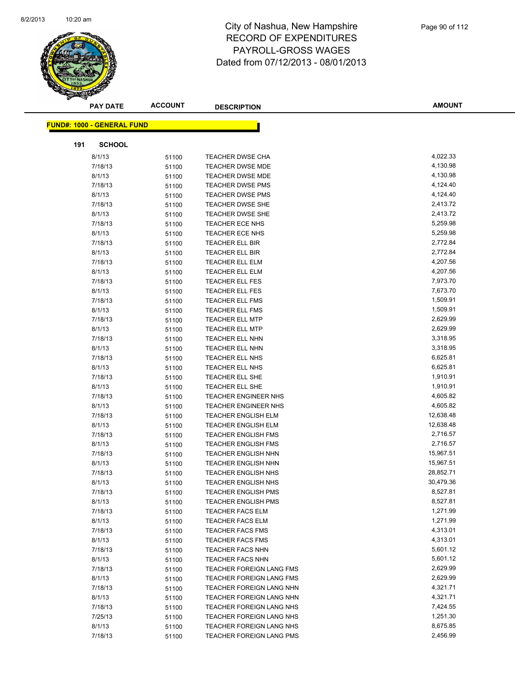

| <b>PAY DATE</b>                   | <b>ACCOUNT</b> | <b>DESCRIPTION</b>                                 | <b>AMOUNT</b>        |
|-----------------------------------|----------------|----------------------------------------------------|----------------------|
| <b>FUND#: 1000 - GENERAL FUND</b> |                |                                                    |                      |
|                                   |                |                                                    |                      |
| 191<br><b>SCHOOL</b>              |                |                                                    |                      |
| 8/1/13                            | 51100          | <b>TEACHER DWSE CHA</b>                            | 4,022.33             |
| 7/18/13                           | 51100          | <b>TEACHER DWSE MDE</b>                            | 4,130.98             |
| 8/1/13                            | 51100          | <b>TEACHER DWSE MDE</b>                            | 4,130.98             |
| 7/18/13                           | 51100          | <b>TEACHER DWSE PMS</b>                            | 4,124.40             |
| 8/1/13                            | 51100          | TEACHER DWSE PMS                                   | 4,124.40             |
| 7/18/13                           | 51100          | <b>TEACHER DWSE SHE</b>                            | 2,413.72             |
| 8/1/13                            | 51100          | <b>TEACHER DWSE SHE</b>                            | 2,413.72             |
| 7/18/13                           | 51100          | <b>TEACHER ECE NHS</b>                             | 5,259.98             |
| 8/1/13                            | 51100          | <b>TEACHER ECE NHS</b>                             | 5,259.98             |
| 7/18/13                           | 51100          | TEACHER ELL BIR                                    | 2,772.84             |
| 8/1/13                            | 51100          | <b>TEACHER ELL BIR</b>                             | 2,772.84             |
| 7/18/13                           | 51100          | <b>TEACHER ELL ELM</b>                             | 4,207.56             |
| 8/1/13                            | 51100          | <b>TEACHER ELL ELM</b>                             | 4,207.56             |
| 7/18/13                           | 51100          | <b>TEACHER ELL FES</b>                             | 7,973.70             |
| 8/1/13                            | 51100          | <b>TEACHER ELL FES</b>                             | 7,673.70             |
| 7/18/13                           | 51100          | <b>TEACHER ELL FMS</b>                             | 1,509.91             |
| 8/1/13                            | 51100          | TEACHER ELL FMS                                    | 1,509.91             |
| 7/18/13                           | 51100          | <b>TEACHER ELL MTP</b>                             | 2,629.99             |
| 8/1/13                            | 51100          | <b>TEACHER ELL MTP</b>                             | 2,629.99             |
| 7/18/13                           | 51100          | TEACHER ELL NHN                                    | 3,318.95             |
| 8/1/13                            | 51100          | <b>TEACHER ELL NHN</b>                             | 3,318.95             |
| 7/18/13                           | 51100          | TEACHER ELL NHS                                    | 6,625.81             |
| 8/1/13                            | 51100          | TEACHER ELL NHS                                    | 6,625.81             |
| 7/18/13                           | 51100          | TEACHER ELL SHE                                    | 1,910.91             |
| 8/1/13                            | 51100          | <b>TEACHER ELL SHE</b>                             | 1,910.91             |
| 7/18/13                           | 51100          | TEACHER ENGINEER NHS                               | 4,605.82             |
| 8/1/13                            | 51100          | <b>TEACHER ENGINEER NHS</b>                        | 4,605.82             |
| 7/18/13                           | 51100          | <b>TEACHER ENGLISH ELM</b>                         | 12,638.48            |
| 8/1/13                            | 51100          | <b>TEACHER ENGLISH ELM</b>                         | 12,638.48            |
| 7/18/13                           | 51100          | <b>TEACHER ENGLISH FMS</b>                         | 2,716.57             |
| 8/1/13                            | 51100          | <b>TEACHER ENGLISH FMS</b>                         | 2,716.57             |
| 7/18/13                           | 51100          | <b>TEACHER ENGLISH NHN</b>                         | 15,967.51            |
| 8/1/13                            | 51100          | TEACHER ENGLISH NHN                                | 15,967.51            |
| 7/18/13                           | 51100          | <b>TEACHER ENGLISH NHS</b>                         | 28,852.71            |
| 8/1/13                            | 51100          | <b>TEACHER ENGLISH NHS</b>                         | 30,479.36            |
| 7/18/13                           | 51100          | TEACHER ENGLISH PMS                                | 8,527.81<br>8,527.81 |
| 8/1/13<br>7/18/13                 | 51100          | <b>TEACHER ENGLISH PMS</b>                         | 1,271.99             |
|                                   | 51100          | <b>TEACHER FACS ELM</b>                            | 1,271.99             |
| 8/1/13<br>7/18/13                 | 51100          | <b>TEACHER FACS ELM</b><br><b>TEACHER FACS FMS</b> | 4,313.01             |
| 8/1/13                            | 51100          | <b>TEACHER FACS FMS</b>                            | 4,313.01             |
| 7/18/13                           | 51100          | <b>TEACHER FACS NHN</b>                            | 5,601.12             |
| 8/1/13                            | 51100          | <b>TEACHER FACS NHN</b>                            | 5,601.12             |
| 7/18/13                           | 51100<br>51100 | <b>TEACHER FOREIGN LANG FMS</b>                    | 2,629.99             |
| 8/1/13                            | 51100          | <b>TEACHER FOREIGN LANG FMS</b>                    | 2,629.99             |
| 7/18/13                           | 51100          | <b>TEACHER FOREIGN LANG NHN</b>                    | 4,321.71             |
| 8/1/13                            | 51100          | TEACHER FOREIGN LANG NHN                           | 4,321.71             |
| 7/18/13                           | 51100          | TEACHER FOREIGN LANG NHS                           | 7,424.55             |
| 7/25/13                           | 51100          | <b>TEACHER FOREIGN LANG NHS</b>                    | 1,251.30             |
| 8/1/13                            | 51100          | TEACHER FOREIGN LANG NHS                           | 8,675.85             |
| 7/18/13                           | 51100          | <b>TEACHER FOREIGN LANG PMS</b>                    | 2,456.99             |
|                                   |                |                                                    |                      |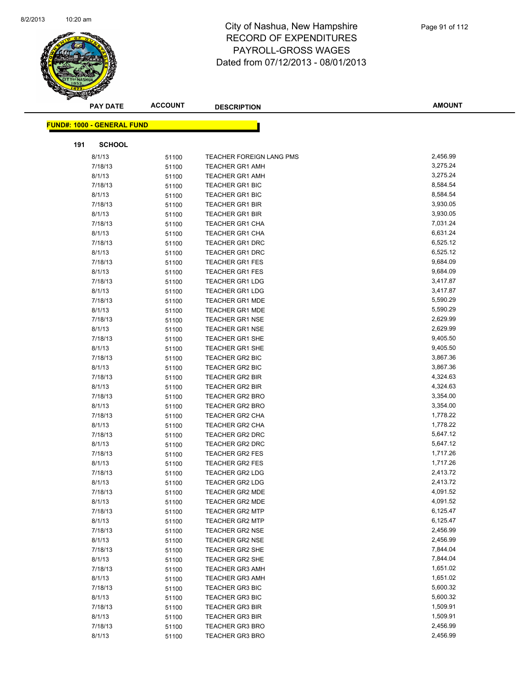

|     | <b>PAY DATE</b>                    | <b>ACCOUNT</b> | <b>DESCRIPTION</b>                               | <b>AMOUNT</b>        |
|-----|------------------------------------|----------------|--------------------------------------------------|----------------------|
|     | <u> FUND#: 1000 - GENERAL FUND</u> |                |                                                  |                      |
| 191 | <b>SCHOOL</b>                      |                |                                                  |                      |
|     |                                    |                |                                                  | 2,456.99             |
|     | 8/1/13                             | 51100          | TEACHER FOREIGN LANG PMS                         |                      |
|     | 7/18/13                            | 51100          | <b>TEACHER GR1 AMH</b>                           | 3,275.24<br>3,275.24 |
|     | 8/1/13                             | 51100          | <b>TEACHER GR1 AMH</b>                           |                      |
|     | 7/18/13                            | 51100          | <b>TEACHER GR1 BIC</b>                           | 8,584.54             |
|     | 8/1/13                             | 51100          | <b>TEACHER GR1 BIC</b>                           | 8,584.54             |
|     | 7/18/13                            | 51100          | <b>TEACHER GR1 BIR</b>                           | 3,930.05<br>3,930.05 |
|     | 8/1/13                             | 51100          | <b>TEACHER GR1 BIR</b>                           | 7,031.24             |
|     | 7/18/13                            | 51100          | <b>TEACHER GR1 CHA</b>                           | 6,631.24             |
|     | 8/1/13<br>7/18/13                  | 51100          | <b>TEACHER GR1 CHA</b>                           | 6,525.12             |
|     | 8/1/13                             | 51100          | <b>TEACHER GR1 DRC</b><br><b>TEACHER GR1 DRC</b> | 6,525.12             |
|     | 7/18/13                            | 51100          | <b>TEACHER GR1 FES</b>                           | 9,684.09             |
|     | 8/1/13                             | 51100          | <b>TEACHER GR1 FES</b>                           | 9,684.09             |
|     | 7/18/13                            | 51100          | <b>TEACHER GR1 LDG</b>                           | 3,417.87             |
|     | 8/1/13                             | 51100          | <b>TEACHER GR1 LDG</b>                           | 3,417.87             |
|     |                                    | 51100          | <b>TEACHER GR1 MDE</b>                           | 5,590.29             |
|     | 7/18/13<br>8/1/13                  | 51100          | <b>TEACHER GR1 MDE</b>                           | 5,590.29             |
|     |                                    | 51100          |                                                  | 2,629.99             |
|     | 7/18/13                            | 51100          | <b>TEACHER GR1 NSE</b><br><b>TEACHER GR1 NSE</b> | 2,629.99             |
|     | 8/1/13                             | 51100          |                                                  | 9,405.50             |
|     | 7/18/13                            | 51100          | <b>TEACHER GR1 SHE</b><br><b>TEACHER GR1 SHE</b> |                      |
|     | 8/1/13                             | 51100          |                                                  | 9,405.50<br>3,867.36 |
|     | 7/18/13<br>8/1/13                  | 51100          | TEACHER GR2 BIC<br>TEACHER GR2 BIC               | 3,867.36             |
|     | 7/18/13                            | 51100          | <b>TEACHER GR2 BIR</b>                           | 4,324.63             |
|     | 8/1/13                             | 51100          | TEACHER GR2 BIR                                  | 4,324.63             |
|     | 7/18/13                            | 51100          | <b>TEACHER GR2 BRO</b>                           | 3,354.00             |
|     | 8/1/13                             | 51100          | <b>TEACHER GR2 BRO</b>                           | 3,354.00             |
|     | 7/18/13                            | 51100          | <b>TEACHER GR2 CHA</b>                           | 1,778.22             |
|     | 8/1/13                             | 51100<br>51100 | TEACHER GR2 CHA                                  | 1,778.22             |
|     | 7/18/13                            | 51100          | TEACHER GR2 DRC                                  | 5,647.12             |
|     | 8/1/13                             | 51100          | <b>TEACHER GR2 DRC</b>                           | 5,647.12             |
|     | 7/18/13                            | 51100          | <b>TEACHER GR2 FES</b>                           | 1,717.26             |
|     | 8/1/13                             | 51100          | <b>TEACHER GR2 FES</b>                           | 1,717.26             |
|     | 7/18/13                            |                | <b>TEACHER GR2 LDG</b>                           | 2,413.72             |
|     | 8/1/13                             | 51100<br>51100 | <b>TEACHER GR2 LDG</b>                           | 2,413.72             |
|     | 7/18/13                            | 51100          | TEACHER GR2 MDE                                  | 4,091.52             |
|     | 8/1/13                             | 51100          | <b>TEACHER GR2 MDE</b>                           | 4,091.52             |
|     | 7/18/13                            | 51100          | <b>TEACHER GR2 MTP</b>                           | 6,125.47             |
|     | 8/1/13                             | 51100          | <b>TEACHER GR2 MTP</b>                           | 6,125.47             |
|     | 7/18/13                            | 51100          | <b>TEACHER GR2 NSE</b>                           | 2,456.99             |
|     | 8/1/13                             | 51100          | <b>TEACHER GR2 NSE</b>                           | 2,456.99             |
|     | 7/18/13                            | 51100          | <b>TEACHER GR2 SHE</b>                           | 7,844.04             |
|     | 8/1/13                             | 51100          | <b>TEACHER GR2 SHE</b>                           | 7,844.04             |
|     | 7/18/13                            | 51100          | <b>TEACHER GR3 AMH</b>                           | 1,651.02             |
|     | 8/1/13                             | 51100          | <b>TEACHER GR3 AMH</b>                           | 1,651.02             |
|     | 7/18/13                            | 51100          | <b>TEACHER GR3 BIC</b>                           | 5,600.32             |
|     | 8/1/13                             |                | <b>TEACHER GR3 BIC</b>                           | 5,600.32             |
|     | 7/18/13                            | 51100<br>51100 | <b>TEACHER GR3 BIR</b>                           | 1,509.91             |
|     | 8/1/13                             |                | <b>TEACHER GR3 BIR</b>                           | 1,509.91             |
|     | 7/18/13                            | 51100<br>51100 | <b>TEACHER GR3 BRO</b>                           | 2,456.99             |
|     | 8/1/13                             | 51100          | <b>TEACHER GR3 BRO</b>                           | 2,456.99             |
|     |                                    |                |                                                  |                      |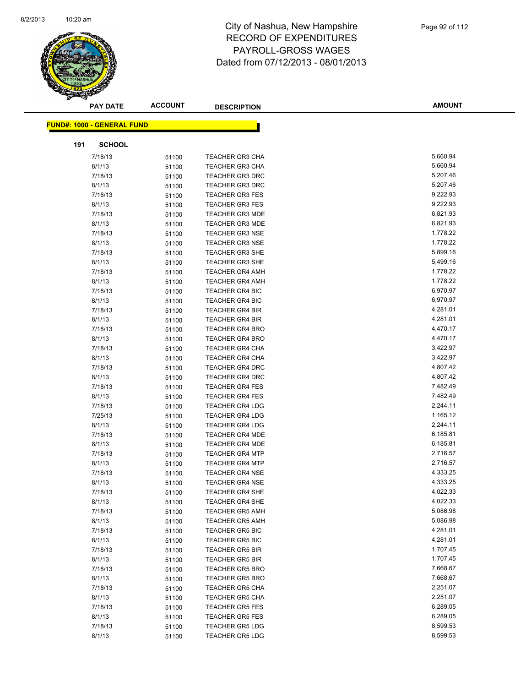

|     | <b>PAY DATE</b>                   | <b>ACCOUNT</b> | <b>DESCRIPTION</b>                               | <b>AMOUNT</b>        |  |
|-----|-----------------------------------|----------------|--------------------------------------------------|----------------------|--|
|     | <b>FUND#: 1000 - GENERAL FUND</b> |                |                                                  |                      |  |
|     |                                   |                |                                                  |                      |  |
| 191 | <b>SCHOOL</b>                     |                |                                                  |                      |  |
|     | 7/18/13                           | 51100          | <b>TEACHER GR3 CHA</b>                           | 5,660.94             |  |
|     | 8/1/13                            | 51100          | <b>TEACHER GR3 CHA</b>                           | 5,660.94             |  |
|     | 7/18/13                           | 51100          | <b>TEACHER GR3 DRC</b>                           | 5,207.46             |  |
|     | 8/1/13                            | 51100          | <b>TEACHER GR3 DRC</b>                           | 5,207.46             |  |
|     | 7/18/13                           | 51100          | <b>TEACHER GR3 FES</b>                           | 9,222.93             |  |
|     | 8/1/13                            | 51100          | <b>TEACHER GR3 FES</b>                           | 9,222.93             |  |
|     | 7/18/13                           | 51100          | <b>TEACHER GR3 MDE</b>                           | 6,821.93             |  |
|     | 8/1/13                            | 51100          | <b>TEACHER GR3 MDE</b>                           | 6,821.93             |  |
|     | 7/18/13                           | 51100          | <b>TEACHER GR3 NSE</b>                           | 1,778.22             |  |
|     | 8/1/13                            | 51100          | <b>TEACHER GR3 NSE</b>                           | 1,778.22             |  |
|     | 7/18/13                           | 51100          | <b>TEACHER GR3 SHE</b>                           | 5,899.16             |  |
|     | 8/1/13                            | 51100          | <b>TEACHER GR3 SHE</b>                           | 5,499.16             |  |
|     | 7/18/13                           | 51100          | <b>TEACHER GR4 AMH</b>                           | 1,778.22             |  |
|     | 8/1/13                            | 51100          | <b>TEACHER GR4 AMH</b>                           | 1,778.22             |  |
|     | 7/18/13                           | 51100          | <b>TEACHER GR4 BIC</b>                           | 6,970.97             |  |
|     | 8/1/13                            | 51100          | <b>TEACHER GR4 BIC</b>                           | 6,970.97             |  |
|     | 7/18/13                           | 51100          | <b>TEACHER GR4 BIR</b>                           | 4,281.01             |  |
|     | 8/1/13                            | 51100          | <b>TEACHER GR4 BIR</b>                           | 4,281.01             |  |
|     | 7/18/13                           | 51100          | <b>TEACHER GR4 BRO</b>                           | 4,470.17             |  |
|     | 8/1/13                            | 51100          | <b>TEACHER GR4 BRO</b>                           | 4,470.17             |  |
|     | 7/18/13                           | 51100          | <b>TEACHER GR4 CHA</b>                           | 3,422.97             |  |
|     | 8/1/13                            | 51100          | <b>TEACHER GR4 CHA</b>                           | 3,422.97             |  |
|     | 7/18/13                           | 51100          | <b>TEACHER GR4 DRC</b>                           | 4,807.42             |  |
|     | 8/1/13                            | 51100          | <b>TEACHER GR4 DRC</b>                           | 4,807.42             |  |
|     | 7/18/13                           | 51100          | <b>TEACHER GR4 FES</b>                           | 7,482.49             |  |
|     | 8/1/13                            | 51100          | <b>TEACHER GR4 FES</b>                           | 7,482.49             |  |
|     | 7/18/13                           | 51100          | <b>TEACHER GR4 LDG</b>                           | 2,244.11             |  |
|     | 7/25/13                           | 51100          | <b>TEACHER GR4 LDG</b>                           | 1,165.12             |  |
|     | 8/1/13                            | 51100          | <b>TEACHER GR4 LDG</b>                           | 2,244.11             |  |
|     | 7/18/13                           | 51100          | <b>TEACHER GR4 MDE</b>                           | 6,185.81             |  |
|     | 8/1/13                            | 51100          | <b>TEACHER GR4 MDE</b>                           | 6,185.81             |  |
|     | 7/18/13                           | 51100          | <b>TEACHER GR4 MTP</b>                           | 2,716.57             |  |
|     | 8/1/13                            | 51100          | <b>TEACHER GR4 MTP</b>                           | 2,716.57             |  |
|     | 7/18/13                           | 51100          | <b>TEACHER GR4 NSE</b>                           | 4,333.25             |  |
|     | 8/1/13                            | 51100          | <b>TEACHER GR4 NSE</b>                           | 4,333.25             |  |
|     | 7/18/13                           | 51100          | <b>TEACHER GR4 SHE</b>                           | 4,022.33<br>4,022.33 |  |
|     | 8/1/13                            | 51100          | <b>TEACHER GR4 SHE</b>                           | 5,086.98             |  |
|     | 7/18/13                           | 51100          | <b>TEACHER GR5 AMH</b>                           | 5,086.98             |  |
|     | 8/1/13<br>7/18/13                 | 51100          | <b>TEACHER GR5 AMH</b><br><b>TEACHER GR5 BIC</b> | 4,281.01             |  |
|     | 8/1/13                            | 51100          | <b>TEACHER GR5 BIC</b>                           | 4,281.01             |  |
|     | 7/18/13                           | 51100          | <b>TEACHER GR5 BIR</b>                           | 1,707.45             |  |
|     | 8/1/13                            | 51100          | <b>TEACHER GR5 BIR</b>                           | 1,707.45             |  |
|     | 7/18/13                           | 51100<br>51100 | <b>TEACHER GR5 BRO</b>                           | 7,668.67             |  |
|     | 8/1/13                            | 51100          | <b>TEACHER GR5 BRO</b>                           | 7,668.67             |  |
|     | 7/18/13                           | 51100          | <b>TEACHER GR5 CHA</b>                           | 2,251.07             |  |
|     | 8/1/13                            | 51100          | <b>TEACHER GR5 CHA</b>                           | 2,251.07             |  |
|     | 7/18/13                           | 51100          | <b>TEACHER GR5 FES</b>                           | 6,289.05             |  |
|     | 8/1/13                            | 51100          | <b>TEACHER GR5 FES</b>                           | 6,289.05             |  |
|     | 7/18/13                           | 51100          | <b>TEACHER GR5 LDG</b>                           | 8,599.53             |  |
|     | 8/1/13                            | 51100          | <b>TEACHER GR5 LDG</b>                           | 8,599.53             |  |
|     |                                   |                |                                                  |                      |  |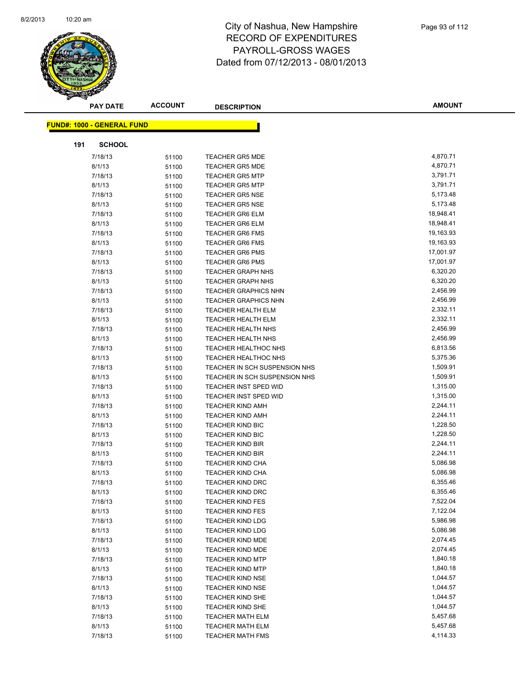

|     | <b>PAY DATE</b>            | <b>ACCOUNT</b> | <b>DESCRIPTION</b>            | <b>AMOUNT</b> |
|-----|----------------------------|----------------|-------------------------------|---------------|
|     | FUND#: 1000 - GENERAL FUND |                |                               |               |
|     |                            |                |                               |               |
| 191 | <b>SCHOOL</b>              |                |                               |               |
|     | 7/18/13                    | 51100          | <b>TEACHER GR5 MDE</b>        | 4,870.71      |
|     | 8/1/13                     | 51100          | <b>TEACHER GR5 MDE</b>        | 4,870.71      |
|     | 7/18/13                    | 51100          | <b>TEACHER GR5 MTP</b>        | 3,791.71      |
|     | 8/1/13                     | 51100          | <b>TEACHER GR5 MTP</b>        | 3,791.71      |
|     | 7/18/13                    | 51100          | <b>TEACHER GR5 NSE</b>        | 5,173.48      |
|     | 8/1/13                     | 51100          | <b>TEACHER GR5 NSE</b>        | 5,173.48      |
|     | 7/18/13                    | 51100          | <b>TEACHER GR6 ELM</b>        | 18,948.41     |
|     | 8/1/13                     | 51100          | <b>TEACHER GR6 ELM</b>        | 18,948.41     |
|     | 7/18/13                    | 51100          | <b>TEACHER GR6 FMS</b>        | 19,163.93     |
|     | 8/1/13                     | 51100          | <b>TEACHER GR6 FMS</b>        | 19,163.93     |
|     | 7/18/13                    | 51100          | <b>TEACHER GR6 PMS</b>        | 17,001.97     |
|     | 8/1/13                     | 51100          | <b>TEACHER GR6 PMS</b>        | 17,001.97     |
|     | 7/18/13                    | 51100          | <b>TEACHER GRAPH NHS</b>      | 6,320.20      |
|     | 8/1/13                     | 51100          | <b>TEACHER GRAPH NHS</b>      | 6,320.20      |
|     | 7/18/13                    | 51100          | <b>TEACHER GRAPHICS NHN</b>   | 2,456.99      |
|     | 8/1/13                     | 51100          | <b>TEACHER GRAPHICS NHN</b>   | 2,456.99      |
|     | 7/18/13                    | 51100          | <b>TEACHER HEALTH ELM</b>     | 2,332.11      |
|     | 8/1/13                     | 51100          | <b>TEACHER HEALTH ELM</b>     | 2,332.11      |
|     | 7/18/13                    | 51100          | <b>TEACHER HEALTH NHS</b>     | 2,456.99      |
|     | 8/1/13                     | 51100          | <b>TEACHER HEALTH NHS</b>     | 2,456.99      |
|     | 7/18/13                    | 51100          | <b>TEACHER HEALTHOC NHS</b>   | 6,813.56      |
|     | 8/1/13                     | 51100          | <b>TEACHER HEALTHOC NHS</b>   | 5,375.36      |
|     | 7/18/13                    | 51100          | TEACHER IN SCH SUSPENSION NHS | 1,509.91      |
|     | 8/1/13                     | 51100          | TEACHER IN SCH SUSPENSION NHS | 1,509.91      |
|     | 7/18/13                    | 51100          | TEACHER INST SPED WID         | 1,315.00      |
|     | 8/1/13                     | 51100          | <b>TEACHER INST SPED WID</b>  | 1,315.00      |
|     | 7/18/13                    | 51100          | <b>TEACHER KIND AMH</b>       | 2,244.11      |
|     | 8/1/13                     | 51100          | <b>TEACHER KIND AMH</b>       | 2,244.11      |
|     | 7/18/13                    | 51100          | <b>TEACHER KIND BIC</b>       | 1,228.50      |
|     | 8/1/13                     | 51100          | <b>TEACHER KIND BIC</b>       | 1,228.50      |
|     | 7/18/13                    | 51100          | <b>TEACHER KIND BIR</b>       | 2,244.11      |
|     | 8/1/13                     | 51100          | <b>TEACHER KIND BIR</b>       | 2,244.11      |
|     | 7/18/13                    | 51100          | <b>TEACHER KIND CHA</b>       | 5,086.98      |
|     | 8/1/13                     | 51100          | <b>TEACHER KIND CHA</b>       | 5,086.98      |
|     | 7/18/13                    | 51100          | <b>TEACHER KIND DRC</b>       | 6,355.46      |
|     | 8/1/13                     | 51100          | TEACHER KIND DRC              | 6,355.46      |
|     | 7/18/13                    | 51100          | <b>TEACHER KIND FES</b>       | 7,522.04      |
|     | 8/1/13                     | 51100          | <b>TEACHER KIND FES</b>       | 7,122.04      |
|     | 7/18/13                    | 51100          | <b>TEACHER KIND LDG</b>       | 5,986.98      |
|     | 8/1/13                     | 51100          | <b>TEACHER KIND LDG</b>       | 5,086.98      |
|     | 7/18/13                    | 51100          | <b>TEACHER KIND MDE</b>       | 2,074.45      |
|     | 8/1/13                     | 51100          | TEACHER KIND MDE              | 2,074.45      |
|     | 7/18/13                    | 51100          | <b>TEACHER KIND MTP</b>       | 1,840.18      |
|     | 8/1/13                     | 51100          | <b>TEACHER KIND MTP</b>       | 1,840.18      |
|     | 7/18/13                    | 51100          | <b>TEACHER KIND NSE</b>       | 1,044.57      |
|     | 8/1/13                     | 51100          | <b>TEACHER KIND NSE</b>       | 1,044.57      |
|     | 7/18/13                    | 51100          | <b>TEACHER KIND SHE</b>       | 1,044.57      |
|     | 8/1/13                     | 51100          | TEACHER KIND SHE              | 1,044.57      |
|     | 7/18/13                    | 51100          | <b>TEACHER MATH ELM</b>       | 5,457.68      |
|     | 8/1/13                     | 51100          | <b>TEACHER MATH ELM</b>       | 5,457.68      |
|     | 7/18/13                    | 51100          | TEACHER MATH FMS              | 4,114.33      |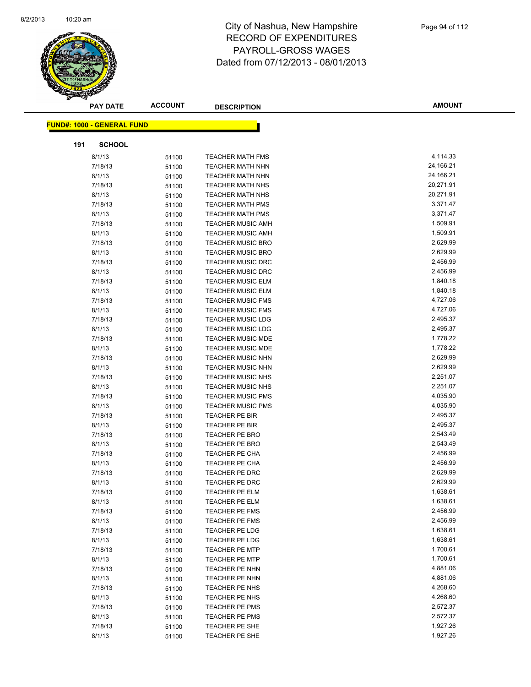

|     | <b>PAY DATE</b>                   | <b>ACCOUNT</b> | <b>DESCRIPTION</b>       | <b>AMOUNT</b>        |
|-----|-----------------------------------|----------------|--------------------------|----------------------|
|     | <b>FUND#: 1000 - GENERAL FUND</b> |                |                          |                      |
|     |                                   |                |                          |                      |
| 191 | <b>SCHOOL</b>                     |                |                          |                      |
|     | 8/1/13                            | 51100          | <b>TEACHER MATH FMS</b>  | 4,114.33             |
|     | 7/18/13                           | 51100          | <b>TEACHER MATH NHN</b>  | 24,166.21            |
|     | 8/1/13                            | 51100          | <b>TEACHER MATH NHN</b>  | 24,166.21            |
|     | 7/18/13                           | 51100          | <b>TEACHER MATH NHS</b>  | 20,271.91            |
|     | 8/1/13                            | 51100          | <b>TEACHER MATH NHS</b>  | 20,271.91            |
|     | 7/18/13                           | 51100          | <b>TEACHER MATH PMS</b>  | 3,371.47             |
|     | 8/1/13                            | 51100          | <b>TEACHER MATH PMS</b>  | 3,371.47             |
|     | 7/18/13                           | 51100          | <b>TEACHER MUSIC AMH</b> | 1,509.91             |
|     | 8/1/13                            | 51100          | <b>TEACHER MUSIC AMH</b> | 1,509.91             |
|     | 7/18/13                           | 51100          | <b>TEACHER MUSIC BRO</b> | 2,629.99             |
|     | 8/1/13                            | 51100          | <b>TEACHER MUSIC BRO</b> | 2,629.99             |
|     | 7/18/13                           | 51100          | <b>TEACHER MUSIC DRC</b> | 2,456.99             |
|     | 8/1/13                            | 51100          | <b>TEACHER MUSIC DRC</b> | 2,456.99             |
|     | 7/18/13                           | 51100          | <b>TEACHER MUSIC ELM</b> | 1,840.18             |
|     | 8/1/13                            | 51100          | <b>TEACHER MUSIC ELM</b> | 1,840.18             |
|     | 7/18/13                           | 51100          | <b>TEACHER MUSIC FMS</b> | 4,727.06             |
|     | 8/1/13                            | 51100          | <b>TEACHER MUSIC FMS</b> | 4,727.06             |
|     | 7/18/13                           | 51100          | <b>TEACHER MUSIC LDG</b> | 2,495.37             |
|     | 8/1/13                            | 51100          | <b>TEACHER MUSIC LDG</b> | 2,495.37             |
|     | 7/18/13                           | 51100          | <b>TEACHER MUSIC MDE</b> | 1,778.22             |
|     | 8/1/13                            | 51100          | <b>TEACHER MUSIC MDE</b> | 1,778.22             |
|     | 7/18/13                           | 51100          | <b>TEACHER MUSIC NHN</b> | 2,629.99             |
|     | 8/1/13                            | 51100          | TEACHER MUSIC NHN        | 2,629.99             |
|     | 7/18/13                           | 51100          | <b>TEACHER MUSIC NHS</b> | 2,251.07             |
|     | 8/1/13                            | 51100          | <b>TEACHER MUSIC NHS</b> | 2,251.07             |
|     | 7/18/13                           | 51100          | <b>TEACHER MUSIC PMS</b> | 4,035.90             |
|     | 8/1/13                            | 51100          | <b>TEACHER MUSIC PMS</b> | 4,035.90             |
|     | 7/18/13                           | 51100          | <b>TEACHER PE BIR</b>    | 2,495.37             |
|     | 8/1/13                            | 51100          | TEACHER PE BIR           | 2,495.37             |
|     | 7/18/13                           | 51100          | TEACHER PE BRO           | 2,543.49             |
|     | 8/1/13                            | 51100          | TEACHER PE BRO           | 2,543.49             |
|     | 7/18/13                           | 51100          | TEACHER PE CHA           | 2,456.99             |
|     | 8/1/13                            | 51100          | TEACHER PE CHA           | 2,456.99             |
|     | 7/18/13                           | 51100          | TEACHER PE DRC           | 2,629.99             |
|     | 8/1/13                            | 51100          | TEACHER PE DRC           | 2,629.99             |
|     | 7/18/13                           | 51100          | TEACHER PE ELM           | 1,638.61             |
|     | 8/1/13                            | 51100          | <b>TEACHER PE ELM</b>    | 1,638.61             |
|     | 7/18/13                           | 51100          | TEACHER PE FMS           | 2,456.99             |
|     | 8/1/13                            | 51100          | TEACHER PE FMS           | 2,456.99             |
|     | 7/18/13                           | 51100          | TEACHER PE LDG           | 1,638.61             |
|     | 8/1/13                            | 51100          | <b>TEACHER PE LDG</b>    | 1,638.61             |
|     | 7/18/13                           | 51100          | <b>TEACHER PE MTP</b>    | 1,700.61             |
|     | 8/1/13                            | 51100          | <b>TEACHER PE MTP</b>    | 1,700.61             |
|     | 7/18/13                           | 51100          | TEACHER PE NHN           | 4,881.06             |
|     | 8/1/13                            | 51100          | TEACHER PE NHN           | 4,881.06             |
|     | 7/18/13                           | 51100          | TEACHER PE NHS           | 4,268.60             |
|     | 8/1/13                            | 51100          | TEACHER PE NHS           | 4,268.60             |
|     | 7/18/13                           | 51100          | TEACHER PE PMS           | 2,572.37             |
|     | 8/1/13                            | 51100          | TEACHER PE PMS           | 2,572.37<br>1,927.26 |
|     | 7/18/13<br>8/1/13                 | 51100          | TEACHER PE SHE           | 1,927.26             |
|     |                                   | 51100          | TEACHER PE SHE           |                      |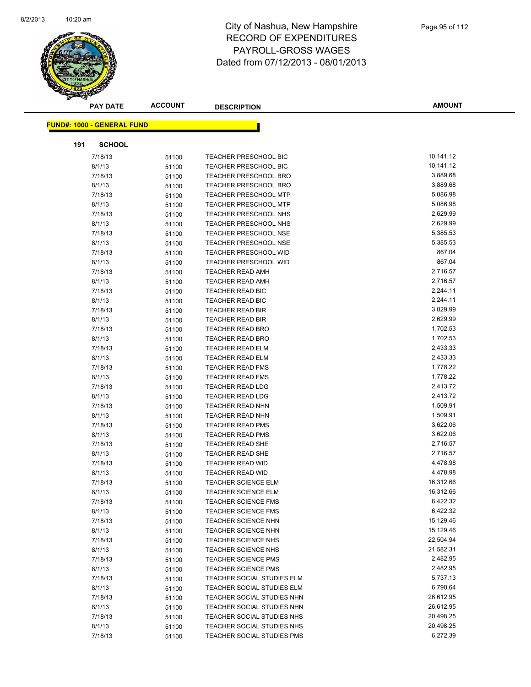

|     | <b>PAY DATE</b>                   | <b>ACCOUNT</b> | <b>DESCRIPTION</b>                                       | <b>AMOUNT</b>         |
|-----|-----------------------------------|----------------|----------------------------------------------------------|-----------------------|
|     | <b>FUND#: 1000 - GENERAL FUND</b> |                |                                                          |                       |
|     |                                   |                |                                                          |                       |
| 191 | <b>SCHOOL</b>                     |                |                                                          |                       |
|     | 7/18/13                           | 51100          | TEACHER PRESCHOOL BIC                                    | 10,141.12             |
|     | 8/1/13                            | 51100          | <b>TEACHER PRESCHOOL BIC</b>                             | 10,141.12             |
|     | 7/18/13                           | 51100          | <b>TEACHER PRESCHOOL BRO</b>                             | 3,889.68              |
|     | 8/1/13                            | 51100          | TEACHER PRESCHOOL BRO                                    | 3,889.68              |
|     | 7/18/13                           | 51100          | <b>TEACHER PRESCHOOL MTP</b>                             | 5,086.98              |
|     | 8/1/13                            | 51100          | <b>TEACHER PRESCHOOL MTP</b>                             | 5,086.98              |
|     | 7/18/13                           | 51100          | TEACHER PRESCHOOL NHS                                    | 2,629.99              |
|     | 8/1/13                            | 51100          | TEACHER PRESCHOOL NHS                                    | 2,629.99              |
|     | 7/18/13                           | 51100          | <b>TEACHER PRESCHOOL NSE</b>                             | 5,385.53              |
|     | 8/1/13                            | 51100          | <b>TEACHER PRESCHOOL NSE</b>                             | 5,385.53              |
|     | 7/18/13                           | 51100          | <b>TEACHER PRESCHOOL WID</b>                             | 867.04                |
|     | 8/1/13                            | 51100          | <b>TEACHER PRESCHOOL WID</b>                             | 867.04                |
|     | 7/18/13                           | 51100          | <b>TEACHER READ AMH</b>                                  | 2,716.57              |
|     | 8/1/13                            | 51100          | <b>TEACHER READ AMH</b>                                  | 2,716.57              |
|     | 7/18/13                           | 51100          | TEACHER READ BIC                                         | 2,244.11              |
|     | 8/1/13                            | 51100          | <b>TEACHER READ BIC</b>                                  | 2,244.11              |
|     | 7/18/13                           | 51100          | <b>TEACHER READ BIR</b>                                  | 3,029.99              |
|     | 8/1/13                            | 51100          | <b>TEACHER READ BIR</b>                                  | 2,629.99              |
|     | 7/18/13                           | 51100          | <b>TEACHER READ BRO</b>                                  | 1,702.53              |
|     | 8/1/13                            | 51100          | <b>TEACHER READ BRO</b>                                  | 1,702.53              |
|     | 7/18/13                           | 51100          | <b>TEACHER READ ELM</b>                                  | 2,433.33              |
|     | 8/1/13                            | 51100          | <b>TEACHER READ ELM</b>                                  | 2,433.33              |
|     | 7/18/13                           | 51100          | <b>TEACHER READ FMS</b>                                  | 1,778.22              |
|     | 8/1/13                            | 51100          | <b>TEACHER READ FMS</b>                                  | 1,778.22              |
|     | 7/18/13                           | 51100          | TEACHER READ LDG                                         | 2,413.72              |
|     | 8/1/13                            | 51100          | <b>TEACHER READ LDG</b>                                  | 2,413.72              |
|     | 7/18/13                           | 51100          | TEACHER READ NHN                                         | 1,509.91              |
|     | 8/1/13                            | 51100          | TEACHER READ NHN                                         | 1,509.91              |
|     | 7/18/13                           | 51100          | <b>TEACHER READ PMS</b>                                  | 3,622.06              |
|     | 8/1/13                            | 51100          | <b>TEACHER READ PMS</b>                                  | 3,622.06              |
|     | 7/18/13                           | 51100          | <b>TEACHER READ SHE</b>                                  | 2,716.57              |
|     | 8/1/13                            | 51100          | <b>TEACHER READ SHE</b>                                  | 2,716.57              |
|     | 7/18/13                           | 51100          | <b>TEACHER READ WID</b>                                  | 4,478.98              |
|     | 8/1/13                            | 51100          | <b>TEACHER READ WID</b><br><b>TEACHER SCIENCE ELM</b>    | 4,478.98<br>16,312.66 |
|     | 7/18/13<br>8/1/13                 | 51100          | TEACHER SCIENCE ELM                                      | 16,312.66             |
|     |                                   | 51100          |                                                          | 6,422.32              |
|     | 7/18/13<br>8/1/13                 | 51100          | <b>TEACHER SCIENCE FMS</b><br><b>TEACHER SCIENCE FMS</b> | 6,422.32              |
|     | 7/18/13                           | 51100          | <b>TEACHER SCIENCE NHN</b>                               | 15,129.46             |
|     | 8/1/13                            | 51100          | <b>TEACHER SCIENCE NHN</b>                               | 15,129.46             |
|     | 7/18/13                           | 51100<br>51100 | <b>TEACHER SCIENCE NHS</b>                               | 22,504.94             |
|     | 8/1/13                            | 51100          | <b>TEACHER SCIENCE NHS</b>                               | 21,582.31             |
|     | 7/18/13                           | 51100          | <b>TEACHER SCIENCE PMS</b>                               | 2,482.95              |
|     | 8/1/13                            | 51100          | <b>TEACHER SCIENCE PMS</b>                               | 2,482.95              |
|     | 7/18/13                           | 51100          | TEACHER SOCIAL STUDIES ELM                               | 5,737.13              |
|     | 8/1/13                            | 51100          | TEACHER SOCIAL STUDIES ELM                               | 6,790.64              |
|     | 7/18/13                           | 51100          | TEACHER SOCIAL STUDIES NHN                               | 26,612.95             |
|     | 8/1/13                            | 51100          | TEACHER SOCIAL STUDIES NHN                               | 26,612.95             |
|     | 7/18/13                           | 51100          | TEACHER SOCIAL STUDIES NHS                               | 20,498.25             |
|     | 8/1/13                            | 51100          | TEACHER SOCIAL STUDIES NHS                               | 20,498.25             |
|     | 7/18/13                           | 51100          | TEACHER SOCIAL STUDIES PMS                               | 6,272.39              |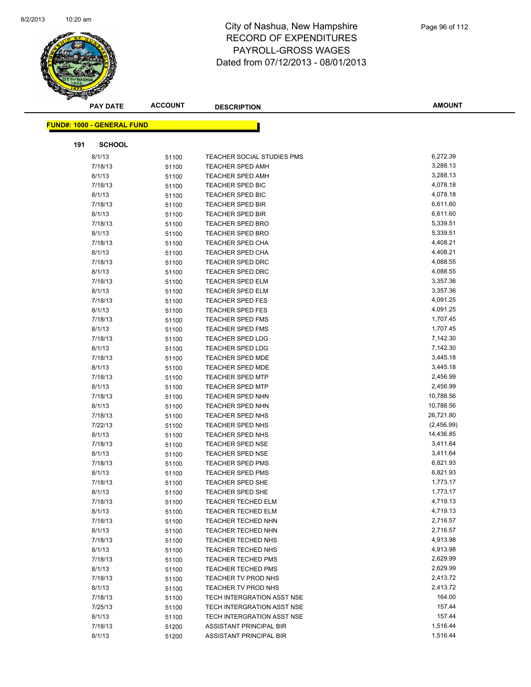

|     | <b>PAY DATE</b>                   | <b>ACCOUNT</b> | <b>DESCRIPTION</b>                                 | <b>AMOUNT</b>           |
|-----|-----------------------------------|----------------|----------------------------------------------------|-------------------------|
|     | <b>FUND#: 1000 - GENERAL FUND</b> |                |                                                    |                         |
|     |                                   |                |                                                    |                         |
| 191 | <b>SCHOOL</b>                     |                |                                                    |                         |
|     | 8/1/13                            | 51100          | TEACHER SOCIAL STUDIES PMS                         | 6,272.39                |
|     | 7/18/13                           | 51100          | <b>TEACHER SPED AMH</b>                            | 3,288.13                |
|     | 8/1/13                            | 51100          | <b>TEACHER SPED AMH</b>                            | 3,288.13                |
|     | 7/18/13                           | 51100          | TEACHER SPED BIC                                   | 4,078.18                |
|     | 8/1/13                            | 51100          | <b>TEACHER SPED BIC</b>                            | 4,078.18                |
|     | 7/18/13                           | 51100          | <b>TEACHER SPED BIR</b>                            | 6,611.60                |
|     | 8/1/13                            | 51100          | <b>TEACHER SPED BIR</b>                            | 6,611.60                |
|     | 7/18/13                           | 51100          | <b>TEACHER SPED BRO</b>                            | 5,339.51                |
|     | 8/1/13                            | 51100          | <b>TEACHER SPED BRO</b>                            | 5,339.51                |
|     | 7/18/13                           | 51100          | <b>TEACHER SPED CHA</b>                            | 4,408.21                |
|     | 8/1/13                            | 51100          | <b>TEACHER SPED CHA</b>                            | 4,408.21                |
|     | 7/18/13                           | 51100          | <b>TEACHER SPED DRC</b>                            | 4,088.55                |
|     | 8/1/13                            | 51100          | <b>TEACHER SPED DRC</b>                            | 4,088.55                |
|     | 7/18/13                           | 51100          | <b>TEACHER SPED ELM</b>                            | 3,357.36                |
|     | 8/1/13                            | 51100          | <b>TEACHER SPED ELM</b>                            | 3,357.36                |
|     | 7/18/13                           | 51100          | <b>TEACHER SPED FES</b>                            | 4,091.25                |
|     | 8/1/13                            | 51100          | TEACHER SPED FES                                   | 4,091.25                |
|     | 7/18/13                           | 51100          | <b>TEACHER SPED FMS</b>                            | 1,707.45                |
|     | 8/1/13                            | 51100          | <b>TEACHER SPED FMS</b>                            | 1,707.45                |
|     | 7/18/13                           | 51100          | <b>TEACHER SPED LDG</b>                            | 7,142.30                |
|     | 8/1/13                            | 51100          | TEACHER SPED LDG                                   | 7,142.30                |
|     | 7/18/13                           | 51100          | <b>TEACHER SPED MDE</b>                            | 3,445.18                |
|     | 8/1/13                            | 51100          | <b>TEACHER SPED MDE</b>                            | 3,445.18                |
|     | 7/18/13                           | 51100          | <b>TEACHER SPED MTP</b>                            | 2,456.99                |
|     | 8/1/13                            | 51100          | <b>TEACHER SPED MTP</b>                            | 2,456.99                |
|     | 7/18/13                           | 51100          | <b>TEACHER SPED NHN</b>                            | 10,788.56               |
|     | 8/1/13                            | 51100          | <b>TEACHER SPED NHN</b>                            | 10,788.56               |
|     | 7/18/13                           | 51100          | TEACHER SPED NHS                                   | 26,721.80               |
|     | 7/22/13                           | 51100          | TEACHER SPED NHS                                   | (2,456.99)<br>14,436.85 |
|     | 8/1/13                            | 51100          | <b>TEACHER SPED NHS</b>                            | 3,411.64                |
|     | 7/18/13                           | 51100          | <b>TEACHER SPED NSE</b>                            | 3,411.64                |
|     | 8/1/13                            | 51100          | <b>TEACHER SPED NSE</b><br><b>TEACHER SPED PMS</b> | 6,821.93                |
|     | 7/18/13<br>8/1/13                 | 51100          | <b>TEACHER SPED PMS</b>                            | 6,821.93                |
|     | 7/18/13                           | 51100          | TEACHER SPED SHE                                   | 1,773.17                |
|     | 8/1/13                            | 51100          | TEACHER SPED SHE                                   | 1,773.17                |
|     | 7/18/13                           | 51100          | <b>TEACHER TECHED ELM</b>                          | 4,719.13                |
|     | 8/1/13                            | 51100<br>51100 | <b>TEACHER TECHED ELM</b>                          | 4,719.13                |
|     | 7/18/13                           | 51100          | TEACHER TECHED NHN                                 | 2,716.57                |
|     | 8/1/13                            | 51100          | TEACHER TECHED NHN                                 | 2,716.57                |
|     | 7/18/13                           | 51100          | TEACHER TECHED NHS                                 | 4,913.98                |
|     | 8/1/13                            | 51100          | TEACHER TECHED NHS                                 | 4,913.98                |
|     | 7/18/13                           | 51100          | <b>TEACHER TECHED PMS</b>                          | 2,629.99                |
|     | 8/1/13                            | 51100          | <b>TEACHER TECHED PMS</b>                          | 2,629.99                |
|     | 7/18/13                           | 51100          | TEACHER TV PROD NHS                                | 2,413.72                |
|     | 8/1/13                            | 51100          | TEACHER TV PROD NHS                                | 2,413.72                |
|     | 7/18/13                           | 51100          | TECH INTERGRATION ASST NSE                         | 164.00                  |
|     | 7/25/13                           | 51100          | TECH INTERGRATION ASST NSE                         | 157.44                  |
|     | 8/1/13                            | 51100          | TECH INTERGRATION ASST NSE                         | 157.44                  |
|     | 7/18/13                           | 51200          | ASSISTANT PRINCIPAL BIR                            | 1,516.44                |
|     | 8/1/13                            | 51200          | ASSISTANT PRINCIPAL BIR                            | 1,516.44                |
|     |                                   |                |                                                    |                         |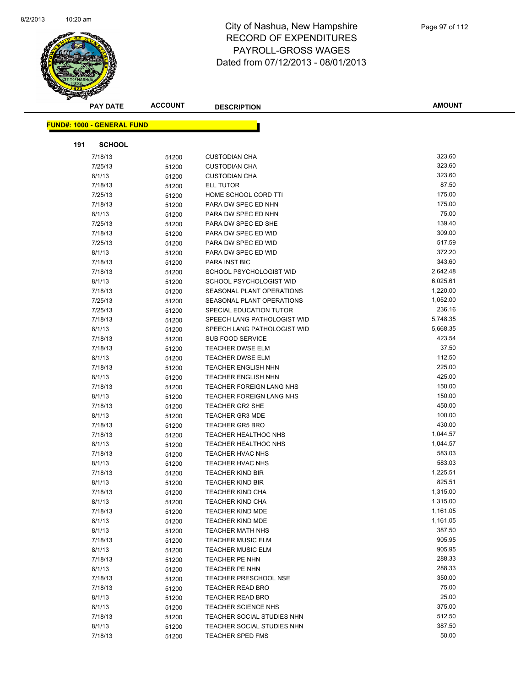

|     | <b>PAY DATE</b>                   | <b>ACCOUNT</b> | <b>DESCRIPTION</b>          | <b>AMOUNT</b> |
|-----|-----------------------------------|----------------|-----------------------------|---------------|
|     |                                   |                |                             |               |
|     | <b>FUND#: 1000 - GENERAL FUND</b> |                |                             |               |
| 191 | <b>SCHOOL</b>                     |                |                             |               |
|     | 7/18/13                           | 51200          | <b>CUSTODIAN CHA</b>        | 323.60        |
|     | 7/25/13                           | 51200          | <b>CUSTODIAN CHA</b>        | 323.60        |
|     | 8/1/13                            | 51200          | <b>CUSTODIAN CHA</b>        | 323.60        |
|     | 7/18/13                           | 51200          | <b>ELL TUTOR</b>            | 87.50         |
|     | 7/25/13                           | 51200          | HOME SCHOOL CORD TTI        | 175.00        |
|     | 7/18/13                           | 51200          | PARA DW SPEC ED NHN         | 175.00        |
|     | 8/1/13                            | 51200          | PARA DW SPEC ED NHN         | 75.00         |
|     | 7/25/13                           | 51200          | PARA DW SPEC ED SHE         | 139.40        |
|     | 7/18/13                           | 51200          | PARA DW SPEC ED WID         | 309.00        |
|     | 7/25/13                           | 51200          | PARA DW SPEC ED WID         | 517.59        |
|     | 8/1/13                            | 51200          | PARA DW SPEC ED WID         | 372.20        |
|     | 7/18/13                           | 51200          | <b>PARA INST BIC</b>        | 343.60        |
|     | 7/18/13                           | 51200          | SCHOOL PSYCHOLOGIST WID     | 2,642.48      |
|     | 8/1/13                            | 51200          | SCHOOL PSYCHOLOGIST WID     | 6,025.61      |
|     | 7/18/13                           | 51200          | SEASONAL PLANT OPERATIONS   | 1,220.00      |
|     | 7/25/13                           | 51200          | SEASONAL PLANT OPERATIONS   | 1,052.00      |
|     | 7/25/13                           | 51200          | SPECIAL EDUCATION TUTOR     | 236.16        |
|     | 7/18/13                           | 51200          | SPEECH LANG PATHOLOGIST WID | 5,748.35      |
|     | 8/1/13                            | 51200          | SPEECH LANG PATHOLOGIST WID | 5,668.35      |
|     | 7/18/13                           | 51200          | SUB FOOD SERVICE            | 423.54        |
|     | 7/18/13                           | 51200          | <b>TEACHER DWSE ELM</b>     | 37.50         |
|     | 8/1/13                            | 51200          | <b>TEACHER DWSE ELM</b>     | 112.50        |
|     | 7/18/13                           | 51200          | <b>TEACHER ENGLISH NHN</b>  | 225.00        |
|     | 8/1/13                            | 51200          | <b>TEACHER ENGLISH NHN</b>  | 425.00        |
|     | 7/18/13                           | 51200          | TEACHER FOREIGN LANG NHS    | 150.00        |
|     | 8/1/13                            | 51200          | TEACHER FOREIGN LANG NHS    | 150.00        |
|     | 7/18/13                           | 51200          | <b>TEACHER GR2 SHE</b>      | 450.00        |
|     | 8/1/13                            | 51200          | <b>TEACHER GR3 MDE</b>      | 100.00        |
|     | 7/18/13                           | 51200          | <b>TEACHER GR5 BRO</b>      | 430.00        |
|     | 7/18/13                           | 51200          | <b>TEACHER HEALTHOC NHS</b> | 1,044.57      |
|     | 8/1/13                            | 51200          | TEACHER HEALTHOC NHS        | 1,044.57      |
|     | 7/18/13                           | 51200          | <b>TEACHER HVAC NHS</b>     | 583.03        |
|     | 8/1/13                            | 51200          | TEACHER HVAC NHS            | 583.03        |
|     | 7/18/13                           | 51200          | <b>TEACHER KIND BIR</b>     | 1,225.51      |
|     | 8/1/13                            | 51200          | <b>TEACHER KIND BIR</b>     | 825.51        |
|     | 7/18/13                           | 51200          | TEACHER KIND CHA            | 1,315.00      |
|     | 8/1/13                            | 51200          | <b>TEACHER KIND CHA</b>     | 1,315.00      |
|     | 7/18/13                           | 51200          | TEACHER KIND MDE            | 1,161.05      |
|     | 8/1/13                            | 51200          | TEACHER KIND MDE            | 1,161.05      |
|     | 8/1/13                            | 51200          | <b>TEACHER MATH NHS</b>     | 387.50        |
|     | 7/18/13                           | 51200          | <b>TEACHER MUSIC ELM</b>    | 905.95        |
|     | 8/1/13                            | 51200          | <b>TEACHER MUSIC ELM</b>    | 905.95        |
|     | 7/18/13                           | 51200          | TEACHER PE NHN              | 288.33        |
|     | 8/1/13                            | 51200          | <b>TEACHER PE NHN</b>       | 288.33        |
|     | 7/18/13                           | 51200          | TEACHER PRESCHOOL NSE       | 350.00        |
|     | 7/18/13                           | 51200          | <b>TEACHER READ BRO</b>     | 75.00         |
|     | 8/1/13                            | 51200          | <b>TEACHER READ BRO</b>     | 25.00         |
|     | 8/1/13                            | 51200          | TEACHER SCIENCE NHS         | 375.00        |
|     | 7/18/13                           | 51200          | TEACHER SOCIAL STUDIES NHN  | 512.50        |
|     | 8/1/13                            | 51200          | TEACHER SOCIAL STUDIES NHN  | 387.50        |
|     | 7/18/13                           | 51200          | TEACHER SPED FMS            | 50.00         |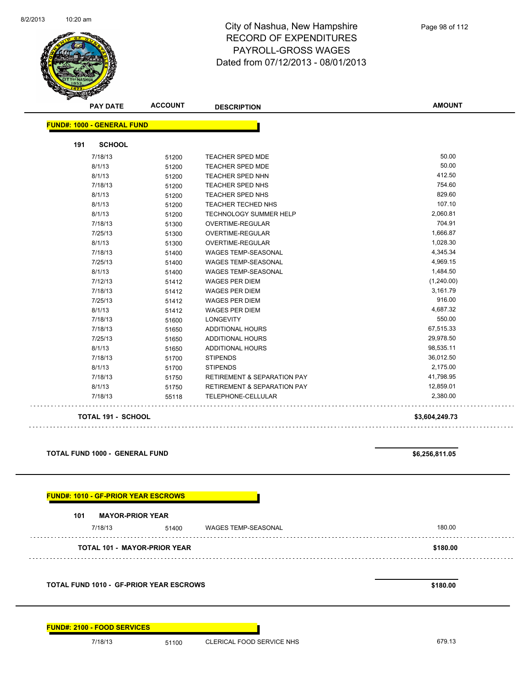

| <b>PAY DATE</b>                   | <b>ACCOUNT</b> | <b>DESCRIPTION</b>                     | <b>AMOUNT</b>  |
|-----------------------------------|----------------|----------------------------------------|----------------|
| <b>FUND#: 1000 - GENERAL FUND</b> |                |                                        |                |
| 191<br><b>SCHOOL</b>              |                |                                        |                |
| 7/18/13                           | 51200          | <b>TEACHER SPED MDE</b>                | 50.00          |
| 8/1/13                            | 51200          | <b>TEACHER SPED MDE</b>                | 50.00          |
| 8/1/13                            | 51200          | TEACHER SPED NHN                       | 412.50         |
| 7/18/13                           | 51200          | TEACHER SPED NHS                       | 754.60         |
| 8/1/13                            | 51200          | <b>TEACHER SPED NHS</b>                | 829.60         |
| 8/1/13                            | 51200          | <b>TEACHER TECHED NHS</b>              | 107.10         |
| 8/1/13                            | 51200          | <b>TECHNOLOGY SUMMER HELP</b>          | 2,060.81       |
| 7/18/13                           | 51300          | <b>OVERTIME-REGULAR</b>                | 704.91         |
| 7/25/13                           | 51300          | OVERTIME-REGULAR                       | 1,666.87       |
| 8/1/13                            | 51300          | OVERTIME-REGULAR                       | 1,028.30       |
| 7/18/13                           | 51400          | <b>WAGES TEMP-SEASONAL</b>             | 4,345.34       |
| 7/25/13                           | 51400          | <b>WAGES TEMP-SEASONAL</b>             | 4,969.15       |
| 8/1/13                            | 51400          | WAGES TEMP-SEASONAL                    | 1,484.50       |
| 7/12/13                           | 51412          | <b>WAGES PER DIEM</b>                  | (1,240.00)     |
| 7/18/13                           | 51412          | <b>WAGES PER DIEM</b>                  | 3,161.79       |
| 7/25/13                           | 51412          | <b>WAGES PER DIEM</b>                  | 916.00         |
| 8/1/13                            | 51412          | <b>WAGES PER DIEM</b>                  | 4,687.32       |
| 7/18/13                           | 51600          | <b>LONGEVITY</b>                       | 550.00         |
| 7/18/13                           | 51650          | ADDITIONAL HOURS                       | 67,515.33      |
| 7/25/13                           | 51650          | <b>ADDITIONAL HOURS</b>                | 29,978.50      |
| 8/1/13                            | 51650          | ADDITIONAL HOURS                       | 98,535.11      |
| 7/18/13                           | 51700          | <b>STIPENDS</b>                        | 36,012.50      |
| 8/1/13                            | 51700          | <b>STIPENDS</b>                        | 2,175.00       |
| 7/18/13                           | 51750          | <b>RETIREMENT &amp; SEPARATION PAY</b> | 41,798.95      |
| 8/1/13                            | 51750          | RETIREMENT & SEPARATION PAY            | 12,859.01      |
| 7/18/13                           | 55118          | TELEPHONE-CELLULAR                     | 2,380.00       |
| <b>TOTAL 191 - SCHOOL</b>         |                |                                        | \$3,604,249.73 |

 $\Box$ 

#### **TOTAL FUND 1000 - GENERAL FUND \$6,256,811.05**

| 101                                            | <b>MAYOR-PRIOR YEAR</b> |       |                            |          |
|------------------------------------------------|-------------------------|-------|----------------------------|----------|
|                                                | 7/18/13                 | 51400 | <b>WAGES TEMP-SEASONAL</b> | 180.00   |
| <b>TOTAL 101 - MAYOR-PRIOR YEAR</b>            |                         |       |                            | \$180.00 |
| <b>TOTAL FUND 1010 - GF-PRIOR YEAR ESCROWS</b> |                         |       |                            | \$180.00 |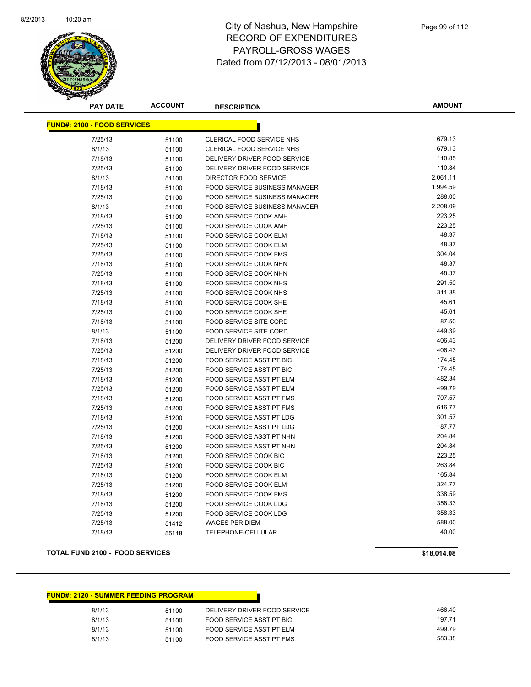

| <b>PAY DATE</b>                    | <b>ACCOUNT</b> | <b>DESCRIPTION</b>               | <b>AMOUNT</b>      |  |  |  |
|------------------------------------|----------------|----------------------------------|--------------------|--|--|--|
| <b>FUND#: 2100 - FOOD SERVICES</b> |                |                                  |                    |  |  |  |
| 7/25/13                            |                | CLERICAL FOOD SERVICE NHS        | 679.13             |  |  |  |
| 8/1/13                             | 51100          | <b>CLERICAL FOOD SERVICE NHS</b> | 679.13             |  |  |  |
| 7/18/13                            | 51100          | DELIVERY DRIVER FOOD SERVICE     | 110.85             |  |  |  |
|                                    | 51100          |                                  | 110.84             |  |  |  |
| 7/25/13<br>8/1/13                  | 51100          | DELIVERY DRIVER FOOD SERVICE     | 2,061.11           |  |  |  |
|                                    | 51100          | DIRECTOR FOOD SERVICE            | 1,994.59           |  |  |  |
| 7/18/13                            | 51100          | FOOD SERVICE BUSINESS MANAGER    |                    |  |  |  |
| 7/25/13                            | 51100          | FOOD SERVICE BUSINESS MANAGER    | 288.00             |  |  |  |
| 8/1/13                             | 51100          | FOOD SERVICE BUSINESS MANAGER    | 2,208.09<br>223.25 |  |  |  |
| 7/18/13                            | 51100          | FOOD SERVICE COOK AMH            |                    |  |  |  |
| 7/25/13                            | 51100          | FOOD SERVICE COOK AMH            | 223.25             |  |  |  |
| 7/18/13                            | 51100          | <b>FOOD SERVICE COOK ELM</b>     | 48.37              |  |  |  |
| 7/25/13                            | 51100          | FOOD SERVICE COOK ELM            | 48.37              |  |  |  |
| 7/25/13                            | 51100          | FOOD SERVICE COOK FMS            | 304.04             |  |  |  |
| 7/18/13                            | 51100          | FOOD SERVICE COOK NHN            | 48.37              |  |  |  |
| 7/25/13                            | 51100          | FOOD SERVICE COOK NHN            | 48.37              |  |  |  |
| 7/18/13                            | 51100          | FOOD SERVICE COOK NHS            | 291.50             |  |  |  |
| 7/25/13                            | 51100          | FOOD SERVICE COOK NHS            | 311.38             |  |  |  |
| 7/18/13                            | 51100          | FOOD SERVICE COOK SHE            | 45.61              |  |  |  |
| 7/25/13                            | 51100          | <b>FOOD SERVICE COOK SHE</b>     | 45.61              |  |  |  |
| 7/18/13                            | 51100          | FOOD SERVICE SITE CORD           | 87.50              |  |  |  |
| 8/1/13                             | 51100          | <b>FOOD SERVICE SITE CORD</b>    | 449.39             |  |  |  |
| 7/18/13                            | 51200          | DELIVERY DRIVER FOOD SERVICE     | 406.43             |  |  |  |
| 7/25/13                            | 51200          | DELIVERY DRIVER FOOD SERVICE     | 406.43             |  |  |  |
| 7/18/13                            | 51200          | FOOD SERVICE ASST PT BIC         | 174.45             |  |  |  |
| 7/25/13                            | 51200          | FOOD SERVICE ASST PT BIC         | 174.45             |  |  |  |
| 7/18/13                            | 51200          | <b>FOOD SERVICE ASST PT ELM</b>  | 482.34             |  |  |  |
| 7/25/13                            | 51200          | FOOD SERVICE ASST PT ELM         | 499.79             |  |  |  |
| 7/18/13                            | 51200          | <b>FOOD SERVICE ASST PT FMS</b>  | 707.57             |  |  |  |
| 7/25/13                            | 51200          | <b>FOOD SERVICE ASST PT FMS</b>  | 616.77             |  |  |  |
| 7/18/13                            | 51200          | FOOD SERVICE ASST PT LDG         | 301.57             |  |  |  |
| 7/25/13                            | 51200          | FOOD SERVICE ASST PT LDG         | 187.77             |  |  |  |
| 7/18/13                            | 51200          | FOOD SERVICE ASST PT NHN         | 204.84             |  |  |  |
| 7/25/13                            | 51200          | FOOD SERVICE ASST PT NHN         | 204.84             |  |  |  |
| 7/18/13                            | 51200          | FOOD SERVICE COOK BIC            | 223.25             |  |  |  |
| 7/25/13                            | 51200          | FOOD SERVICE COOK BIC            | 263.84             |  |  |  |
| 7/18/13                            | 51200          | <b>FOOD SERVICE COOK ELM</b>     | 165.84             |  |  |  |
| 7/25/13                            | 51200          | FOOD SERVICE COOK ELM            | 324.77             |  |  |  |
| 7/18/13                            | 51200          | <b>FOOD SERVICE COOK FMS</b>     | 338.59             |  |  |  |
| 7/18/13                            | 51200          | FOOD SERVICE COOK LDG            | 358.33             |  |  |  |
| 7/25/13                            | 51200          | FOOD SERVICE COOK LDG            | 358.33             |  |  |  |
| 7/25/13                            | 51412          | <b>WAGES PER DIEM</b>            | 588.00             |  |  |  |
| 7/18/13                            | 55118          | TELEPHONE-CELLULAR               | 40.00              |  |  |  |

#### **TOTAL FUND 2100 - FOOD SERVICES \$18,014.08**

| <b>FUND#: 2120 - SUMMER FEEDING PROGRAM</b> |       |                              |        |
|---------------------------------------------|-------|------------------------------|--------|
| 8/1/13                                      | 51100 | DELIVERY DRIVER FOOD SERVICE | 466.40 |
| 8/1/13                                      | 51100 | FOOD SERVICE ASST PT BIC     | 197.71 |
| 8/1/13                                      | 51100 | FOOD SERVICE ASST PT ELM     | 499.79 |
| 8/1/13                                      | 51100 | FOOD SERVICE ASST PT FMS     | 583.38 |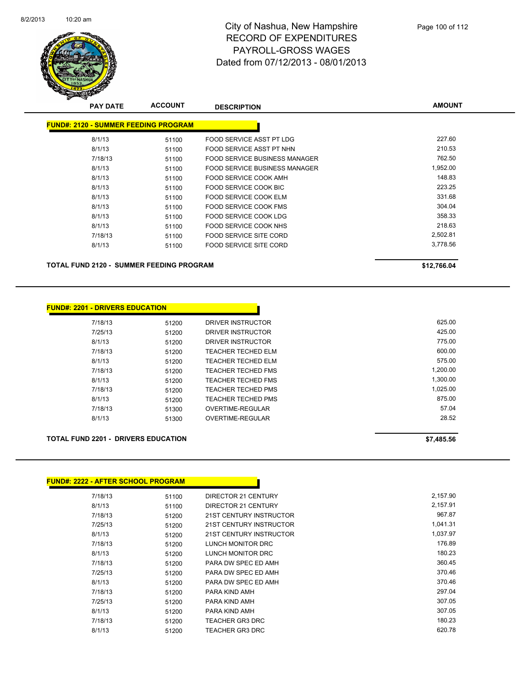

| <b>PAY DATE</b>                                 | <b>ACCOUNT</b> | <b>DESCRIPTION</b>                   | <b>AMOUNT</b> |
|-------------------------------------------------|----------------|--------------------------------------|---------------|
| <b>FUND#: 2120 - SUMMER FEEDING PROGRAM</b>     |                |                                      |               |
| 8/1/13                                          | 51100          | <b>FOOD SERVICE ASST PT LDG</b>      | 227.60        |
| 8/1/13                                          | 51100          | FOOD SERVICE ASST PT NHN             | 210.53        |
| 7/18/13                                         | 51100          | <b>FOOD SERVICE BUSINESS MANAGER</b> | 762.50        |
| 8/1/13                                          | 51100          | FOOD SERVICE BUSINESS MANAGER        | 1,952.00      |
| 8/1/13                                          | 51100          | FOOD SERVICE COOK AMH                | 148.83        |
| 8/1/13                                          | 51100          | FOOD SERVICE COOK BIC                | 223.25        |
| 8/1/13                                          | 51100          | FOOD SERVICE COOK ELM                | 331.68        |
| 8/1/13                                          | 51100          | FOOD SERVICE COOK FMS                | 304.04        |
| 8/1/13                                          | 51100          | FOOD SERVICE COOK LDG                | 358.33        |
| 8/1/13                                          | 51100          | FOOD SERVICE COOK NHS                | 218.63        |
| 7/18/13                                         | 51100          | <b>FOOD SERVICE SITE CORD</b>        | 2,502.81      |
| 8/1/13                                          | 51100          | <b>FOOD SERVICE SITE CORD</b>        | 3,778.56      |
| <b>TOTAL FUND 2120 - SUMMER FEEDING PROGRAM</b> |                |                                      | \$12,766.04   |

| <b>FUND#: 2201 - DRIVERS EDUCATION</b> |       |                           |          |
|----------------------------------------|-------|---------------------------|----------|
|                                        | 51200 | DRIVER INSTRUCTOR         | 625.00   |
|                                        | 51200 | DRIVER INSTRUCTOR         | 425.00   |
|                                        | 51200 | DRIVER INSTRUCTOR         | 775.00   |
|                                        | 51200 | TEACHER TECHED ELM        | 600.00   |
|                                        | 51200 | <b>TEACHER TECHED ELM</b> | 575.00   |
|                                        | 51200 | <b>TEACHER TECHED FMS</b> | 1.200.00 |
|                                        | 51200 | TEACHER TECHED FMS        | 1,300.00 |
|                                        | 51200 | <b>TEACHER TECHED PMS</b> | 1,025.00 |
|                                        | 51200 | <b>TEACHER TECHED PMS</b> | 875.00   |
|                                        | 51300 | OVERTIME-REGULAR          | 57.04    |
|                                        | 51300 | OVERTIME-REGULAR          | 28.52    |

#### **TOTAL FUND 2201 - DRIVERS EDUCATION \$7,485.56**

| <b>FUND#: 2222 - AFTER SCHOOL PROGRAM</b> |       |                         |          |
|-------------------------------------------|-------|-------------------------|----------|
| 7/18/13                                   | 51100 | DIRECTOR 21 CENTURY     | 2,157.90 |
| 8/1/13                                    | 51100 | DIRECTOR 21 CENTURY     | 2,157.91 |
| 7/18/13                                   | 51200 | 21ST CENTURY INSTRUCTOR | 967.87   |
| 7/25/13                                   | 51200 | 21ST CENTURY INSTRUCTOR | 1,041.31 |
| 8/1/13                                    | 51200 | 21ST CENTURY INSTRUCTOR | 1,037.97 |
| 7/18/13                                   | 51200 | LUNCH MONITOR DRC       | 176.89   |
| 8/1/13                                    | 51200 | LUNCH MONITOR DRC       | 180.23   |
| 7/18/13                                   | 51200 | PARA DW SPEC ED AMH     | 360.45   |
| 7/25/13                                   | 51200 | PARA DW SPEC ED AMH     | 370.46   |
| 8/1/13                                    | 51200 | PARA DW SPEC ED AMH     | 370.46   |
| 7/18/13                                   | 51200 | PARA KIND AMH           | 297.04   |
| 7/25/13                                   | 51200 | PARA KIND AMH           | 307.05   |
| 8/1/13                                    | 51200 | PARA KIND AMH           | 307.05   |
| 7/18/13                                   | 51200 | <b>TEACHER GR3 DRC</b>  | 180.23   |
| 8/1/13                                    | 51200 | <b>TEACHER GR3 DRC</b>  | 620.78   |
|                                           |       |                         |          |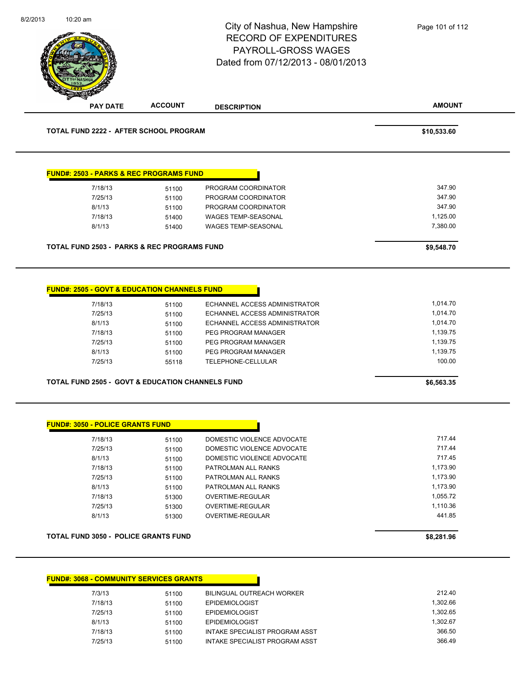|                                                                    |                                                    | City of Nashua, New Hampshire<br><b>RECORD OF EXPENDITURES</b><br>PAYROLL-GROSS WAGES<br>Dated from 07/12/2013 - 08/01/2013                               | Page 101 of 112                                                    |
|--------------------------------------------------------------------|----------------------------------------------------|-----------------------------------------------------------------------------------------------------------------------------------------------------------|--------------------------------------------------------------------|
| <b>PAY DATE</b>                                                    | <b>ACCOUNT</b>                                     | <b>DESCRIPTION</b>                                                                                                                                        | <b>AMOUNT</b>                                                      |
| <b>TOTAL FUND 2222 - AFTER SCHOOL PROGRAM</b>                      |                                                    |                                                                                                                                                           | \$10,533.60                                                        |
| <b>FUND#: 2503 - PARKS &amp; REC PROGRAMS FUND</b>                 |                                                    |                                                                                                                                                           |                                                                    |
| 7/18/13                                                            | 51100                                              | PROGRAM COORDINATOR                                                                                                                                       | 347.90                                                             |
| 7/25/13                                                            | 51100                                              | PROGRAM COORDINATOR                                                                                                                                       | 347.90                                                             |
| 8/1/13                                                             | 51100                                              | PROGRAM COORDINATOR                                                                                                                                       | 347.90                                                             |
| 7/18/13                                                            | 51400                                              | WAGES TEMP-SEASONAL                                                                                                                                       | 1,125.00                                                           |
| 8/1/13                                                             | 51400                                              | WAGES TEMP-SEASONAL                                                                                                                                       | 7,380.00                                                           |
| <b>TOTAL FUND 2503 - PARKS &amp; REC PROGRAMS FUND</b>             |                                                    |                                                                                                                                                           | \$9,548.70                                                         |
|                                                                    |                                                    |                                                                                                                                                           |                                                                    |
| <b>FUND#: 2505 - GOVT &amp; EDUCATION CHANNELS FUND</b><br>7/18/13 | 51100                                              | ECHANNEL ACCESS ADMINISTRATOR                                                                                                                             | 1,014.70                                                           |
| 7/25/13<br>8/1/13<br>7/18/13<br>7/25/13<br>8/1/13<br>7/25/13       | 51100<br>51100<br>51100<br>51100<br>51100<br>55118 | ECHANNEL ACCESS ADMINISTRATOR<br>ECHANNEL ACCESS ADMINISTRATOR<br>PEG PROGRAM MANAGER<br>PEG PROGRAM MANAGER<br>PEG PROGRAM MANAGER<br>TELEPHONE-CELLULAR | 1,014.70<br>1,014.70<br>1,139.75<br>1,139.75<br>1,139.75<br>100.00 |
| <b>TOTAL FUND 2505 - GOVT &amp; EDUCATION CHANNELS FUND</b>        |                                                    |                                                                                                                                                           | \$6,563.35                                                         |
| <b>FUND#: 3050 - POLICE GRANTS FUND</b>                            |                                                    |                                                                                                                                                           |                                                                    |
| 7/18/13                                                            | 51100                                              | DOMESTIC VIOLENCE ADVOCATE                                                                                                                                | 717.44                                                             |
| 7/25/13                                                            | 51100                                              | DOMESTIC VIOLENCE ADVOCATE                                                                                                                                | 717.44                                                             |
| 8/1/13                                                             | 51100                                              | DOMESTIC VIOLENCE ADVOCATE                                                                                                                                | 717.45                                                             |
| 7/18/13                                                            | 51100                                              | PATROLMAN ALL RANKS                                                                                                                                       | 1,173.90                                                           |
| 7/25/13                                                            | 51100                                              | PATROLMAN ALL RANKS                                                                                                                                       | 1,173.90                                                           |
| 8/1/13                                                             | 51100                                              | PATROLMAN ALL RANKS                                                                                                                                       | 1,173.90                                                           |
| 7/18/13<br>7/25/13                                                 | 51300                                              | OVERTIME-REGULAR<br><b>OVERTIME-REGULAR</b>                                                                                                               | 1,055.72<br>1,110.36                                               |
| 8/1/13                                                             | 51300<br>51300                                     | OVERTIME-REGULAR                                                                                                                                          | 441.85                                                             |
| <b>TOTAL FUND 3050 - POLICE GRANTS FUND</b>                        |                                                    |                                                                                                                                                           | \$8,281.96                                                         |

| <b>FUND#: 3068 - COMMUNITY SERVICES GRANTS</b> |       |                                |          |
|------------------------------------------------|-------|--------------------------------|----------|
| 7/3/13                                         | 51100 | BILINGUAL OUTREACH WORKER      | 212.40   |
| 7/18/13                                        | 51100 | <b>EPIDEMIOLOGIST</b>          | 1.302.66 |
| 7/25/13                                        | 51100 | <b>EPIDEMIOLOGIST</b>          | 1.302.65 |
| 8/1/13                                         | 51100 | <b>EPIDEMIOLOGIST</b>          | 1.302.67 |
| 7/18/13                                        | 51100 | INTAKE SPECIALIST PROGRAM ASST | 366.50   |
| 7/25/13                                        | 51100 | INTAKE SPECIALIST PROGRAM ASST | 366.49   |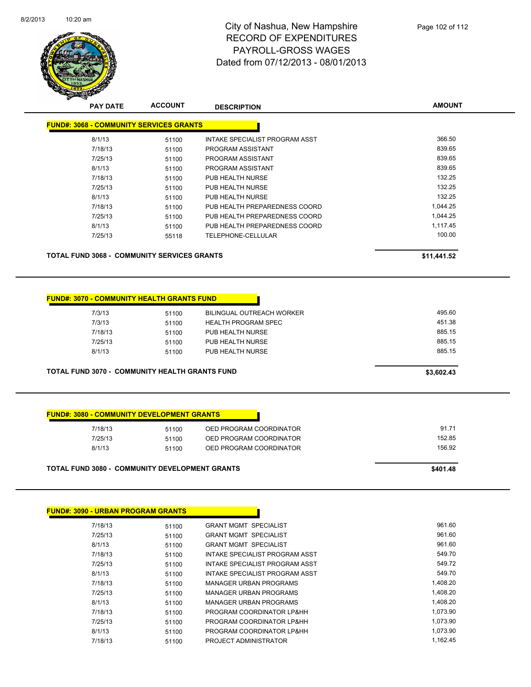

| <b>PAY DATE</b>                                    | <b>ACCOUNT</b>                                 | <b>DESCRIPTION</b>             | <b>AMOUNT</b> |
|----------------------------------------------------|------------------------------------------------|--------------------------------|---------------|
|                                                    | <b>FUND#: 3068 - COMMUNITY SERVICES GRANTS</b> |                                |               |
| 8/1/13                                             | 51100                                          | INTAKE SPECIALIST PROGRAM ASST | 366.50        |
| 7/18/13                                            | 51100                                          | PROGRAM ASSISTANT              | 839.65        |
| 7/25/13                                            | 51100                                          | PROGRAM ASSISTANT              | 839.65        |
| 8/1/13                                             | 51100                                          | PROGRAM ASSISTANT              | 839.65        |
| 7/18/13                                            | 51100                                          | PUB HEALTH NURSE               | 132.25        |
| 7/25/13                                            | 51100                                          | PUB HEALTH NURSE               | 132.25        |
| 8/1/13                                             | 51100                                          | PUB HEALTH NURSE               | 132.25        |
| 7/18/13                                            | 51100                                          | PUB HEALTH PREPAREDNESS COORD  | 1,044.25      |
| 7/25/13                                            | 51100                                          | PUB HEALTH PREPAREDNESS COORD  | 1,044.25      |
| 8/1/13                                             | 51100                                          | PUB HEALTH PREPAREDNESS COORD  | 1,117.45      |
| 7/25/13                                            | 55118                                          | TELEPHONE-CELLULAR             | 100.00        |
| <b>TOTAL FUND 3068 - COMMUNITY SERVICES GRANTS</b> | \$11,441.52                                    |                                |               |

| 8/1/13  | 51100 | PUB HEALTH NURSE           | 885.15 |
|---------|-------|----------------------------|--------|
| 7/25/13 | 51100 | PUB HEALTH NURSE           | 885.15 |
| 7/18/13 | 51100 | PUB HEALTH NURSE           | 885.15 |
| 7/3/13  | 51100 | <b>HEALTH PROGRAM SPEC</b> | 451.38 |
| 7/3/13  | 51100 | BILINGUAL OUTREACH WORKER  | 495.60 |
|         |       |                            |        |

П

| 51100 | OED PROGRAM COORDINATOR | 91.71  |
|-------|-------------------------|--------|
| 51100 | OED PROGRAM COORDINATOR | 152.85 |
| 51100 | OED PROGRAM COORDINATOR | 156.92 |

| <b>FUND#: 3090 - URBAN PROGRAM GRANTS</b> |       |                                |          |
|-------------------------------------------|-------|--------------------------------|----------|
| 7/18/13                                   | 51100 | <b>GRANT MGMT SPECIALIST</b>   | 961.60   |
| 7/25/13                                   | 51100 | <b>GRANT MGMT SPECIALIST</b>   | 961.60   |
| 8/1/13                                    | 51100 | <b>GRANT MGMT SPECIALIST</b>   | 961.60   |
| 7/18/13                                   | 51100 | INTAKE SPECIALIST PROGRAM ASST | 549.70   |
| 7/25/13                                   | 51100 | INTAKE SPECIALIST PROGRAM ASST | 549.72   |
| 8/1/13                                    | 51100 | INTAKE SPECIALIST PROGRAM ASST | 549.70   |
| 7/18/13                                   | 51100 | <b>MANAGER URBAN PROGRAMS</b>  | 1,408.20 |
| 7/25/13                                   | 51100 | MANAGER URBAN PROGRAMS         | 1,408.20 |
| 8/1/13                                    | 51100 | <b>MANAGER URBAN PROGRAMS</b>  | 1,408.20 |
| 7/18/13                                   | 51100 | PROGRAM COORDINATOR LP&HH      | 1,073.90 |
| 7/25/13                                   | 51100 | PROGRAM COORDINATOR LP&HH      | 1,073.90 |
| 8/1/13                                    | 51100 | PROGRAM COORDINATOR LP&HH      | 1,073.90 |
| 7/18/13                                   | 51100 | PROJECT ADMINISTRATOR          | 1,162.45 |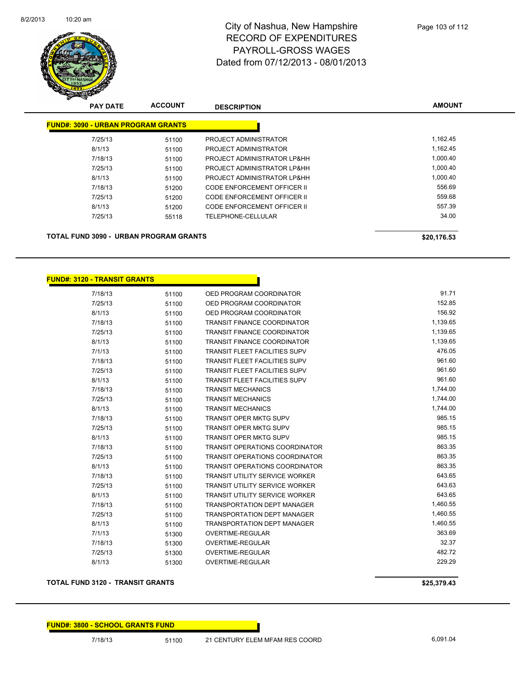

| <b>PAY DATE</b>                           | <b>ACCOUNT</b> | <b>DESCRIPTION</b>          | <b>AMOUNT</b> |
|-------------------------------------------|----------------|-----------------------------|---------------|
| <b>FUND#: 3090 - URBAN PROGRAM GRANTS</b> |                |                             |               |
| 7/25/13                                   | 51100          | PROJECT ADMINISTRATOR       | 1,162.45      |
| 8/1/13                                    | 51100          | PROJECT ADMINISTRATOR       | 1.162.45      |
| 7/18/13                                   | 51100          | PROJECT ADMINISTRATOR LP&HH | 1.000.40      |
| 7/25/13                                   | 51100          | PROJECT ADMINISTRATOR LP&HH | 1.000.40      |
| 8/1/13                                    | 51100          | PROJECT ADMINISTRATOR LP&HH | 1.000.40      |
| 7/18/13                                   | 51200          | CODE ENFORCEMENT OFFICER II | 556.69        |
| 7/25/13                                   | 51200          | CODE ENFORCEMENT OFFICER II | 559.68        |
| 8/1/13                                    | 51200          | CODE ENFORCEMENT OFFICER II | 557.39        |
| 7/25/13                                   | 55118          | TELEPHONE-CELLULAR          | 34.00         |

#### **TOTAL FUND 3090 - URBAN PROGRAM GRANTS \$20,176.53**

| <u> FUND#: 3120 - TRANSIT GRANTS</u> |       |                                       |          |
|--------------------------------------|-------|---------------------------------------|----------|
| 7/18/13                              | 51100 | OED PROGRAM COORDINATOR               | 91.71    |
| 7/25/13                              | 51100 | OED PROGRAM COORDINATOR               | 152.85   |
| 8/1/13                               | 51100 | OED PROGRAM COORDINATOR               | 156.92   |
| 7/18/13                              | 51100 | <b>TRANSIT FINANCE COORDINATOR</b>    | 1,139.65 |
| 7/25/13                              | 51100 | <b>TRANSIT FINANCE COORDINATOR</b>    | 1,139.65 |
| 8/1/13                               | 51100 | <b>TRANSIT FINANCE COORDINATOR</b>    | 1,139.65 |
| 7/1/13                               | 51100 | <b>TRANSIT FLEET FACILITIES SUPV</b>  | 476.05   |
| 7/18/13                              | 51100 | <b>TRANSIT FLEET FACILITIES SUPV</b>  | 961.60   |
| 7/25/13                              | 51100 | <b>TRANSIT FLEET FACILITIES SUPV</b>  | 961.60   |
| 8/1/13                               | 51100 | <b>TRANSIT FLEET FACILITIES SUPV</b>  | 961.60   |
| 7/18/13                              | 51100 | <b>TRANSIT MECHANICS</b>              | 1,744.00 |
| 7/25/13                              | 51100 | <b>TRANSIT MECHANICS</b>              | 1,744.00 |
| 8/1/13                               | 51100 | <b>TRANSIT MECHANICS</b>              | 1,744.00 |
| 7/18/13                              | 51100 | <b>TRANSIT OPER MKTG SUPV</b>         | 985.15   |
| 7/25/13                              | 51100 | <b>TRANSIT OPER MKTG SUPV</b>         | 985.15   |
| 8/1/13                               | 51100 | <b>TRANSIT OPER MKTG SUPV</b>         | 985.15   |
| 7/18/13                              | 51100 | <b>TRANSIT OPERATIONS COORDINATOR</b> | 863.35   |
| 7/25/13                              | 51100 | <b>TRANSIT OPERATIONS COORDINATOR</b> | 863.35   |
| 8/1/13                               | 51100 | <b>TRANSIT OPERATIONS COORDINATOR</b> | 863.35   |
| 7/18/13                              | 51100 | <b>TRANSIT UTILITY SERVICE WORKER</b> | 643.65   |
| 7/25/13                              | 51100 | <b>TRANSIT UTILITY SERVICE WORKER</b> | 643.63   |
| 8/1/13                               | 51100 | <b>TRANSIT UTILITY SERVICE WORKER</b> | 643.65   |
| 7/18/13                              | 51100 | <b>TRANSPORTATION DEPT MANAGER</b>    | 1,460.55 |
| 7/25/13                              | 51100 | <b>TRANSPORTATION DEPT MANAGER</b>    | 1,460.55 |
| 8/1/13                               | 51100 | <b>TRANSPORTATION DEPT MANAGER</b>    | 1,460.55 |
| 7/1/13                               | 51300 | <b>OVERTIME-REGULAR</b>               | 363.69   |
| 7/18/13                              | 51300 | OVERTIME-REGULAR                      | 32.37    |
| 7/25/13                              | 51300 | <b>OVERTIME-REGULAR</b>               | 482.72   |
| 8/1/13                               | 51300 | <b>OVERTIME-REGULAR</b>               | 229.29   |

#### **TOTAL FUND 3120 - TRANSIT GRANTS \$25,379.43**

#### **FUND#: 3800 - SCHOOL GRANTS FUND**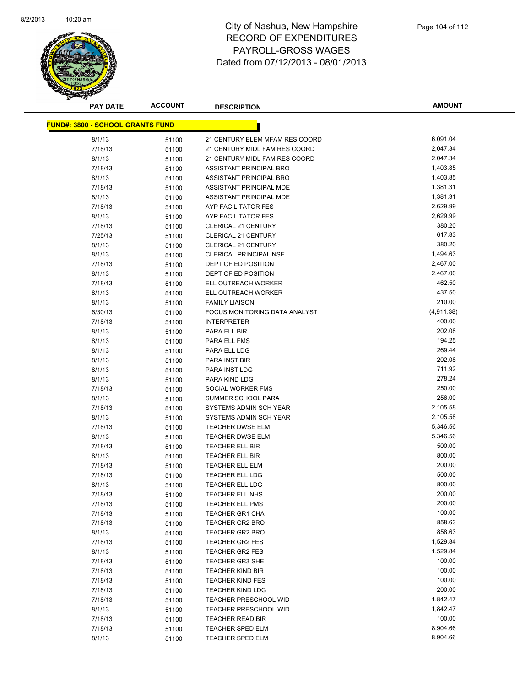

**AMOUNT**

| <u> FUND#: 3800 - SCHOOL GRANTS FUND</u> |       |                                |            |
|------------------------------------------|-------|--------------------------------|------------|
| 8/1/13                                   | 51100 | 21 CENTURY ELEM MFAM RES COORD | 6,091.04   |
| 7/18/13                                  | 51100 | 21 CENTURY MIDL FAM RES COORD  | 2,047.34   |
| 8/1/13                                   | 51100 | 21 CENTURY MIDL FAM RES COORD  | 2,047.34   |
| 7/18/13                                  | 51100 | <b>ASSISTANT PRINCIPAL BRO</b> | 1,403.85   |
| 8/1/13                                   | 51100 | ASSISTANT PRINCIPAL BRO        | 1,403.85   |
| 7/18/13                                  | 51100 | ASSISTANT PRINCIPAL MDE        | 1,381.31   |
| 8/1/13                                   | 51100 | ASSISTANT PRINCIPAL MDE        | 1,381.31   |
| 7/18/13                                  | 51100 | AYP FACILITATOR FES            | 2,629.99   |
| 8/1/13                                   | 51100 | AYP FACILITATOR FES            | 2,629.99   |
| 7/18/13                                  | 51100 | <b>CLERICAL 21 CENTURY</b>     | 380.20     |
| 7/25/13                                  | 51100 | <b>CLERICAL 21 CENTURY</b>     | 617.83     |
| 8/1/13                                   | 51100 | <b>CLERICAL 21 CENTURY</b>     | 380.20     |
| 8/1/13                                   | 51100 | <b>CLERICAL PRINCIPAL NSE</b>  | 1,494.63   |
| 7/18/13                                  | 51100 | DEPT OF ED POSITION            | 2,467.00   |
| 8/1/13                                   | 51100 | DEPT OF ED POSITION            | 2,467.00   |
| 7/18/13                                  | 51100 | ELL OUTREACH WORKER            | 462.50     |
| 8/1/13                                   | 51100 | ELL OUTREACH WORKER            | 437.50     |
| 8/1/13                                   | 51100 | <b>FAMILY LIAISON</b>          | 210.00     |
| 6/30/13                                  | 51100 | FOCUS MONITORING DATA ANALYST  | (4,911.38) |
| 7/18/13                                  | 51100 | <b>INTERPRETER</b>             | 400.00     |
| 8/1/13                                   | 51100 | PARA ELL BIR                   | 202.08     |
| 8/1/13                                   | 51100 | PARA ELL FMS                   | 194.25     |
| 8/1/13                                   | 51100 | PARA ELL LDG                   | 269.44     |
| 8/1/13                                   | 51100 | PARA INST BIR                  | 202.08     |
| 8/1/13                                   | 51100 | PARA INST LDG                  | 711.92     |
| 8/1/13                                   | 51100 | PARA KIND LDG                  | 278.24     |
| 7/18/13                                  | 51100 | SOCIAL WORKER FMS              | 250.00     |
| 8/1/13                                   | 51100 | SUMMER SCHOOL PARA             | 256.00     |
| 7/18/13                                  | 51100 | SYSTEMS ADMIN SCH YEAR         | 2,105.58   |
| 8/1/13                                   | 51100 | SYSTEMS ADMIN SCH YEAR         | 2,105.58   |
| 7/18/13                                  | 51100 | <b>TEACHER DWSE ELM</b>        | 5,346.56   |
| 8/1/13                                   | 51100 | <b>TEACHER DWSE ELM</b>        | 5,346.56   |
| 7/18/13                                  | 51100 | TEACHER ELL BIR                | 500.00     |
| 8/1/13                                   | 51100 | TEACHER ELL BIR                | 800.00     |
| 7/18/13                                  | 51100 | <b>TEACHER ELL ELM</b>         | 200.00     |
| 7/18/13                                  | 51100 | TEACHER ELL LDG                | 500.00     |
| 8/1/13                                   | 51100 | TEACHER ELL LDG                | 800.00     |
| 7/18/13                                  | 51100 | TEACHER ELL NHS                | 200.00     |
| 7/18/13                                  | 51100 | <b>TEACHER ELL PMS</b>         | 200.00     |
| 7/18/13                                  | 51100 | <b>TEACHER GR1 CHA</b>         | 100.00     |
| 7/18/13                                  | 51100 | TEACHER GR2 BRO                | 858.63     |
| 8/1/13                                   | 51100 | <b>TEACHER GR2 BRO</b>         | 858.63     |
| 7/18/13                                  | 51100 | <b>TEACHER GR2 FES</b>         | 1,529.84   |
| 8/1/13                                   | 51100 | TEACHER GR2 FES                | 1,529.84   |
| 7/18/13                                  | 51100 | <b>TEACHER GR3 SHE</b>         | 100.00     |
| 7/18/13                                  | 51100 | <b>TEACHER KIND BIR</b>        | 100.00     |
| 7/18/13                                  | 51100 | <b>TEACHER KIND FES</b>        | 100.00     |
| 7/18/13                                  | 51100 | <b>TEACHER KIND LDG</b>        | 200.00     |
| 7/18/13                                  | 51100 | <b>TEACHER PRESCHOOL WID</b>   | 1,842.47   |
| 8/1/13                                   | 51100 | <b>TEACHER PRESCHOOL WID</b>   | 1,842.47   |
| 7/18/13                                  | 51100 | <b>TEACHER READ BIR</b>        | 100.00     |
| 7/18/13                                  | 51100 | <b>TEACHER SPED ELM</b>        | 8,904.66   |
| 8/1/13                                   | 51100 | TEACHER SPED ELM               | 8,904.66   |
|                                          |       |                                |            |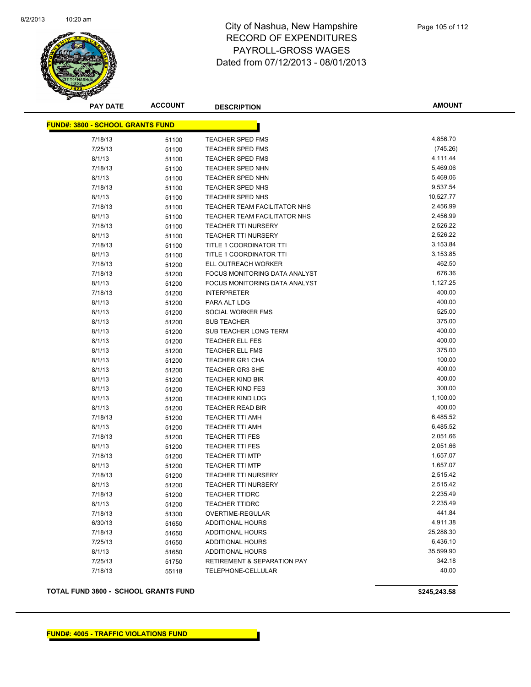

**AMOUNT**

| <b>FUND#: 3800 - SCHOOL GRANTS FUND</b> |       |                               |           |
|-----------------------------------------|-------|-------------------------------|-----------|
| 7/18/13                                 | 51100 | <b>TEACHER SPED FMS</b>       | 4,856.70  |
| 7/25/13                                 | 51100 | <b>TEACHER SPED FMS</b>       | (745.26)  |
| 8/1/13                                  | 51100 | <b>TEACHER SPED FMS</b>       | 4,111.44  |
| 7/18/13                                 | 51100 | TEACHER SPED NHN              | 5,469.06  |
| 8/1/13                                  | 51100 | <b>TEACHER SPED NHN</b>       | 5,469.06  |
| 7/18/13                                 | 51100 | TEACHER SPED NHS              | 9,537.54  |
| 8/1/13                                  | 51100 | TEACHER SPED NHS              | 10,527.77 |
| 7/18/13                                 | 51100 | TEACHER TEAM FACILITATOR NHS  | 2,456.99  |
| 8/1/13                                  | 51100 | TEACHER TEAM FACILITATOR NHS  | 2,456.99  |
| 7/18/13                                 | 51100 | <b>TEACHER TTI NURSERY</b>    | 2,526.22  |
| 8/1/13                                  | 51100 | <b>TEACHER TTI NURSERY</b>    | 2,526.22  |
| 7/18/13                                 | 51100 | TITLE 1 COORDINATOR TTI       | 3,153.84  |
| 8/1/13                                  | 51100 | TITLE 1 COORDINATOR TTI       | 3,153.85  |
| 7/18/13                                 | 51200 | ELL OUTREACH WORKER           | 462.50    |
| 7/18/13                                 | 51200 | FOCUS MONITORING DATA ANALYST | 676.36    |
| 8/1/13                                  | 51200 | FOCUS MONITORING DATA ANALYST | 1,127.25  |
| 7/18/13                                 | 51200 | <b>INTERPRETER</b>            | 400.00    |
| 8/1/13                                  | 51200 | PARA ALT LDG                  | 400.00    |
| 8/1/13                                  | 51200 | SOCIAL WORKER FMS             | 525.00    |
| 8/1/13                                  | 51200 | <b>SUB TEACHER</b>            | 375.00    |
| 8/1/13                                  | 51200 | SUB TEACHER LONG TERM         | 400.00    |
| 8/1/13                                  | 51200 | <b>TEACHER ELL FES</b>        | 400.00    |
| 8/1/13                                  | 51200 | <b>TEACHER ELL FMS</b>        | 375.00    |
| 8/1/13                                  | 51200 | <b>TEACHER GR1 CHA</b>        | 100.00    |
| 8/1/13                                  | 51200 | <b>TEACHER GR3 SHE</b>        | 400.00    |
| 8/1/13                                  | 51200 | <b>TEACHER KIND BIR</b>       | 400.00    |
| 8/1/13                                  | 51200 | <b>TEACHER KIND FES</b>       | 300.00    |
| 8/1/13                                  | 51200 | <b>TEACHER KIND LDG</b>       | 1,100.00  |
| 8/1/13                                  | 51200 | <b>TEACHER READ BIR</b>       | 400.00    |
| 7/18/13                                 | 51200 | <b>TEACHER TTI AMH</b>        | 6,485.52  |
| 8/1/13                                  | 51200 | <b>TEACHER TTI AMH</b>        | 6,485.52  |
| 7/18/13                                 | 51200 | <b>TEACHER TTI FES</b>        | 2,051.66  |
| 8/1/13                                  | 51200 | <b>TEACHER TTI FES</b>        | 2,051.66  |
| 7/18/13                                 | 51200 | <b>TEACHER TTI MTP</b>        | 1,657.07  |
| 8/1/13                                  | 51200 | <b>TEACHER TTI MTP</b>        | 1,657.07  |
| 7/18/13                                 | 51200 | <b>TEACHER TTI NURSERY</b>    | 2,515.42  |
| 8/1/13                                  | 51200 | <b>TEACHER TTI NURSERY</b>    | 2,515.42  |
| 7/18/13                                 | 51200 | <b>TEACHER TTIDRC</b>         | 2,235.49  |
| 8/1/13                                  | 51200 | <b>TEACHER TTIDRC</b>         | 2,235.49  |
| 7/18/13                                 | 51300 | OVERTIME-REGULAR              | 441.84    |
| 6/30/13                                 | 51650 | ADDITIONAL HOURS              | 4,911.38  |
| 7/18/13                                 | 51650 | ADDITIONAL HOURS              | 25,288.30 |
| 7/25/13                                 | 51650 | ADDITIONAL HOURS              | 6,436.10  |
| 8/1/13                                  | 51650 | ADDITIONAL HOURS              | 35,599.90 |
| 7/25/13                                 | 51750 | RETIREMENT & SEPARATION PAY   | 342.18    |
| 7/18/13                                 | 55118 | TELEPHONE-CELLULAR            | 40.00     |

**TOTAL FUND 3800 - SCHOOL GRANTS FUND \$245,243.58**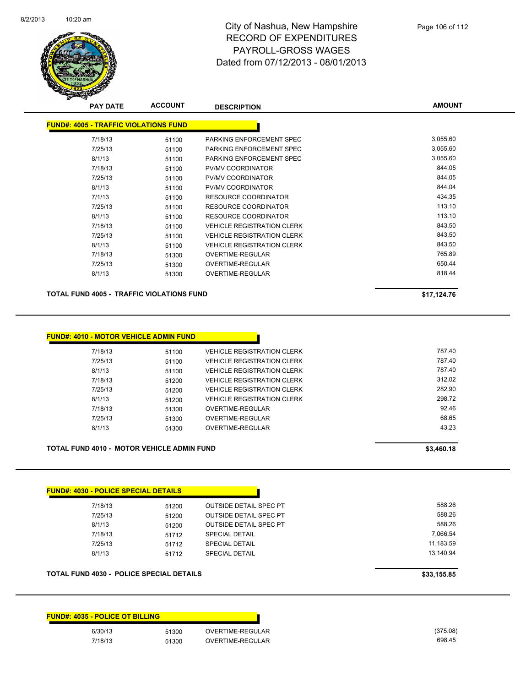

| <b>PAY DATE</b>                              | <b>ACCOUNT</b> | <b>DESCRIPTION</b>                | <b>AMOUNT</b> |
|----------------------------------------------|----------------|-----------------------------------|---------------|
| <b>FUND#: 4005 - TRAFFIC VIOLATIONS FUND</b> |                |                                   |               |
| 7/18/13                                      | 51100          | PARKING ENFORCEMENT SPEC          | 3,055.60      |
| 7/25/13                                      | 51100          | PARKING ENFORCEMENT SPEC          | 3,055.60      |
| 8/1/13                                       | 51100          | PARKING ENFORCEMENT SPEC          | 3,055.60      |
| 7/18/13                                      | 51100          | PV/MV COORDINATOR                 | 844.05        |
| 7/25/13                                      | 51100          | <b>PV/MV COORDINATOR</b>          | 844.05        |
| 8/1/13                                       | 51100          | PV/MV COORDINATOR                 | 844.04        |
| 7/1/13                                       | 51100          | RESOURCE COORDINATOR              | 434.35        |
| 7/25/13                                      | 51100          | <b>RESOURCE COORDINATOR</b>       | 113.10        |
| 8/1/13                                       | 51100          | <b>RESOURCE COORDINATOR</b>       | 113.10        |
| 7/18/13                                      | 51100          | <b>VEHICLE REGISTRATION CLERK</b> | 843.50        |
| 7/25/13                                      | 51100          | <b>VEHICLE REGISTRATION CLERK</b> | 843.50        |
| 8/1/13                                       | 51100          | <b>VEHICLE REGISTRATION CLERK</b> | 843.50        |
| 7/18/13                                      | 51300          | OVERTIME-REGULAR                  | 765.89        |
| 7/25/13                                      | 51300          | OVERTIME-REGULAR                  | 650.44        |
| 8/1/13                                       | 51300          | OVERTIME-REGULAR                  | 818.44        |

**TOTAL FUND 4005 - TRAFFIC VIOLATIONS FUND \$17,124.76** 

| \$17,124.76 |
|-------------|
|-------------|

| 7/18/13 | 51100 | <b>VEHICLE REGISTRATION CLERK</b> | 787.40 |
|---------|-------|-----------------------------------|--------|
| 7/25/13 | 51100 | <b>VEHICLE REGISTRATION CLERK</b> | 787.40 |
| 8/1/13  | 51100 | <b>VEHICLE REGISTRATION CLERK</b> | 787.40 |
| 7/18/13 | 51200 | <b>VEHICLE REGISTRATION CLERK</b> | 312.02 |
| 7/25/13 | 51200 | <b>VEHICLE REGISTRATION CLERK</b> | 282.90 |
| 8/1/13  | 51200 | <b>VEHICLE REGISTRATION CLERK</b> | 298.72 |
| 7/18/13 | 51300 | OVERTIME-REGULAR                  | 92.46  |
| 7/25/13 | 51300 | OVERTIME-REGULAR                  | 68.65  |
| 8/1/13  | 51300 | OVERTIME-REGULAR                  | 43.23  |

| TOTAL FUND 4010 - MOTOR VEHICLE ADMIN FUND | \$3,460.18 |
|--------------------------------------------|------------|
|                                            |            |

| 7/18/13 | 51200 | <b>OUTSIDE DETAIL SPEC PT</b> | 588.26    |
|---------|-------|-------------------------------|-----------|
| 7/25/13 | 51200 | <b>OUTSIDE DETAIL SPEC PT</b> | 588.26    |
| 8/1/13  | 51200 | <b>OUTSIDE DETAIL SPEC PT</b> | 588.26    |
| 7/18/13 | 51712 | <b>SPECIAL DETAIL</b>         | 7,066.54  |
| 7/25/13 | 51712 | <b>SPECIAL DETAIL</b>         | 11,183.59 |
| 8/1/13  | 51712 | <b>SPECIAL DETAIL</b>         | 13.140.94 |

#### **FUND#: 4035 - POLICE OT BILLING**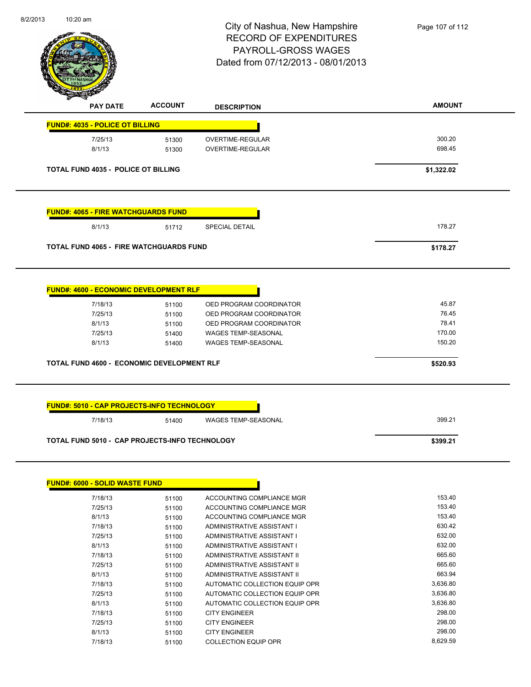| 8/2/2013 | $10:20$ am |
|----------|------------|
|          |            |



| <b>FUND#: 4035 - POLICE OT BILLING</b><br>300.20<br>7/25/13<br><b>OVERTIME-REGULAR</b><br>51300<br>698.45<br>8/1/13<br>OVERTIME-REGULAR<br>51300<br><b>TOTAL FUND 4035 - POLICE OT BILLING</b><br>\$1,322.02 |
|--------------------------------------------------------------------------------------------------------------------------------------------------------------------------------------------------------------|
|                                                                                                                                                                                                              |
|                                                                                                                                                                                                              |
|                                                                                                                                                                                                              |
|                                                                                                                                                                                                              |
| <b>FUND#: 4065 - FIRE WATCHGUARDS FUND</b>                                                                                                                                                                   |
| 178.27<br>8/1/13<br><b>SPECIAL DETAIL</b><br>51712                                                                                                                                                           |
| <b>TOTAL FUND 4065 - FIRE WATCHGUARDS FUND</b><br>\$178.27                                                                                                                                                   |
|                                                                                                                                                                                                              |
|                                                                                                                                                                                                              |
| 45.87<br>7/18/13<br>OED PROGRAM COORDINATOR<br>51100                                                                                                                                                         |
| 76.45<br>7/25/13<br>OED PROGRAM COORDINATOR<br>51100                                                                                                                                                         |
| 78.41<br>8/1/13<br>51100<br>OED PROGRAM COORDINATOR                                                                                                                                                          |
| <b>FUND#: 4600 - ECONOMIC DEVELOPMENT RLF</b><br>170.00<br>7/25/13<br>WAGES TEMP-SEASONAL<br>51400<br>150.20<br>8/1/13<br><b>WAGES TEMP-SEASONAL</b><br>51400                                                |

| <b>FUND#: 6000 - SOLID WASTE FUND</b> |       |                                |          |
|---------------------------------------|-------|--------------------------------|----------|
| 7/18/13                               | 51100 | ACCOUNTING COMPLIANCE MGR      | 153.40   |
| 7/25/13                               | 51100 | ACCOUNTING COMPLIANCE MGR      | 153.40   |
| 8/1/13                                | 51100 | ACCOUNTING COMPLIANCE MGR      | 153.40   |
| 7/18/13                               | 51100 | ADMINISTRATIVE ASSISTANT I     | 630.42   |
| 7/25/13                               | 51100 | ADMINISTRATIVE ASSISTANT I     | 632.00   |
| 8/1/13                                | 51100 | ADMINISTRATIVE ASSISTANT I     | 632.00   |
| 7/18/13                               | 51100 | ADMINISTRATIVE ASSISTANT II    | 665.60   |
| 7/25/13                               | 51100 | ADMINISTRATIVE ASSISTANT II    | 665.60   |
| 8/1/13                                | 51100 | ADMINISTRATIVE ASSISTANT II    | 663.94   |
| 7/18/13                               | 51100 | AUTOMATIC COLLECTION EQUIP OPR | 3,636.80 |
| 7/25/13                               | 51100 | AUTOMATIC COLLECTION EQUIP OPR | 3,636.80 |
| 8/1/13                                | 51100 | AUTOMATIC COLLECTION EQUIP OPR | 3,636.80 |
| 7/18/13                               | 51100 | <b>CITY ENGINEER</b>           | 298.00   |
| 7/25/13                               | 51100 | <b>CITY ENGINEER</b>           | 298.00   |
| 8/1/13                                | 51100 | <b>CITY ENGINEER</b>           | 298.00   |
| 7/18/13                               | 51100 | <b>COLLECTION EQUIP OPR</b>    | 8,629.59 |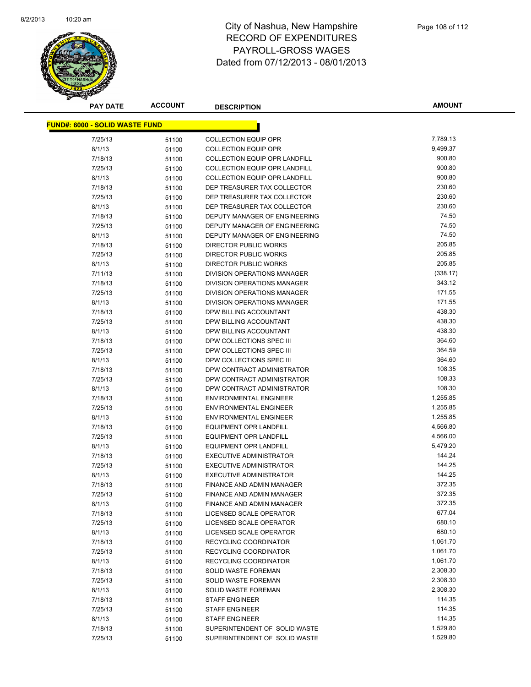

**AMOUNT**

| <u> FUND#: 6000 - SOLID WASTE FUND</u> |                |                                            |                      |
|----------------------------------------|----------------|--------------------------------------------|----------------------|
| 7/25/13                                | 51100          | <b>COLLECTION EQUIP OPR</b>                | 7,789.13             |
| 8/1/13                                 | 51100          | <b>COLLECTION EQUIP OPR</b>                | 9,499.37             |
| 7/18/13                                | 51100          | <b>COLLECTION EQUIP OPR LANDFILL</b>       | 900.80               |
| 7/25/13                                | 51100          | <b>COLLECTION EQUIP OPR LANDFILL</b>       | 900.80               |
| 8/1/13                                 | 51100          | <b>COLLECTION EQUIP OPR LANDFILL</b>       | 900.80               |
| 7/18/13                                | 51100          | DEP TREASURER TAX COLLECTOR                | 230.60               |
| 7/25/13                                | 51100          | DEP TREASURER TAX COLLECTOR                | 230.60               |
| 8/1/13                                 | 51100          | DEP TREASURER TAX COLLECTOR                | 230.60               |
| 7/18/13                                | 51100          | <b>DEPUTY MANAGER OF ENGINEERING</b>       | 74.50                |
| 7/25/13                                | 51100          | DEPUTY MANAGER OF ENGINEERING              | 74.50                |
| 8/1/13                                 | 51100          | DEPUTY MANAGER OF ENGINEERING              | 74.50                |
| 7/18/13                                | 51100          | DIRECTOR PUBLIC WORKS                      | 205.85               |
| 7/25/13                                | 51100          | DIRECTOR PUBLIC WORKS                      | 205.85               |
| 8/1/13                                 | 51100          | DIRECTOR PUBLIC WORKS                      | 205.85               |
| 7/11/13                                | 51100          | DIVISION OPERATIONS MANAGER                | (338.17)             |
| 7/18/13                                | 51100          | DIVISION OPERATIONS MANAGER                | 343.12               |
| 7/25/13                                | 51100          | DIVISION OPERATIONS MANAGER                | 171.55               |
| 8/1/13                                 | 51100          | <b>DIVISION OPERATIONS MANAGER</b>         | 171.55               |
| 7/18/13                                | 51100          | DPW BILLING ACCOUNTANT                     | 438.30               |
| 7/25/13                                | 51100          | DPW BILLING ACCOUNTANT                     | 438.30               |
| 8/1/13                                 | 51100          | DPW BILLING ACCOUNTANT                     | 438.30               |
| 7/18/13                                | 51100          | DPW COLLECTIONS SPEC III                   | 364.60               |
| 7/25/13                                | 51100          | DPW COLLECTIONS SPEC III                   | 364.59               |
| 8/1/13                                 | 51100          | DPW COLLECTIONS SPEC III                   | 364.60               |
| 7/18/13                                | 51100          | DPW CONTRACT ADMINISTRATOR                 | 108.35               |
| 7/25/13                                | 51100          | DPW CONTRACT ADMINISTRATOR                 | 108.33               |
| 8/1/13                                 | 51100          | DPW CONTRACT ADMINISTRATOR                 | 108.30               |
| 7/18/13                                | 51100          | <b>ENVIRONMENTAL ENGINEER</b>              | 1,255.85             |
| 7/25/13                                | 51100          | <b>ENVIRONMENTAL ENGINEER</b>              | 1,255.85             |
| 8/1/13                                 | 51100          | <b>ENVIRONMENTAL ENGINEER</b>              | 1,255.85             |
| 7/18/13                                | 51100          | <b>EQUIPMENT OPR LANDFILL</b>              | 4,566.80             |
| 7/25/13                                | 51100          | <b>EQUIPMENT OPR LANDFILL</b>              | 4,566.00             |
| 8/1/13                                 | 51100          | <b>EQUIPMENT OPR LANDFILL</b>              | 5,479.20             |
| 7/18/13                                | 51100          | <b>EXECUTIVE ADMINISTRATOR</b>             | 144.24               |
| 7/25/13                                | 51100          | EXECUTIVE ADMINISTRATOR                    | 144.25               |
| 8/1/13                                 | 51100          | <b>EXECUTIVE ADMINISTRATOR</b>             | 144.25               |
| 7/18/13                                | 51100          | FINANCE AND ADMIN MANAGER                  | 372.35               |
| 7/25/13                                | 51100          | FINANCE AND ADMIN MANAGER                  | 372.35               |
| 8/1/13                                 | 51100          | FINANCE AND ADMIN MANAGER                  | 372.35               |
| 7/18/13                                | 51100          | LICENSED SCALE OPERATOR                    | 677.04               |
| 7/25/13                                | 51100          | LICENSED SCALE OPERATOR                    | 680.10               |
| 8/1/13                                 | 51100          | LICENSED SCALE OPERATOR                    | 680.10               |
| 7/18/13                                | 51100          | RECYCLING COORDINATOR                      | 1,061.70             |
| 7/25/13                                | 51100          | RECYCLING COORDINATOR                      | 1,061.70<br>1,061.70 |
| 8/1/13<br>7/18/13                      | 51100          | RECYCLING COORDINATOR                      | 2,308.30             |
|                                        | 51100          | SOLID WASTE FOREMAN                        | 2,308.30             |
| 7/25/13<br>8/1/13                      | 51100          | SOLID WASTE FOREMAN<br>SOLID WASTE FOREMAN | 2,308.30             |
| 7/18/13                                | 51100          | <b>STAFF ENGINEER</b>                      | 114.35               |
| 7/25/13                                | 51100          | <b>STAFF ENGINEER</b>                      | 114.35               |
| 8/1/13                                 | 51100<br>51100 | STAFF ENGINEER                             | 114.35               |
| 7/18/13                                | 51100          | SUPERINTENDENT OF SOLID WASTE              | 1,529.80             |
| 7/25/13                                | 51100          | SUPERINTENDENT OF SOLID WASTE              | 1,529.80             |
|                                        |                |                                            |                      |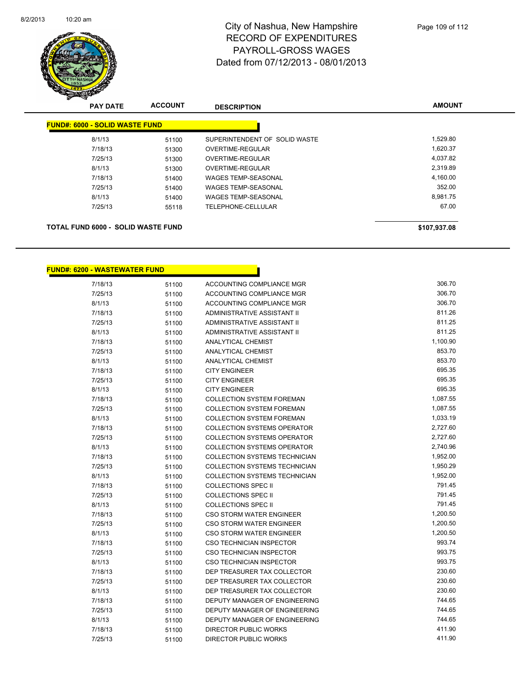

| <b>PAY DATE</b>                           | <b>ACCOUNT</b> | <b>DESCRIPTION</b>            | <b>AMOUNT</b> |
|-------------------------------------------|----------------|-------------------------------|---------------|
| <b>FUND#: 6000 - SOLID WASTE FUND</b>     |                |                               |               |
| 8/1/13                                    | 51100          | SUPERINTENDENT OF SOLID WASTE | 1,529.80      |
| 7/18/13                                   | 51300          | OVERTIME-REGULAR              | 1,620.37      |
| 7/25/13                                   | 51300          | OVERTIME-REGULAR              | 4,037.82      |
| 8/1/13                                    | 51300          | OVERTIME-REGULAR              | 2,319.89      |
| 7/18/13                                   | 51400          | WAGES TEMP-SEASONAL           | 4,160.00      |
| 7/25/13                                   | 51400          | <b>WAGES TEMP-SEASONAL</b>    | 352.00        |
| 8/1/13                                    | 51400          | <b>WAGES TEMP-SEASONAL</b>    | 8,981.75      |
| 7/25/13                                   | 55118          | TELEPHONE-CELLULAR            | 67.00         |
| <b>TOTAL FUND 6000 - SOLID WASTE FUND</b> |                |                               | \$107,937.08  |

n

#### **FUND#: 6200 - WASTEWATER FUND**

| 7/18/13 | 51100 | ACCOUNTING COMPLIANCE MGR            | 306.70   |
|---------|-------|--------------------------------------|----------|
| 7/25/13 | 51100 | ACCOUNTING COMPLIANCE MGR            | 306.70   |
| 8/1/13  | 51100 | ACCOUNTING COMPLIANCE MGR            | 306.70   |
| 7/18/13 | 51100 | ADMINISTRATIVE ASSISTANT II          | 811.26   |
| 7/25/13 | 51100 | <b>ADMINISTRATIVE ASSISTANT II</b>   | 811.25   |
| 8/1/13  | 51100 | ADMINISTRATIVE ASSISTANT II          | 811.25   |
| 7/18/13 | 51100 | <b>ANALYTICAL CHEMIST</b>            | 1,100.90 |
| 7/25/13 | 51100 | <b>ANALYTICAL CHEMIST</b>            | 853.70   |
| 8/1/13  | 51100 | <b>ANALYTICAL CHEMIST</b>            | 853.70   |
| 7/18/13 | 51100 | <b>CITY ENGINEER</b>                 | 695.35   |
| 7/25/13 | 51100 | <b>CITY ENGINEER</b>                 | 695.35   |
| 8/1/13  | 51100 | <b>CITY ENGINEER</b>                 | 695.35   |
| 7/18/13 | 51100 | <b>COLLECTION SYSTEM FOREMAN</b>     | 1,087.55 |
| 7/25/13 | 51100 | <b>COLLECTION SYSTEM FOREMAN</b>     | 1,087.55 |
| 8/1/13  | 51100 | <b>COLLECTION SYSTEM FOREMAN</b>     | 1,033.19 |
| 7/18/13 | 51100 | <b>COLLECTION SYSTEMS OPERATOR</b>   | 2,727.60 |
| 7/25/13 | 51100 | <b>COLLECTION SYSTEMS OPERATOR</b>   | 2,727.60 |
| 8/1/13  | 51100 | <b>COLLECTION SYSTEMS OPERATOR</b>   | 2,740.96 |
| 7/18/13 | 51100 | COLLECTION SYSTEMS TECHNICIAN        | 1,952.00 |
| 7/25/13 | 51100 | <b>COLLECTION SYSTEMS TECHNICIAN</b> | 1,950.29 |
| 8/1/13  | 51100 | <b>COLLECTION SYSTEMS TECHNICIAN</b> | 1,952.00 |
| 7/18/13 | 51100 | <b>COLLECTIONS SPEC II</b>           | 791.45   |
| 7/25/13 | 51100 | COLLECTIONS SPEC II                  | 791.45   |
| 8/1/13  | 51100 | <b>COLLECTIONS SPEC II</b>           | 791.45   |
| 7/18/13 | 51100 | CSO STORM WATER ENGINEER             | 1,200.50 |
| 7/25/13 | 51100 | <b>CSO STORM WATER ENGINEER</b>      | 1,200.50 |
| 8/1/13  | 51100 | <b>CSO STORM WATER ENGINEER</b>      | 1,200.50 |
| 7/18/13 | 51100 | CSO TECHNICIAN INSPECTOR             | 993.74   |
| 7/25/13 | 51100 | <b>CSO TECHNICIAN INSPECTOR</b>      | 993.75   |
| 8/1/13  | 51100 | <b>CSO TECHNICIAN INSPECTOR</b>      | 993.75   |
| 7/18/13 | 51100 | DEP TREASURER TAX COLLECTOR          | 230.60   |
| 7/25/13 | 51100 | DEP TREASURER TAX COLLECTOR          | 230.60   |
| 8/1/13  | 51100 | DEP TREASURER TAX COLLECTOR          | 230.60   |
| 7/18/13 | 51100 | DEPUTY MANAGER OF ENGINEERING        | 744.65   |
| 7/25/13 | 51100 | DEPUTY MANAGER OF ENGINEERING        | 744.65   |
| 8/1/13  | 51100 | DEPUTY MANAGER OF ENGINEERING        | 744.65   |
| 7/18/13 | 51100 | <b>DIRECTOR PUBLIC WORKS</b>         | 411.90   |
| 7/25/13 | 51100 | <b>DIRECTOR PUBLIC WORKS</b>         | 411.90   |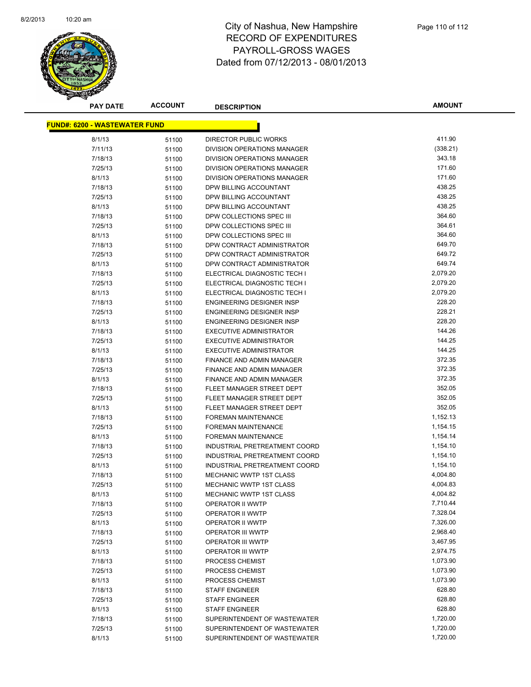

**AMOUNT**

| <u> FUND#: 6200 - WASTEWATER FUND</u> |                |                                      |                      |
|---------------------------------------|----------------|--------------------------------------|----------------------|
| 8/1/13                                | 51100          | <b>DIRECTOR PUBLIC WORKS</b>         | 411.90               |
| 7/11/13                               | 51100          | DIVISION OPERATIONS MANAGER          | (338.21)             |
| 7/18/13                               | 51100          | DIVISION OPERATIONS MANAGER          | 343.18               |
| 7/25/13                               | 51100          | DIVISION OPERATIONS MANAGER          | 171.60               |
| 8/1/13                                | 51100          | DIVISION OPERATIONS MANAGER          | 171.60               |
| 7/18/13                               | 51100          | DPW BILLING ACCOUNTANT               | 438.25               |
| 7/25/13                               | 51100          | DPW BILLING ACCOUNTANT               | 438.25               |
| 8/1/13                                | 51100          | DPW BILLING ACCOUNTANT               | 438.25               |
| 7/18/13                               | 51100          | DPW COLLECTIONS SPEC III             | 364.60               |
| 7/25/13                               | 51100          | DPW COLLECTIONS SPEC III             | 364.61               |
| 8/1/13                                | 51100          | DPW COLLECTIONS SPEC III             | 364.60               |
| 7/18/13                               | 51100          | DPW CONTRACT ADMINISTRATOR           | 649.70               |
| 7/25/13                               | 51100          | DPW CONTRACT ADMINISTRATOR           | 649.72               |
| 8/1/13                                | 51100          | DPW CONTRACT ADMINISTRATOR           | 649.74               |
| 7/18/13                               | 51100          | ELECTRICAL DIAGNOSTIC TECH I         | 2,079.20             |
| 7/25/13                               | 51100          | ELECTRICAL DIAGNOSTIC TECH I         | 2,079.20             |
| 8/1/13                                | 51100          | ELECTRICAL DIAGNOSTIC TECH I         | 2,079.20             |
| 7/18/13                               | 51100          | <b>ENGINEERING DESIGNER INSP</b>     | 228.20               |
| 7/25/13                               | 51100          | <b>ENGINEERING DESIGNER INSP</b>     | 228.21               |
| 8/1/13                                | 51100          | <b>ENGINEERING DESIGNER INSP</b>     | 228.20               |
| 7/18/13                               | 51100          | <b>EXECUTIVE ADMINISTRATOR</b>       | 144.26               |
| 7/25/13                               | 51100          | <b>EXECUTIVE ADMINISTRATOR</b>       | 144.25               |
| 8/1/13                                | 51100          | <b>EXECUTIVE ADMINISTRATOR</b>       | 144.25               |
| 7/18/13                               | 51100          | FINANCE AND ADMIN MANAGER            | 372.35               |
| 7/25/13                               | 51100          | FINANCE AND ADMIN MANAGER            | 372.35               |
| 8/1/13                                | 51100          | FINANCE AND ADMIN MANAGER            | 372.35               |
| 7/18/13                               | 51100          | FLEET MANAGER STREET DEPT            | 352.05               |
| 7/25/13                               | 51100          | FLEET MANAGER STREET DEPT            | 352.05               |
| 8/1/13                                | 51100          | FLEET MANAGER STREET DEPT            | 352.05               |
| 7/18/13                               | 51100          | <b>FOREMAN MAINTENANCE</b>           | 1,152.13             |
| 7/25/13                               | 51100          | <b>FOREMAN MAINTENANCE</b>           | 1,154.15             |
| 8/1/13                                | 51100          | FOREMAN MAINTENANCE                  | 1,154.14             |
| 7/18/13                               | 51100          | INDUSTRIAL PRETREATMENT COORD        | 1,154.10             |
| 7/25/13                               | 51100          | INDUSTRIAL PRETREATMENT COORD        | 1,154.10             |
| 8/1/13                                | 51100          | INDUSTRIAL PRETREATMENT COORD        | 1,154.10             |
| 7/18/13                               | 51100          | <b>MECHANIC WWTP 1ST CLASS</b>       | 4,004.80             |
| 7/25/13                               | 51100          | <b>MECHANIC WWTP 1ST CLASS</b>       | 4,004.83             |
| 8/1/13                                | 51100          | MECHANIC WWTP 1ST CLASS              | 4,004.82<br>7,710.44 |
| 7/18/13                               | 51100          | OPERATOR II WWTP                     | 7,328.04             |
| 7/25/13<br>8/1/13                     | 51100          | OPERATOR II WWTP<br>OPERATOR II WWTP | 7,326.00             |
| 7/18/13                               | 51100          | <b>OPERATOR III WWTP</b>             | 2,968.40             |
| 7/25/13                               | 51100<br>51100 | <b>OPERATOR III WWTP</b>             | 3,467.95             |
| 8/1/13                                | 51100          | <b>OPERATOR III WWTP</b>             | 2,974.75             |
| 7/18/13                               | 51100          | PROCESS CHEMIST                      | 1,073.90             |
| 7/25/13                               | 51100          | PROCESS CHEMIST                      | 1,073.90             |
| 8/1/13                                | 51100          | PROCESS CHEMIST                      | 1,073.90             |
| 7/18/13                               | 51100          | <b>STAFF ENGINEER</b>                | 628.80               |
| 7/25/13                               | 51100          | <b>STAFF ENGINEER</b>                | 628.80               |
| 8/1/13                                | 51100          | <b>STAFF ENGINEER</b>                | 628.80               |
| 7/18/13                               | 51100          | SUPERINTENDENT OF WASTEWATER         | 1,720.00             |
| 7/25/13                               | 51100          | SUPERINTENDENT OF WASTEWATER         | 1,720.00             |
| 8/1/13                                | 51100          | SUPERINTENDENT OF WASTEWATER         | 1,720.00             |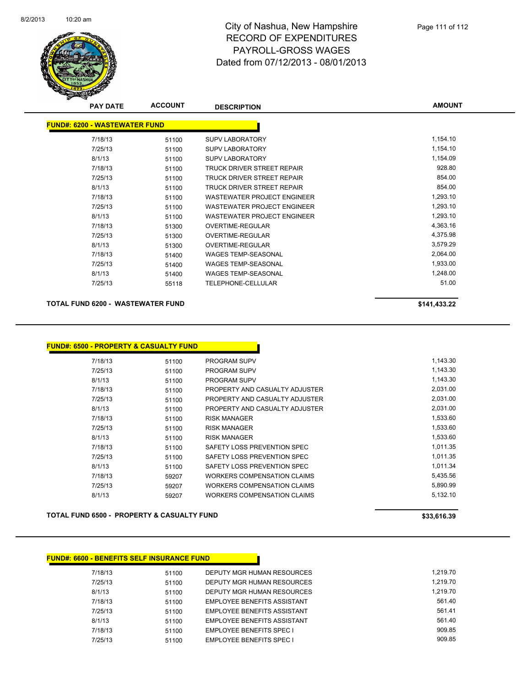

| <b>PAY DATE</b>                      | <b>ACCOUNT</b> | <b>DESCRIPTION</b>                 | <b>AMOUNT</b> |
|--------------------------------------|----------------|------------------------------------|---------------|
| <b>FUND#: 6200 - WASTEWATER FUND</b> |                |                                    |               |
| 7/18/13                              | 51100          | <b>SUPV LABORATORY</b>             | 1,154.10      |
| 7/25/13                              | 51100          | <b>SUPV LABORATORY</b>             | 1,154.10      |
| 8/1/13                               | 51100          | <b>SUPV LABORATORY</b>             | 1,154.09      |
| 7/18/13                              | 51100          | TRUCK DRIVER STREET REPAIR         | 928.80        |
| 7/25/13                              | 51100          | TRUCK DRIVER STREET REPAIR         | 854.00        |
| 8/1/13                               | 51100          | TRUCK DRIVER STREET REPAIR         | 854.00        |
| 7/18/13                              | 51100          | <b>WASTEWATER PROJECT ENGINEER</b> | 1,293.10      |
| 7/25/13                              | 51100          | WASTEWATER PROJECT ENGINEER        | 1,293.10      |
| 8/1/13                               | 51100          | WASTEWATER PROJECT ENGINEER        | 1,293.10      |
| 7/18/13                              | 51300          | OVERTIME-REGULAR                   | 4,363.16      |
| 7/25/13                              | 51300          | <b>OVERTIME-REGULAR</b>            | 4,375.98      |
| 8/1/13                               | 51300          | <b>OVERTIME-REGULAR</b>            | 3,579.29      |
| 7/18/13                              | 51400          | <b>WAGES TEMP-SEASONAL</b>         | 2,064.00      |
| 7/25/13                              | 51400          | <b>WAGES TEMP-SEASONAL</b>         | 1,933.00      |
| 8/1/13                               | 51400          | <b>WAGES TEMP-SEASONAL</b>         | 1,248.00      |
| 7/25/13                              | 55118          | <b>TELEPHONE-CELLULAR</b>          | 51.00         |

#### **TOTAL FUND 6200 - WASTEWATER FUND \$141,433.22**

| <b>FUND#: 6500 - PROPERTY &amp; CASUALTY FUND</b> |       |                                    |
|---------------------------------------------------|-------|------------------------------------|
| 7/18/13                                           | 51100 | <b>PROGRAM SUPV</b>                |
| 7/25/13                                           | 51100 | <b>PROGRAM SUPV</b>                |
| 8/1/13                                            | 51100 | <b>PROGRAM SUPV</b>                |
| 7/18/13                                           | 51100 | PROPERTY AND CASUALTY ADJUSTER     |
| 7/25/13                                           | 51100 | PROPERTY AND CASUALTY ADJUSTER     |
| 8/1/13                                            | 51100 | PROPERTY AND CASUALTY ADJUSTER     |
| 7/18/13                                           | 51100 | <b>RISK MANAGER</b>                |
| 7/25/13                                           | 51100 | <b>RISK MANAGER</b>                |
| 8/1/13                                            | 51100 | <b>RISK MANAGER</b>                |
| 7/18/13                                           | 51100 | SAFETY LOSS PREVENTION SPEC        |
| 7/25/13                                           | 51100 | SAFETY LOSS PREVENTION SPEC        |
| 8/1/13                                            | 51100 | SAFETY LOSS PREVENTION SPEC        |
| 7/18/13                                           | 59207 | WORKERS COMPENSATION CLAIMS        |
| 7/25/13                                           | 59207 | <b>WORKERS COMPENSATION CLAIMS</b> |
| 8/1/13                                            | 59207 | WORKERS COMPENSATION CLAIMS        |

**TOTAL FUND 6500 - PROPERTY & CASUALTY FUND \$33,616.39** 

#### **FUND#: 6600 - BENEFITS SELF INSURANCE FUND**

| 7/18/13 | 51100 | DEPUTY MGR HUMAN RESOURCES         | 1.219.70 |
|---------|-------|------------------------------------|----------|
| 7/25/13 | 51100 | DEPUTY MGR HUMAN RESOURCES         | 1.219.70 |
| 8/1/13  | 51100 | DEPUTY MGR HUMAN RESOURCES         | 1.219.70 |
| 7/18/13 | 51100 | <b>EMPLOYEE BENEFITS ASSISTANT</b> | 561.40   |
| 7/25/13 | 51100 | EMPLOYEE BENEFITS ASSISTANT        | 561.41   |
| 8/1/13  | 51100 | EMPLOYEE BENEFITS ASSISTANT        | 561.40   |
| 7/18/13 | 51100 | <b>EMPLOYEE BENEFITS SPEC I</b>    | 909.85   |
| 7/25/13 | 51100 | <b>EMPLOYEE BENEFITS SPEC I</b>    | 909.85   |
|         |       |                                    |          |